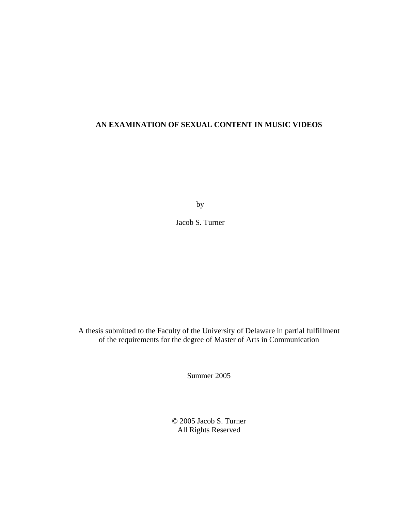# **AN EXAMINATION OF SEXUAL CONTENT IN MUSIC VIDEOS**

by

Jacob S. Turner

A thesis submitted to the Faculty of the University of Delaware in partial fulfillment of the requirements for the degree of Master of Arts in Communication

Summer 2005

© 2005 Jacob S. Turner All Rights Reserved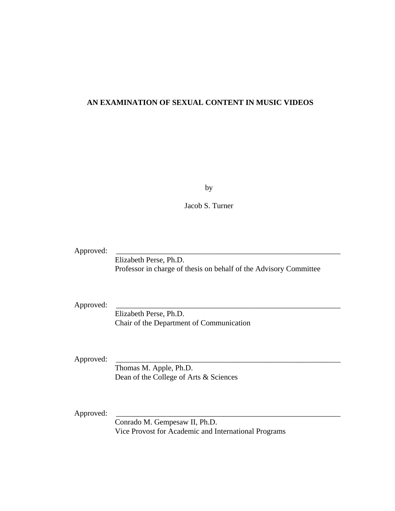# **AN EXAMINATION OF SEXUAL CONTENT IN MUSIC VIDEOS**

by

Jacob S. Turner

Approved: \_\_\_\_\_\_\_\_\_\_\_\_\_\_\_\_\_\_\_\_\_\_\_\_\_\_\_\_\_\_\_\_\_\_\_\_\_\_\_\_\_\_\_\_\_\_\_\_\_\_\_\_\_\_\_\_\_\_

 Elizabeth Perse, Ph.D. Professor in charge of thesis on behalf of the Advisory Committee

Approved:

 Elizabeth Perse, Ph.D. Chair of the Department of Communication

Approved:

 Thomas M. Apple, Ph.D. Dean of the College of Arts & Sciences

Approved:

 Conrado M. Gempesaw II, Ph.D. Vice Provost for Academic and International Programs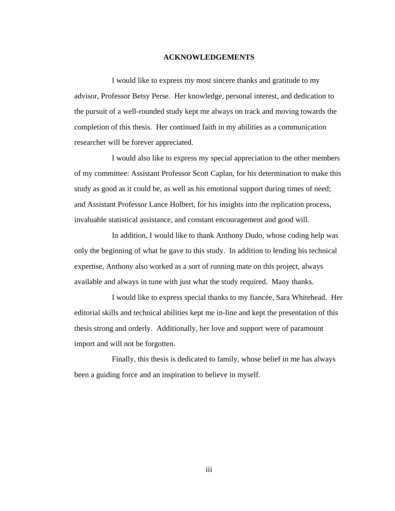### **ACKNOWLEDGEMENTS**

I would like to express my most sincere thanks and gratitude to my advisor, Professor Betsy Perse. Her knowledge, personal interest, and dedication to the pursuit of a well-rounded study kept me always on track and moving towards the completion of this thesis. Her continued faith in my abilities as a communication researcher will be forever appreciated.

I would also like to express my special appreciation to the other members of my committee: Assistant Professor Scott Caplan, for his determination to make this study as good as it could be, as well as his emotional support during times of need; and Assistant Professor Lance Holbert, for his insights into the replication process, invaluable statistical assistance, and constant encouragement and good will.

In addition, I would like to thank Anthony Dudo, whose coding help was only the beginning of what he gave to this study. In addition to lending his technical expertise, Anthony also worked as a sort of running mate on this project, always available and always in tune with just what the study required. Many thanks.

I would like to express special thanks to my fiancée, Sara Whitehead. Her editorial skills and technical abilities kept me in-line and kept the presentation of this thesis strong and orderly. Additionally, her love and support were of paramount import and will not be forgotten.

Finally, this thesis is dedicated to family, whose belief in me has always been a guiding force and an inspiration to believe in myself.

iii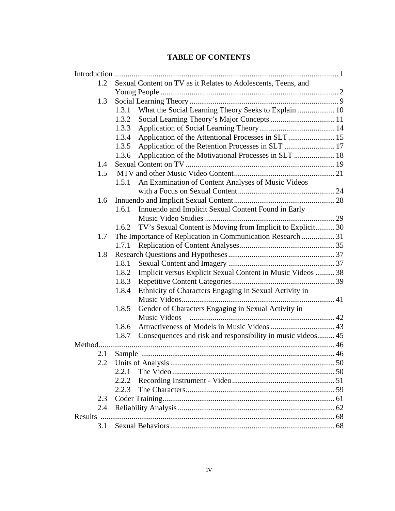# **TABLE OF CONTENTS**

| 1.2    | Sexual Content on TV as it Relates to Adolescents, Teens, and        |  |
|--------|----------------------------------------------------------------------|--|
|        |                                                                      |  |
| 1.3    |                                                                      |  |
|        | What the Social Learning Theory Seeks to Explain  10<br>1.3.1        |  |
|        | 1.3.2<br>Social Learning Theory's Major Concepts  11                 |  |
|        | 1.3.3                                                                |  |
|        | Application of the Attentional Processes in SLT 15<br>1.3.4          |  |
|        | Application of the Retention Processes in SLT  17<br>1.3.5           |  |
|        | Application of the Motivational Processes in SLT  18<br>1.3.6        |  |
| 1.4    |                                                                      |  |
| 1.5    |                                                                      |  |
|        | 1.5.1<br>An Examination of Content Analyses of Music Videos          |  |
|        |                                                                      |  |
| 1.6    |                                                                      |  |
|        | Innuendo and Implicit Sexual Content Found in Early<br>1.6.1         |  |
|        |                                                                      |  |
|        | TV's Sexual Content is Moving from Implicit to Explicit 30<br>1.6.2  |  |
| 1.7    | The Importance of Replication in Communication Research 31           |  |
|        | 1.7.1                                                                |  |
| 1.8    |                                                                      |  |
|        | 1.8.1                                                                |  |
|        | Implicit versus Explicit Sexual Content in Music Videos  38<br>1.8.2 |  |
|        | 1.8.3                                                                |  |
|        | 1.8.4<br>Ethnicity of Characters Engaging in Sexual Activity in      |  |
|        |                                                                      |  |
|        | Gender of Characters Engaging in Sexual Activity in<br>1.8.5         |  |
|        |                                                                      |  |
|        | 1.8.6                                                                |  |
|        | Consequences and risk and responsibility in music videos 45<br>1.8.7 |  |
| Method |                                                                      |  |
| 2.1    |                                                                      |  |
| 2.2    |                                                                      |  |
|        | 2.2.1                                                                |  |
|        | 2.2.2                                                                |  |
|        | 2.2.3                                                                |  |
| 2.3    |                                                                      |  |
| 2.4    |                                                                      |  |
|        |                                                                      |  |
| 3.1    |                                                                      |  |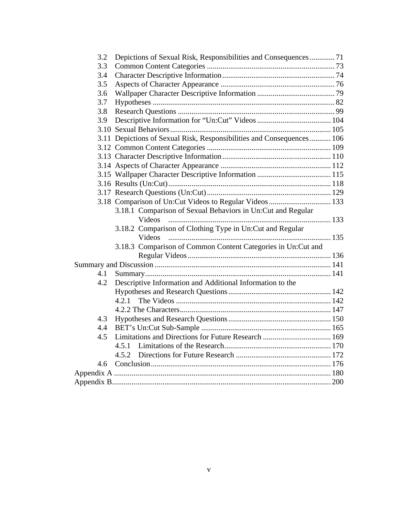| 3.2 | Depictions of Sexual Risk, Responsibilities and Consequences 71       |  |
|-----|-----------------------------------------------------------------------|--|
| 3.3 |                                                                       |  |
| 3.4 |                                                                       |  |
| 3.5 |                                                                       |  |
| 3.6 |                                                                       |  |
| 3.7 |                                                                       |  |
| 3.8 |                                                                       |  |
| 3.9 |                                                                       |  |
|     |                                                                       |  |
|     | 3.11 Depictions of Sexual Risk, Responsibilities and Consequences 106 |  |
|     |                                                                       |  |
|     |                                                                       |  |
|     |                                                                       |  |
|     |                                                                       |  |
|     |                                                                       |  |
|     |                                                                       |  |
|     | 3.18 Comparison of Un:Cut Videos to Regular Videos 133                |  |
|     | 3.18.1 Comparison of Sexual Behaviors in Un:Cut and Regular           |  |
|     | <b>Videos</b>                                                         |  |
|     | 3.18.2 Comparison of Clothing Type in Un: Cut and Regular             |  |
|     |                                                                       |  |
|     | 3.18.3 Comparison of Common Content Categories in Un:Cut and          |  |
|     |                                                                       |  |
|     |                                                                       |  |
| 4.1 |                                                                       |  |
| 4.2 | Descriptive Information and Additional Information to the             |  |
|     |                                                                       |  |
|     |                                                                       |  |
|     |                                                                       |  |
| 4.3 |                                                                       |  |
| 4.4 |                                                                       |  |
| 4.5 |                                                                       |  |
|     |                                                                       |  |
|     |                                                                       |  |
| 4.6 |                                                                       |  |
|     |                                                                       |  |
|     |                                                                       |  |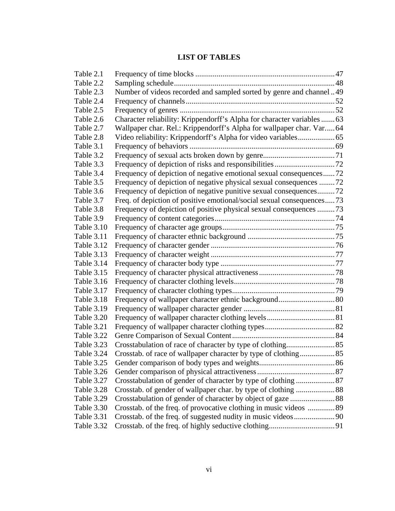# **LIST OF TABLES**

| Table 2.1  |                                                                         |  |
|------------|-------------------------------------------------------------------------|--|
| Table 2.2  |                                                                         |  |
| Table 2.3  | Number of videos recorded and sampled sorted by genre and channel 49    |  |
| Table 2.4  |                                                                         |  |
| Table 2.5  |                                                                         |  |
| Table 2.6  | Character reliability: Krippendorff's Alpha for character variables  63 |  |
| Table 2.7  | Wallpaper char. Rel.: Krippendorff's Alpha for wallpaper char. Var 64   |  |
| Table 2.8  | Video reliability: Krippendorff's Alpha for video variables 65          |  |
| Table 3.1  |                                                                         |  |
| Table 3.2  |                                                                         |  |
| Table 3.3  |                                                                         |  |
| Table 3.4  | Frequency of depiction of negative emotional sexual consequences 72     |  |
| Table 3.5  | Frequency of depiction of negative physical sexual consequences 72      |  |
| Table 3.6  | Frequency of depiction of negative punitive sexual consequences72       |  |
| Table 3.7  | Freq. of depiction of positive emotional/social sexual consequences 73  |  |
| Table 3.8  | Frequency of depiction of positive physical sexual consequences 73      |  |
| Table 3.9  |                                                                         |  |
| Table 3.10 |                                                                         |  |
| Table 3.11 |                                                                         |  |
| Table 3.12 |                                                                         |  |
| Table 3.13 |                                                                         |  |
| Table 3.14 |                                                                         |  |
| Table 3.15 |                                                                         |  |
| Table 3.16 |                                                                         |  |
| Table 3.17 |                                                                         |  |
| Table 3.18 |                                                                         |  |
| Table 3.19 |                                                                         |  |
| Table 3.20 |                                                                         |  |
| Table 3.21 |                                                                         |  |
| Table 3.22 |                                                                         |  |
| Table 3.23 |                                                                         |  |
| Table 3.24 |                                                                         |  |
| Table 3.25 |                                                                         |  |
| Table 3.26 |                                                                         |  |
| Table 3.27 |                                                                         |  |
| Table 3.28 |                                                                         |  |
| Table 3.29 |                                                                         |  |
| Table 3.30 | Crosstab. of the freq. of provocative clothing in music videos  89      |  |
| Table 3.31 |                                                                         |  |
| Table 3.32 |                                                                         |  |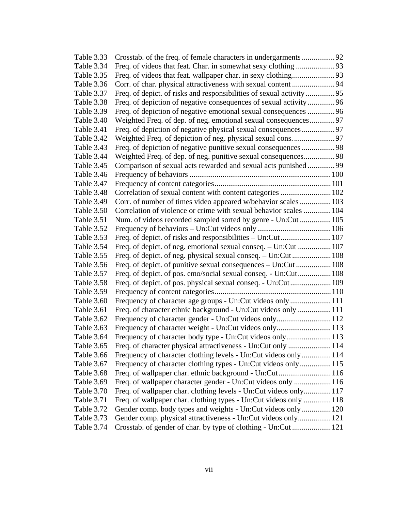| Table 3.33 |                                                                   |  |
|------------|-------------------------------------------------------------------|--|
| Table 3.34 |                                                                   |  |
| Table 3.35 |                                                                   |  |
| Table 3.36 | Corr. of char. physical attractiveness with sexual content  94    |  |
| Table 3.37 |                                                                   |  |
| Table 3.38 | Freq. of depiction of negative consequences of sexual activity96  |  |
| Table 3.39 | Freq. of depiction of negative emotional sexual consequences  96  |  |
| Table 3.40 | Weighted Freq. of dep. of neg. emotional sexual consequences97    |  |
| Table 3.41 |                                                                   |  |
| Table 3.42 |                                                                   |  |
| Table 3.43 | Freq. of depiction of negative punitive sexual consequences  98   |  |
| Table 3.44 | Weighted Freq. of dep. of neg. punitive sexual consequences98     |  |
| Table 3.45 | Comparison of sexual acts rewarded and sexual acts punished 99    |  |
| Table 3.46 |                                                                   |  |
| Table 3.47 |                                                                   |  |
| Table 3.48 | Correlation of sexual content with content categories  102        |  |
| Table 3.49 | Corr. of number of times video appeared w/behavior scales  103    |  |
| Table 3.50 | Correlation of violence or crime with sexual behavior scales  104 |  |
| Table 3.51 | Num. of videos recorded sampled sorted by genre - Un:Cut  105     |  |
| Table 3.52 |                                                                   |  |
| Table 3.53 | Freq. of depict. of risks and responsibilities - Un:Cut 107       |  |
| Table 3.54 | Freq. of depict. of neg. emotional sexual conseq. - Un:Cut  107   |  |
| Table 3.55 | Freq. of depict. of neg. physical sexual conseq. - Un:Cut 108     |  |
| Table 3.56 | Freq. of depict. of punitive sexual consequences – Un:Cut  108    |  |
| Table 3.57 | Freq. of depict. of pos. emo/social sexual conseq. - Un:Cut 108   |  |
| Table 3.58 | Freq. of depict. of pos. physical sexual conseq. - Un:Cut 109     |  |
| Table 3.59 |                                                                   |  |
| Table 3.60 | Frequency of character age groups - Un:Cut videos only  111       |  |
| Table 3.61 | Freq. of character ethnic background - Un:Cut videos only  111    |  |
| Table 3.62 | Frequency of character gender - Un:Cut videos only 112            |  |
| Table 3.63 | Frequency of character weight - Un:Cut videos only 113            |  |
| Table 3.64 | Frequency of character body type - Un:Cut videos only 113         |  |
| Table 3.65 | Freq. of character physical attractiveness - Un:Cut only  114     |  |
| Table 3.66 | Frequency of character clothing levels - Un: Cut videos only  114 |  |
| Table 3.67 |                                                                   |  |
| Table 3.68 | Freq. of wallpaper char. ethnic background - Un:Cut 116           |  |
| Table 3.69 | Freq. of wallpaper character gender - Un:Cut videos only  116     |  |
| Table 3.70 | Freq. of wallpaper char. clothing levels - Un:Cut videos only 117 |  |
| Table 3.71 | Freq. of wallpaper char. clothing types - Un:Cut videos only  118 |  |
| Table 3.72 | Gender comp. body types and weights - Un:Cut videos only  120     |  |
| Table 3.73 | Gender comp. physical attractiveness - Un:Cut videos only 121     |  |
| Table 3.74 | Crosstab. of gender of char. by type of clothing - Un:Cut 121     |  |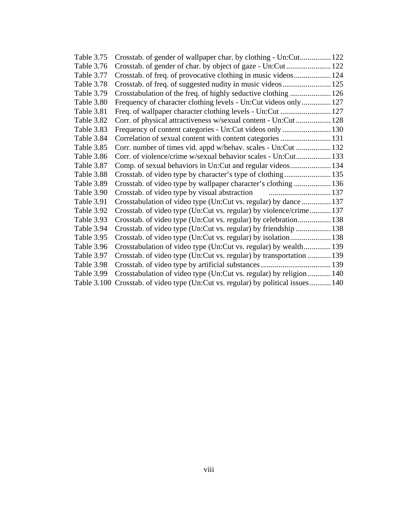| Table 3.75  |                                                                     |  |
|-------------|---------------------------------------------------------------------|--|
| Table 3.76  | Crosstab. of gender of char. by object of gaze - Un:Cut 122         |  |
| Table 3.77  | Crosstab. of freq. of provocative clothing in music videos 124      |  |
| Table 3.78  |                                                                     |  |
| Table 3.79  | Crosstabulation of the freq. of highly seductive clothing  126      |  |
| Table 3.80  | Frequency of character clothing levels - Un:Cut videos only  127    |  |
| Table 3.81  |                                                                     |  |
| Table 3.82  | Corr. of physical attractiveness w/sexual content - Un:Cut 128      |  |
| Table 3.83  |                                                                     |  |
| Table 3.84  | Correlation of sexual content with content categories  131          |  |
| Table 3.85  | Corr. number of times vid. appd w/behav. scales - Un:Cut  132       |  |
| Table 3.86  | Corr. of violence/crime w/sexual behavior scales - Un:Cut 133       |  |
| Table 3.87  | Comp. of sexual behaviors in Un:Cut and regular videos 134          |  |
| Table 3.88  |                                                                     |  |
| Table 3.89  | Crosstab. of video type by wallpaper character's clothing  136      |  |
| Table 3.90  | Crosstab. of video type by visual abstraction                       |  |
| Table 3.91  | Crosstabulation of video type (Un:Cut vs. regular) by dance  137    |  |
| Table 3.92  | Crosstab. of video type (Un:Cut vs. regular) by violence/crime137   |  |
| Table 3.93  | Crosstab. of video type (Un:Cut vs. regular) by celebration138      |  |
| Table 3.94  | Crosstab. of video type (Un:Cut vs. regular) by friendship  138     |  |
| Table 3.95  | Crosstab. of video type (Un:Cut vs. regular) by isolation 138       |  |
| Table 3.96  | Crosstabulation of video type (Un:Cut vs. regular) by wealth 139    |  |
| Table 3.97  | Crosstab. of video type (Un:Cut vs. regular) by transportation  139 |  |
| Table 3.98  |                                                                     |  |
| Table 3.99  | Crosstabulation of video type (Un:Cut vs. regular) by religion140   |  |
| Table 3.100 | Crosstab. of video type (Un:Cut vs. regular) by political issues140 |  |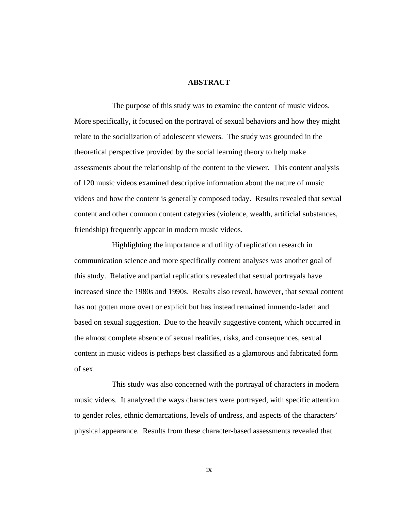## **ABSTRACT**

The purpose of this study was to examine the content of music videos. More specifically, it focused on the portrayal of sexual behaviors and how they might relate to the socialization of adolescent viewers. The study was grounded in the theoretical perspective provided by the social learning theory to help make assessments about the relationship of the content to the viewer. This content analysis of 120 music videos examined descriptive information about the nature of music videos and how the content is generally composed today. Results revealed that sexual content and other common content categories (violence, wealth, artificial substances, friendship) frequently appear in modern music videos.

Highlighting the importance and utility of replication research in communication science and more specifically content analyses was another goal of this study. Relative and partial replications revealed that sexual portrayals have increased since the 1980s and 1990s. Results also reveal, however, that sexual content has not gotten more overt or explicit but has instead remained innuendo-laden and based on sexual suggestion. Due to the heavily suggestive content, which occurred in the almost complete absence of sexual realities, risks, and consequences, sexual content in music videos is perhaps best classified as a glamorous and fabricated form of sex.

This study was also concerned with the portrayal of characters in modern music videos. It analyzed the ways characters were portrayed, with specific attention to gender roles, ethnic demarcations, levels of undress, and aspects of the characters' physical appearance. Results from these character-based assessments revealed that

ix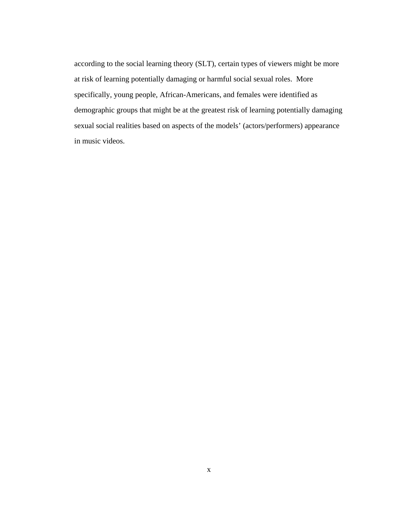according to the social learning theory (SLT), certain types of viewers might be more at risk of learning potentially damaging or harmful social sexual roles. More specifically, young people, African-Americans, and females were identified as demographic groups that might be at the greatest risk of learning potentially damaging sexual social realities based on aspects of the models' (actors/performers) appearance in music videos.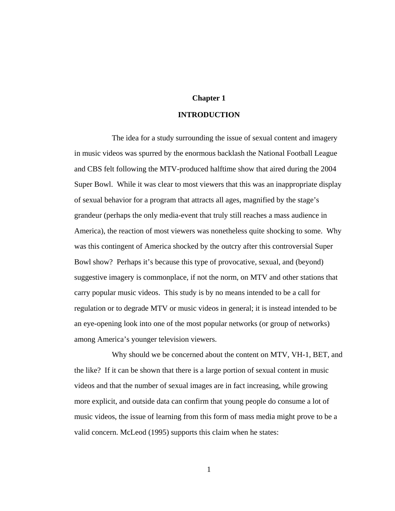## **Chapter 1**

## **INTRODUCTION**

The idea for a study surrounding the issue of sexual content and imagery in music videos was spurred by the enormous backlash the National Football League and CBS felt following the MTV-produced halftime show that aired during the 2004 Super Bowl. While it was clear to most viewers that this was an inappropriate display of sexual behavior for a program that attracts all ages, magnified by the stage's grandeur (perhaps the only media-event that truly still reaches a mass audience in America), the reaction of most viewers was nonetheless quite shocking to some. Why was this contingent of America shocked by the outcry after this controversial Super Bowl show? Perhaps it's because this type of provocative, sexual, and (beyond) suggestive imagery is commonplace, if not the norm, on MTV and other stations that carry popular music videos. This study is by no means intended to be a call for regulation or to degrade MTV or music videos in general; it is instead intended to be an eye-opening look into one of the most popular networks (or group of networks) among America's younger television viewers.

Why should we be concerned about the content on MTV, VH-1, BET, and the like? If it can be shown that there is a large portion of sexual content in music videos and that the number of sexual images are in fact increasing, while growing more explicit, and outside data can confirm that young people do consume a lot of music videos, the issue of learning from this form of mass media might prove to be a valid concern. McLeod (1995) supports this claim when he states: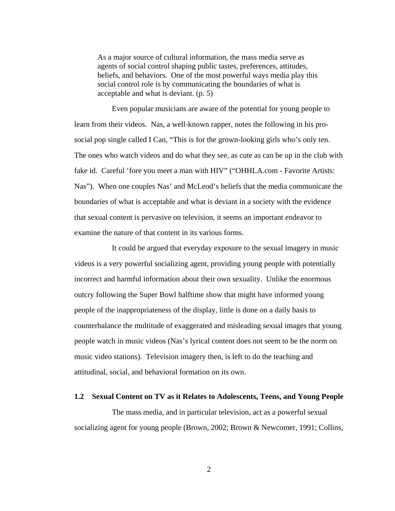As a major source of cultural information, the mass media serve as agents of social control shaping public tastes, preferences, attitudes, beliefs, and behaviors. One of the most powerful ways media play this social control role is by communicating the boundaries of what is acceptable and what is deviant. (p. 5)

Even popular musicians are aware of the potential for young people to learn from their videos. Nas, a well-known rapper, notes the following in his prosocial pop single called I Can, "This is for the grown-looking girls who's only ten. The ones who watch videos and do what they see, as cute as can be up in the club with fake id. Careful 'fore you meet a man with HIV" ("OHHLA.com - Favorite Artists: Nas"). When one couples Nas' and McLeod's beliefs that the media communicate the boundaries of what is acceptable and what is deviant in a society with the evidence that sexual content is pervasive on television, it seems an important endeavor to examine the nature of that content in its various forms.

It could be argued that everyday exposure to the sexual imagery in music videos is a very powerful socializing agent, providing young people with potentially incorrect and harmful information about their own sexuality. Unlike the enormous outcry following the Super Bowl halftime show that might have informed young people of the inappropriateness of the display, little is done on a daily basis to counterbalance the multitude of exaggerated and misleading sexual images that young people watch in music videos (Nas's lyrical content does not seem to be the norm on music video stations). Television imagery then, is left to do the teaching and attitudinal, social, and behavioral formation on its own.

#### **1.2 Sexual Content on TV as it Relates to Adolescents, Teens, and Young People**

The mass media, and in particular television, act as a powerful sexual socializing agent for young people (Brown, 2002; Brown & Newcomer, 1991; Collins,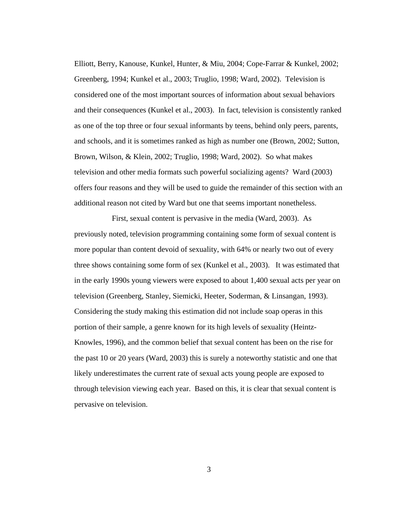Elliott, Berry, Kanouse, Kunkel, Hunter, & Miu, 2004; Cope-Farrar & Kunkel, 2002; Greenberg, 1994; Kunkel et al., 2003; Truglio, 1998; Ward, 2002). Television is considered one of the most important sources of information about sexual behaviors and their consequences (Kunkel et al., 2003). In fact, television is consistently ranked as one of the top three or four sexual informants by teens, behind only peers, parents, and schools, and it is sometimes ranked as high as number one (Brown, 2002; Sutton, Brown, Wilson, & Klein, 2002; Truglio, 1998; Ward, 2002). So what makes television and other media formats such powerful socializing agents? Ward (2003) offers four reasons and they will be used to guide the remainder of this section with an additional reason not cited by Ward but one that seems important nonetheless.

First, sexual content is pervasive in the media (Ward, 2003). As previously noted, television programming containing some form of sexual content is more popular than content devoid of sexuality, with 64% or nearly two out of every three shows containing some form of sex (Kunkel et al., 2003). It was estimated that in the early 1990s young viewers were exposed to about 1,400 sexual acts per year on television (Greenberg, Stanley, Siemicki, Heeter, Soderman, & Linsangan, 1993). Considering the study making this estimation did not include soap operas in this portion of their sample, a genre known for its high levels of sexuality (Heintz-Knowles, 1996), and the common belief that sexual content has been on the rise for the past 10 or 20 years (Ward, 2003) this is surely a noteworthy statistic and one that likely underestimates the current rate of sexual acts young people are exposed to through television viewing each year. Based on this, it is clear that sexual content is pervasive on television.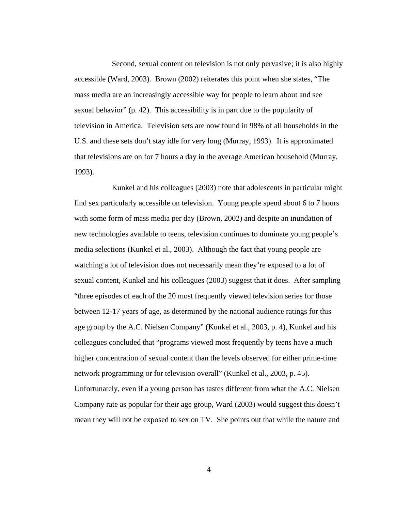Second, sexual content on television is not only pervasive; it is also highly accessible (Ward, 2003). Brown (2002) reiterates this point when she states, "The mass media are an increasingly accessible way for people to learn about and see sexual behavior" (p. 42). This accessibility is in part due to the popularity of television in America. Television sets are now found in 98% of all households in the U.S. and these sets don't stay idle for very long (Murray, 1993). It is approximated that televisions are on for 7 hours a day in the average American household (Murray, 1993).

Kunkel and his colleagues (2003) note that adolescents in particular might find sex particularly accessible on television. Young people spend about 6 to 7 hours with some form of mass media per day (Brown, 2002) and despite an inundation of new technologies available to teens, television continues to dominate young people's media selections (Kunkel et al., 2003). Although the fact that young people are watching a lot of television does not necessarily mean they're exposed to a lot of sexual content, Kunkel and his colleagues (2003) suggest that it does. After sampling "three episodes of each of the 20 most frequently viewed television series for those between 12-17 years of age, as determined by the national audience ratings for this age group by the A.C. Nielsen Company" (Kunkel et al., 2003, p. 4), Kunkel and his colleagues concluded that "programs viewed most frequently by teens have a much higher concentration of sexual content than the levels observed for either prime-time network programming or for television overall" (Kunkel et al., 2003, p. 45). Unfortunately, even if a young person has tastes different from what the A.C. Nielsen Company rate as popular for their age group, Ward (2003) would suggest this doesn't mean they will not be exposed to sex on TV. She points out that while the nature and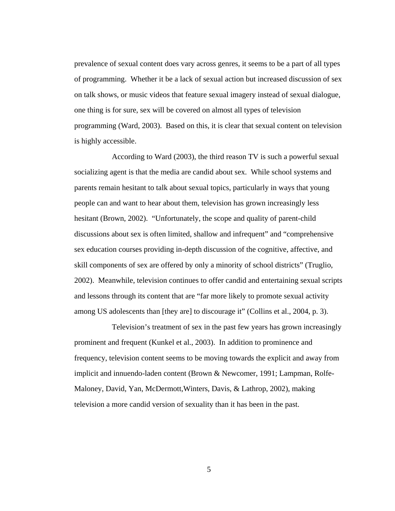prevalence of sexual content does vary across genres, it seems to be a part of all types of programming. Whether it be a lack of sexual action but increased discussion of sex on talk shows, or music videos that feature sexual imagery instead of sexual dialogue, one thing is for sure, sex will be covered on almost all types of television programming (Ward, 2003). Based on this, it is clear that sexual content on television is highly accessible.

According to Ward (2003), the third reason TV is such a powerful sexual socializing agent is that the media are candid about sex. While school systems and parents remain hesitant to talk about sexual topics, particularly in ways that young people can and want to hear about them, television has grown increasingly less hesitant (Brown, 2002). "Unfortunately, the scope and quality of parent-child discussions about sex is often limited, shallow and infrequent" and "comprehensive sex education courses providing in-depth discussion of the cognitive, affective, and skill components of sex are offered by only a minority of school districts" (Truglio, 2002). Meanwhile, television continues to offer candid and entertaining sexual scripts and lessons through its content that are "far more likely to promote sexual activity among US adolescents than [they are] to discourage it" (Collins et al., 2004, p. 3).

Television's treatment of sex in the past few years has grown increasingly prominent and frequent (Kunkel et al., 2003). In addition to prominence and frequency, television content seems to be moving towards the explicit and away from implicit and innuendo-laden content (Brown & Newcomer, 1991; Lampman, Rolfe-Maloney, David, Yan, McDermott,Winters, Davis, & Lathrop, 2002), making television a more candid version of sexuality than it has been in the past.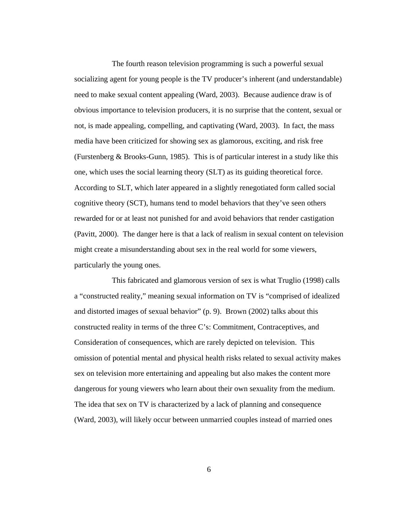The fourth reason television programming is such a powerful sexual socializing agent for young people is the TV producer's inherent (and understandable) need to make sexual content appealing (Ward, 2003). Because audience draw is of obvious importance to television producers, it is no surprise that the content, sexual or not, is made appealing, compelling, and captivating (Ward, 2003). In fact, the mass media have been criticized for showing sex as glamorous, exciting, and risk free (Furstenberg & Brooks-Gunn, 1985). This is of particular interest in a study like this one, which uses the social learning theory (SLT) as its guiding theoretical force. According to SLT, which later appeared in a slightly renegotiated form called social cognitive theory (SCT), humans tend to model behaviors that they've seen others rewarded for or at least not punished for and avoid behaviors that render castigation (Pavitt, 2000). The danger here is that a lack of realism in sexual content on television might create a misunderstanding about sex in the real world for some viewers, particularly the young ones.

This fabricated and glamorous version of sex is what Truglio (1998) calls a "constructed reality," meaning sexual information on TV is "comprised of idealized and distorted images of sexual behavior" (p. 9). Brown (2002) talks about this constructed reality in terms of the three C's: Commitment, Contraceptives, and Consideration of consequences, which are rarely depicted on television. This omission of potential mental and physical health risks related to sexual activity makes sex on television more entertaining and appealing but also makes the content more dangerous for young viewers who learn about their own sexuality from the medium. The idea that sex on TV is characterized by a lack of planning and consequence (Ward, 2003), will likely occur between unmarried couples instead of married ones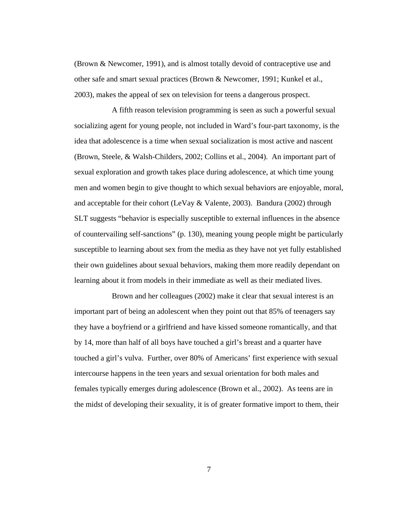(Brown & Newcomer, 1991), and is almost totally devoid of contraceptive use and other safe and smart sexual practices (Brown & Newcomer, 1991; Kunkel et al., 2003), makes the appeal of sex on television for teens a dangerous prospect.

A fifth reason television programming is seen as such a powerful sexual socializing agent for young people, not included in Ward's four-part taxonomy, is the idea that adolescence is a time when sexual socialization is most active and nascent (Brown, Steele, & Walsh-Childers, 2002; Collins et al., 2004). An important part of sexual exploration and growth takes place during adolescence, at which time young men and women begin to give thought to which sexual behaviors are enjoyable, moral, and acceptable for their cohort (LeVay & Valente, 2003). Bandura (2002) through SLT suggests "behavior is especially susceptible to external influences in the absence of countervailing self-sanctions" (p. 130), meaning young people might be particularly susceptible to learning about sex from the media as they have not yet fully established their own guidelines about sexual behaviors, making them more readily dependant on learning about it from models in their immediate as well as their mediated lives.

Brown and her colleagues (2002) make it clear that sexual interest is an important part of being an adolescent when they point out that 85% of teenagers say they have a boyfriend or a girlfriend and have kissed someone romantically, and that by 14, more than half of all boys have touched a girl's breast and a quarter have touched a girl's vulva. Further, over 80% of Americans' first experience with sexual intercourse happens in the teen years and sexual orientation for both males and females typically emerges during adolescence (Brown et al., 2002). As teens are in the midst of developing their sexuality, it is of greater formative import to them, their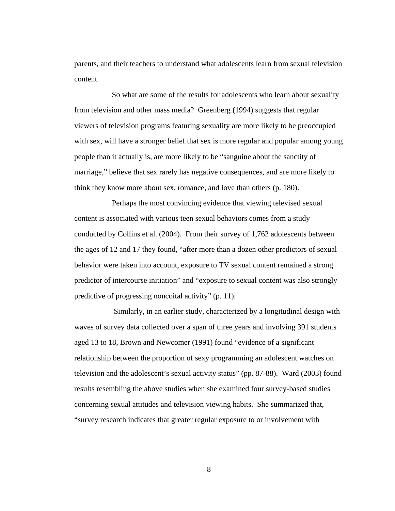parents, and their teachers to understand what adolescents learn from sexual television content.

So what are some of the results for adolescents who learn about sexuality from television and other mass media? Greenberg (1994) suggests that regular viewers of television programs featuring sexuality are more likely to be preoccupied with sex, will have a stronger belief that sex is more regular and popular among young people than it actually is, are more likely to be "sanguine about the sanctity of marriage," believe that sex rarely has negative consequences, and are more likely to think they know more about sex, romance, and love than others (p. 180).

Perhaps the most convincing evidence that viewing televised sexual content is associated with various teen sexual behaviors comes from a study conducted by Collins et al. (2004). From their survey of 1,762 adolescents between the ages of 12 and 17 they found, "after more than a dozen other predictors of sexual behavior were taken into account, exposure to TV sexual content remained a strong predictor of intercourse initiation" and "exposure to sexual content was also strongly predictive of progressing noncoital activity" (p. 11).

 Similarly, in an earlier study, characterized by a longitudinal design with waves of survey data collected over a span of three years and involving 391 students aged 13 to 18, Brown and Newcomer (1991) found "evidence of a significant relationship between the proportion of sexy programming an adolescent watches on television and the adolescent's sexual activity status" (pp. 87-88). Ward (2003) found results resembling the above studies when she examined four survey-based studies concerning sexual attitudes and television viewing habits. She summarized that, "survey research indicates that greater regular exposure to or involvement with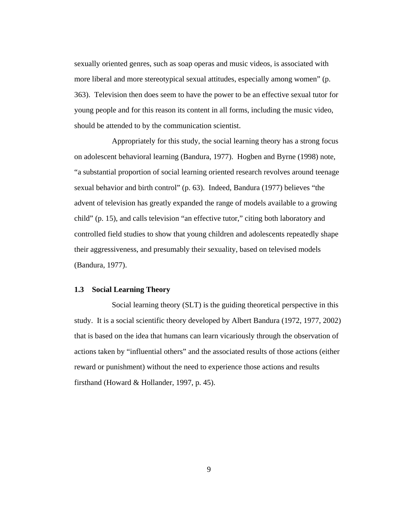sexually oriented genres, such as soap operas and music videos, is associated with more liberal and more stereotypical sexual attitudes, especially among women" (p. 363). Television then does seem to have the power to be an effective sexual tutor for young people and for this reason its content in all forms, including the music video, should be attended to by the communication scientist.

Appropriately for this study, the social learning theory has a strong focus on adolescent behavioral learning (Bandura, 1977). Hogben and Byrne (1998) note, "a substantial proportion of social learning oriented research revolves around teenage sexual behavior and birth control" (p. 63). Indeed, Bandura (1977) believes "the advent of television has greatly expanded the range of models available to a growing child" (p. 15), and calls television "an effective tutor," citing both laboratory and controlled field studies to show that young children and adolescents repeatedly shape their aggressiveness, and presumably their sexuality, based on televised models (Bandura, 1977).

#### **1.3 Social Learning Theory**

Social learning theory (SLT) is the guiding theoretical perspective in this study. It is a social scientific theory developed by Albert Bandura (1972, 1977, 2002) that is based on the idea that humans can learn vicariously through the observation of actions taken by "influential others" and the associated results of those actions (either reward or punishment) without the need to experience those actions and results firsthand (Howard & Hollander, 1997, p. 45).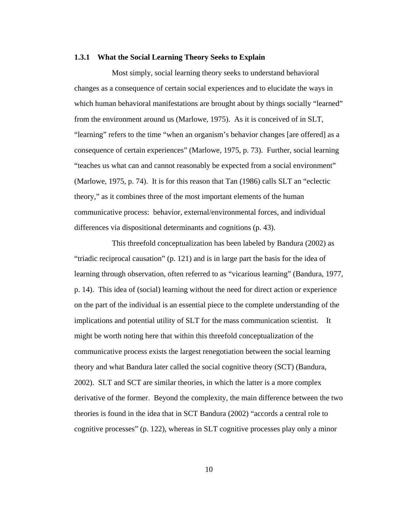#### **1.3.1 What the Social Learning Theory Seeks to Explain**

Most simply, social learning theory seeks to understand behavioral changes as a consequence of certain social experiences and to elucidate the ways in which human behavioral manifestations are brought about by things socially "learned" from the environment around us (Marlowe, 1975). As it is conceived of in SLT, "learning" refers to the time "when an organism's behavior changes [are offered] as a consequence of certain experiences" (Marlowe, 1975, p. 73). Further, social learning "teaches us what can and cannot reasonably be expected from a social environment" (Marlowe, 1975, p. 74). It is for this reason that Tan (1986) calls SLT an "eclectic theory," as it combines three of the most important elements of the human communicative process: behavior, external/environmental forces, and individual differences via dispositional determinants and cognitions (p. 43).

This threefold conceptualization has been labeled by Bandura (2002) as "triadic reciprocal causation" (p. 121) and is in large part the basis for the idea of learning through observation, often referred to as "vicarious learning" (Bandura, 1977, p. 14). This idea of (social) learning without the need for direct action or experience on the part of the individual is an essential piece to the complete understanding of the implications and potential utility of SLT for the mass communication scientist. It might be worth noting here that within this threefold conceptualization of the communicative process exists the largest renegotiation between the social learning theory and what Bandura later called the social cognitive theory (SCT) (Bandura, 2002). SLT and SCT are similar theories, in which the latter is a more complex derivative of the former. Beyond the complexity, the main difference between the two theories is found in the idea that in SCT Bandura (2002) "accords a central role to cognitive processes" (p. 122), whereas in SLT cognitive processes play only a minor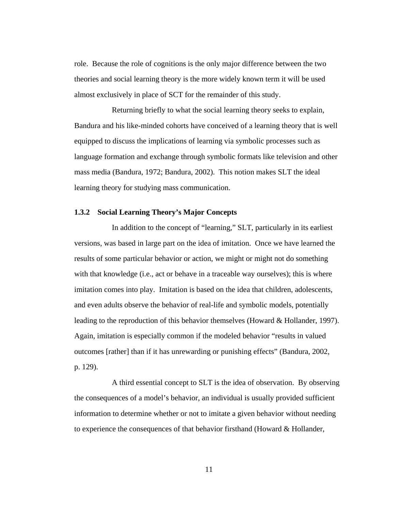role. Because the role of cognitions is the only major difference between the two theories and social learning theory is the more widely known term it will be used almost exclusively in place of SCT for the remainder of this study.

Returning briefly to what the social learning theory seeks to explain, Bandura and his like-minded cohorts have conceived of a learning theory that is well equipped to discuss the implications of learning via symbolic processes such as language formation and exchange through symbolic formats like television and other mass media (Bandura, 1972; Bandura, 2002). This notion makes SLT the ideal learning theory for studying mass communication.

## **1.3.2 Social Learning Theory's Major Concepts**

In addition to the concept of "learning," SLT, particularly in its earliest versions, was based in large part on the idea of imitation. Once we have learned the results of some particular behavior or action, we might or might not do something with that knowledge (i.e., act or behave in a traceable way ourselves); this is where imitation comes into play. Imitation is based on the idea that children, adolescents, and even adults observe the behavior of real-life and symbolic models, potentially leading to the reproduction of this behavior themselves (Howard & Hollander, 1997). Again, imitation is especially common if the modeled behavior "results in valued outcomes [rather] than if it has unrewarding or punishing effects" (Bandura, 2002, p. 129).

A third essential concept to SLT is the idea of observation. By observing the consequences of a model's behavior, an individual is usually provided sufficient information to determine whether or not to imitate a given behavior without needing to experience the consequences of that behavior firsthand (Howard & Hollander,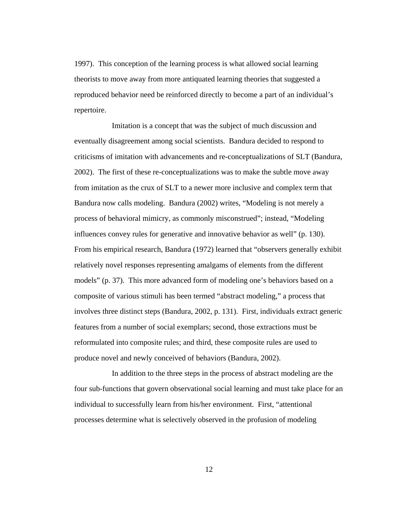1997). This conception of the learning process is what allowed social learning theorists to move away from more antiquated learning theories that suggested a reproduced behavior need be reinforced directly to become a part of an individual's repertoire.

Imitation is a concept that was the subject of much discussion and eventually disagreement among social scientists. Bandura decided to respond to criticisms of imitation with advancements and re-conceptualizations of SLT (Bandura, 2002). The first of these re-conceptualizations was to make the subtle move away from imitation as the crux of SLT to a newer more inclusive and complex term that Bandura now calls modeling. Bandura (2002) writes, "Modeling is not merely a process of behavioral mimicry, as commonly misconstrued"; instead, "Modeling influences convey rules for generative and innovative behavior as well" (p. 130). From his empirical research, Bandura (1972) learned that "observers generally exhibit relatively novel responses representing amalgams of elements from the different models" (p. 37). This more advanced form of modeling one's behaviors based on a composite of various stimuli has been termed "abstract modeling," a process that involves three distinct steps (Bandura, 2002, p. 131). First, individuals extract generic features from a number of social exemplars; second, those extractions must be reformulated into composite rules; and third, these composite rules are used to produce novel and newly conceived of behaviors (Bandura, 2002).

In addition to the three steps in the process of abstract modeling are the four sub-functions that govern observational social learning and must take place for an individual to successfully learn from his/her environment. First, "attentional processes determine what is selectively observed in the profusion of modeling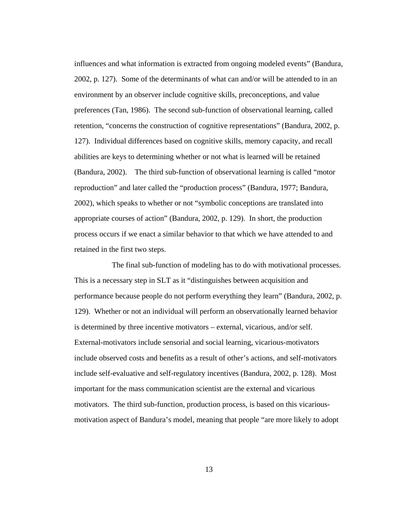influences and what information is extracted from ongoing modeled events" (Bandura, 2002, p. 127). Some of the determinants of what can and/or will be attended to in an environment by an observer include cognitive skills, preconceptions, and value preferences (Tan, 1986). The second sub-function of observational learning, called retention, "concerns the construction of cognitive representations" (Bandura, 2002, p. 127). Individual differences based on cognitive skills, memory capacity, and recall abilities are keys to determining whether or not what is learned will be retained (Bandura, 2002). The third sub-function of observational learning is called "motor reproduction" and later called the "production process" (Bandura, 1977; Bandura, 2002), which speaks to whether or not "symbolic conceptions are translated into appropriate courses of action" (Bandura, 2002, p. 129). In short, the production process occurs if we enact a similar behavior to that which we have attended to and retained in the first two steps.

The final sub-function of modeling has to do with motivational processes. This is a necessary step in SLT as it "distinguishes between acquisition and performance because people do not perform everything they learn" (Bandura, 2002, p. 129). Whether or not an individual will perform an observationally learned behavior is determined by three incentive motivators – external, vicarious, and/or self. External-motivators include sensorial and social learning, vicarious-motivators include observed costs and benefits as a result of other's actions, and self-motivators include self-evaluative and self-regulatory incentives (Bandura, 2002, p. 128). Most important for the mass communication scientist are the external and vicarious motivators. The third sub-function, production process, is based on this vicariousmotivation aspect of Bandura's model, meaning that people "are more likely to adopt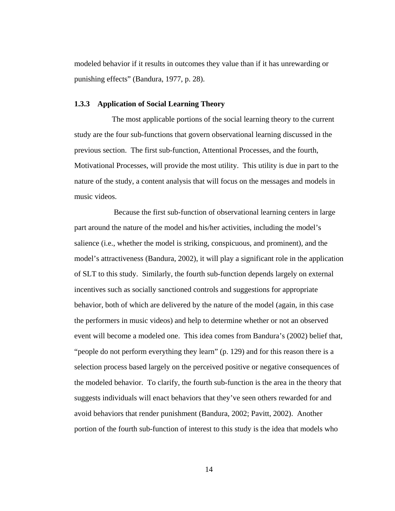modeled behavior if it results in outcomes they value than if it has unrewarding or punishing effects" (Bandura, 1977, p. 28).

## **1.3.3 Application of Social Learning Theory**

The most applicable portions of the social learning theory to the current study are the four sub-functions that govern observational learning discussed in the previous section. The first sub-function, Attentional Processes, and the fourth, Motivational Processes, will provide the most utility. This utility is due in part to the nature of the study, a content analysis that will focus on the messages and models in music videos.

 Because the first sub-function of observational learning centers in large part around the nature of the model and his/her activities, including the model's salience (i.e., whether the model is striking, conspicuous, and prominent), and the model's attractiveness (Bandura, 2002), it will play a significant role in the application of SLT to this study. Similarly, the fourth sub-function depends largely on external incentives such as socially sanctioned controls and suggestions for appropriate behavior, both of which are delivered by the nature of the model (again, in this case the performers in music videos) and help to determine whether or not an observed event will become a modeled one. This idea comes from Bandura's (2002) belief that, "people do not perform everything they learn" (p. 129) and for this reason there is a selection process based largely on the perceived positive or negative consequences of the modeled behavior. To clarify, the fourth sub-function is the area in the theory that suggests individuals will enact behaviors that they've seen others rewarded for and avoid behaviors that render punishment (Bandura, 2002; Pavitt, 2002). Another portion of the fourth sub-function of interest to this study is the idea that models who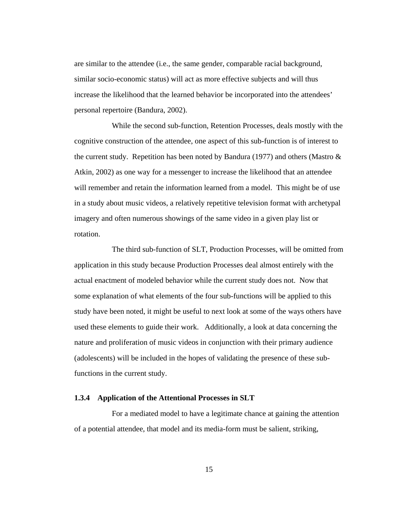are similar to the attendee (i.e., the same gender, comparable racial background, similar socio-economic status) will act as more effective subjects and will thus increase the likelihood that the learned behavior be incorporated into the attendees' personal repertoire (Bandura, 2002).

While the second sub-function, Retention Processes, deals mostly with the cognitive construction of the attendee, one aspect of this sub-function is of interest to the current study. Repetition has been noted by Bandura (1977) and others (Mastro & Atkin, 2002) as one way for a messenger to increase the likelihood that an attendee will remember and retain the information learned from a model. This might be of use in a study about music videos, a relatively repetitive television format with archetypal imagery and often numerous showings of the same video in a given play list or rotation.

The third sub-function of SLT, Production Processes, will be omitted from application in this study because Production Processes deal almost entirely with the actual enactment of modeled behavior while the current study does not. Now that some explanation of what elements of the four sub-functions will be applied to this study have been noted, it might be useful to next look at some of the ways others have used these elements to guide their work. Additionally, a look at data concerning the nature and proliferation of music videos in conjunction with their primary audience (adolescents) will be included in the hopes of validating the presence of these subfunctions in the current study.

## **1.3.4 Application of the Attentional Processes in SLT**

For a mediated model to have a legitimate chance at gaining the attention of a potential attendee, that model and its media-form must be salient, striking,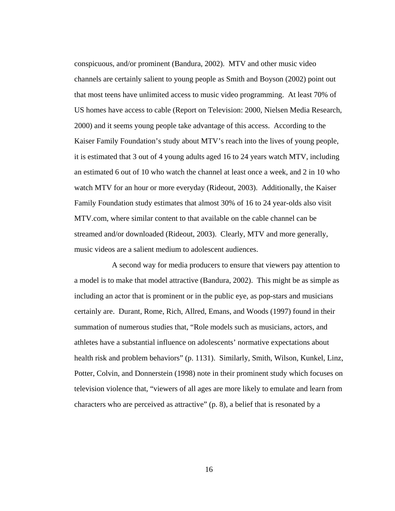conspicuous, and/or prominent (Bandura, 2002). MTV and other music video channels are certainly salient to young people as Smith and Boyson (2002) point out that most teens have unlimited access to music video programming. At least 70% of US homes have access to cable (Report on Television: 2000, Nielsen Media Research, 2000) and it seems young people take advantage of this access. According to the Kaiser Family Foundation's study about MTV's reach into the lives of young people, it is estimated that 3 out of 4 young adults aged 16 to 24 years watch MTV, including an estimated 6 out of 10 who watch the channel at least once a week, and 2 in 10 who watch MTV for an hour or more everyday (Rideout, 2003). Additionally, the Kaiser Family Foundation study estimates that almost 30% of 16 to 24 year-olds also visit MTV.com, where similar content to that available on the cable channel can be streamed and/or downloaded (Rideout, 2003). Clearly, MTV and more generally, music videos are a salient medium to adolescent audiences.

A second way for media producers to ensure that viewers pay attention to a model is to make that model attractive (Bandura, 2002). This might be as simple as including an actor that is prominent or in the public eye, as pop-stars and musicians certainly are. Durant, Rome, Rich, Allred, Emans, and Woods (1997) found in their summation of numerous studies that, "Role models such as musicians, actors, and athletes have a substantial influence on adolescents' normative expectations about health risk and problem behaviors" (p. 1131). Similarly, Smith, Wilson, Kunkel, Linz, Potter, Colvin, and Donnerstein (1998) note in their prominent study which focuses on television violence that, "viewers of all ages are more likely to emulate and learn from characters who are perceived as attractive" (p. 8), a belief that is resonated by a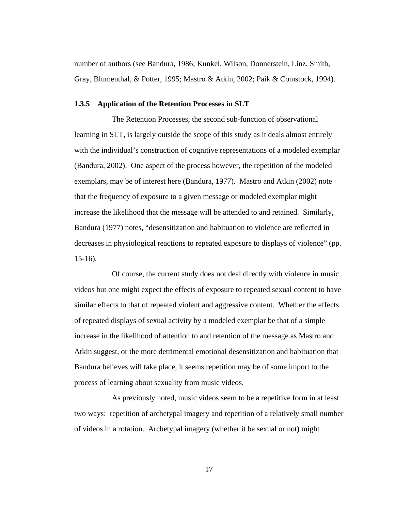number of authors (see Bandura, 1986; Kunkel, Wilson, Donnerstein, Linz, Smith, Gray, Blumenthal, & Potter, 1995; Mastro & Atkin, 2002; Paik & Comstock, 1994).

### **1.3.5 Application of the Retention Processes in SLT**

The Retention Processes, the second sub-function of observational learning in SLT, is largely outside the scope of this study as it deals almost entirely with the individual's construction of cognitive representations of a modeled exemplar (Bandura, 2002). One aspect of the process however, the repetition of the modeled exemplars, may be of interest here (Bandura, 1977). Mastro and Atkin (2002) note that the frequency of exposure to a given message or modeled exemplar might increase the likelihood that the message will be attended to and retained. Similarly, Bandura (1977) notes, "desensitization and habituation to violence are reflected in decreases in physiological reactions to repeated exposure to displays of violence" (pp. 15-16).

Of course, the current study does not deal directly with violence in music videos but one might expect the effects of exposure to repeated sexual content to have similar effects to that of repeated violent and aggressive content. Whether the effects of repeated displays of sexual activity by a modeled exemplar be that of a simple increase in the likelihood of attention to and retention of the message as Mastro and Atkin suggest, or the more detrimental emotional desensitization and habituation that Bandura believes will take place, it seems repetition may be of some import to the process of learning about sexuality from music videos.

As previously noted, music videos seem to be a repetitive form in at least two ways: repetition of archetypal imagery and repetition of a relatively small number of videos in a rotation. Archetypal imagery (whether it be sexual or not) might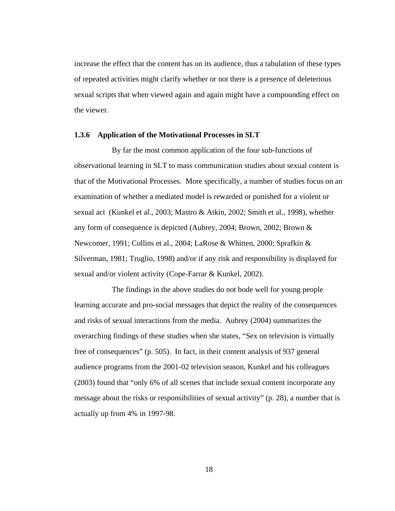increase the effect that the content has on its audience, thus a tabulation of these types of repeated activities might clarify whether or not there is a presence of deleterious sexual scripts that when viewed again and again might have a compounding effect on the viewer.

#### **1.3.6 Application of the Motivational Processes in SLT**

By far the most common application of the four sub-functions of observational learning in SLT to mass communication studies about sexual content is that of the Motivational Processes. More specifically, a number of studies focus on an examination of whether a mediated model is rewarded or punished for a violent or sexual act (Kunkel et al., 2003; Mastro & Atkin, 2002; Smith et al., 1998), whether any form of consequence is depicted (Aubrey, 2004; Brown, 2002; Brown & Newcomer, 1991; Collins et al., 2004; LaRose & Whitten, 2000; Sprafkin & Silverman, 1981; Truglio, 1998) and/or if any risk and responsibility is displayed for sexual and/or violent activity (Cope-Farrar & Kunkel, 2002).

The findings in the above studies do not bode well for young people learning accurate and pro-social messages that depict the reality of the consequences and risks of sexual interactions from the media. Aubrey (2004) summarizes the overarching findings of these studies when she states, "Sex on television is virtually free of consequences" (p. 505). In fact, in their content analysis of 937 general audience programs from the 2001-02 television season, Kunkel and his colleagues (2003) found that "only 6% of all scenes that include sexual content incorporate any message about the risks or responsibilities of sexual activity" (p. 28), a number that is actually up from 4% in 1997-98.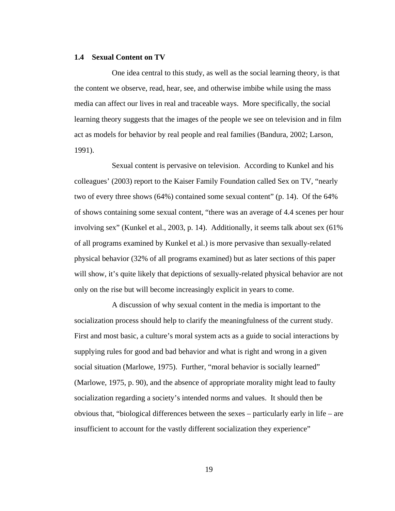#### **1.4 Sexual Content on TV**

One idea central to this study, as well as the social learning theory, is that the content we observe, read, hear, see, and otherwise imbibe while using the mass media can affect our lives in real and traceable ways. More specifically, the social learning theory suggests that the images of the people we see on television and in film act as models for behavior by real people and real families (Bandura, 2002; Larson, 1991).

Sexual content is pervasive on television. According to Kunkel and his colleagues' (2003) report to the Kaiser Family Foundation called Sex on TV, "nearly two of every three shows (64%) contained some sexual content" (p. 14). Of the 64% of shows containing some sexual content, "there was an average of 4.4 scenes per hour involving sex" (Kunkel et al., 2003, p. 14). Additionally, it seems talk about sex (61% of all programs examined by Kunkel et al.) is more pervasive than sexually-related physical behavior (32% of all programs examined) but as later sections of this paper will show, it's quite likely that depictions of sexually-related physical behavior are not only on the rise but will become increasingly explicit in years to come.

A discussion of why sexual content in the media is important to the socialization process should help to clarify the meaningfulness of the current study. First and most basic, a culture's moral system acts as a guide to social interactions by supplying rules for good and bad behavior and what is right and wrong in a given social situation (Marlowe, 1975). Further, "moral behavior is socially learned" (Marlowe, 1975, p. 90), and the absence of appropriate morality might lead to faulty socialization regarding a society's intended norms and values. It should then be obvious that, "biological differences between the sexes – particularly early in life – are insufficient to account for the vastly different socialization they experience"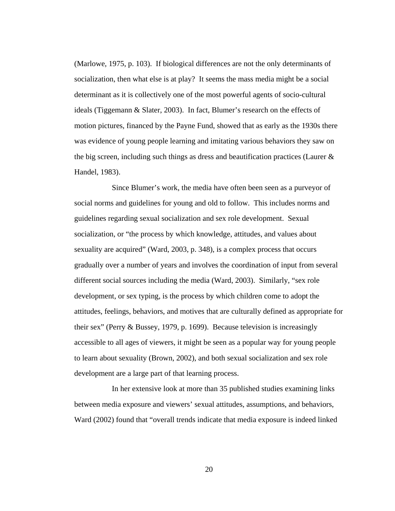(Marlowe, 1975, p. 103). If biological differences are not the only determinants of socialization, then what else is at play? It seems the mass media might be a social determinant as it is collectively one of the most powerful agents of socio-cultural ideals (Tiggemann & Slater, 2003). In fact, Blumer's research on the effects of motion pictures, financed by the Payne Fund, showed that as early as the 1930s there was evidence of young people learning and imitating various behaviors they saw on the big screen, including such things as dress and beautification practices (Laurer & Handel, 1983).

Since Blumer's work, the media have often been seen as a purveyor of social norms and guidelines for young and old to follow. This includes norms and guidelines regarding sexual socialization and sex role development. Sexual socialization, or "the process by which knowledge, attitudes, and values about sexuality are acquired" (Ward, 2003, p. 348), is a complex process that occurs gradually over a number of years and involves the coordination of input from several different social sources including the media (Ward, 2003). Similarly, "sex role development, or sex typing, is the process by which children come to adopt the attitudes, feelings, behaviors, and motives that are culturally defined as appropriate for their sex" (Perry & Bussey, 1979, p. 1699). Because television is increasingly accessible to all ages of viewers, it might be seen as a popular way for young people to learn about sexuality (Brown, 2002), and both sexual socialization and sex role development are a large part of that learning process.

In her extensive look at more than 35 published studies examining links between media exposure and viewers' sexual attitudes, assumptions, and behaviors, Ward (2002) found that "overall trends indicate that media exposure is indeed linked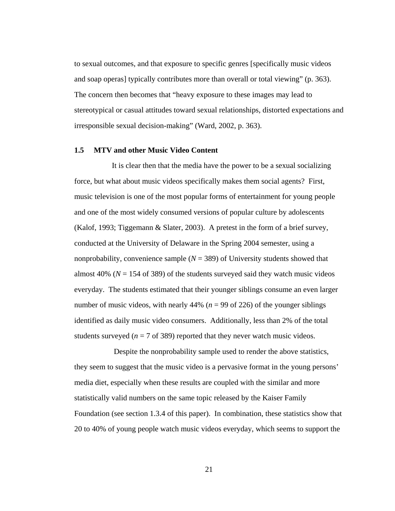to sexual outcomes, and that exposure to specific genres [specifically music videos and soap operas] typically contributes more than overall or total viewing" (p. 363). The concern then becomes that "heavy exposure to these images may lead to stereotypical or casual attitudes toward sexual relationships, distorted expectations and irresponsible sexual decision-making" (Ward, 2002, p. 363).

## **1.5 MTV and other Music Video Content**

It is clear then that the media have the power to be a sexual socializing force, but what about music videos specifically makes them social agents? First, music television is one of the most popular forms of entertainment for young people and one of the most widely consumed versions of popular culture by adolescents (Kalof, 1993; Tiggemann & Slater, 2003). A pretest in the form of a brief survey, conducted at the University of Delaware in the Spring 2004 semester, using a nonprobability, convenience sample  $(N = 389)$  of University students showed that almost  $40\%$  ( $N = 154$  of 389) of the students surveyed said they watch music videos everyday. The students estimated that their younger siblings consume an even larger number of music videos, with nearly 44% ( $n = 99$  of 226) of the younger siblings identified as daily music video consumers. Additionally, less than 2% of the total students surveyed ( $n = 7$  of 389) reported that they never watch music videos.

 Despite the nonprobability sample used to render the above statistics, they seem to suggest that the music video is a pervasive format in the young persons' media diet, especially when these results are coupled with the similar and more statistically valid numbers on the same topic released by the Kaiser Family Foundation (see section 1.3.4 of this paper). In combination, these statistics show that 20 to 40% of young people watch music videos everyday, which seems to support the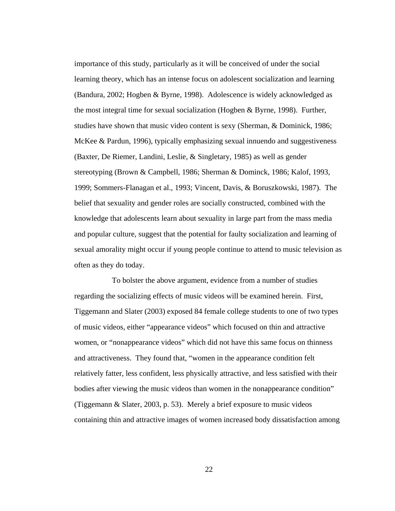importance of this study, particularly as it will be conceived of under the social learning theory, which has an intense focus on adolescent socialization and learning (Bandura, 2002; Hogben & Byrne, 1998). Adolescence is widely acknowledged as the most integral time for sexual socialization (Hogben & Byrne, 1998). Further, studies have shown that music video content is sexy (Sherman, & Dominick, 1986; McKee & Pardun, 1996), typically emphasizing sexual innuendo and suggestiveness (Baxter, De Riemer, Landini, Leslie, & Singletary, 1985) as well as gender stereotyping (Brown & Campbell, 1986; Sherman & Dominck, 1986; Kalof, 1993, 1999; Sommers-Flanagan et al., 1993; Vincent, Davis, & Boruszkowski, 1987). The belief that sexuality and gender roles are socially constructed, combined with the knowledge that adolescents learn about sexuality in large part from the mass media and popular culture, suggest that the potential for faulty socialization and learning of sexual amorality might occur if young people continue to attend to music television as often as they do today.

To bolster the above argument, evidence from a number of studies regarding the socializing effects of music videos will be examined herein. First, Tiggemann and Slater (2003) exposed 84 female college students to one of two types of music videos, either "appearance videos" which focused on thin and attractive women, or "nonappearance videos" which did not have this same focus on thinness and attractiveness. They found that, "women in the appearance condition felt relatively fatter, less confident, less physically attractive, and less satisfied with their bodies after viewing the music videos than women in the nonappearance condition" (Tiggemann & Slater, 2003, p. 53). Merely a brief exposure to music videos containing thin and attractive images of women increased body dissatisfaction among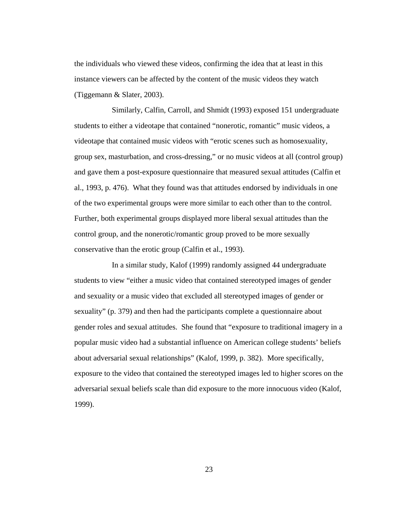the individuals who viewed these videos, confirming the idea that at least in this instance viewers can be affected by the content of the music videos they watch (Tiggemann & Slater, 2003).

Similarly, Calfin, Carroll, and Shmidt (1993) exposed 151 undergraduate students to either a videotape that contained "nonerotic, romantic" music videos, a videotape that contained music videos with "erotic scenes such as homosexuality, group sex, masturbation, and cross-dressing," or no music videos at all (control group) and gave them a post-exposure questionnaire that measured sexual attitudes (Calfin et al., 1993, p. 476). What they found was that attitudes endorsed by individuals in one of the two experimental groups were more similar to each other than to the control. Further, both experimental groups displayed more liberal sexual attitudes than the control group, and the nonerotic/romantic group proved to be more sexually conservative than the erotic group (Calfin et al., 1993).

In a similar study, Kalof (1999) randomly assigned 44 undergraduate students to view "either a music video that contained stereotyped images of gender and sexuality or a music video that excluded all stereotyped images of gender or sexuality" (p. 379) and then had the participants complete a questionnaire about gender roles and sexual attitudes. She found that "exposure to traditional imagery in a popular music video had a substantial influence on American college students' beliefs about adversarial sexual relationships" (Kalof, 1999, p. 382). More specifically, exposure to the video that contained the stereotyped images led to higher scores on the adversarial sexual beliefs scale than did exposure to the more innocuous video (Kalof, 1999).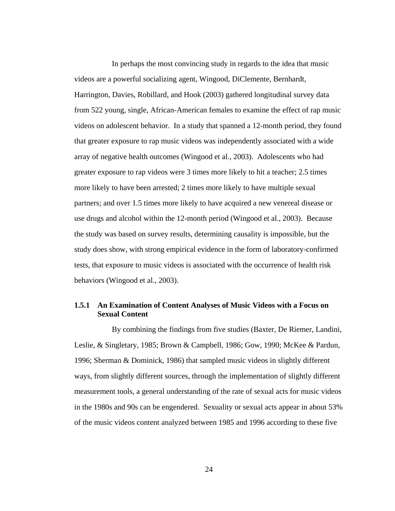In perhaps the most convincing study in regards to the idea that music videos are a powerful socializing agent, Wingood, DiClemente, Bernhardt, Harrington, Davies, Robillard, and Hook (2003) gathered longitudinal survey data from 522 young, single, African-American females to examine the effect of rap music videos on adolescent behavior. In a study that spanned a 12-month period, they found that greater exposure to rap music videos was independently associated with a wide array of negative health outcomes (Wingood et al., 2003). Adolescents who had greater exposure to rap videos were 3 times more likely to hit a teacher; 2.5 times more likely to have been arrested; 2 times more likely to have multiple sexual partners; and over 1.5 times more likely to have acquired a new venereal disease or use drugs and alcohol within the 12-month period (Wingood et al., 2003). Because the study was based on survey results, determining causality is impossible, but the study does show, with strong empirical evidence in the form of laboratory-confirmed tests, that exposure to music videos is associated with the occurrence of health risk behaviors (Wingood et al., 2003).

## **1.5.1 An Examination of Content Analyses of Music Videos with a Focus on Sexual Content**

By combining the findings from five studies (Baxter, De Riemer, Landini, Leslie, & Singletary, 1985; Brown & Campbell, 1986; Gow, 1990; McKee & Pardun, 1996; Sherman & Dominick, 1986) that sampled music videos in slightly different ways, from slightly different sources, through the implementation of slightly different measurement tools, a general understanding of the rate of sexual acts for music videos in the 1980s and 90s can be engendered. Sexuality or sexual acts appear in about 53% of the music videos content analyzed between 1985 and 1996 according to these five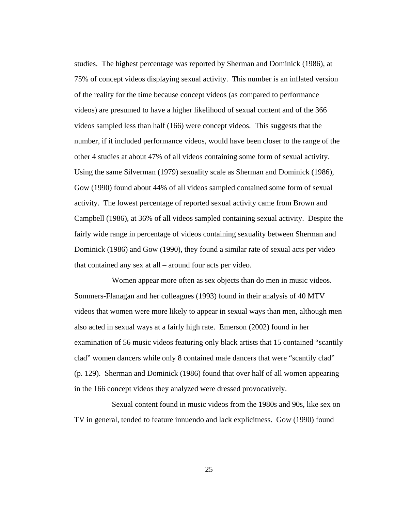studies. The highest percentage was reported by Sherman and Dominick (1986), at 75% of concept videos displaying sexual activity. This number is an inflated version of the reality for the time because concept videos (as compared to performance videos) are presumed to have a higher likelihood of sexual content and of the 366 videos sampled less than half (166) were concept videos. This suggests that the number, if it included performance videos, would have been closer to the range of the other 4 studies at about 47% of all videos containing some form of sexual activity. Using the same Silverman (1979) sexuality scale as Sherman and Dominick (1986), Gow (1990) found about 44% of all videos sampled contained some form of sexual activity. The lowest percentage of reported sexual activity came from Brown and Campbell (1986), at 36% of all videos sampled containing sexual activity. Despite the fairly wide range in percentage of videos containing sexuality between Sherman and Dominick (1986) and Gow (1990), they found a similar rate of sexual acts per video that contained any sex at all – around four acts per video.

Women appear more often as sex objects than do men in music videos. Sommers-Flanagan and her colleagues (1993) found in their analysis of 40 MTV videos that women were more likely to appear in sexual ways than men, although men also acted in sexual ways at a fairly high rate. Emerson (2002) found in her examination of 56 music videos featuring only black artists that 15 contained "scantily clad" women dancers while only 8 contained male dancers that were "scantily clad" (p. 129). Sherman and Dominick (1986) found that over half of all women appearing in the 166 concept videos they analyzed were dressed provocatively.

Sexual content found in music videos from the 1980s and 90s, like sex on TV in general, tended to feature innuendo and lack explicitness. Gow (1990) found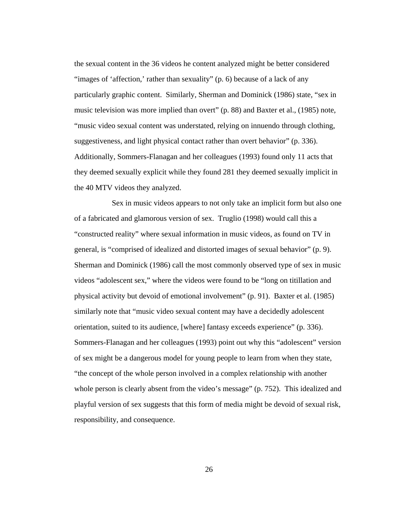the sexual content in the 36 videos he content analyzed might be better considered "images of 'affection,' rather than sexuality" (p. 6) because of a lack of any particularly graphic content. Similarly, Sherman and Dominick (1986) state, "sex in music television was more implied than overt" (p. 88) and Baxter et al., (1985) note, "music video sexual content was understated, relying on innuendo through clothing, suggestiveness, and light physical contact rather than overt behavior" (p. 336). Additionally, Sommers-Flanagan and her colleagues (1993) found only 11 acts that they deemed sexually explicit while they found 281 they deemed sexually implicit in the 40 MTV videos they analyzed.

Sex in music videos appears to not only take an implicit form but also one of a fabricated and glamorous version of sex. Truglio (1998) would call this a "constructed reality" where sexual information in music videos, as found on TV in general, is "comprised of idealized and distorted images of sexual behavior" (p. 9). Sherman and Dominick (1986) call the most commonly observed type of sex in music videos "adolescent sex," where the videos were found to be "long on titillation and physical activity but devoid of emotional involvement" (p. 91). Baxter et al. (1985) similarly note that "music video sexual content may have a decidedly adolescent orientation, suited to its audience, [where] fantasy exceeds experience" (p. 336). Sommers-Flanagan and her colleagues (1993) point out why this "adolescent" version of sex might be a dangerous model for young people to learn from when they state, "the concept of the whole person involved in a complex relationship with another whole person is clearly absent from the video's message" (p. 752). This idealized and playful version of sex suggests that this form of media might be devoid of sexual risk, responsibility, and consequence.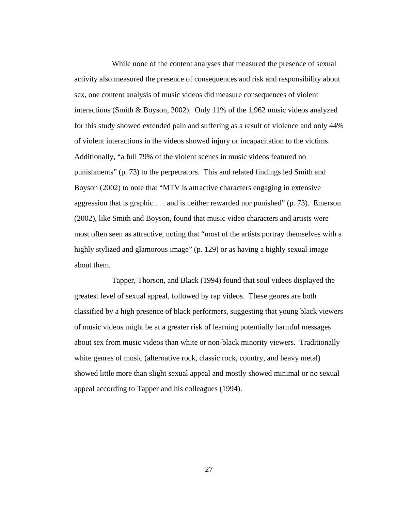While none of the content analyses that measured the presence of sexual activity also measured the presence of consequences and risk and responsibility about sex, one content analysis of music videos did measure consequences of violent interactions (Smith & Boyson, 2002). Only 11% of the 1,962 music videos analyzed for this study showed extended pain and suffering as a result of violence and only 44% of violent interactions in the videos showed injury or incapacitation to the victims. Additionally, "a full 79% of the violent scenes in music videos featured no punishments" (p. 73) to the perpetrators. This and related findings led Smith and Boyson (2002) to note that "MTV is attractive characters engaging in extensive aggression that is graphic . . . and is neither rewarded nor punished" (p. 73). Emerson (2002), like Smith and Boyson, found that music video characters and artists were most often seen as attractive, noting that "most of the artists portray themselves with a highly stylized and glamorous image" (p. 129) or as having a highly sexual image about them.

Tapper, Thorson, and Black (1994) found that soul videos displayed the greatest level of sexual appeal, followed by rap videos. These genres are both classified by a high presence of black performers, suggesting that young black viewers of music videos might be at a greater risk of learning potentially harmful messages about sex from music videos than white or non-black minority viewers. Traditionally white genres of music (alternative rock, classic rock, country, and heavy metal) showed little more than slight sexual appeal and mostly showed minimal or no sexual appeal according to Tapper and his colleagues (1994).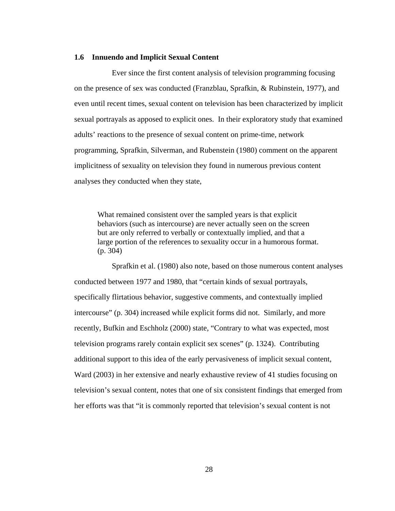## **1.6 Innuendo and Implicit Sexual Content**

Ever since the first content analysis of television programming focusing on the presence of sex was conducted (Franzblau, Sprafkin, & Rubinstein, 1977), and even until recent times, sexual content on television has been characterized by implicit sexual portrayals as apposed to explicit ones. In their exploratory study that examined adults' reactions to the presence of sexual content on prime-time, network programming, Sprafkin, Silverman, and Rubenstein (1980) comment on the apparent implicitness of sexuality on television they found in numerous previous content analyses they conducted when they state,

What remained consistent over the sampled years is that explicit behaviors (such as intercourse) are never actually seen on the screen but are only referred to verbally or contextually implied, and that a large portion of the references to sexuality occur in a humorous format. (p. 304)

Sprafkin et al. (1980) also note, based on those numerous content analyses conducted between 1977 and 1980, that "certain kinds of sexual portrayals, specifically flirtatious behavior, suggestive comments, and contextually implied intercourse" (p. 304) increased while explicit forms did not. Similarly, and more recently, Bufkin and Eschholz (2000) state, "Contrary to what was expected, most television programs rarely contain explicit sex scenes" (p. 1324). Contributing additional support to this idea of the early pervasiveness of implicit sexual content, Ward (2003) in her extensive and nearly exhaustive review of 41 studies focusing on television's sexual content, notes that one of six consistent findings that emerged from her efforts was that "it is commonly reported that television's sexual content is not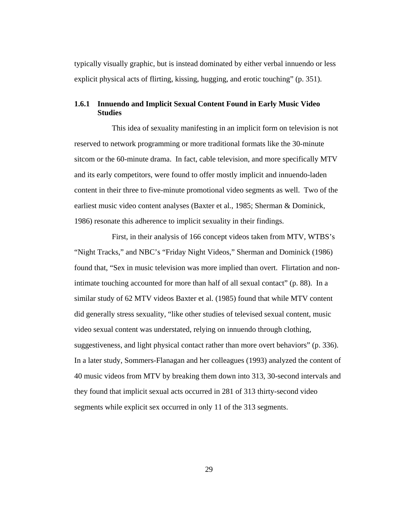typically visually graphic, but is instead dominated by either verbal innuendo or less explicit physical acts of flirting, kissing, hugging, and erotic touching" (p. 351).

# **1.6.1 Innuendo and Implicit Sexual Content Found in Early Music Video Studies**

This idea of sexuality manifesting in an implicit form on television is not reserved to network programming or more traditional formats like the 30-minute sitcom or the 60-minute drama. In fact, cable television, and more specifically MTV and its early competitors, were found to offer mostly implicit and innuendo-laden content in their three to five-minute promotional video segments as well. Two of the earliest music video content analyses (Baxter et al., 1985; Sherman & Dominick, 1986) resonate this adherence to implicit sexuality in their findings.

First, in their analysis of 166 concept videos taken from MTV, WTBS's "Night Tracks," and NBC's "Friday Night Videos," Sherman and Dominick (1986) found that, "Sex in music television was more implied than overt. Flirtation and nonintimate touching accounted for more than half of all sexual contact" (p. 88). In a similar study of 62 MTV videos Baxter et al. (1985) found that while MTV content did generally stress sexuality, "like other studies of televised sexual content, music video sexual content was understated, relying on innuendo through clothing, suggestiveness, and light physical contact rather than more overt behaviors" (p. 336). In a later study, Sommers-Flanagan and her colleagues (1993) analyzed the content of 40 music videos from MTV by breaking them down into 313, 30-second intervals and they found that implicit sexual acts occurred in 281 of 313 thirty-second video segments while explicit sex occurred in only 11 of the 313 segments.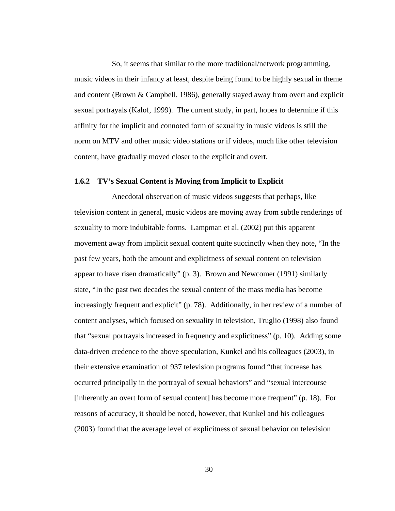So, it seems that similar to the more traditional/network programming, music videos in their infancy at least, despite being found to be highly sexual in theme and content (Brown & Campbell, 1986), generally stayed away from overt and explicit sexual portrayals (Kalof, 1999). The current study, in part, hopes to determine if this affinity for the implicit and connoted form of sexuality in music videos is still the norm on MTV and other music video stations or if videos, much like other television content, have gradually moved closer to the explicit and overt.

# **1.6.2 TV's Sexual Content is Moving from Implicit to Explicit**

Anecdotal observation of music videos suggests that perhaps, like television content in general, music videos are moving away from subtle renderings of sexuality to more indubitable forms. Lampman et al. (2002) put this apparent movement away from implicit sexual content quite succinctly when they note, "In the past few years, both the amount and explicitness of sexual content on television appear to have risen dramatically" (p. 3). Brown and Newcomer (1991) similarly state, "In the past two decades the sexual content of the mass media has become increasingly frequent and explicit" (p. 78). Additionally, in her review of a number of content analyses, which focused on sexuality in television, Truglio (1998) also found that "sexual portrayals increased in frequency and explicitness" (p. 10). Adding some data-driven credence to the above speculation, Kunkel and his colleagues (2003), in their extensive examination of 937 television programs found "that increase has occurred principally in the portrayal of sexual behaviors" and "sexual intercourse [inherently an overt form of sexual content] has become more frequent" (p. 18). For reasons of accuracy, it should be noted, however, that Kunkel and his colleagues (2003) found that the average level of explicitness of sexual behavior on television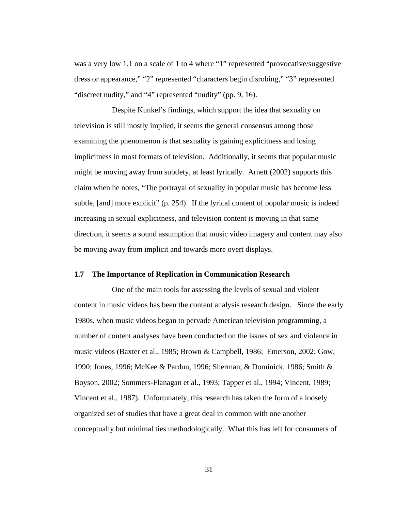was a very low 1.1 on a scale of 1 to 4 where "1" represented "provocative/suggestive dress or appearance," "2" represented "characters begin disrobing," "3" represented "discreet nudity," and "4" represented "nudity" (pp. 9, 16).

Despite Kunkel's findings, which support the idea that sexuality on television is still mostly implied, it seems the general consensus among those examining the phenomenon is that sexuality is gaining explicitness and losing implicitness in most formats of television. Additionally, it seems that popular music might be moving away from subtlety, at least lyrically. Arnett (2002) supports this claim when he notes, "The portrayal of sexuality in popular music has become less subtle, [and] more explicit" (p. 254). If the lyrical content of popular music is indeed increasing in sexual explicitness, and television content is moving in that same direction, it seems a sound assumption that music video imagery and content may also be moving away from implicit and towards more overt displays.

## **1.7 The Importance of Replication in Communication Research**

One of the main tools for assessing the levels of sexual and violent content in music videos has been the content analysis research design. Since the early 1980s, when music videos began to pervade American television programming, a number of content analyses have been conducted on the issues of sex and violence in music videos (Baxter et al., 1985; Brown & Campbell, 1986; Emerson, 2002; Gow, 1990; Jones, 1996; McKee & Pardun, 1996; Sherman, & Dominick, 1986; Smith & Boyson, 2002; Sommers-Flanagan et al., 1993; Tapper et al., 1994; Vincent, 1989; Vincent et al., 1987). Unfortunately, this research has taken the form of a loosely organized set of studies that have a great deal in common with one another conceptually but minimal ties methodologically. What this has left for consumers of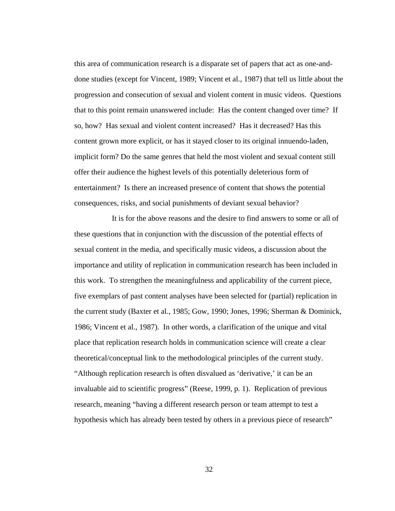this area of communication research is a disparate set of papers that act as one-anddone studies (except for Vincent, 1989; Vincent et al., 1987) that tell us little about the progression and consecution of sexual and violent content in music videos. Questions that to this point remain unanswered include: Has the content changed over time? If so, how? Has sexual and violent content increased? Has it decreased? Has this content grown more explicit, or has it stayed closer to its original innuendo-laden, implicit form? Do the same genres that held the most violent and sexual content still offer their audience the highest levels of this potentially deleterious form of entertainment? Is there an increased presence of content that shows the potential consequences, risks, and social punishments of deviant sexual behavior?

It is for the above reasons and the desire to find answers to some or all of these questions that in conjunction with the discussion of the potential effects of sexual content in the media, and specifically music videos, a discussion about the importance and utility of replication in communication research has been included in this work. To strengthen the meaningfulness and applicability of the current piece, five exemplars of past content analyses have been selected for (partial) replication in the current study (Baxter et al., 1985; Gow, 1990; Jones, 1996; Sherman & Dominick, 1986; Vincent et al., 1987). In other words, a clarification of the unique and vital place that replication research holds in communication science will create a clear theoretical/conceptual link to the methodological principles of the current study. "Although replication research is often disvalued as 'derivative,' it can be an invaluable aid to scientific progress" (Reese, 1999, p. 1). Replication of previous research, meaning "having a different research person or team attempt to test a hypothesis which has already been tested by others in a previous piece of research"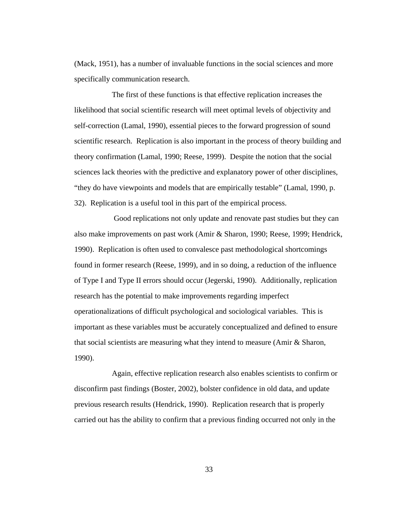(Mack, 1951), has a number of invaluable functions in the social sciences and more specifically communication research.

The first of these functions is that effective replication increases the likelihood that social scientific research will meet optimal levels of objectivity and self-correction (Lamal, 1990), essential pieces to the forward progression of sound scientific research. Replication is also important in the process of theory building and theory confirmation (Lamal, 1990; Reese, 1999). Despite the notion that the social sciences lack theories with the predictive and explanatory power of other disciplines, "they do have viewpoints and models that are empirically testable" (Lamal, 1990, p. 32). Replication is a useful tool in this part of the empirical process.

 Good replications not only update and renovate past studies but they can also make improvements on past work (Amir & Sharon, 1990; Reese, 1999; Hendrick, 1990). Replication is often used to convalesce past methodological shortcomings found in former research (Reese, 1999), and in so doing, a reduction of the influence of Type I and Type II errors should occur (Jegerski, 1990). Additionally, replication research has the potential to make improvements regarding imperfect operationalizations of difficult psychological and sociological variables. This is important as these variables must be accurately conceptualized and defined to ensure that social scientists are measuring what they intend to measure (Amir & Sharon, 1990).

Again, effective replication research also enables scientists to confirm or disconfirm past findings (Boster, 2002), bolster confidence in old data, and update previous research results (Hendrick, 1990). Replication research that is properly carried out has the ability to confirm that a previous finding occurred not only in the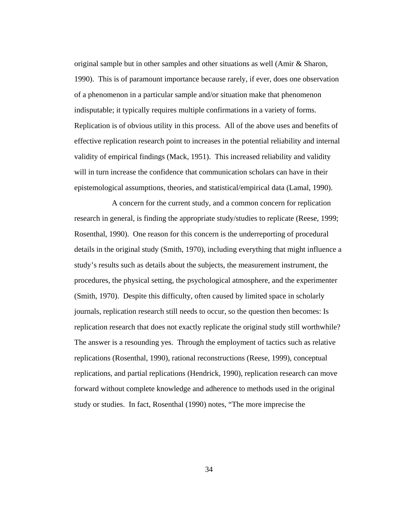original sample but in other samples and other situations as well (Amir & Sharon, 1990). This is of paramount importance because rarely, if ever, does one observation of a phenomenon in a particular sample and/or situation make that phenomenon indisputable; it typically requires multiple confirmations in a variety of forms. Replication is of obvious utility in this process. All of the above uses and benefits of effective replication research point to increases in the potential reliability and internal validity of empirical findings (Mack, 1951). This increased reliability and validity will in turn increase the confidence that communication scholars can have in their epistemological assumptions, theories, and statistical/empirical data (Lamal, 1990).

A concern for the current study, and a common concern for replication research in general, is finding the appropriate study/studies to replicate (Reese, 1999; Rosenthal, 1990). One reason for this concern is the underreporting of procedural details in the original study (Smith, 1970), including everything that might influence a study's results such as details about the subjects, the measurement instrument, the procedures, the physical setting, the psychological atmosphere, and the experimenter (Smith, 1970). Despite this difficulty, often caused by limited space in scholarly journals, replication research still needs to occur, so the question then becomes: Is replication research that does not exactly replicate the original study still worthwhile? The answer is a resounding yes. Through the employment of tactics such as relative replications (Rosenthal, 1990), rational reconstructions (Reese, 1999), conceptual replications, and partial replications (Hendrick, 1990), replication research can move forward without complete knowledge and adherence to methods used in the original study or studies. In fact, Rosenthal (1990) notes, "The more imprecise the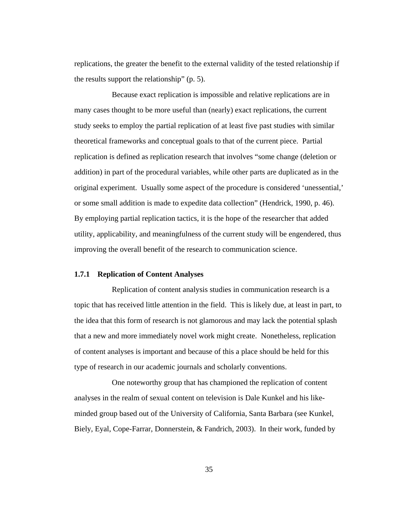replications, the greater the benefit to the external validity of the tested relationship if the results support the relationship" (p. 5).

Because exact replication is impossible and relative replications are in many cases thought to be more useful than (nearly) exact replications, the current study seeks to employ the partial replication of at least five past studies with similar theoretical frameworks and conceptual goals to that of the current piece. Partial replication is defined as replication research that involves "some change (deletion or addition) in part of the procedural variables, while other parts are duplicated as in the original experiment. Usually some aspect of the procedure is considered 'unessential,' or some small addition is made to expedite data collection" (Hendrick, 1990, p. 46). By employing partial replication tactics, it is the hope of the researcher that added utility, applicability, and meaningfulness of the current study will be engendered, thus improving the overall benefit of the research to communication science.

## **1.7.1 Replication of Content Analyses**

Replication of content analysis studies in communication research is a topic that has received little attention in the field. This is likely due, at least in part, to the idea that this form of research is not glamorous and may lack the potential splash that a new and more immediately novel work might create. Nonetheless, replication of content analyses is important and because of this a place should be held for this type of research in our academic journals and scholarly conventions.

One noteworthy group that has championed the replication of content analyses in the realm of sexual content on television is Dale Kunkel and his likeminded group based out of the University of California, Santa Barbara (see Kunkel, Biely, Eyal, Cope-Farrar, Donnerstein, & Fandrich, 2003). In their work, funded by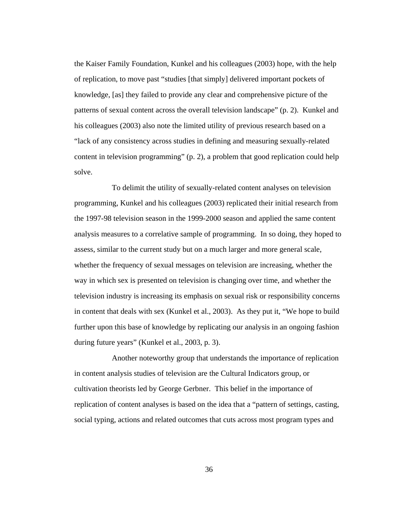the Kaiser Family Foundation, Kunkel and his colleagues (2003) hope, with the help of replication, to move past "studies [that simply] delivered important pockets of knowledge, [as] they failed to provide any clear and comprehensive picture of the patterns of sexual content across the overall television landscape" (p. 2). Kunkel and his colleagues (2003) also note the limited utility of previous research based on a "lack of any consistency across studies in defining and measuring sexually-related content in television programming" (p. 2), a problem that good replication could help solve.

To delimit the utility of sexually-related content analyses on television programming, Kunkel and his colleagues (2003) replicated their initial research from the 1997-98 television season in the 1999-2000 season and applied the same content analysis measures to a correlative sample of programming. In so doing, they hoped to assess, similar to the current study but on a much larger and more general scale, whether the frequency of sexual messages on television are increasing, whether the way in which sex is presented on television is changing over time, and whether the television industry is increasing its emphasis on sexual risk or responsibility concerns in content that deals with sex (Kunkel et al., 2003). As they put it, "We hope to build further upon this base of knowledge by replicating our analysis in an ongoing fashion during future years" (Kunkel et al., 2003, p. 3).

Another noteworthy group that understands the importance of replication in content analysis studies of television are the Cultural Indicators group, or cultivation theorists led by George Gerbner. This belief in the importance of replication of content analyses is based on the idea that a "pattern of settings, casting, social typing, actions and related outcomes that cuts across most program types and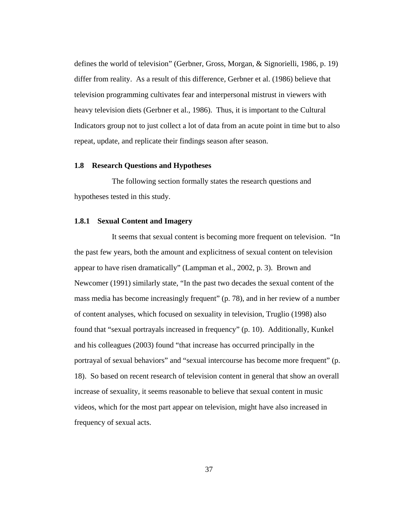defines the world of television" (Gerbner, Gross, Morgan, & Signorielli, 1986, p. 19) differ from reality. As a result of this difference, Gerbner et al. (1986) believe that television programming cultivates fear and interpersonal mistrust in viewers with heavy television diets (Gerbner et al., 1986). Thus, it is important to the Cultural Indicators group not to just collect a lot of data from an acute point in time but to also repeat, update, and replicate their findings season after season.

## **1.8 Research Questions and Hypotheses**

The following section formally states the research questions and hypotheses tested in this study.

## **1.8.1 Sexual Content and Imagery**

It seems that sexual content is becoming more frequent on television. "In the past few years, both the amount and explicitness of sexual content on television appear to have risen dramatically" (Lampman et al., 2002, p. 3). Brown and Newcomer (1991) similarly state, "In the past two decades the sexual content of the mass media has become increasingly frequent" (p. 78), and in her review of a number of content analyses, which focused on sexuality in television, Truglio (1998) also found that "sexual portrayals increased in frequency" (p. 10). Additionally, Kunkel and his colleagues (2003) found "that increase has occurred principally in the portrayal of sexual behaviors" and "sexual intercourse has become more frequent" (p. 18). So based on recent research of television content in general that show an overall increase of sexuality, it seems reasonable to believe that sexual content in music videos, which for the most part appear on television, might have also increased in frequency of sexual acts.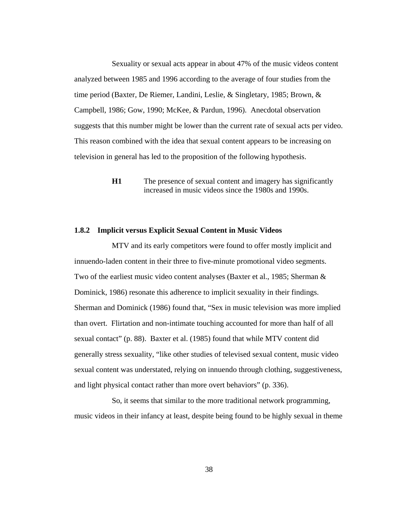Sexuality or sexual acts appear in about 47% of the music videos content analyzed between 1985 and 1996 according to the average of four studies from the time period (Baxter, De Riemer, Landini, Leslie, & Singletary, 1985; Brown, & Campbell, 1986; Gow, 1990; McKee, & Pardun, 1996). Anecdotal observation suggests that this number might be lower than the current rate of sexual acts per video. This reason combined with the idea that sexual content appears to be increasing on television in general has led to the proposition of the following hypothesis.

**H1** The presence of sexual content and imagery has significantly increased in music videos since the 1980s and 1990s.

## **1.8.2 Implicit versus Explicit Sexual Content in Music Videos**

MTV and its early competitors were found to offer mostly implicit and innuendo-laden content in their three to five-minute promotional video segments. Two of the earliest music video content analyses (Baxter et al., 1985; Sherman & Dominick, 1986) resonate this adherence to implicit sexuality in their findings. Sherman and Dominick (1986) found that, "Sex in music television was more implied than overt. Flirtation and non-intimate touching accounted for more than half of all sexual contact" (p. 88). Baxter et al. (1985) found that while MTV content did generally stress sexuality, "like other studies of televised sexual content, music video sexual content was understated, relying on innuendo through clothing, suggestiveness, and light physical contact rather than more overt behaviors" (p. 336).

So, it seems that similar to the more traditional network programming, music videos in their infancy at least, despite being found to be highly sexual in theme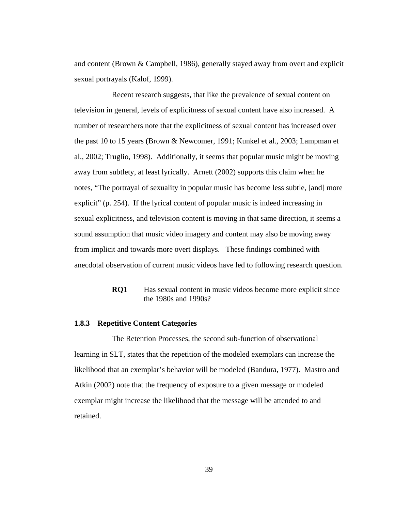and content (Brown & Campbell, 1986), generally stayed away from overt and explicit sexual portrayals (Kalof, 1999).

Recent research suggests, that like the prevalence of sexual content on television in general, levels of explicitness of sexual content have also increased. A number of researchers note that the explicitness of sexual content has increased over the past 10 to 15 years (Brown & Newcomer, 1991; Kunkel et al., 2003; Lampman et al., 2002; Truglio, 1998). Additionally, it seems that popular music might be moving away from subtlety, at least lyrically. Arnett (2002) supports this claim when he notes, "The portrayal of sexuality in popular music has become less subtle, [and] more explicit" (p. 254). If the lyrical content of popular music is indeed increasing in sexual explicitness, and television content is moving in that same direction, it seems a sound assumption that music video imagery and content may also be moving away from implicit and towards more overt displays. These findings combined with anecdotal observation of current music videos have led to following research question.

> **RQ1** Has sexual content in music videos become more explicit since the 1980s and 1990s?

## **1.8.3 Repetitive Content Categories**

The Retention Processes, the second sub-function of observational learning in SLT, states that the repetition of the modeled exemplars can increase the likelihood that an exemplar's behavior will be modeled (Bandura, 1977). Mastro and Atkin (2002) note that the frequency of exposure to a given message or modeled exemplar might increase the likelihood that the message will be attended to and retained.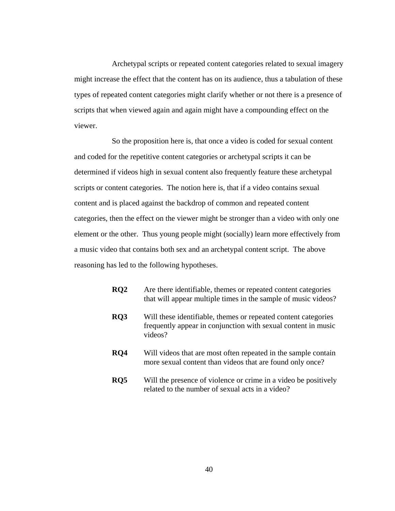Archetypal scripts or repeated content categories related to sexual imagery might increase the effect that the content has on its audience, thus a tabulation of these types of repeated content categories might clarify whether or not there is a presence of scripts that when viewed again and again might have a compounding effect on the viewer.

So the proposition here is, that once a video is coded for sexual content and coded for the repetitive content categories or archetypal scripts it can be determined if videos high in sexual content also frequently feature these archetypal scripts or content categories. The notion here is, that if a video contains sexual content and is placed against the backdrop of common and repeated content categories, then the effect on the viewer might be stronger than a video with only one element or the other. Thus young people might (socially) learn more effectively from a music video that contains both sex and an archetypal content script. The above reasoning has led to the following hypotheses.

- **RQ2** Are there identifiable, themes or repeated content categories that will appear multiple times in the sample of music videos?
- **RQ3** Will these identifiable, themes or repeated content categories frequently appear in conjunction with sexual content in music videos?
- **RQ4** Will videos that are most often repeated in the sample contain more sexual content than videos that are found only once?
- **RQ5** Will the presence of violence or crime in a video be positively related to the number of sexual acts in a video?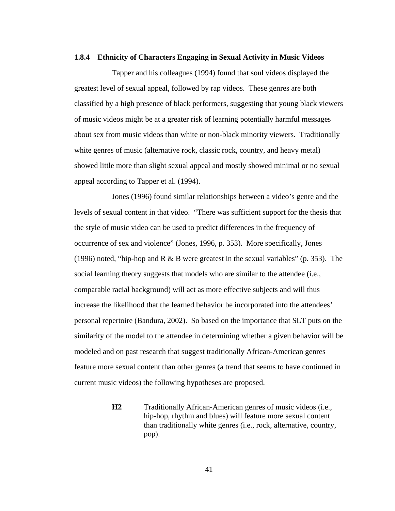#### **1.8.4 Ethnicity of Characters Engaging in Sexual Activity in Music Videos**

Tapper and his colleagues (1994) found that soul videos displayed the greatest level of sexual appeal, followed by rap videos. These genres are both classified by a high presence of black performers, suggesting that young black viewers of music videos might be at a greater risk of learning potentially harmful messages about sex from music videos than white or non-black minority viewers. Traditionally white genres of music (alternative rock, classic rock, country, and heavy metal) showed little more than slight sexual appeal and mostly showed minimal or no sexual appeal according to Tapper et al. (1994).

Jones (1996) found similar relationships between a video's genre and the levels of sexual content in that video. "There was sufficient support for the thesis that the style of music video can be used to predict differences in the frequency of occurrence of sex and violence" (Jones, 1996, p. 353). More specifically, Jones (1996) noted, "hip-hop and R & B were greatest in the sexual variables" (p. 353). The social learning theory suggests that models who are similar to the attendee (i.e., comparable racial background) will act as more effective subjects and will thus increase the likelihood that the learned behavior be incorporated into the attendees' personal repertoire (Bandura, 2002). So based on the importance that SLT puts on the similarity of the model to the attendee in determining whether a given behavior will be modeled and on past research that suggest traditionally African-American genres feature more sexual content than other genres (a trend that seems to have continued in current music videos) the following hypotheses are proposed.

> **H2** Traditionally African-American genres of music videos (i.e., hip-hop, rhythm and blues) will feature more sexual content than traditionally white genres (i.e., rock, alternative, country, pop).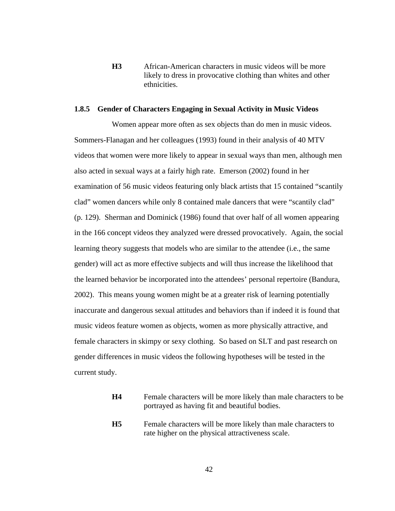**H3** African-American characters in music videos will be more likely to dress in provocative clothing than whites and other ethnicities.

#### **1.8.5 Gender of Characters Engaging in Sexual Activity in Music Videos**

Women appear more often as sex objects than do men in music videos. Sommers-Flanagan and her colleagues (1993) found in their analysis of 40 MTV videos that women were more likely to appear in sexual ways than men, although men also acted in sexual ways at a fairly high rate. Emerson (2002) found in her examination of 56 music videos featuring only black artists that 15 contained "scantily clad" women dancers while only 8 contained male dancers that were "scantily clad" (p. 129). Sherman and Dominick (1986) found that over half of all women appearing in the 166 concept videos they analyzed were dressed provocatively. Again, the social learning theory suggests that models who are similar to the attendee (i.e., the same gender) will act as more effective subjects and will thus increase the likelihood that the learned behavior be incorporated into the attendees' personal repertoire (Bandura, 2002). This means young women might be at a greater risk of learning potentially inaccurate and dangerous sexual attitudes and behaviors than if indeed it is found that music videos feature women as objects, women as more physically attractive, and female characters in skimpy or sexy clothing. So based on SLT and past research on gender differences in music videos the following hypotheses will be tested in the current study.

- **H4** Female characters will be more likely than male characters to be portrayed as having fit and beautiful bodies.
- **H5** Female characters will be more likely than male characters to rate higher on the physical attractiveness scale.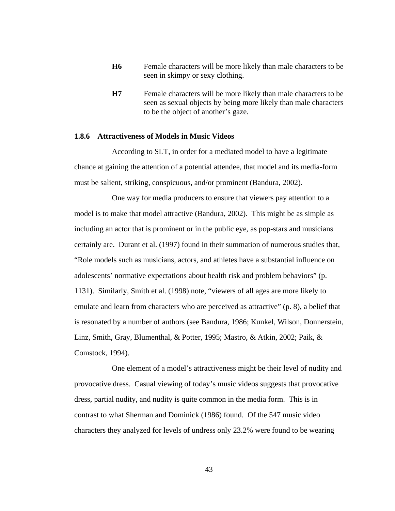- **H6** Female characters will be more likely than male characters to be seen in skimpy or sexy clothing.
- **H7** Female characters will be more likely than male characters to be seen as sexual objects by being more likely than male characters to be the object of another's gaze.

## **1.8.6 Attractiveness of Models in Music Videos**

According to SLT, in order for a mediated model to have a legitimate chance at gaining the attention of a potential attendee, that model and its media-form must be salient, striking, conspicuous, and/or prominent (Bandura, 2002).

One way for media producers to ensure that viewers pay attention to a model is to make that model attractive (Bandura, 2002). This might be as simple as including an actor that is prominent or in the public eye, as pop-stars and musicians certainly are. Durant et al. (1997) found in their summation of numerous studies that, "Role models such as musicians, actors, and athletes have a substantial influence on adolescents' normative expectations about health risk and problem behaviors" (p. 1131). Similarly, Smith et al. (1998) note, "viewers of all ages are more likely to emulate and learn from characters who are perceived as attractive" (p. 8), a belief that is resonated by a number of authors (see Bandura, 1986; Kunkel, Wilson, Donnerstein, Linz, Smith, Gray, Blumenthal, & Potter, 1995; Mastro, & Atkin, 2002; Paik, & Comstock, 1994).

One element of a model's attractiveness might be their level of nudity and provocative dress. Casual viewing of today's music videos suggests that provocative dress, partial nudity, and nudity is quite common in the media form. This is in contrast to what Sherman and Dominick (1986) found. Of the 547 music video characters they analyzed for levels of undress only 23.2% were found to be wearing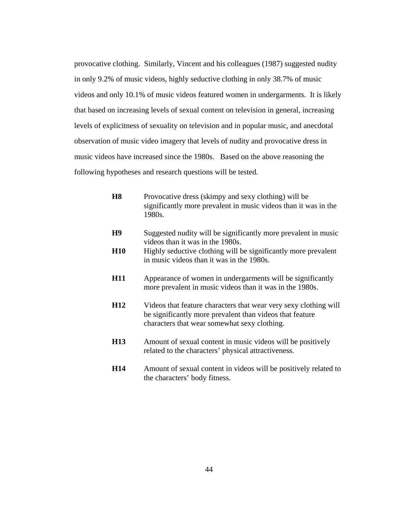provocative clothing. Similarly, Vincent and his colleagues (1987) suggested nudity in only 9.2% of music videos, highly seductive clothing in only 38.7% of music videos and only 10.1% of music videos featured women in undergarments. It is likely that based on increasing levels of sexual content on television in general, increasing levels of explicitness of sexuality on television and in popular music, and anecdotal observation of music video imagery that levels of nudity and provocative dress in music videos have increased since the 1980s. Based on the above reasoning the following hypotheses and research questions will be tested.

| H8        | Provocative dress (skimpy and sexy clothing) will be<br>significantly more prevalent in music videos than it was in the<br>1980s. |
|-----------|-----------------------------------------------------------------------------------------------------------------------------------|
| <b>H9</b> | Suggested nudity will be significantly more prevalent in music<br>videos than it was in the 1980s.                                |

- **H10** Highly seductive clothing will be significantly more prevalent in music videos than it was in the 1980s.
- **H11** Appearance of women in undergarments will be significantly more prevalent in music videos than it was in the 1980s.
- **H12** Videos that feature characters that wear very sexy clothing will be significantly more prevalent than videos that feature characters that wear somewhat sexy clothing.
- **H13** Amount of sexual content in music videos will be positively related to the characters' physical attractiveness.
- **H14** Amount of sexual content in videos will be positively related to the characters' body fitness.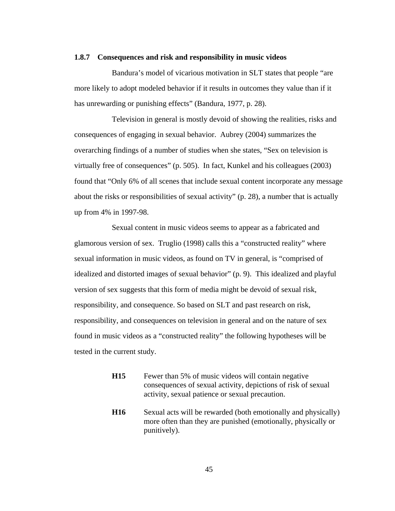## **1.8.7 Consequences and risk and responsibility in music videos**

Bandura's model of vicarious motivation in SLT states that people "are more likely to adopt modeled behavior if it results in outcomes they value than if it has unrewarding or punishing effects" (Bandura, 1977, p. 28).

Television in general is mostly devoid of showing the realities, risks and consequences of engaging in sexual behavior. Aubrey (2004) summarizes the overarching findings of a number of studies when she states, "Sex on television is virtually free of consequences" (p. 505). In fact, Kunkel and his colleagues (2003) found that "Only 6% of all scenes that include sexual content incorporate any message about the risks or responsibilities of sexual activity" (p. 28), a number that is actually up from 4% in 1997-98.

Sexual content in music videos seems to appear as a fabricated and glamorous version of sex. Truglio (1998) calls this a "constructed reality" where sexual information in music videos, as found on TV in general, is "comprised of idealized and distorted images of sexual behavior" (p. 9). This idealized and playful version of sex suggests that this form of media might be devoid of sexual risk, responsibility, and consequence. So based on SLT and past research on risk, responsibility, and consequences on television in general and on the nature of sex found in music videos as a "constructed reality" the following hypotheses will be tested in the current study.

- **H15** Fewer than 5% of music videos will contain negative consequences of sexual activity, depictions of risk of sexual activity, sexual patience or sexual precaution.
- **H16** Sexual acts will be rewarded (both emotionally and physically) more often than they are punished (emotionally, physically or punitively).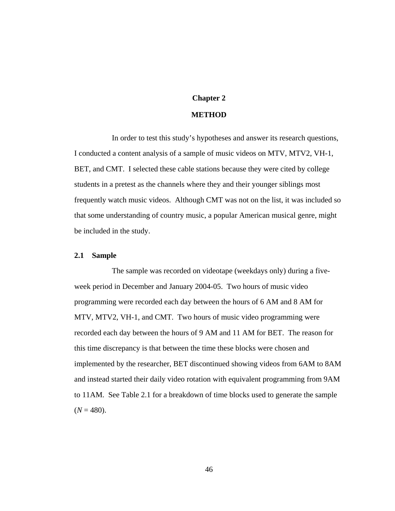# **Chapter 2**

## **METHOD**

In order to test this study's hypotheses and answer its research questions, I conducted a content analysis of a sample of music videos on MTV, MTV2, VH-1, BET, and CMT. I selected these cable stations because they were cited by college students in a pretest as the channels where they and their younger siblings most frequently watch music videos. Although CMT was not on the list, it was included so that some understanding of country music, a popular American musical genre, might be included in the study.

## **2.1 Sample**

The sample was recorded on videotape (weekdays only) during a fiveweek period in December and January 2004-05. Two hours of music video programming were recorded each day between the hours of 6 AM and 8 AM for MTV, MTV2, VH-1, and CMT. Two hours of music video programming were recorded each day between the hours of 9 AM and 11 AM for BET. The reason for this time discrepancy is that between the time these blocks were chosen and implemented by the researcher, BET discontinued showing videos from 6AM to 8AM and instead started their daily video rotation with equivalent programming from 9AM to 11AM. See Table 2.1 for a breakdown of time blocks used to generate the sample  $(N = 480)$ .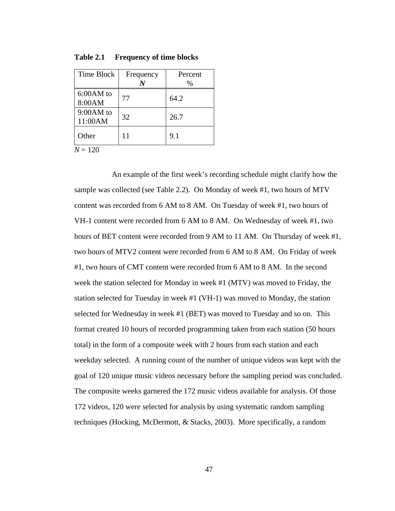| Time Block           | Frequency | Percent<br>% |
|----------------------|-----------|--------------|
| 6:00AM to<br>8:00AM  | 77        | 64.2         |
| 9:00AM to<br>11:00AM | 32        | 26.7         |
| Other                | 11        | 9.1          |

**Table 2.1 Frequency of time blocks** 

 $N = 120$ 

An example of the first week's recording schedule might clarify how the sample was collected (see Table 2.2). On Monday of week #1, two hours of MTV content was recorded from 6 AM to 8 AM. On Tuesday of week #1, two hours of VH-1 content were recorded from 6 AM to 8 AM. On Wednesday of week #1, two hours of BET content were recorded from 9 AM to 11 AM. On Thursday of week #1, two hours of MTV2 content were recorded from 6 AM to 8 AM. On Friday of week #1, two hours of CMT content were recorded from 6 AM to 8 AM. In the second week the station selected for Monday in week #1 (MTV) was moved to Friday, the station selected for Tuesday in week #1 (VH-1) was moved to Monday, the station selected for Wednesday in week #1 (BET) was moved to Tuesday and so on. This format created 10 hours of recorded programming taken from each station (50 hours total) in the form of a composite week with 2 hours from each station and each weekday selected. A running count of the number of unique videos was kept with the goal of 120 unique music videos necessary before the sampling period was concluded. The composite weeks garnered the 172 music videos available for analysis. Of those 172 videos, 120 were selected for analysis by using systematic random sampling techniques (Hocking, McDermott, & Stacks, 2003). More specifically, a random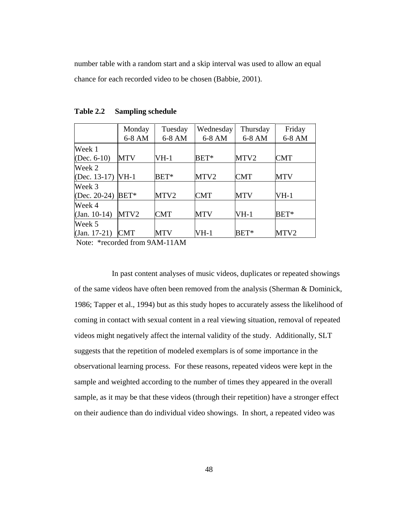number table with a random start and a skip interval was used to allow an equal chance for each recorded video to be chosen (Babbie, 2001).

|                     | Monday     | Tuesday    | Wednesday  | Thursday   | Friday     |
|---------------------|------------|------------|------------|------------|------------|
|                     | 6-8 AM     | 6-8 AM     | 6-8 AM     | 6-8 AM     | 6-8 AM     |
| Week 1              |            |            |            |            |            |
| (Dec. $6-10$ )      | <b>MTV</b> | $VH-1$     | BET*       | MTV2       | <b>CMT</b> |
| Week 2              |            |            |            |            |            |
| (Dec. 13-17) $VH-1$ |            | BET*       | MTV2       | <b>CMT</b> | <b>MTV</b> |
| Week 3              |            |            |            |            |            |
| (Dec. $20-24$ )     | BET*       | MTV2       | <b>CMT</b> | <b>MTV</b> | $VH-1$     |
| Week 4              |            |            |            |            |            |
| $(Jan. 10-14)$      | MTV2       | <b>CMT</b> | <b>MTV</b> | $VH-1$     | $BET*$     |
| Week 5              |            |            |            |            |            |
| $(Jan. 17-21)$      | <b>CMT</b> | <b>MTV</b> | $VH-1$     | BET*       | MTV2       |

**Table 2.2 Sampling schedule**

Note: \*recorded from 9AM-11AM

In past content analyses of music videos, duplicates or repeated showings of the same videos have often been removed from the analysis (Sherman & Dominick, 1986; Tapper et al., 1994) but as this study hopes to accurately assess the likelihood of coming in contact with sexual content in a real viewing situation, removal of repeated videos might negatively affect the internal validity of the study. Additionally, SLT suggests that the repetition of modeled exemplars is of some importance in the observational learning process. For these reasons, repeated videos were kept in the sample and weighted according to the number of times they appeared in the overall sample, as it may be that these videos (through their repetition) have a stronger effect on their audience than do individual video showings. In short, a repeated video was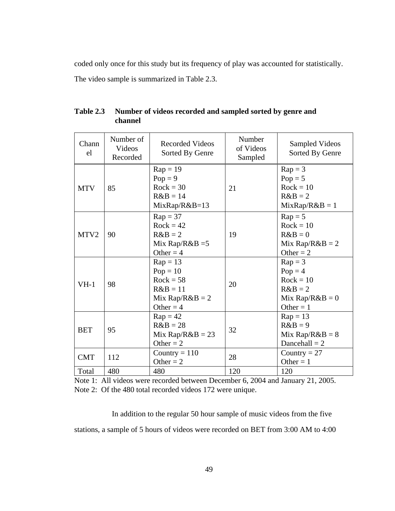coded only once for this study but its frequency of play was accounted for statistically.

The video sample is summarized in Table 2.3.

| Chann<br>el | Number of<br>Videos<br>Recorded | <b>Recorded Videos</b><br>Sorted By Genre                                               | Number<br>of Videos<br>Sampled | <b>Sampled Videos</b><br>Sorted By Genre                                              |
|-------------|---------------------------------|-----------------------------------------------------------------------------------------|--------------------------------|---------------------------------------------------------------------------------------|
| <b>MTV</b>  | 85                              | $Rap = 19$<br>$Pop = 9$<br>$Rock = 30$<br>$R&B=14$<br>MixRap/R&B=13                     | 21                             | $Rap = 3$<br>$Pop = 5$<br>$Rock = 10$<br>$R&B=2$<br>$MixRap/R&B=1$                    |
| MTV2        | 90                              | $Rap = 37$<br>$Rock = 42$<br>$R&B=2$<br>Mix Rap/R&B $=$ 5<br>Other = $4$                | 19                             | $Rap = 5$<br>$Rock = 10$<br>$R&B=0$<br>Mix $\text{Rap}/\text{R&B} = 2$<br>Other = $2$ |
| $VH-1$      | 98                              | $Rap = 13$<br>$Pop = 10$<br>$Rock = 58$<br>$R&B=11$<br>Mix Rap/R&B = $2$<br>Other = $4$ | 20                             | $Rap = 3$<br>$Pop = 4$<br>$Rock = 10$<br>$R&B=2$<br>Mix $Rap/R&B=0$<br>Other = $1$    |
| <b>BET</b>  | 95                              | $Rap = 42$<br>$R&B=28$<br>Mix Rap/R&B = $23$<br>Other = $2$                             | 32                             | $\text{Rap} = 13$<br>$R&B=9$<br>Mix Rap/R&B = $8$<br>Dancehall $= 2$                  |
| <b>CMT</b>  | 112                             | Country = $110$<br>Other = $2$                                                          | 28                             | Country = $27$<br>Other = $1$                                                         |
| Total       | 480                             | 480                                                                                     | 120                            | 120                                                                                   |

**Table 2.3 Number of videos recorded and sampled sorted by genre and channel** 

Note 1: All videos were recorded between December 6, 2004 and January 21, 2005. Note 2: Of the 480 total recorded videos 172 were unique.

In addition to the regular 50 hour sample of music videos from the five stations, a sample of 5 hours of videos were recorded on BET from 3:00 AM to 4:00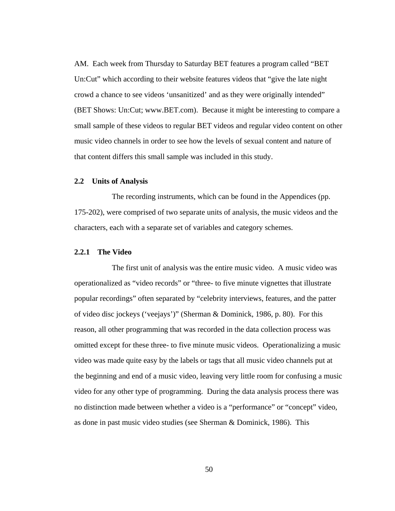AM. Each week from Thursday to Saturday BET features a program called "BET Un:Cut" which according to their website features videos that "give the late night crowd a chance to see videos 'unsanitized' and as they were originally intended" (BET Shows: Un:Cut; www.BET.com). Because it might be interesting to compare a small sample of these videos to regular BET videos and regular video content on other music video channels in order to see how the levels of sexual content and nature of that content differs this small sample was included in this study.

# **2.2 Units of Analysis**

The recording instruments, which can be found in the Appendices (pp. 175-202), were comprised of two separate units of analysis, the music videos and the characters, each with a separate set of variables and category schemes.

## **2.2.1 The Video**

The first unit of analysis was the entire music video. A music video was operationalized as "video records" or "three- to five minute vignettes that illustrate popular recordings" often separated by "celebrity interviews, features, and the patter of video disc jockeys ('veejays')" (Sherman & Dominick, 1986, p. 80). For this reason, all other programming that was recorded in the data collection process was omitted except for these three- to five minute music videos. Operationalizing a music video was made quite easy by the labels or tags that all music video channels put at the beginning and end of a music video, leaving very little room for confusing a music video for any other type of programming. During the data analysis process there was no distinction made between whether a video is a "performance" or "concept" video, as done in past music video studies (see Sherman & Dominick, 1986). This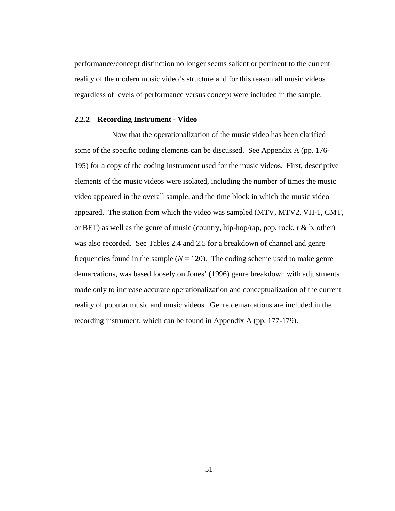performance/concept distinction no longer seems salient or pertinent to the current reality of the modern music video's structure and for this reason all music videos regardless of levels of performance versus concept were included in the sample.

## **2.2.2 Recording Instrument - Video**

Now that the operationalization of the music video has been clarified some of the specific coding elements can be discussed. See Appendix A (pp. 176- 195) for a copy of the coding instrument used for the music videos. First, descriptive elements of the music videos were isolated, including the number of times the music video appeared in the overall sample, and the time block in which the music video appeared. The station from which the video was sampled (MTV, MTV2, VH-1, CMT, or BET) as well as the genre of music (country, hip-hop/rap, pop, rock, r & b, other) was also recorded. See Tables 2.4 and 2.5 for a breakdown of channel and genre frequencies found in the sample  $(N = 120)$ . The coding scheme used to make genre demarcations, was based loosely on Jones' (1996) genre breakdown with adjustments made only to increase accurate operationalization and conceptualization of the current reality of popular music and music videos. Genre demarcations are included in the recording instrument, which can be found in Appendix A (pp. 177-179).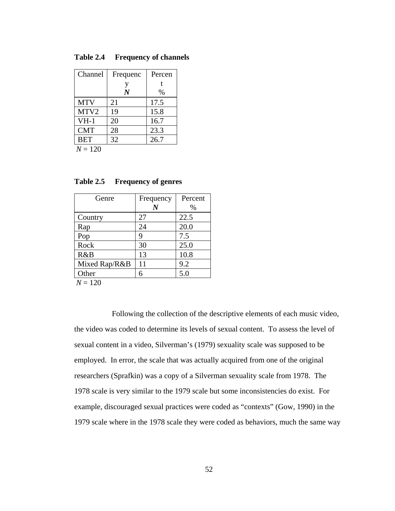| Channel    | Frequenc | Percen |
|------------|----------|--------|
|            | y        |        |
|            |          | $\%$   |
| <b>MTV</b> | 21       | 17.5   |
| MTV2       | 19       | 15.8   |
| $VH-1$     | 20       | 16.7   |
| <b>CMT</b> | 28       | 23.3   |
| <b>BET</b> | 32       | 26.7   |
| $N = 120$  |          |        |

**Table 2.4 Frequency of channels** 

**Table 2.5 Frequency of genres** 

| Genre         | Frequency<br>N | Percent<br>% |
|---------------|----------------|--------------|
| Country       | 27             | 22.5         |
| Rap           | 24             | 20.0         |
| Pop           | 9              | 7.5          |
| Rock          | 30             | 25.0         |
| R&B           | 13             | 10.8         |
| Mixed Rap/R&B | 11             | 9.2          |
| Other         | 6              | 5.0          |
| $N = 120$     |                |              |

Following the collection of the descriptive elements of each music video, the video was coded to determine its levels of sexual content. To assess the level of sexual content in a video, Silverman's (1979) sexuality scale was supposed to be employed. In error, the scale that was actually acquired from one of the original researchers (Sprafkin) was a copy of a Silverman sexuality scale from 1978. The 1978 scale is very similar to the 1979 scale but some inconsistencies do exist. For example, discouraged sexual practices were coded as "contexts" (Gow, 1990) in the 1979 scale where in the 1978 scale they were coded as behaviors, much the same way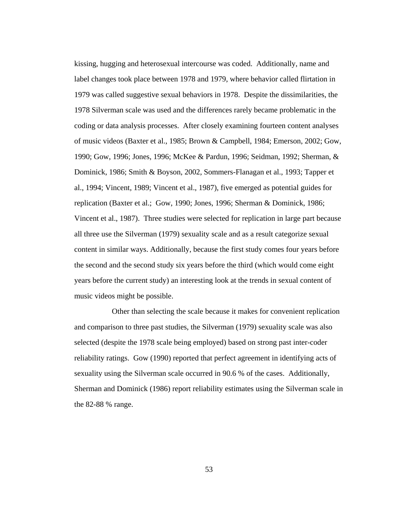kissing, hugging and heterosexual intercourse was coded. Additionally, name and label changes took place between 1978 and 1979, where behavior called flirtation in 1979 was called suggestive sexual behaviors in 1978. Despite the dissimilarities, the 1978 Silverman scale was used and the differences rarely became problematic in the coding or data analysis processes. After closely examining fourteen content analyses of music videos (Baxter et al., 1985; Brown & Campbell, 1984; Emerson, 2002; Gow, 1990; Gow, 1996; Jones, 1996; McKee & Pardun, 1996; Seidman, 1992; Sherman, & Dominick, 1986; Smith & Boyson, 2002, Sommers-Flanagan et al., 1993; Tapper et al., 1994; Vincent, 1989; Vincent et al., 1987), five emerged as potential guides for replication (Baxter et al.; Gow, 1990; Jones, 1996; Sherman & Dominick, 1986; Vincent et al., 1987). Three studies were selected for replication in large part because all three use the Silverman (1979) sexuality scale and as a result categorize sexual content in similar ways. Additionally, because the first study comes four years before the second and the second study six years before the third (which would come eight years before the current study) an interesting look at the trends in sexual content of music videos might be possible.

Other than selecting the scale because it makes for convenient replication and comparison to three past studies, the Silverman (1979) sexuality scale was also selected (despite the 1978 scale being employed) based on strong past inter-coder reliability ratings. Gow (1990) reported that perfect agreement in identifying acts of sexuality using the Silverman scale occurred in 90.6 % of the cases. Additionally, Sherman and Dominick (1986) report reliability estimates using the Silverman scale in the 82-88 % range.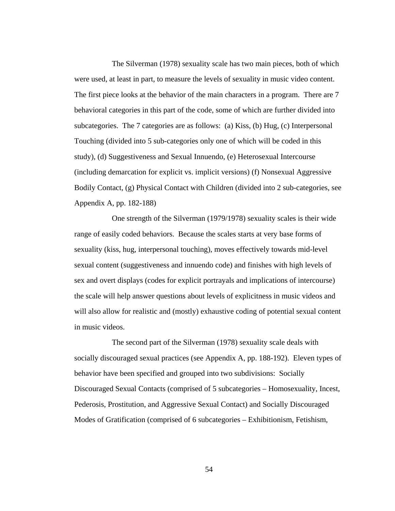The Silverman (1978) sexuality scale has two main pieces, both of which were used, at least in part, to measure the levels of sexuality in music video content. The first piece looks at the behavior of the main characters in a program. There are 7 behavioral categories in this part of the code, some of which are further divided into subcategories. The 7 categories are as follows: (a) Kiss, (b) Hug, (c) Interpersonal Touching (divided into 5 sub-categories only one of which will be coded in this study), (d) Suggestiveness and Sexual Innuendo, (e) Heterosexual Intercourse (including demarcation for explicit vs. implicit versions) (f) Nonsexual Aggressive Bodily Contact, (g) Physical Contact with Children (divided into 2 sub-categories, see Appendix A, pp. 182-188)

One strength of the Silverman (1979/1978) sexuality scales is their wide range of easily coded behaviors. Because the scales starts at very base forms of sexuality (kiss, hug, interpersonal touching), moves effectively towards mid-level sexual content (suggestiveness and innuendo code) and finishes with high levels of sex and overt displays (codes for explicit portrayals and implications of intercourse) the scale will help answer questions about levels of explicitness in music videos and will also allow for realistic and (mostly) exhaustive coding of potential sexual content in music videos.

The second part of the Silverman (1978) sexuality scale deals with socially discouraged sexual practices (see Appendix A, pp. 188-192). Eleven types of behavior have been specified and grouped into two subdivisions: Socially Discouraged Sexual Contacts (comprised of 5 subcategories – Homosexuality, Incest, Pederosis, Prostitution, and Aggressive Sexual Contact) and Socially Discouraged Modes of Gratification (comprised of 6 subcategories – Exhibitionism, Fetishism,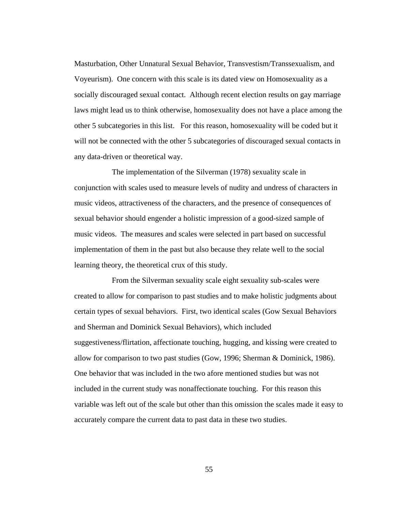Masturbation, Other Unnatural Sexual Behavior, Transvestism/Transsexualism, and Voyeurism). One concern with this scale is its dated view on Homosexuality as a socially discouraged sexual contact. Although recent election results on gay marriage laws might lead us to think otherwise, homosexuality does not have a place among the other 5 subcategories in this list. For this reason, homosexuality will be coded but it will not be connected with the other 5 subcategories of discouraged sexual contacts in any data-driven or theoretical way.

The implementation of the Silverman (1978) sexuality scale in conjunction with scales used to measure levels of nudity and undress of characters in music videos, attractiveness of the characters, and the presence of consequences of sexual behavior should engender a holistic impression of a good-sized sample of music videos. The measures and scales were selected in part based on successful implementation of them in the past but also because they relate well to the social learning theory, the theoretical crux of this study.

From the Silverman sexuality scale eight sexuality sub-scales were created to allow for comparison to past studies and to make holistic judgments about certain types of sexual behaviors. First, two identical scales (Gow Sexual Behaviors and Sherman and Dominick Sexual Behaviors), which included suggestiveness/flirtation, affectionate touching, hugging, and kissing were created to allow for comparison to two past studies (Gow, 1996; Sherman & Dominick, 1986). One behavior that was included in the two afore mentioned studies but was not included in the current study was nonaffectionate touching. For this reason this variable was left out of the scale but other than this omission the scales made it easy to accurately compare the current data to past data in these two studies.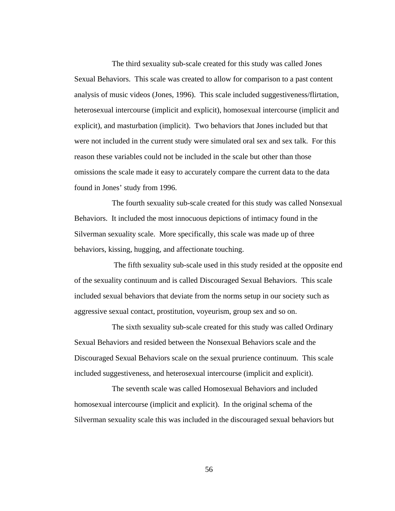The third sexuality sub-scale created for this study was called Jones Sexual Behaviors. This scale was created to allow for comparison to a past content analysis of music videos (Jones, 1996). This scale included suggestiveness/flirtation, heterosexual intercourse (implicit and explicit), homosexual intercourse (implicit and explicit), and masturbation (implicit). Two behaviors that Jones included but that were not included in the current study were simulated oral sex and sex talk. For this reason these variables could not be included in the scale but other than those omissions the scale made it easy to accurately compare the current data to the data found in Jones' study from 1996.

The fourth sexuality sub-scale created for this study was called Nonsexual Behaviors. It included the most innocuous depictions of intimacy found in the Silverman sexuality scale. More specifically, this scale was made up of three behaviors, kissing, hugging, and affectionate touching.

 The fifth sexuality sub-scale used in this study resided at the opposite end of the sexuality continuum and is called Discouraged Sexual Behaviors. This scale included sexual behaviors that deviate from the norms setup in our society such as aggressive sexual contact, prostitution, voyeurism, group sex and so on.

The sixth sexuality sub-scale created for this study was called Ordinary Sexual Behaviors and resided between the Nonsexual Behaviors scale and the Discouraged Sexual Behaviors scale on the sexual prurience continuum. This scale included suggestiveness, and heterosexual intercourse (implicit and explicit).

The seventh scale was called Homosexual Behaviors and included homosexual intercourse (implicit and explicit). In the original schema of the Silverman sexuality scale this was included in the discouraged sexual behaviors but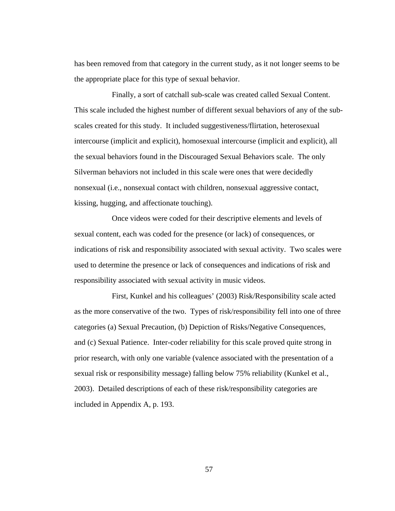has been removed from that category in the current study, as it not longer seems to be the appropriate place for this type of sexual behavior.

Finally, a sort of catchall sub-scale was created called Sexual Content. This scale included the highest number of different sexual behaviors of any of the subscales created for this study. It included suggestiveness/flirtation, heterosexual intercourse (implicit and explicit), homosexual intercourse (implicit and explicit), all the sexual behaviors found in the Discouraged Sexual Behaviors scale. The only Silverman behaviors not included in this scale were ones that were decidedly nonsexual (i.e., nonsexual contact with children, nonsexual aggressive contact, kissing, hugging, and affectionate touching).

Once videos were coded for their descriptive elements and levels of sexual content, each was coded for the presence (or lack) of consequences, or indications of risk and responsibility associated with sexual activity. Two scales were used to determine the presence or lack of consequences and indications of risk and responsibility associated with sexual activity in music videos.

First, Kunkel and his colleagues' (2003) Risk/Responsibility scale acted as the more conservative of the two. Types of risk/responsibility fell into one of three categories (a) Sexual Precaution, (b) Depiction of Risks/Negative Consequences, and (c) Sexual Patience. Inter-coder reliability for this scale proved quite strong in prior research, with only one variable (valence associated with the presentation of a sexual risk or responsibility message) falling below 75% reliability (Kunkel et al., 2003). Detailed descriptions of each of these risk/responsibility categories are included in Appendix A, p. 193.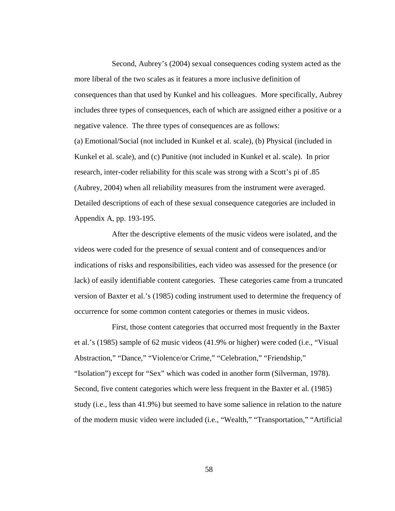Second, Aubrey's (2004) sexual consequences coding system acted as the more liberal of the two scales as it features a more inclusive definition of consequences than that used by Kunkel and his colleagues. More specifically, Aubrey includes three types of consequences, each of which are assigned either a positive or a negative valence. The three types of consequences are as follows:

(a) Emotional/Social (not included in Kunkel et al. scale), (b) Physical (included in Kunkel et al. scale), and (c) Punitive (not included in Kunkel et al. scale). In prior research, inter-coder reliability for this scale was strong with a Scott's pi of .85 (Aubrey, 2004) when all reliability measures from the instrument were averaged. Detailed descriptions of each of these sexual consequence categories are included in Appendix A, pp. 193-195.

After the descriptive elements of the music videos were isolated, and the videos were coded for the presence of sexual content and of consequences and/or indications of risks and responsibilities, each video was assessed for the presence (or lack) of easily identifiable content categories. These categories came from a truncated version of Baxter et al.'s (1985) coding instrument used to determine the frequency of occurrence for some common content categories or themes in music videos.

First, those content categories that occurred most frequently in the Baxter et al.'s (1985) sample of 62 music videos (41.9% or higher) were coded (i.e., "Visual Abstraction," "Dance," "Violence/or Crime," "Celebration," "Friendship," "Isolation") except for "Sex" which was coded in another form (Silverman, 1978). Second, five content categories which were less frequent in the Baxter et al. (1985) study (i.e., less than 41.9%) but seemed to have some salience in relation to the nature of the modern music video were included (i.e., "Wealth," "Transportation," "Artificial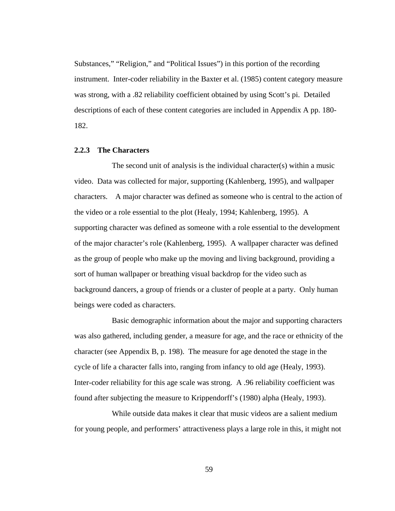Substances," "Religion," and "Political Issues") in this portion of the recording instrument. Inter-coder reliability in the Baxter et al. (1985) content category measure was strong, with a .82 reliability coefficient obtained by using Scott's pi. Detailed descriptions of each of these content categories are included in Appendix A pp. 180- 182.

## **2.2.3 The Characters**

The second unit of analysis is the individual character(s) within a music video. Data was collected for major, supporting (Kahlenberg, 1995), and wallpaper characters. A major character was defined as someone who is central to the action of the video or a role essential to the plot (Healy, 1994; Kahlenberg, 1995). A supporting character was defined as someone with a role essential to the development of the major character's role (Kahlenberg, 1995). A wallpaper character was defined as the group of people who make up the moving and living background, providing a sort of human wallpaper or breathing visual backdrop for the video such as background dancers, a group of friends or a cluster of people at a party. Only human beings were coded as characters.

Basic demographic information about the major and supporting characters was also gathered, including gender, a measure for age, and the race or ethnicity of the character (see Appendix B, p. 198). The measure for age denoted the stage in the cycle of life a character falls into, ranging from infancy to old age (Healy, 1993). Inter-coder reliability for this age scale was strong. A .96 reliability coefficient was found after subjecting the measure to Krippendorff's (1980) alpha (Healy, 1993).

While outside data makes it clear that music videos are a salient medium for young people, and performers' attractiveness plays a large role in this, it might not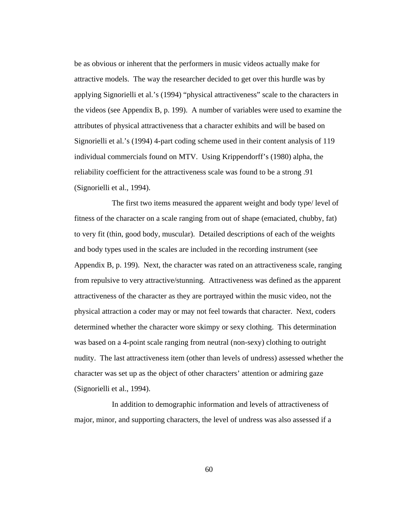be as obvious or inherent that the performers in music videos actually make for attractive models. The way the researcher decided to get over this hurdle was by applying Signorielli et al.'s (1994) "physical attractiveness" scale to the characters in the videos (see Appendix B, p. 199). A number of variables were used to examine the attributes of physical attractiveness that a character exhibits and will be based on Signorielli et al.'s (1994) 4-part coding scheme used in their content analysis of 119 individual commercials found on MTV. Using Krippendorff's (1980) alpha, the reliability coefficient for the attractiveness scale was found to be a strong .91 (Signorielli et al., 1994).

The first two items measured the apparent weight and body type/ level of fitness of the character on a scale ranging from out of shape (emaciated, chubby, fat) to very fit (thin, good body, muscular). Detailed descriptions of each of the weights and body types used in the scales are included in the recording instrument (see Appendix B, p. 199). Next, the character was rated on an attractiveness scale, ranging from repulsive to very attractive/stunning. Attractiveness was defined as the apparent attractiveness of the character as they are portrayed within the music video, not the physical attraction a coder may or may not feel towards that character. Next, coders determined whether the character wore skimpy or sexy clothing. This determination was based on a 4-point scale ranging from neutral (non-sexy) clothing to outright nudity. The last attractiveness item (other than levels of undress) assessed whether the character was set up as the object of other characters' attention or admiring gaze (Signorielli et al., 1994).

In addition to demographic information and levels of attractiveness of major, minor, and supporting characters, the level of undress was also assessed if a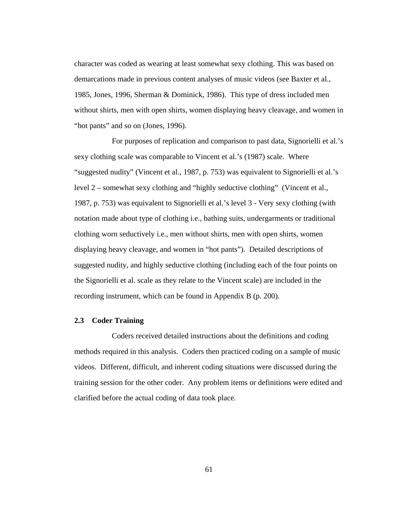character was coded as wearing at least somewhat sexy clothing. This was based on demarcations made in previous content analyses of music videos (see Baxter et al., 1985, Jones, 1996, Sherman & Dominick, 1986). This type of dress included men without shirts, men with open shirts, women displaying heavy cleavage, and women in "hot pants" and so on (Jones, 1996).

For purposes of replication and comparison to past data, Signorielli et al.'s sexy clothing scale was comparable to Vincent et al.'s (1987) scale. Where "suggested nudity" (Vincent et al., 1987, p. 753) was equivalent to Signorielli et al.'s level 2 – somewhat sexy clothing and "highly seductive clothing" (Vincent et al., 1987, p. 753) was equivalent to Signorielli et al.'s level 3 - Very sexy clothing (with notation made about type of clothing i.e., bathing suits, undergarments or traditional clothing worn seductively i.e., men without shirts, men with open shirts, women displaying heavy cleavage, and women in "hot pants"). Detailed descriptions of suggested nudity, and highly seductive clothing (including each of the four points on the Signorielli et al. scale as they relate to the Vincent scale) are included in the recording instrument, which can be found in Appendix B (p. 200).

## **2.3 Coder Training**

Coders received detailed instructions about the definitions and coding methods required in this analysis. Coders then practiced coding on a sample of music videos. Different, difficult, and inherent coding situations were discussed during the training session for the other coder. Any problem items or definitions were edited and clarified before the actual coding of data took place.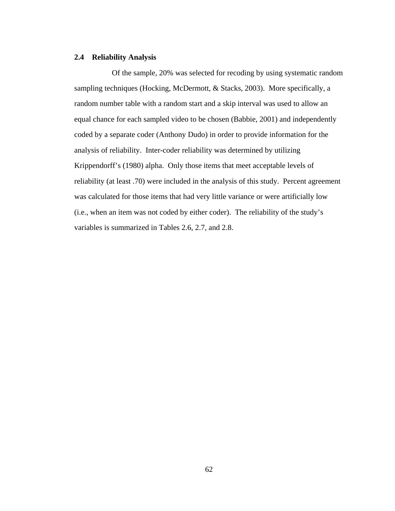# **2.4 Reliability Analysis**

Of the sample, 20% was selected for recoding by using systematic random sampling techniques (Hocking, McDermott, & Stacks, 2003). More specifically, a random number table with a random start and a skip interval was used to allow an equal chance for each sampled video to be chosen (Babbie, 2001) and independently coded by a separate coder (Anthony Dudo) in order to provide information for the analysis of reliability. Inter-coder reliability was determined by utilizing Krippendorff's (1980) alpha. Only those items that meet acceptable levels of reliability (at least .70) were included in the analysis of this study. Percent agreement was calculated for those items that had very little variance or were artificially low (i.e., when an item was not coded by either coder). The reliability of the study's variables is summarized in Tables 2.6, 2.7, and 2.8.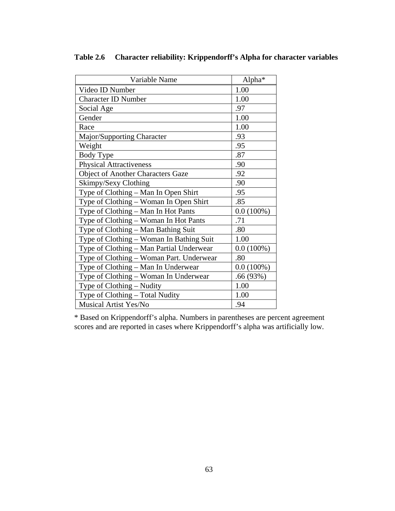| Variable Name                            | Alpha*       |
|------------------------------------------|--------------|
| Video ID Number                          | 1.00         |
| <b>Character ID Number</b>               | 1.00         |
| Social Age                               | .97          |
| Gender                                   | 1.00         |
| Race                                     | 1.00         |
| Major/Supporting Character               | .93          |
| Weight                                   | .95          |
| Body Type                                | .87          |
| <b>Physical Attractiveness</b>           | .90          |
| <b>Object of Another Characters Gaze</b> | .92          |
| Skimpy/Sexy Clothing                     | .90          |
| Type of Clothing - Man In Open Shirt     | .95          |
| Type of Clothing - Woman In Open Shirt   | .85          |
| Type of Clothing - Man In Hot Pants      | $0.0(100\%)$ |
| Type of Clothing - Woman In Hot Pants    | .71          |
| Type of Clothing - Man Bathing Suit      | .80          |
| Type of Clothing - Woman In Bathing Suit | 1.00         |
| Type of Clothing - Man Partial Underwear | $0.0(100\%)$ |
| Type of Clothing - Woman Part. Underwear | .80          |
| Type of Clothing - Man In Underwear      | $0.0(100\%)$ |
| Type of Clothing - Woman In Underwear    | .66(93%)     |
| Type of Clothing – Nudity                | 1.00         |
| Type of Clothing – Total Nudity          | 1.00         |
| <b>Musical Artist Yes/No</b>             | .94          |

# **Table 2.6 Character reliability: Krippendorff's Alpha for character variables**

\* Based on Krippendorff's alpha. Numbers in parentheses are percent agreement scores and are reported in cases where Krippendorff's alpha was artificially low.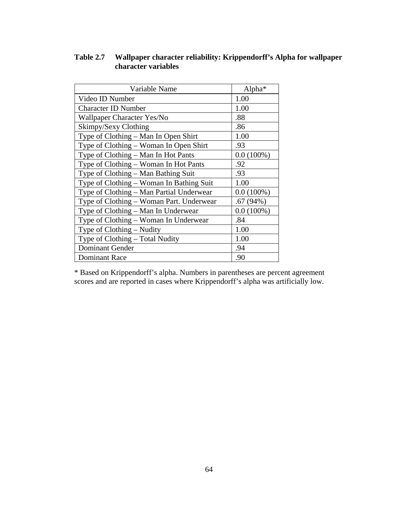| Variable Name                            | Alpha <sup>*</sup> |
|------------------------------------------|--------------------|
| Video ID Number                          | 1.00               |
| <b>Character ID Number</b>               | 1.00               |
| Wallpaper Character Yes/No               | .88                |
| Skimpy/Sexy Clothing                     | .86                |
| Type of Clothing - Man In Open Shirt     | 1.00               |
| Type of Clothing - Woman In Open Shirt   | .93                |
| Type of Clothing - Man In Hot Pants      | $0.0(100\%)$       |
| Type of Clothing – Woman In Hot Pants    | .92                |
| Type of Clothing - Man Bathing Suit      | .93                |
| Type of Clothing - Woman In Bathing Suit | 1.00               |
| Type of Clothing – Man Partial Underwear | $0.0(100\%)$       |
| Type of Clothing - Woman Part. Underwear | .67(94%)           |
| Type of Clothing – Man In Underwear      | $0.0(100\%)$       |
| Type of Clothing - Woman In Underwear    | .84                |
| Type of Clothing – Nudity                | 1.00               |
| Type of Clothing – Total Nudity          | 1.00               |
| <b>Dominant Gender</b>                   | .94                |
| <b>Dominant Race</b>                     | .90                |

# **Table 2.7 Wallpaper character reliability: Krippendorff's Alpha for wallpaper character variables**

\* Based on Krippendorff's alpha. Numbers in parentheses are percent agreement scores and are reported in cases where Krippendorff's alpha was artificially low.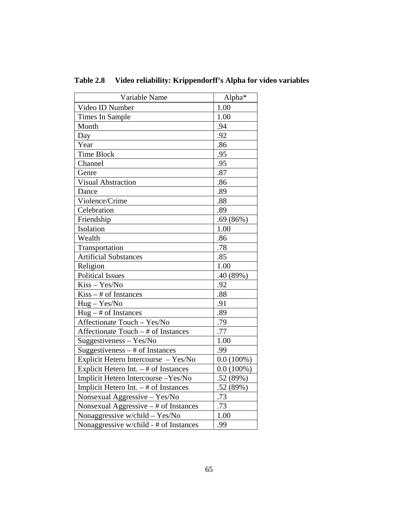| Variable Name                                      | Alpha*       |
|----------------------------------------------------|--------------|
| Video ID Number                                    | 1.00         |
| Times In Sample                                    | 1.00         |
| Month                                              | .94          |
| Day                                                | .92          |
| Year                                               | .86          |
| <b>Time Block</b>                                  | .95          |
| Channel                                            | .95          |
| Genre                                              | .87          |
| <b>Visual Abstraction</b>                          | .86          |
| Dance                                              | .89          |
| Violence/Crime                                     | .88          |
| Celebration                                        | .89          |
| Friendship                                         | .69(86%)     |
| Isolation                                          | 1.00         |
| Wealth                                             | .86          |
| Transportation                                     | .78          |
| <b>Artificial Substances</b>                       | .85          |
| Religion                                           | 1.00         |
| <b>Political Issues</b>                            | .40 (89%)    |
| $Kiss - Yes/No$                                    | .92          |
| $\overline{\text{Kiss}} - \# \text{ of instances}$ | .88          |
| $\overline{Hug - Yes/N}$ o                         | .91          |
| $Hug - # of Instances$                             | .89          |
| Affectionate Touch - Yes/No                        | .79          |
| Affectionate Touch - # of Instances                | .77          |
| Suggestiveness - Yes/No                            | 1.00         |
| Suggestiveness $-$ # of Instances                  | .99          |
| Explicit Hetero Intercourse - Yes/No               | $0.0(100\%)$ |
| Explicit Hetero Int. - # of Instances              | $0.0(100\%)$ |
| Implicit Hetero Intercourse - Yes/No               | .52(89%)     |
| Implicit Hetero Int. $-$ # of Instances            | .52(89%)     |
| Nonsexual Aggressive - Yes/No                      | .73          |
| Nonsexual Aggressive - # of Instances              | .73          |
| Nonaggressive w/child - Yes/No                     | 1.00         |
| Nonaggressive w/child - # of Instances             | .99          |

**Table 2.8 Video reliability: Krippendorff's Alpha for video variables**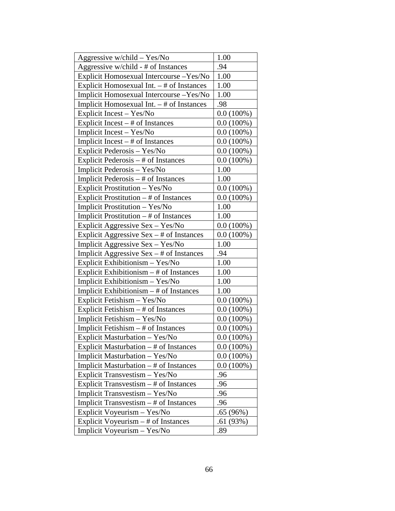| Aggressive w/child - Yes/No                 | 1.00         |
|---------------------------------------------|--------------|
| Aggressive w/child - # of Instances         | .94          |
| Explicit Homosexual Intercourse - Yes/No    | 1.00         |
| Explicit Homosexual Int. $-$ # of Instances | 1.00         |
| Implicit Homosexual Intercourse - Yes/No    | 1.00         |
| Implicit Homosexual Int. – # of Instances   | .98          |
| Explicit Incest - Yes/No                    | $0.0(100\%)$ |
| Explicit Incest $-$ # of Instances          | $0.0(100\%)$ |
| Implicit Incest - Yes/No                    | $0.0(100\%)$ |
| Implicit Incest $-$ # of Instances          | $0.0(100\%)$ |
| Explicit Pederosis - Yes/No                 | $0.0(100\%)$ |
| Explicit Pederosis $-$ # of Instances       | $0.0(100\%)$ |
| Implicit Pederosis - Yes/No                 | 1.00         |
| Implicit Pederosis – # of Instances         | 1.00         |
| Explicit Prostitution - Yes/No              | $0.0(100\%)$ |
| Explicit Prostitution $-$ # of Instances    | $0.0(100\%)$ |
| Implicit Prostitution - Yes/No              | 1.00         |
| Implicit Prostitution – # of Instances      | 1.00         |
| Explicit Aggressive Sex - Yes/No            | $0.0(100\%)$ |
| Explicit Aggressive Sex $-$ # of Instances  | $0.0(100\%)$ |
| Implicit Aggressive Sex - Yes/No            | 1.00         |
| Implicit Aggressive Sex $-$ # of Instances  | .94          |
| Explicit Exhibitionism - Yes/No             | 1.00         |
| Explicit Exhibitionism $-$ # of Instances   | 1.00         |
| Implicit Exhibitionism - Yes/No             | 1.00         |
| Implicit Exhibitionism - # of Instances     | 1.00         |
| Explicit Fetishism - Yes/No                 | $0.0(100\%)$ |
| Explicit Fetishism $-$ # of Instances       | $0.0(100\%)$ |
| Implicit Fetishism - Yes/No                 | $0.0(100\%)$ |
| Implicit Fetishism $-$ # of Instances       | $0.0(100\%)$ |
| Explicit Masturbation - Yes/No              | $0.0(100\%)$ |
| Explicit Masturbation – # of Instances      | $0.0(100\%)$ |
| Implicit Masturbation - Yes/No              | $0.0(100\%)$ |
| Implicit Masturbation $-$ # of Instances    | $0.0(100\%)$ |
| Explicit Transvestism - Yes/No              | .96          |
| Explicit Transvestism $-$ # of Instances    | .96          |
| Implicit Transvestism - Yes/No              | .96          |
| Implicit Transvestism $-$ # of Instances    | .96          |
| Explicit Voyeurism - Yes/No                 | .65(96%)     |
| Explicit Voyeurism $-$ # of Instances       | (93%)<br>.61 |
| Implicit Voyeurism - Yes/No                 | .89          |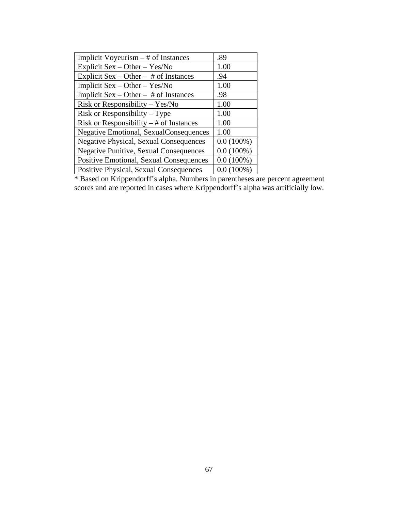| Implicit Voyeurism $-$ # of Instances         | .89          |
|-----------------------------------------------|--------------|
| Explicit $Sex - Other - Yes/No$               | 1.00         |
| Explicit Sex – Other – $#$ of Instances       | .94          |
| Implicit $Sex - Other - Yes/No$               | 1.00         |
| Implicit $Sex - Other - # of instances$       | .98          |
| Risk or Responsibility $-$ Yes/No             | 1.00         |
| Risk or Responsibility $-$ Type               | 1.00         |
| Risk or Responsibility $-$ # of Instances     | 1.00         |
| <b>Negative Emotional, SexualConsequences</b> | 1.00         |
| <b>Negative Physical, Sexual Consequences</b> | $0.0(100\%)$ |
| <b>Negative Punitive, Sexual Consequences</b> | $0.0(100\%)$ |
| Positive Emotional, Sexual Consequences       | $0.0(100\%)$ |
| <b>Positive Physical, Sexual Consequences</b> | $0.0(100\%)$ |

\* Based on Krippendorff's alpha. Numbers in parentheses are percent agreement scores and are reported in cases where Krippendorff's alpha was artificially low.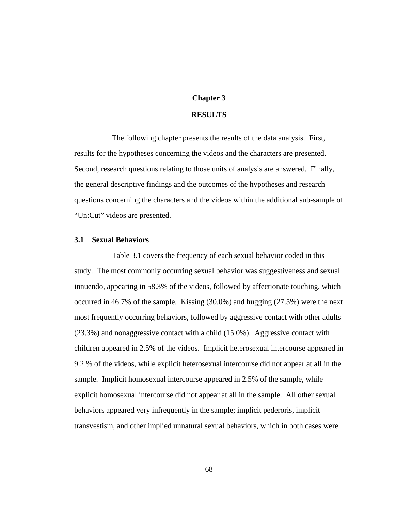# **Chapter 3**

#### **RESULTS**

The following chapter presents the results of the data analysis. First, results for the hypotheses concerning the videos and the characters are presented. Second, research questions relating to those units of analysis are answered. Finally, the general descriptive findings and the outcomes of the hypotheses and research questions concerning the characters and the videos within the additional sub-sample of "Un:Cut" videos are presented.

#### **3.1 Sexual Behaviors**

Table 3.1 covers the frequency of each sexual behavior coded in this study. The most commonly occurring sexual behavior was suggestiveness and sexual innuendo, appearing in 58.3% of the videos, followed by affectionate touching, which occurred in 46.7% of the sample. Kissing (30.0%) and hugging (27.5%) were the next most frequently occurring behaviors, followed by aggressive contact with other adults (23.3%) and nonaggressive contact with a child (15.0%). Aggressive contact with children appeared in 2.5% of the videos. Implicit heterosexual intercourse appeared in 9.2 % of the videos, while explicit heterosexual intercourse did not appear at all in the sample. Implicit homosexual intercourse appeared in 2.5% of the sample, while explicit homosexual intercourse did not appear at all in the sample. All other sexual behaviors appeared very infrequently in the sample; implicit pederoris, implicit transvestism, and other implied unnatural sexual behaviors, which in both cases were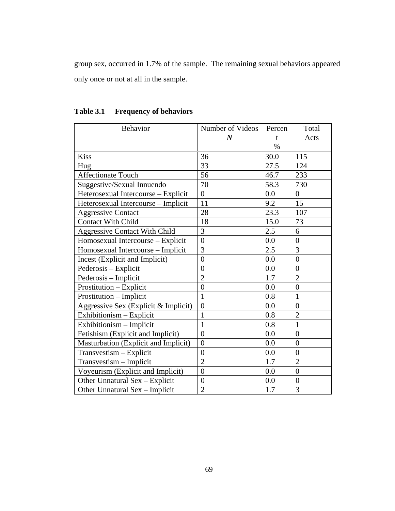group sex, occurred in 1.7% of the sample. The remaining sexual behaviors appeared only once or not at all in the sample.

| <b>Behavior</b>                      | Number of Videos | Percen | Total          |
|--------------------------------------|------------------|--------|----------------|
|                                      | $\boldsymbol{N}$ | t      | Acts           |
|                                      |                  | $\%$   |                |
| <b>Kiss</b>                          | 36               | 30.0   | 115            |
| Hug                                  | 33               | 27.5   | 124            |
| <b>Affectionate Touch</b>            | 56               | 46.7   | 233            |
| Suggestive/Sexual Innuendo           | 70               | 58.3   | 730            |
| Heterosexual Intercourse - Explicit  | $\overline{0}$   | 0.0    | $\overline{0}$ |
| Heterosexual Intercourse - Implicit  | 11               | 9.2    | 15             |
| <b>Aggressive Contact</b>            | 28               | 23.3   | 107            |
| <b>Contact With Child</b>            | 18               | 15.0   | 73             |
| <b>Aggressive Contact With Child</b> | 3                | 2.5    | 6              |
| Homosexual Intercourse – Explicit    | $\overline{0}$   | 0.0    | $\overline{0}$ |
| Homosexual Intercourse – Implicit    | $\overline{3}$   | 2.5    | 3              |
| Incest (Explicit and Implicit)       | $\overline{0}$   | 0.0    | $\overline{0}$ |
| Pederosis – Explicit                 | $\overline{0}$   | 0.0    | $\overline{0}$ |
| Pederosis - Implicit                 | $\overline{2}$   | 1.7    | $\overline{2}$ |
| Prostitution - Explicit              | $\overline{0}$   | 0.0    | $\overline{0}$ |
| Prostitution - Implicit              | $\mathbf{1}$     | 0.8    | $\mathbf{1}$   |
| Aggressive Sex (Explicit & Implicit) | $\overline{0}$   | 0.0    | $\overline{0}$ |
| Exhibitionism - Explicit             | $\mathbf{1}$     | 0.8    | $\overline{2}$ |
| Exhibitionism - Implicit             | $\mathbf{1}$     | 0.8    | $\mathbf{1}$   |
| Fetishism (Explicit and Implicit)    | $\overline{0}$   | 0.0    | $\overline{0}$ |
| Masturbation (Explicit and Implicit) | $\overline{0}$   | 0.0    | $\overline{0}$ |
| Transvestism - Explicit              | $\overline{0}$   | 0.0    | $\overline{0}$ |
| Transvestism - Implicit              | $\overline{2}$   | 1.7    | $\overline{2}$ |
| Voyeurism (Explicit and Implicit)    | $\overline{0}$   | 0.0    | $\overline{0}$ |
| Other Unnatural Sex – Explicit       | $\overline{0}$   | 0.0    | $\overline{0}$ |
| Other Unnatural Sex - Implicit       | $\overline{2}$   | 1.7    | 3              |

**Table 3.1 Frequency of behaviors**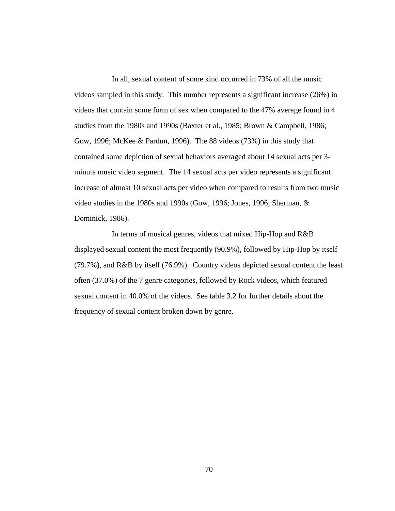In all, sexual content of some kind occurred in 73% of all the music videos sampled in this study. This number represents a significant increase (26%) in videos that contain some form of sex when compared to the 47% average found in 4 studies from the 1980s and 1990s (Baxter et al., 1985; Brown & Campbell, 1986; Gow, 1996; McKee & Pardun, 1996). The 88 videos (73%) in this study that contained some depiction of sexual behaviors averaged about 14 sexual acts per 3 minute music video segment. The 14 sexual acts per video represents a significant increase of almost 10 sexual acts per video when compared to results from two music video studies in the 1980s and 1990s (Gow, 1996; Jones, 1996; Sherman, & Dominick, 1986).

In terms of musical genres, videos that mixed Hip-Hop and R&B displayed sexual content the most frequently (90.9%), followed by Hip-Hop by itself (79.7%), and R&B by itself (76.9%). Country videos depicted sexual content the least often (37.0%) of the 7 genre categories, followed by Rock videos, which featured sexual content in 40.0% of the videos. See table 3.2 for further details about the frequency of sexual content broken down by genre.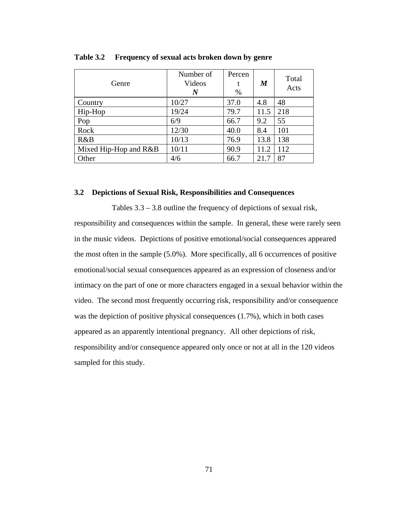| Genre                 | Number of<br>Videos<br>$\boldsymbol{N}$ | Percen<br>% | $\boldsymbol{M}$ | Total<br>Acts |
|-----------------------|-----------------------------------------|-------------|------------------|---------------|
| Country               | 10/27                                   | 37.0        | 4.8              | 48            |
| Hip-Hop               | 19/24                                   | 79.7        | 11.5             | 218           |
| Pop                   | 6/9                                     | 66.7        | 9.2              | 55            |
| Rock                  | 12/30                                   | 40.0        | 8.4              | 101           |
| R&B                   | 10/13                                   | 76.9        | 13.8             | 138           |
| Mixed Hip-Hop and R&B | 10/11                                   | 90.9        | 11.2             | 112           |
| Other                 | 4/6                                     | 66.7        | 21.7             | 87            |

**Table 3.2 Frequency of sexual acts broken down by genre** 

#### **3.2 Depictions of Sexual Risk, Responsibilities and Consequences**

Tables 3.3 – 3.8 outline the frequency of depictions of sexual risk, responsibility and consequences within the sample. In general, these were rarely seen in the music videos. Depictions of positive emotional/social consequences appeared the most often in the sample (5.0%). More specifically, all 6 occurrences of positive emotional/social sexual consequences appeared as an expression of closeness and/or intimacy on the part of one or more characters engaged in a sexual behavior within the video. The second most frequently occurring risk, responsibility and/or consequence was the depiction of positive physical consequences (1.7%), which in both cases appeared as an apparently intentional pregnancy. All other depictions of risk, responsibility and/or consequence appeared only once or not at all in the 120 videos sampled for this study.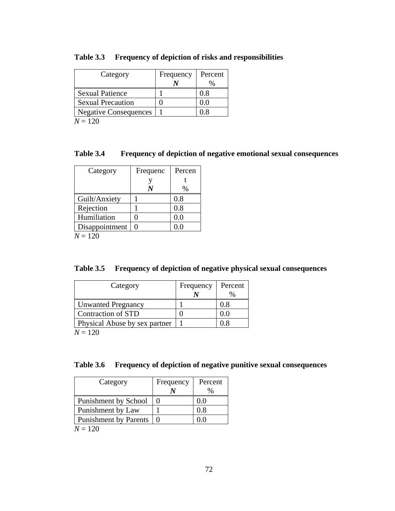| Category                     | Frequency | Percent |
|------------------------------|-----------|---------|
|                              |           | ℅       |
| <b>Sexual Patience</b>       |           | 0.8     |
| <b>Sexual Precaution</b>     |           | 0.0     |
| <b>Negative Consequences</b> |           | 0.8     |
| $N = 120$                    |           |         |

**Table 3.3 Frequency of depiction of risks and responsibilities** 

# **Table 3.4 Frequency of depiction of negative emotional sexual consequences**

| Category       | Frequenc | Percen |
|----------------|----------|--------|
|                |          |        |
|                |          | %      |
| Guilt/Anxiety  |          | 0.8    |
| Rejection      |          | 0.8    |
| Humiliation    |          | 0.0    |
| Disappointment |          | 0.0    |
| $M = 120$      |          |        |

 $N = 120$ 

|  |  | Table 3.5 Frequency of depiction of negative physical sexual consequences |
|--|--|---------------------------------------------------------------------------|
|  |  |                                                                           |

| Frequency | Percent |
|-----------|---------|
|           | %       |
|           | ΙX      |
|           |         |
|           |         |
|           |         |

 $N = 120$ 

| <b>Table 3.6</b> | <b>Example 1 Frequency of depiction of negative punitive sexual consequences</b> |  |
|------------------|----------------------------------------------------------------------------------|--|
|                  |                                                                                  |  |

| Category                     | Frequency | Percent |
|------------------------------|-----------|---------|
|                              |           |         |
| <b>Punishment by School</b>  |           | $10-$   |
| Punishment by Law            |           | 0.8     |
| <b>Punishment by Parents</b> |           |         |

 $N = 120$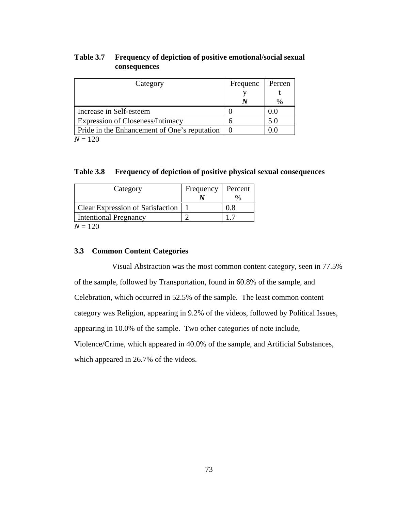### **Table 3.7 Frequency of depiction of positive emotional/social sexual consequences**

| Category                                     | Frequenc | Percen |
|----------------------------------------------|----------|--------|
|                                              |          |        |
|                                              |          | $\%$   |
| Increase in Self-esteem                      |          |        |
| <b>Expression of Closeness/Intimacy</b>      |          | 5.0    |
| Pride in the Enhancement of One's reputation |          |        |
| $1\bigcap\bigcap$<br>$\mathbf{r}$            |          |        |

 $N = 120$ 

### **Table 3.8 Frequency of depiction of positive physical sexual consequences**

| Category                                | Frequency | Percent |
|-----------------------------------------|-----------|---------|
| <b>Clear Expression of Satisfaction</b> |           |         |
| <b>Intentional Pregnancy</b>            |           |         |
|                                         |           |         |

 $N = 120$ 

#### **3.3 Common Content Categories**

Visual Abstraction was the most common content category, seen in 77.5% of the sample, followed by Transportation, found in 60.8% of the sample, and Celebration, which occurred in 52.5% of the sample. The least common content category was Religion, appearing in 9.2% of the videos, followed by Political Issues, appearing in 10.0% of the sample. Two other categories of note include, Violence/Crime, which appeared in 40.0% of the sample, and Artificial Substances, which appeared in 26.7% of the videos.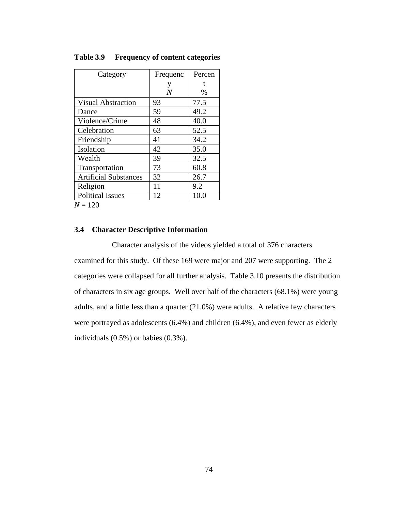| Category                     | Frequenc         | Percen |
|------------------------------|------------------|--------|
|                              |                  |        |
|                              | $\boldsymbol{N}$ | $\%$   |
| <b>Visual Abstraction</b>    | 93               | 77.5   |
| Dance                        | 59               | 49.2   |
| Violence/Crime               | 48               | 40.0   |
| Celebration                  | 63               | 52.5   |
| Friendship                   | 41               | 34.2   |
| Isolation                    | 42               | 35.0   |
| Wealth                       | 39               | 32.5   |
| Transportation               | 73               | 60.8   |
| <b>Artificial Substances</b> | 32               | 26.7   |
| Religion                     | 11               | 9.2    |
| <b>Political Issues</b>      | 12               | 10.0   |

**Table 3.9 Frequency of content categories** 

 $N = 120$ 

### **3.4 Character Descriptive Information**

Character analysis of the videos yielded a total of 376 characters examined for this study. Of these 169 were major and 207 were supporting. The 2 categories were collapsed for all further analysis. Table 3.10 presents the distribution of characters in six age groups. Well over half of the characters (68.1%) were young adults, and a little less than a quarter (21.0%) were adults. A relative few characters were portrayed as adolescents (6.4%) and children (6.4%), and even fewer as elderly individuals (0.5%) or babies (0.3%).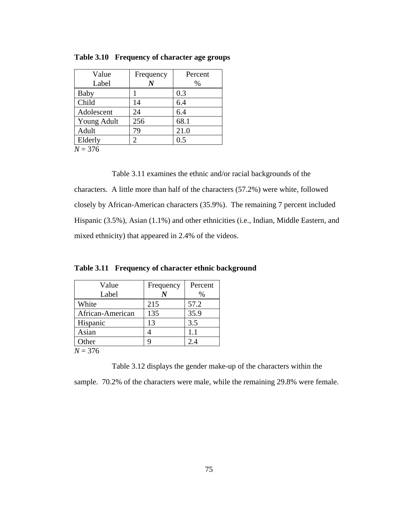| Value       | Frequency | Percent |
|-------------|-----------|---------|
| Label       |           | %       |
| Baby        |           | 0.3     |
| Child       | 14        | 6.4     |
| Adolescent  | 24        | 6.4     |
| Young Adult | 256       | 68.1    |
| Adult       | 79        | 21.0    |
| Elderly     | 2         | $0.5\,$ |
| <b>T</b>    |           |         |

**Table 3.10 Frequency of character age groups** 

 $N = 376$ 

Table 3.11 examines the ethnic and/or racial backgrounds of the

characters. A little more than half of the characters (57.2%) were white, followed closely by African-American characters (35.9%). The remaining 7 percent included Hispanic (3.5%), Asian (1.1%) and other ethnicities (i.e., Indian, Middle Eastern, and mixed ethnicity) that appeared in 2.4% of the videos.

**Table 3.11 Frequency of character ethnic background** 

| Value            | Frequency | Percent |
|------------------|-----------|---------|
| Label            |           | $\%$    |
| White            | 215       | 57.2    |
| African-American | 135       | 35.9    |
| Hispanic         | 13        | 3.5     |
| Asian            |           | 1.1     |
| Other            |           | 2.4     |
| $N = 376$        |           |         |

Table 3.12 displays the gender make-up of the characters within the

sample. 70.2% of the characters were male, while the remaining 29.8% were female.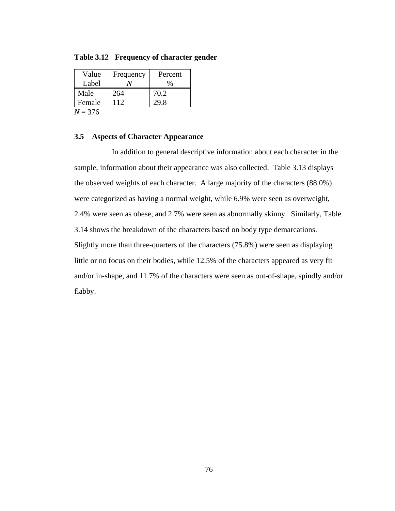| Value     | Frequency | Percent       |
|-----------|-----------|---------------|
| Label     |           | $\frac{0}{0}$ |
| Male      | 264       | 70.2          |
| Female    | 112       | 29.8          |
| $N = 376$ |           |               |

**Table 3.12 Frequency of character gender** 

#### **3.5 Aspects of Character Appearance**

In addition to general descriptive information about each character in the sample, information about their appearance was also collected. Table 3.13 displays the observed weights of each character. A large majority of the characters (88.0%) were categorized as having a normal weight, while 6.9% were seen as overweight, 2.4% were seen as obese, and 2.7% were seen as abnormally skinny. Similarly, Table 3.14 shows the breakdown of the characters based on body type demarcations. Slightly more than three-quarters of the characters (75.8%) were seen as displaying little or no focus on their bodies, while 12.5% of the characters appeared as very fit and/or in-shape, and 11.7% of the characters were seen as out-of-shape, spindly and/or flabby.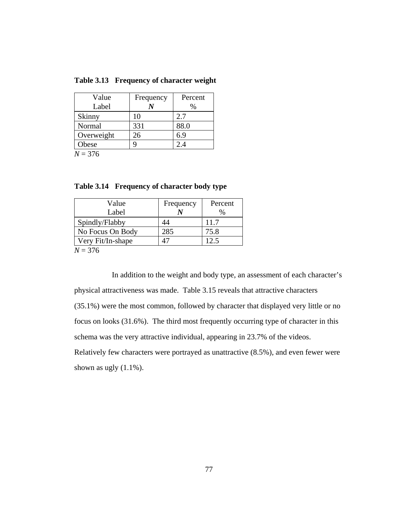| Value<br>Label | Frequency | Percent<br>% |
|----------------|-----------|--------------|
| Skinny         | 10        | 2.7          |
| Normal         | 331       | 88.0         |
| Overweight     | 26        | 6.9          |
| Obese          |           | 2.4          |
| $N = 376$      |           |              |

**Table 3.13 Frequency of character weight** 

| Table 3.14 Frequency of character body type |
|---------------------------------------------|
|---------------------------------------------|

| Value                     | Frequency | Percent |
|---------------------------|-----------|---------|
| Label                     |           | $\%$    |
| Spindly/Flabby            |           | 11.7    |
| No Focus On Body          | 285       | 75.8    |
| Very Fit/In-shape         |           | 12.5    |
| $\mathbf{M}$ $\mathbf{C}$ |           |         |

 $N = 376$ 

In addition to the weight and body type, an assessment of each character's physical attractiveness was made. Table 3.15 reveals that attractive characters (35.1%) were the most common, followed by character that displayed very little or no focus on looks (31.6%). The third most frequently occurring type of character in this schema was the very attractive individual, appearing in 23.7% of the videos. Relatively few characters were portrayed as unattractive (8.5%), and even fewer were shown as ugly  $(1.1\%)$ .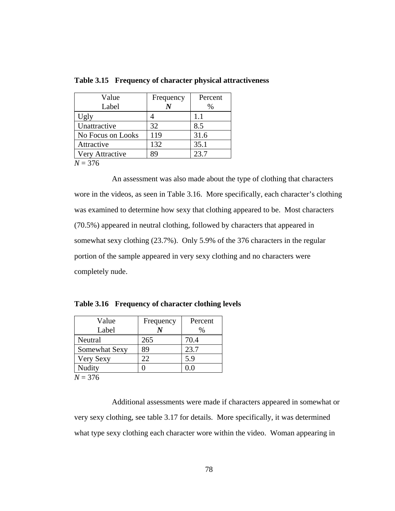| Frequency | Percent |
|-----------|---------|
|           | %       |
|           | 1.1     |
| 32        | 8.5     |
| 119       | 31.6    |
| 132       | 35.1    |
| 89        | 23.7    |
|           |         |

**Table 3.15 Frequency of character physical attractiveness** 

 $N = 376$ 

An assessment was also made about the type of clothing that characters wore in the videos, as seen in Table 3.16. More specifically, each character's clothing was examined to determine how sexy that clothing appeared to be. Most characters (70.5%) appeared in neutral clothing, followed by characters that appeared in somewhat sexy clothing (23.7%). Only 5.9% of the 376 characters in the regular portion of the sample appeared in very sexy clothing and no characters were completely nude.

**Table 3.16 Frequency of character clothing levels** 

| Value         | Frequency | Percent |
|---------------|-----------|---------|
| Label         |           | %       |
| Neutral       | 265       | 70.4    |
| Somewhat Sexy | 89        | 23.7    |
| Very Sexy     | 22        | 5.9     |
| Nudity        |           | 0.0     |
| $N = 376$     |           |         |

Additional assessments were made if characters appeared in somewhat or very sexy clothing, see table 3.17 for details. More specifically, it was determined what type sexy clothing each character wore within the video. Woman appearing in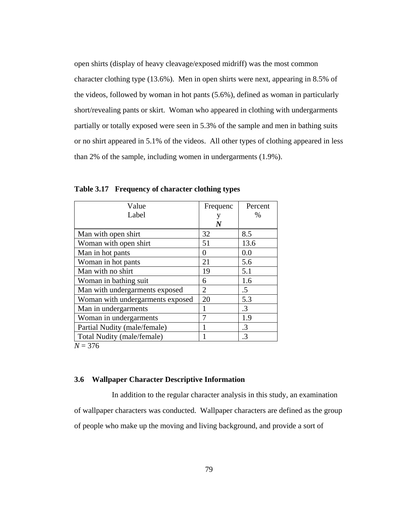open shirts (display of heavy cleavage/exposed midriff) was the most common character clothing type (13.6%). Men in open shirts were next, appearing in 8.5% of the videos, followed by woman in hot pants (5.6%), defined as woman in particularly short/revealing pants or skirt. Woman who appeared in clothing with undergarments partially or totally exposed were seen in 5.3% of the sample and men in bathing suits or no shirt appeared in 5.1% of the videos. All other types of clothing appeared in less than 2% of the sample, including women in undergarments (1.9%).

| Value                            | Frequenc          | Percent   |
|----------------------------------|-------------------|-----------|
| Label                            |                   | $\%$      |
|                                  | $\boldsymbol{N}$  |           |
| Man with open shirt              | 32                | 8.5       |
| Woman with open shirt            | 51                | 13.6      |
| Man in hot pants                 | $\mathbf{\Omega}$ | 0.0       |
| Woman in hot pants               | 21                | 5.6       |
| Man with no shirt                | 19                | 5.1       |
| Woman in bathing suit            | 6                 | 1.6       |
| Man with undergarments exposed   | $\overline{2}$    | $.5\,$    |
| Woman with undergarments exposed | 20                | 5.3       |
| Man in undergarments             |                   | $\cdot$ 3 |
| Woman in undergarments           |                   | 1.9       |
| Partial Nudity (male/female)     |                   | .3        |
| Total Nudity (male/female)       |                   | .3        |

**Table 3.17 Frequency of character clothing types** 

 $N = 376$ 

### **3.6 Wallpaper Character Descriptive Information**

In addition to the regular character analysis in this study, an examination of wallpaper characters was conducted. Wallpaper characters are defined as the group of people who make up the moving and living background, and provide a sort of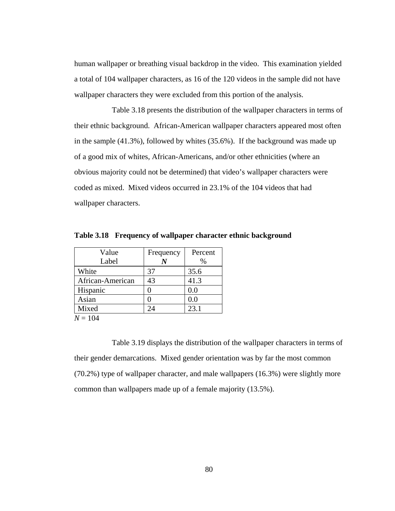human wallpaper or breathing visual backdrop in the video. This examination yielded a total of 104 wallpaper characters, as 16 of the 120 videos in the sample did not have wallpaper characters they were excluded from this portion of the analysis.

Table 3.18 presents the distribution of the wallpaper characters in terms of their ethnic background. African-American wallpaper characters appeared most often in the sample (41.3%), followed by whites (35.6%). If the background was made up of a good mix of whites, African-Americans, and/or other ethnicities (where an obvious majority could not be determined) that video's wallpaper characters were coded as mixed. Mixed videos occurred in 23.1% of the 104 videos that had wallpaper characters.

| Value            | Frequency | Percent |
|------------------|-----------|---------|
| Label            |           | $\%$    |
| White            | 37        | 35.6    |
| African-American | 43        | 41.3    |
| Hispanic         |           | 0.0     |
| Asian            |           | 0.0     |
| Mixed            | 24        | 23.1    |

**Table 3.18 Frequency of wallpaper character ethnic background** 

 $N = 104$ 

Table 3.19 displays the distribution of the wallpaper characters in terms of their gender demarcations. Mixed gender orientation was by far the most common (70.2%) type of wallpaper character, and male wallpapers (16.3%) were slightly more common than wallpapers made up of a female majority (13.5%).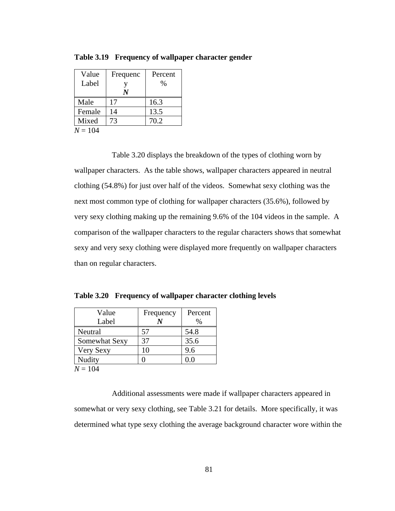| Value     | Frequenc | Percent |
|-----------|----------|---------|
| Label     |          | %       |
|           |          |         |
| Male      | 17       | 16.3    |
| Female    | 14       | 13.5    |
| Mixed     | 73       | 70.2    |
| $N = 104$ |          |         |

**Table 3.19 Frequency of wallpaper character gender** 

Table 3.20 displays the breakdown of the types of clothing worn by wallpaper characters. As the table shows, wallpaper characters appeared in neutral clothing (54.8%) for just over half of the videos. Somewhat sexy clothing was the next most common type of clothing for wallpaper characters (35.6%), followed by very sexy clothing making up the remaining 9.6% of the 104 videos in the sample. A comparison of the wallpaper characters to the regular characters shows that somewhat sexy and very sexy clothing were displayed more frequently on wallpaper characters than on regular characters.

|  |  |  |  | Table 3.20 Frequency of wallpaper character clothing levels |
|--|--|--|--|-------------------------------------------------------------|
|--|--|--|--|-------------------------------------------------------------|

| Value         | Frequency | Percent |
|---------------|-----------|---------|
| Label         |           | $\%$    |
| Neutral       | 57        | 54.8    |
| Somewhat Sexy | 37        | 35.6    |
| Very Sexy     | 10        | 9.6     |
| Nudity        |           | 0.0     |
| $N = 104$     |           |         |

Additional assessments were made if wallpaper characters appeared in somewhat or very sexy clothing, see Table 3.21 for details. More specifically, it was determined what type sexy clothing the average background character wore within the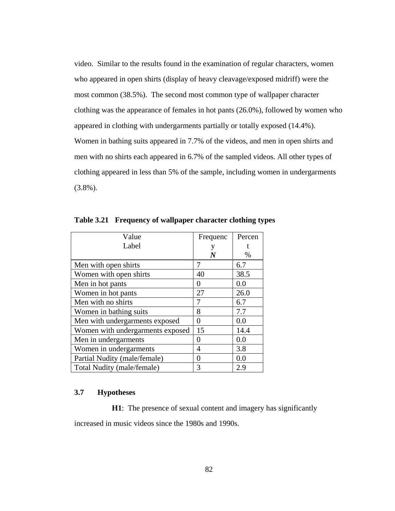video. Similar to the results found in the examination of regular characters, women who appeared in open shirts (display of heavy cleavage/exposed midriff) were the most common (38.5%). The second most common type of wallpaper character clothing was the appearance of females in hot pants (26.0%), followed by women who appeared in clothing with undergarments partially or totally exposed (14.4%). Women in bathing suits appeared in 7.7% of the videos, and men in open shirts and men with no shirts each appeared in 6.7% of the sampled videos. All other types of clothing appeared in less than 5% of the sample, including women in undergarments (3.8%).

| Value                            | Frequenc | Percen |
|----------------------------------|----------|--------|
| Label                            |          |        |
|                                  | N        | $\%$   |
| Men with open shirts             | 7        | 6.7    |
| Women with open shirts           | 40       | 38.5   |
| Men in hot pants                 | 0        | 0.0    |
| Women in hot pants               | 27       | 26.0   |
| Men with no shirts               | 7        | 6.7    |
| Women in bathing suits           | 8        | 7.7    |
| Men with undergarments exposed   | 0        | 0.0    |
| Women with undergarments exposed | 15       | 14.4   |
| Men in undergarments             | 0        | 0.0    |
| Women in undergarments           | 4        | 3.8    |
| Partial Nudity (male/female)     | 0        | 0.0    |
| Total Nudity (male/female)       | 3        | 2.9    |

**Table 3.21 Frequency of wallpaper character clothing types** 

#### **3.7 Hypotheses**

**H1**: The presence of sexual content and imagery has significantly increased in music videos since the 1980s and 1990s.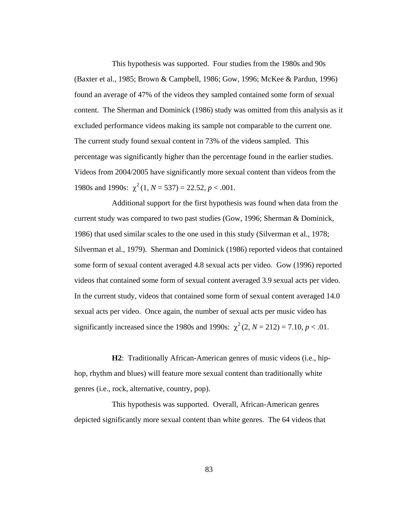This hypothesis was supported. Four studies from the 1980s and 90s (Baxter et al., 1985; Brown & Campbell, 1986; Gow, 1996; McKee & Pardun, 1996) found an average of 47% of the videos they sampled contained some form of sexual content. The Sherman and Dominick (1986) study was omitted from this analysis as it excluded performance videos making its sample not comparable to the current one. The current study found sexual content in 73% of the videos sampled. This percentage was significantly higher than the percentage found in the earlier studies. Videos from 2004/2005 have significantly more sexual content than videos from the 1980s and 1990s:  $\chi^2$  (1, *N* = 537) = 22.52, *p* < .001.

Additional support for the first hypothesis was found when data from the current study was compared to two past studies (Gow, 1996; Sherman & Dominick, 1986) that used similar scales to the one used in this study (Silverman et al., 1978; Silverman et al., 1979). Sherman and Dominick (1986) reported videos that contained some form of sexual content averaged 4.8 sexual acts per video. Gow (1996) reported videos that contained some form of sexual content averaged 3.9 sexual acts per video. In the current study, videos that contained some form of sexual content averaged 14.0 sexual acts per video. Once again, the number of sexual acts per music video has significantly increased since the 1980s and 1990s:  $\chi^2$  (2, *N* = 212) = 7.10, *p* < .01.

**H2**: Traditionally African-American genres of music videos (i.e., hiphop, rhythm and blues) will feature more sexual content than traditionally white genres (i.e., rock, alternative, country, pop).

This hypothesis was supported. Overall, African-American genres depicted significantly more sexual content than white genres. The 64 videos that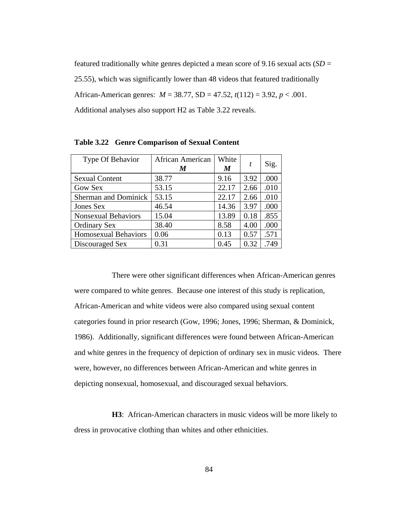featured traditionally white genres depicted a mean score of 9.16 sexual acts (*SD* = 25.55), which was significantly lower than 48 videos that featured traditionally African-American genres: *M* = 38.77, SD = 47.52, *t*(112) = 3.92, *p* < .001. Additional analyses also support H2 as Table 3.22 reveals.

| Type Of Behavior            | African American<br>M | White<br>$\boldsymbol{M}$ | t    | Sig. |
|-----------------------------|-----------------------|---------------------------|------|------|
| <b>Sexual Content</b>       | 38.77                 | 9.16                      | 3.92 | .000 |
| Gow Sex                     | 53.15                 | 22.17                     | 2.66 | .010 |
| Sherman and Dominick        | 53.15                 | 22.17                     | 2.66 | .010 |
| Jones Sex                   | 46.54                 | 14.36                     | 3.97 | .000 |
| <b>Nonsexual Behaviors</b>  | 15.04                 | 13.89                     | 0.18 | .855 |
| <b>Ordinary Sex</b>         | 38.40                 | 8.58                      | 4.00 | .000 |
| <b>Homosexual Behaviors</b> | 0.06                  | 0.13                      | 0.57 | .571 |
| Discouraged Sex             | 0.31                  | 0.45                      | 0.32 | .749 |

**Table 3.22 Genre Comparison of Sexual Content** 

There were other significant differences when African-American genres were compared to white genres. Because one interest of this study is replication, African-American and white videos were also compared using sexual content categories found in prior research (Gow, 1996; Jones, 1996; Sherman, & Dominick, 1986). Additionally, significant differences were found between African-American and white genres in the frequency of depiction of ordinary sex in music videos. There were, however, no differences between African-American and white genres in depicting nonsexual, homosexual, and discouraged sexual behaviors.

**H3**: African-American characters in music videos will be more likely to dress in provocative clothing than whites and other ethnicities.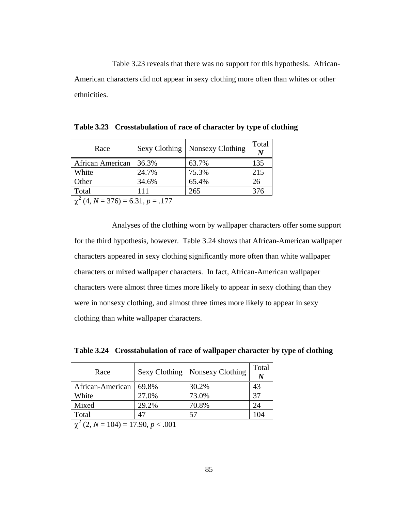Table 3.23 reveals that there was no support for this hypothesis. African-American characters did not appear in sexy clothing more often than whites or other ethnicities.

| Sexy Clothing |       | Total<br>N       |
|---------------|-------|------------------|
| 36.3%         | 63.7% | 135              |
| 24.7%         | 75.3% | 215              |
| 34.6%         | 65.4% | 26               |
| 111           | 265   | 376              |
|               |       | Nonsexy Clothing |

**Table 3.23 Crosstabulation of race of character by type of clothing** 

 $\chi^2$  (4, *N* = 376) = 6.31, *p* = .177

Analyses of the clothing worn by wallpaper characters offer some support for the third hypothesis, however. Table 3.24 shows that African-American wallpaper characters appeared in sexy clothing significantly more often than white wallpaper characters or mixed wallpaper characters. In fact, African-American wallpaper characters were almost three times more likely to appear in sexy clothing than they were in nonsexy clothing, and almost three times more likely to appear in sexy clothing than white wallpaper characters.

**Table 3.24 Crosstabulation of race of wallpaper character by type of clothing** 

| Race             |       | Sexy Clothing   Nonsexy Clothing | Total<br>N |
|------------------|-------|----------------------------------|------------|
| African-American | 69.8% | 30.2%                            | 43         |
| White            | 27.0% | 73.0%                            | 37         |
| Mixed            | 29.2% | 70.8%                            | 24         |
| Total            |       |                                  | 104        |

 $\chi^2$  (2, *N* = 104) = 17.90, *p* < .001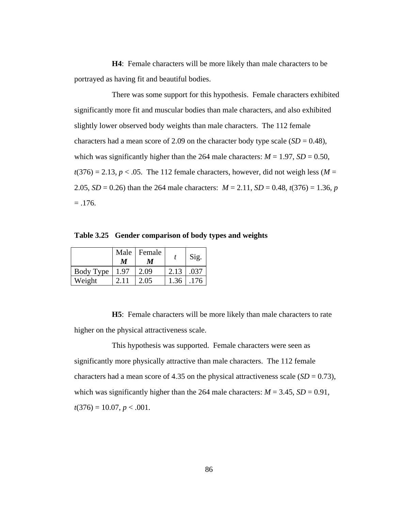**H4**: Female characters will be more likely than male characters to be portrayed as having fit and beautiful bodies.

There was some support for this hypothesis. Female characters exhibited significantly more fit and muscular bodies than male characters, and also exhibited slightly lower observed body weights than male characters. The 112 female characters had a mean score of 2.09 on the character body type scale  $(SD = 0.48)$ , which was significantly higher than the 264 male characters:  $M = 1.97$ ,  $SD = 0.50$ ,  $t(376) = 2.13$ ,  $p < .05$ . The 112 female characters, however, did not weigh less (*M* = 2.05, *SD* = 0.26) than the 264 male characters: *M* = 2.11, *SD* = 0.48, *t*(376) = 1.36, *p*  $=.176.$ 

**Table 3.25 Gender comparison of body types and weights** 

|           | М    | Male Female<br>М |      | Sig. |
|-----------|------|------------------|------|------|
| Body Type | 1.97 | 2.09             | 2.13 | .037 |
| Weight    | 2.11 | 2.05             | 1.36 | .176 |

**H5**: Female characters will be more likely than male characters to rate higher on the physical attractiveness scale.

This hypothesis was supported. Female characters were seen as significantly more physically attractive than male characters. The 112 female characters had a mean score of 4.35 on the physical attractiveness scale  $(SD = 0.73)$ , which was significantly higher than the 264 male characters:  $M = 3.45$ ,  $SD = 0.91$ ,  $t(376) = 10.07, p < .001.$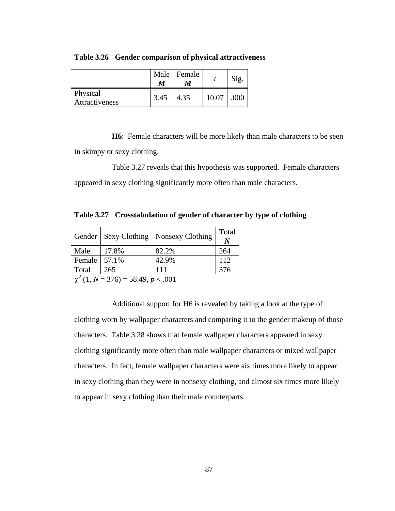|                            | M    | Male Female |       | Sig. |
|----------------------------|------|-------------|-------|------|
| Physical<br>Attractiveness | 3.45 | 4.35        | 10.07 | 000  |

**Table 3.26 Gender comparison of physical attractiveness** 

**H6**: Female characters will be more likely than male characters to be seen in skimpy or sexy clothing.

Table 3.27 reveals that this hypothesis was supported. Female characters appeared in sexy clothing significantly more often than male characters.

**Table 3.27 Crosstabulation of gender of character by type of clothing** 

|             |       | Gender   Sexy Clothing   Nonsexy Clothing | Total<br>$\boldsymbol{N}$ |
|-------------|-------|-------------------------------------------|---------------------------|
| Male        | 17.8% | 82.2%                                     | 264                       |
| Female      | 57.1% | 42.9%                                     | 112                       |
| Total       | 265   | 111                                       | 376                       |
| $2\sqrt{2}$ |       |                                           |                           |

 $\chi^2$  (1, *N* = 376) = 58.49, *p* < .001

Additional support for H6 is revealed by taking a look at the type of clothing worn by wallpaper characters and comparing it to the gender makeup of those characters. Table 3.28 shows that female wallpaper characters appeared in sexy clothing significantly more often than male wallpaper characters or mixed wallpaper characters. In fact, female wallpaper characters were six times more likely to appear in sexy clothing than they were in nonsexy clothing, and almost six times more likely to appear in sexy clothing than their male counterparts.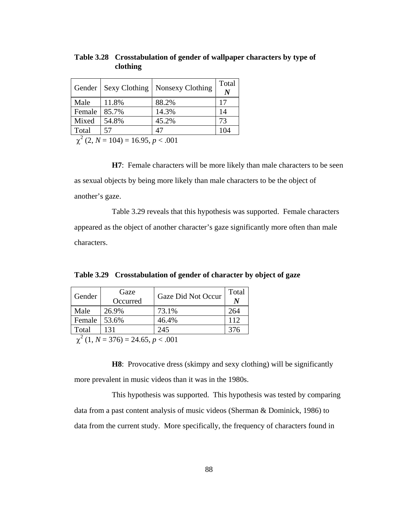|        |       | Gender   Sexy Clothing   Nonsexy Clothing | Total |
|--------|-------|-------------------------------------------|-------|
| Male   | 11.8% | 88.2%                                     |       |
| Female | 85.7% | 14.3%                                     | 14    |
| Mixed  | 54.8% | 45.2%                                     | 73    |
| Total  | 57    |                                           | 104   |

**Table 3.28 Crosstabulation of gender of wallpaper characters by type of clothing** 

 $\chi^2$  (2, *N* = 104) = 16.95, *p* < .001

**H7**: Female characters will be more likely than male characters to be seen as sexual objects by being more likely than male characters to be the object of another's gaze.

Table 3.29 reveals that this hypothesis was supported. Female characters appeared as the object of another character's gaze significantly more often than male characters.

| Gender | Gaze<br>Occurred | Gaze Did Not Occur | Total<br>N |
|--------|------------------|--------------------|------------|
| Male   | 26.9%            | 73.1%              | 264        |
| Female | 53.6%            | 46.4%              | 112        |
| Total  |                  | 245                |            |

**Table 3.29 Crosstabulation of gender of character by object of gaze** 

 $\chi^2$  (1, *N* = 376) = 24.65, *p* < .001

**H8**: Provocative dress (skimpy and sexy clothing) will be significantly more prevalent in music videos than it was in the 1980s.

This hypothesis was supported. This hypothesis was tested by comparing data from a past content analysis of music videos (Sherman & Dominick, 1986) to data from the current study. More specifically, the frequency of characters found in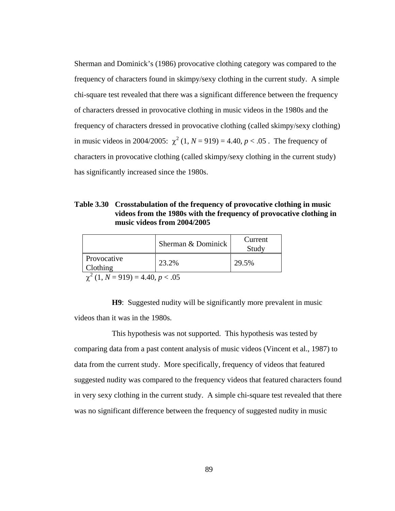Sherman and Dominick's (1986) provocative clothing category was compared to the frequency of characters found in skimpy/sexy clothing in the current study. A simple chi-square test revealed that there was a significant difference between the frequency of characters dressed in provocative clothing in music videos in the 1980s and the frequency of characters dressed in provocative clothing (called skimpy/sexy clothing) in music videos in 2004/2005:  $\chi^2$  (1, *N* = 919) = 4.40, *p* < .05. The frequency of characters in provocative clothing (called skimpy/sexy clothing in the current study) has significantly increased since the 1980s.

### **Table 3.30 Crosstabulation of the frequency of provocative clothing in music videos from the 1980s with the frequency of provocative clothing in music videos from 2004/2005**

|                         | Sherman & Dominick | Current<br>Study |
|-------------------------|--------------------|------------------|
| Provocative<br>Clothing | 23.2%              | 29.5%            |
| $\sim$                  |                    |                  |

 $\chi^2$  (1, *N* = 919) = 4.40, *p* < .05

**H9**: Suggested nudity will be significantly more prevalent in music videos than it was in the 1980s.

This hypothesis was not supported. This hypothesis was tested by comparing data from a past content analysis of music videos (Vincent et al., 1987) to data from the current study. More specifically, frequency of videos that featured suggested nudity was compared to the frequency videos that featured characters found in very sexy clothing in the current study. A simple chi-square test revealed that there was no significant difference between the frequency of suggested nudity in music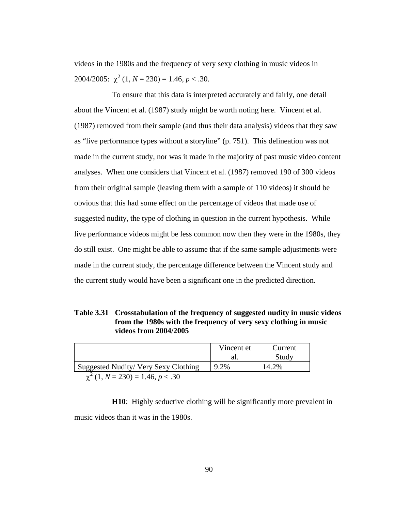videos in the 1980s and the frequency of very sexy clothing in music videos in 2004/2005:  $\chi^2$  (1, *N* = 230) = 1.46, *p* < .30.

To ensure that this data is interpreted accurately and fairly, one detail about the Vincent et al. (1987) study might be worth noting here. Vincent et al. (1987) removed from their sample (and thus their data analysis) videos that they saw as "live performance types without a storyline" (p. 751). This delineation was not made in the current study, nor was it made in the majority of past music video content analyses. When one considers that Vincent et al. (1987) removed 190 of 300 videos from their original sample (leaving them with a sample of 110 videos) it should be obvious that this had some effect on the percentage of videos that made use of suggested nudity, the type of clothing in question in the current hypothesis. While live performance videos might be less common now then they were in the 1980s, they do still exist. One might be able to assume that if the same sample adjustments were made in the current study, the percentage difference between the Vincent study and the current study would have been a significant one in the predicted direction.

**Table 3.31 Crosstabulation of the frequency of suggested nudity in music videos from the 1980s with the frequency of very sexy clothing in music videos from 2004/2005** 

|                                                | Vincent et<br>аı. | Current<br>Study |
|------------------------------------------------|-------------------|------------------|
| Suggested Nudity/Very Sexy Clothing            | 9.2%              | $4.2\%$          |
| $\gamma^2$ (1 $N = 220$ ) = 1.46 $n \times 20$ |                   |                  |

 $\chi^2$  (1, *N* = 230) = 1.46, *p* < .30

**H10**: Highly seductive clothing will be significantly more prevalent in music videos than it was in the 1980s.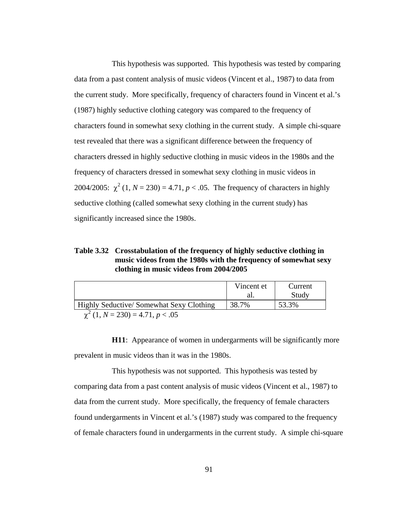This hypothesis was supported. This hypothesis was tested by comparing data from a past content analysis of music videos (Vincent et al., 1987) to data from the current study. More specifically, frequency of characters found in Vincent et al.'s (1987) highly seductive clothing category was compared to the frequency of characters found in somewhat sexy clothing in the current study. A simple chi-square test revealed that there was a significant difference between the frequency of characters dressed in highly seductive clothing in music videos in the 1980s and the frequency of characters dressed in somewhat sexy clothing in music videos in 2004/2005:  $\chi^2$  (1, *N* = 230) = 4.71, *p* < .05. The frequency of characters in highly seductive clothing (called somewhat sexy clothing in the current study) has significantly increased since the 1980s.

**Table 3.32 Crosstabulation of the frequency of highly seductive clothing in music videos from the 1980s with the frequency of somewhat sexy clothing in music videos from 2004/2005** 

|                                          | Vincent et<br>aı. | Current<br>Studv |
|------------------------------------------|-------------------|------------------|
| Highly Seductive/ Somewhat Sexy Clothing | 38<br>7%          | 3.3%             |
| $200 \times 471 = 205$<br>$\lambda T$    |                   |                  |

 $\chi^2$  (1, *N* = 230) = 4.71, *p* < .05

**H11**: Appearance of women in undergarments will be significantly more prevalent in music videos than it was in the 1980s.

This hypothesis was not supported. This hypothesis was tested by comparing data from a past content analysis of music videos (Vincent et al., 1987) to data from the current study. More specifically, the frequency of female characters found undergarments in Vincent et al.'s (1987) study was compared to the frequency of female characters found in undergarments in the current study. A simple chi-square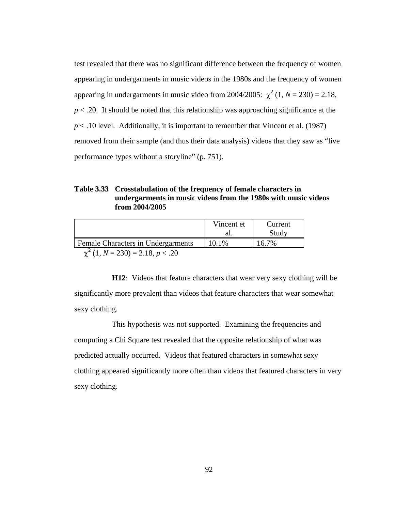test revealed that there was no significant difference between the frequency of women appearing in undergarments in music videos in the 1980s and the frequency of women appearing in undergarments in music video from 2004/2005:  $\chi^2$  (1,  $N = 230$ ) = 2.18,  $p < 0.20$ . It should be noted that this relationship was approaching significance at the  $p < 0.10$  level. Additionally, it is important to remember that Vincent et al. (1987) removed from their sample (and thus their data analysis) videos that they saw as "live performance types without a storyline" (p. 751).

### **Table 3.33 Crosstabulation of the frequency of female characters in undergarments in music videos from the 1980s with music videos from 2004/2005**

|                                    | Vincent et | Current |
|------------------------------------|------------|---------|
|                                    |            | Study   |
| Female Characters in Undergarments | 10.1%      | 16.7%   |
|                                    |            |         |

 $\chi^2$  (1, *N* = 230) = 2.18, *p* < .20

**H12**: Videos that feature characters that wear very sexy clothing will be significantly more prevalent than videos that feature characters that wear somewhat sexy clothing.

This hypothesis was not supported. Examining the frequencies and computing a Chi Square test revealed that the opposite relationship of what was predicted actually occurred. Videos that featured characters in somewhat sexy clothing appeared significantly more often than videos that featured characters in very sexy clothing.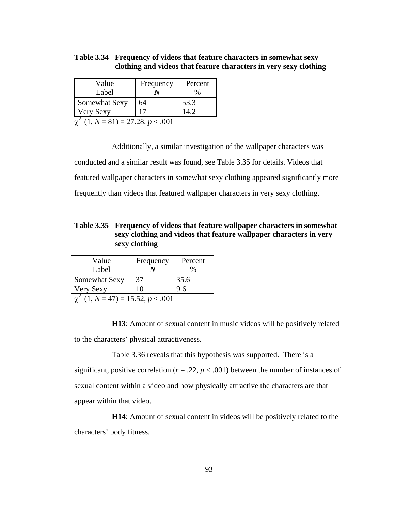| Value                                  | Frequency | Percent       |  |
|----------------------------------------|-----------|---------------|--|
| Label                                  |           | $\frac{0}{0}$ |  |
| Somewhat Sexy                          | 64        | 53.3          |  |
| Very Sexy                              |           | 14.2          |  |
| $\chi^2$ (1, N = 81) = 27.28, p < .001 |           |               |  |

**Table 3.34 Frequency of videos that feature characters in somewhat sexy clothing and videos that feature characters in very sexy clothing** 

Additionally, a similar investigation of the wallpaper characters was conducted and a similar result was found, see Table 3.35 for details. Videos that featured wallpaper characters in somewhat sexy clothing appeared significantly more frequently than videos that featured wallpaper characters in very sexy clothing.

| Table 3.35 Frequency of videos that feature wallpaper characters in somewhat |
|------------------------------------------------------------------------------|
| sexy clothing and videos that feature wallpaper characters in very           |
| sexy clothing                                                                |

| Value<br>Label   | Frequency | Percent |  |
|------------------|-----------|---------|--|
| Somewhat Sexy    |           | 35.6    |  |
| Very Sexy        |           | 9.6     |  |
| $15.52 \pm 0.01$ |           |         |  |

 $\chi^2$  (1, *N* = 47) = 15.52, *p* < .001

**H13**: Amount of sexual content in music videos will be positively related to the characters' physical attractiveness.

Table 3.36 reveals that this hypothesis was supported. There is a significant, positive correlation ( $r = .22$ ,  $p < .001$ ) between the number of instances of sexual content within a video and how physically attractive the characters are that appear within that video.

**H14**: Amount of sexual content in videos will be positively related to the characters' body fitness.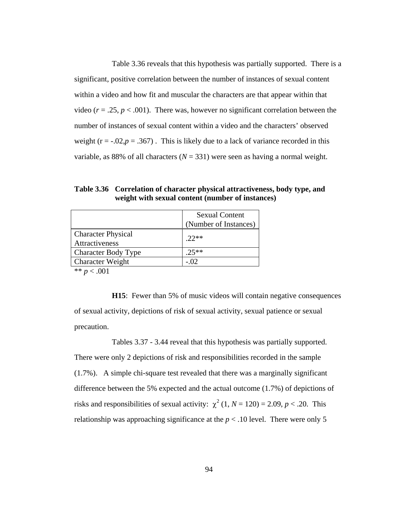Table 3.36 reveals that this hypothesis was partially supported. There is a significant, positive correlation between the number of instances of sexual content within a video and how fit and muscular the characters are that appear within that video ( $r = .25$ ,  $p < .001$ ). There was, however no significant correlation between the number of instances of sexual content within a video and the characters' observed weight ( $r = -0.02$ , $p = 0.367$ ). This is likely due to a lack of variance recorded in this variable, as 88% of all characters  $(N = 331)$  were seen as having a normal weight.

**Table 3.36 Correlation of character physical attractiveness, body type, and weight with sexual content (number of instances)** 

|                                             | <b>Sexual Content</b> |  |
|---------------------------------------------|-----------------------|--|
|                                             | (Number of Instances) |  |
| <b>Character Physical</b><br>Attractiveness | $22**$                |  |
| <b>Character Body Type</b>                  | $.25**$               |  |
| <b>Character Weight</b>                     | - 02                  |  |

\*\* *p* < .001

**H15**: Fewer than 5% of music videos will contain negative consequences of sexual activity, depictions of risk of sexual activity, sexual patience or sexual precaution.

Tables 3.37 - 3.44 reveal that this hypothesis was partially supported. There were only 2 depictions of risk and responsibilities recorded in the sample (1.7%). A simple chi-square test revealed that there was a marginally significant difference between the 5% expected and the actual outcome (1.7%) of depictions of risks and responsibilities of sexual activity:  $\chi^2$  (1, *N* = 120) = 2.09, *p* < .20. This relationship was approaching significance at the  $p < 0.10$  level. There were only 5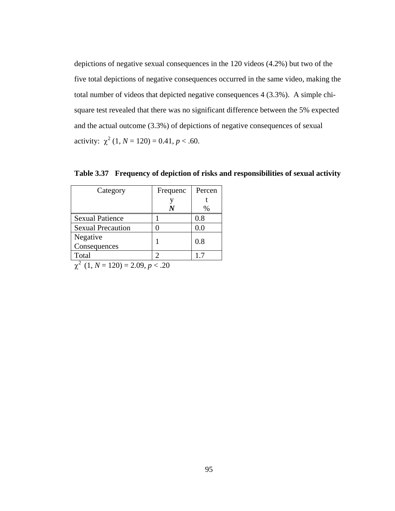depictions of negative sexual consequences in the 120 videos (4.2%) but two of the five total depictions of negative consequences occurred in the same video, making the total number of videos that depicted negative consequences 4 (3.3%). A simple chisquare test revealed that there was no significant difference between the 5% expected and the actual outcome (3.3%) of depictions of negative consequences of sexual activity:  $\chi^2$  (1, *N* = 120) = 0.41, *p* < .60.

| Category                              | Frequenc      | Percen |  |
|---------------------------------------|---------------|--------|--|
|                                       |               |        |  |
|                                       |               | $\%$   |  |
| <b>Sexual Patience</b>                |               | 0.8    |  |
| <b>Sexual Precaution</b>              |               | 0.0    |  |
| Negative                              |               | 0.8    |  |
| Consequences                          |               |        |  |
| Total                                 | $\mathcal{D}$ | 1.7    |  |
| $\chi^2$ (1, N = 120) = 2.09, p < .20 |               |        |  |

**Table 3.37 Frequency of depiction of risks and responsibilities of sexual activity**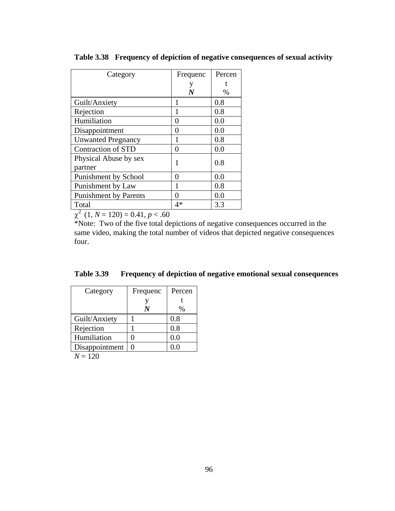| Category                     | Frequenc      | Percen |
|------------------------------|---------------|--------|
|                              |               |        |
|                              | $\bm{N}$      | %      |
| Guilt/Anxiety                |               | 0.8    |
| Rejection                    |               | 0.8    |
| Humiliation                  | $\mathcal{O}$ | 0.0    |
| Disappointment               | 0             | 0.0    |
| <b>Unwanted Pregnancy</b>    |               | 0.8    |
| <b>Contraction of STD</b>    | 0             | 0.0    |
| Physical Abuse by sex        |               | 0.8    |
| partner                      |               |        |
| Punishment by School         | 0             | 0.0    |
| Punishment by Law            |               | 0.8    |
| <b>Punishment by Parents</b> | 0             | 0.0    |
| Total                        | 4*            | 3.3    |

**Table 3.38 Frequency of depiction of negative consequences of sexual activity** 

 $\chi^2$  (1, *N* = 120) = 0.41, *p* < .60

\*Note: Two of the five total depictions of negative consequences occurred in the same video, making the total number of videos that depicted negative consequences four.

| <b>Table 3.39</b> | Frequency of depiction of negative emotional sexual consequences |  |
|-------------------|------------------------------------------------------------------|--|
|                   |                                                                  |  |

| Category             | Frequenc | Percen |
|----------------------|----------|--------|
|                      |          |        |
|                      |          | %      |
| Guilt/Anxiety        |          | 0.8    |
| Rejection            |          | 0.8    |
| Humiliation          |          | 0.0    |
| Disappointment       |          | 0.0    |
| $\overline{M} = 120$ |          |        |

 $N = 120$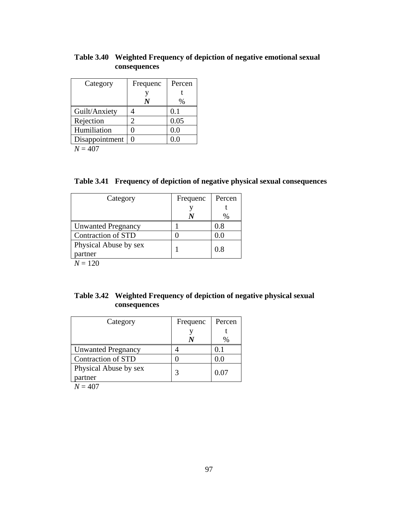| Category       | Frequenc | Percen   |
|----------------|----------|----------|
|                |          |          |
| Guilt/Anxiety  |          | ⅛<br>0.1 |
| Rejection      |          | 0.05     |
| Humiliation    |          | 0.0      |
| Disappointment |          |          |

# **Table 3.40 Weighted Frequency of depiction of negative emotional sexual consequences**

 $N = 407$ 

|  |  |  |  |  |  | Table 3.41 Frequency of depiction of negative physical sexual consequences |
|--|--|--|--|--|--|----------------------------------------------------------------------------|
|--|--|--|--|--|--|----------------------------------------------------------------------------|

| Category                                   | Frequenc | Percen    |
|--------------------------------------------|----------|-----------|
|                                            |          |           |
|                                            |          | %         |
| <b>Unwanted Pregnancy</b>                  |          | $\rm 0.8$ |
| Contraction of STD                         |          | 0.0       |
| Physical Abuse by sex                      |          | 0.8       |
| partner<br>$1\wedge\wedge$<br>$\mathbf{r}$ |          |           |

 $N = 120$ 

| Table 3.42 Weighted Frequency of depiction of negative physical sexual |
|------------------------------------------------------------------------|
| consequences                                                           |

| Frequenc | Percen |
|----------|--------|
|          |        |
|          | ℅      |
|          | 0.1    |
|          | 0.0    |
|          | 0.07   |
|          |        |
|          |        |

 $N = 407$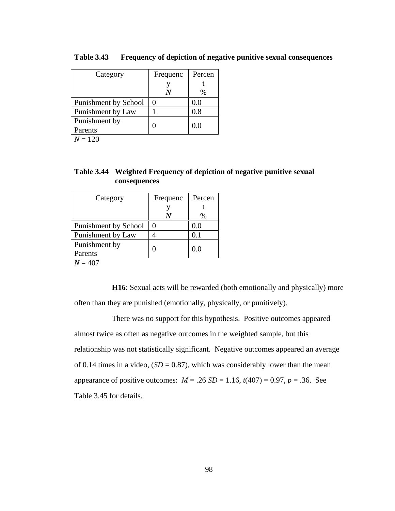| Category             | Frequenc | Percen  |
|----------------------|----------|---------|
|                      |          |         |
|                      |          | %       |
| Punishment by School |          | $0.0\,$ |
| Punishment by Law    |          | 0.8     |
| Punishment by        |          | 0.0     |
| Parents              |          |         |

**Table 3.43 Frequency of depiction of negative punitive sexual consequences** 

 $N = 120$ 

# **Table 3.44 Weighted Frequency of depiction of negative punitive sexual consequences**

| Category             | Frequenc | Percen  |
|----------------------|----------|---------|
|                      |          |         |
|                      |          | %       |
| Punishment by School |          | 0.0     |
| Punishment by Law    |          | $0.1\,$ |
| Punishment by        |          | 0.0     |
| Parents              |          |         |
| $\sim$ $\sim$        |          |         |

 $N = 407$ 

**H16**: Sexual acts will be rewarded (both emotionally and physically) more often than they are punished (emotionally, physically, or punitively).

There was no support for this hypothesis. Positive outcomes appeared almost twice as often as negative outcomes in the weighted sample, but this relationship was not statistically significant. Negative outcomes appeared an average of 0.14 times in a video,  $(SD = 0.87)$ , which was considerably lower than the mean appearance of positive outcomes:  $M = .26 SD = 1.16$ ,  $t(407) = 0.97$ ,  $p = .36$ . See Table 3.45 for details.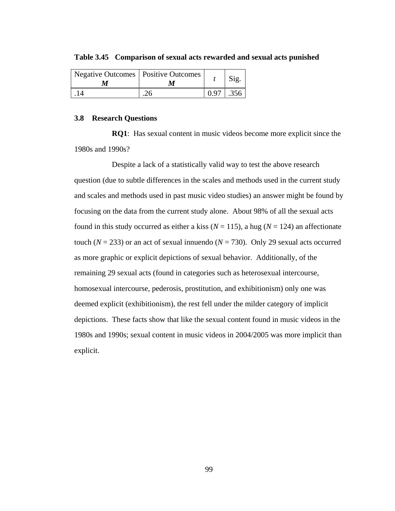| Negative Outcomes   Positive Outcomes |           | Sig. |
|---------------------------------------|-----------|------|
|                                       | 0.97 .356 |      |

#### **Table 3.45 Comparison of sexual acts rewarded and sexual acts punished**

#### **3.8 Research Questions**

**RQ1**: Has sexual content in music videos become more explicit since the 1980s and 1990s?

Despite a lack of a statistically valid way to test the above research question (due to subtle differences in the scales and methods used in the current study and scales and methods used in past music video studies) an answer might be found by focusing on the data from the current study alone. About 98% of all the sexual acts found in this study occurred as either a kiss ( $N = 115$ ), a hug ( $N = 124$ ) an affectionate touch ( $N = 233$ ) or an act of sexual innuendo ( $N = 730$ ). Only 29 sexual acts occurred as more graphic or explicit depictions of sexual behavior. Additionally, of the remaining 29 sexual acts (found in categories such as heterosexual intercourse, homosexual intercourse, pederosis, prostitution, and exhibitionism) only one was deemed explicit (exhibitionism), the rest fell under the milder category of implicit depictions. These facts show that like the sexual content found in music videos in the 1980s and 1990s; sexual content in music videos in 2004/2005 was more implicit than explicit.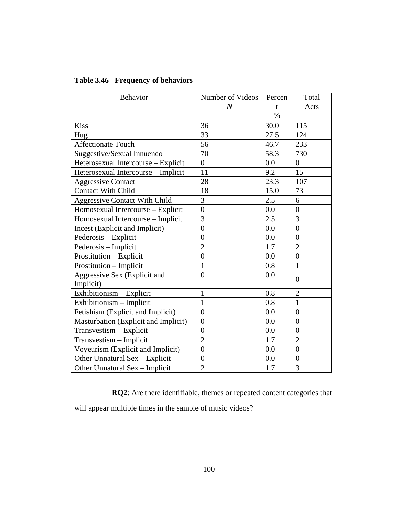| <b>Behavior</b>                      | Number of Videos | Percen | Total          |
|--------------------------------------|------------------|--------|----------------|
|                                      | $\boldsymbol{N}$ | t      | Acts           |
|                                      |                  | $\%$   |                |
| <b>Kiss</b>                          | 36               | 30.0   | 115            |
| Hug                                  | 33               | 27.5   | 124            |
| <b>Affectionate Touch</b>            | 56               | 46.7   | 233            |
| Suggestive/Sexual Innuendo           | 70               | 58.3   | 730            |
| Heterosexual Intercourse - Explicit  | $\overline{0}$   | 0.0    | $\overline{0}$ |
| Heterosexual Intercourse – Implicit  | 11               | 9.2    | 15             |
| <b>Aggressive Contact</b>            | 28               | 23.3   | 107            |
| <b>Contact With Child</b>            | 18               | 15.0   | 73             |
| <b>Aggressive Contact With Child</b> | 3                | 2.5    | 6              |
| Homosexual Intercourse - Explicit    | $\overline{0}$   | 0.0    | $\theta$       |
| Homosexual Intercourse - Implicit    | 3                | 2.5    | 3              |
| Incest (Explicit and Implicit)       | $\overline{0}$   | 0.0    | $\theta$       |
| Pederosis - Explicit                 | $\overline{0}$   | 0.0    | $\overline{0}$ |
| Pederosis - Implicit                 | $\overline{2}$   | 1.7    | $\overline{2}$ |
| Prostitution - Explicit              | $\overline{0}$   | 0.0    | $\overline{0}$ |
| Prostitution - Implicit              | 1                | 0.8    | 1              |
| Aggressive Sex (Explicit and         | $\overline{0}$   | 0.0    | $\Omega$       |
| Implicit)                            |                  |        |                |
| Exhibitionism - Explicit             | $\mathbf{1}$     | 0.8    | $\overline{2}$ |
| Exhibitionism - Implicit             | $\mathbf{1}$     | 0.8    | $\mathbf{1}$   |
| Fetishism (Explicit and Implicit)    | $\overline{0}$   | 0.0    | $\overline{0}$ |
| Masturbation (Explicit and Implicit) | $\overline{0}$   | 0.0    | $\theta$       |
| Transvestism - Explicit              | $\overline{0}$   | 0.0    | $\overline{0}$ |
| Transvestism - Implicit              | $\overline{2}$   | 1.7    | $\overline{2}$ |
| Voyeurism (Explicit and Implicit)    | $\overline{0}$   | 0.0    | $\overline{0}$ |
| Other Unnatural Sex - Explicit       | $\overline{0}$   | 0.0    | $\overline{0}$ |
| Other Unnatural Sex - Implicit       | $\overline{2}$   | 1.7    | 3              |

# **Table 3.46 Frequency of behaviors**

**RQ2**: Are there identifiable, themes or repeated content categories that will appear multiple times in the sample of music videos?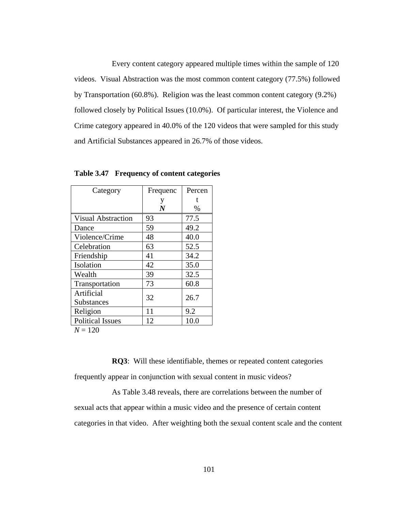Every content category appeared multiple times within the sample of 120 videos. Visual Abstraction was the most common content category (77.5%) followed by Transportation (60.8%). Religion was the least common content category (9.2%) followed closely by Political Issues (10.0%). Of particular interest, the Violence and Crime category appeared in 40.0% of the 120 videos that were sampled for this study and Artificial Substances appeared in 26.7% of those videos.

| Category                  | Frequenc | Percen |
|---------------------------|----------|--------|
|                           | у        |        |
|                           | $\bm{N}$ | %      |
| <b>Visual Abstraction</b> | 93       | 77.5   |
| Dance                     | 59       | 49.2   |
| Violence/Crime            | 48       | 40.0   |
| Celebration               | 63       | 52.5   |
| Friendship                | 41       | 34.2   |
| Isolation                 | 42       | 35.0   |
| Wealth                    | 39       | 32.5   |
| Transportation            | 73       | 60.8   |
| Artificial                | 32       | 26.7   |
| <b>Substances</b>         |          |        |
| Religion                  | 11       | 9.2    |
| <b>Political Issues</b>   | 12       | 10.0   |

**Table 3.47 Frequency of content categories** 

 $N = 120$ 

**RQ3**: Will these identifiable, themes or repeated content categories

frequently appear in conjunction with sexual content in music videos?

As Table 3.48 reveals, there are correlations between the number of sexual acts that appear within a music video and the presence of certain content categories in that video. After weighting both the sexual content scale and the content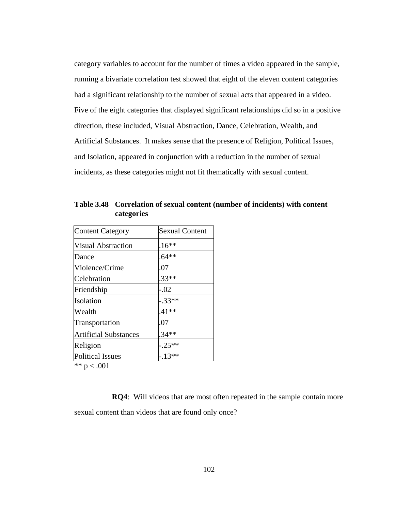category variables to account for the number of times a video appeared in the sample, running a bivariate correlation test showed that eight of the eleven content categories had a significant relationship to the number of sexual acts that appeared in a video. Five of the eight categories that displayed significant relationships did so in a positive direction, these included, Visual Abstraction, Dance, Celebration, Wealth, and Artificial Substances. It makes sense that the presence of Religion, Political Issues, and Isolation, appeared in conjunction with a reduction in the number of sexual incidents, as these categories might not fit thematically with sexual content.

| <b>Content Category</b>      | <b>Sexual Content</b> |
|------------------------------|-----------------------|
| <b>Visual Abstraction</b>    | $.16**$               |
| Dance                        | $.64**$               |
| Violence/Crime               | .07                   |
| Celebration                  | $.33**$               |
| Friendship                   | $-.02$                |
| Isolation                    | $-.33**$              |
| Wealth                       | $.41**$               |
| Transportation               | .07                   |
| <b>Artificial Substances</b> | $.34**$               |
| Religion                     | $-.25**$              |
| <b>Political Issues</b>      | $-13**$               |
| ** $p < .001$                |                       |

**Table 3.48 Correlation of sexual content (number of incidents) with content categories** 

**RQ4**: Will videos that are most often repeated in the sample contain more sexual content than videos that are found only once?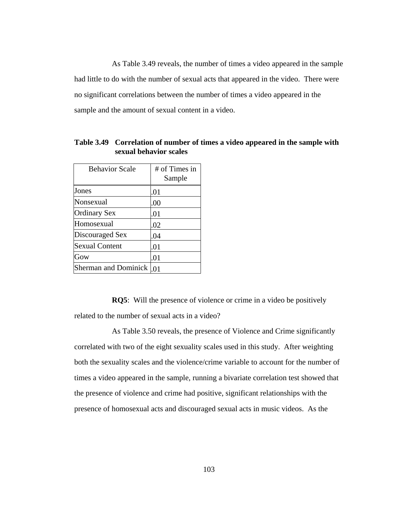As Table 3.49 reveals, the number of times a video appeared in the sample had little to do with the number of sexual acts that appeared in the video. There were no significant correlations between the number of times a video appeared in the sample and the amount of sexual content in a video.

| <b>Behavior Scale</b>       | # of Times in<br>Sample |
|-----------------------------|-------------------------|
| Jones                       | .01                     |
| Nonsexual                   | .00                     |
| <b>Ordinary Sex</b>         | .01                     |
| Homosexual                  | .02                     |
| Discouraged Sex             | .04                     |
| <b>Sexual Content</b>       | .01                     |
| Gow                         | .01                     |
| <b>Sherman and Dominick</b> | LO1                     |

**Table 3.49 Correlation of number of times a video appeared in the sample with sexual behavior scales** 

**RQ5**: Will the presence of violence or crime in a video be positively related to the number of sexual acts in a video?

As Table 3.50 reveals, the presence of Violence and Crime significantly correlated with two of the eight sexuality scales used in this study. After weighting both the sexuality scales and the violence/crime variable to account for the number of times a video appeared in the sample, running a bivariate correlation test showed that the presence of violence and crime had positive, significant relationships with the presence of homosexual acts and discouraged sexual acts in music videos. As the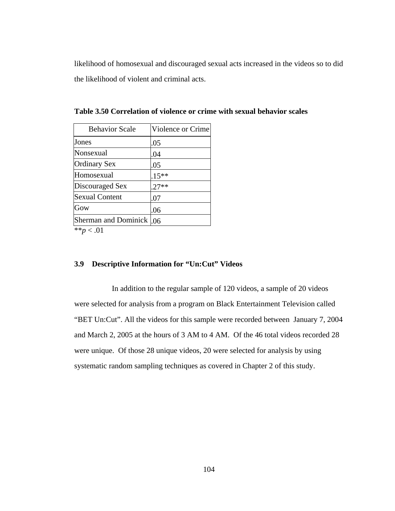likelihood of homosexual and discouraged sexual acts increased in the videos so to did the likelihood of violent and criminal acts.

| <b>Behavior Scale</b>       | Violence or Crime |
|-----------------------------|-------------------|
| Jones                       | .05               |
| Nonsexual                   | .04               |
| <b>Ordinary Sex</b>         | .05               |
| Homosexual                  | $.15**$           |
| Discouraged Sex             | $.27**$           |
| <b>Sexual Content</b>       | .07               |
| Gow                         | .06               |
| <b>Sherman and Dominick</b> | .06               |
| <u>ቀቀ</u> - ሰ1              |                   |

**Table 3.50 Correlation of violence or crime with sexual behavior scales** 

\*\* $p < .01$ 

## **3.9 Descriptive Information for "Un:Cut" Videos**

In addition to the regular sample of 120 videos, a sample of 20 videos were selected for analysis from a program on Black Entertainment Television called "BET Un:Cut". All the videos for this sample were recorded between January 7, 2004 and March 2, 2005 at the hours of 3 AM to 4 AM. Of the 46 total videos recorded 28 were unique. Of those 28 unique videos, 20 were selected for analysis by using systematic random sampling techniques as covered in Chapter 2 of this study.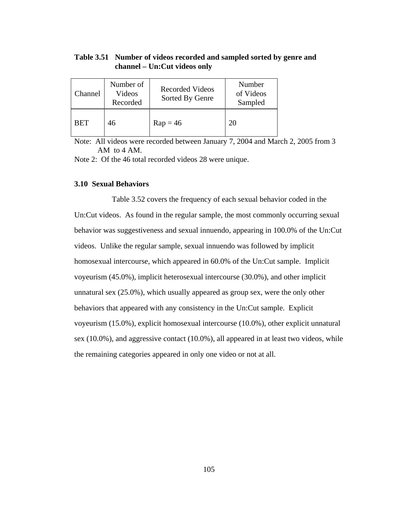# **Table 3.51 Number of videos recorded and sampled sorted by genre and channel – Un:Cut videos only**

| Channel    | Number of<br>Videos<br>Recorded | <b>Recorded Videos</b><br>Sorted By Genre | Number<br>of Videos<br>Sampled |
|------------|---------------------------------|-------------------------------------------|--------------------------------|
| <b>BET</b> | 46                              | $Rap = 46$                                | 20                             |

Note: All videos were recorded between January 7, 2004 and March 2, 2005 from 3 AM to 4 AM.

Note 2: Of the 46 total recorded videos 28 were unique.

#### **3.10 Sexual Behaviors**

Table 3.52 covers the frequency of each sexual behavior coded in the Un:Cut videos. As found in the regular sample, the most commonly occurring sexual behavior was suggestiveness and sexual innuendo, appearing in 100.0% of the Un:Cut videos. Unlike the regular sample, sexual innuendo was followed by implicit homosexual intercourse, which appeared in 60.0% of the Un:Cut sample. Implicit voyeurism (45.0%), implicit heterosexual intercourse (30.0%), and other implicit unnatural sex (25.0%), which usually appeared as group sex, were the only other behaviors that appeared with any consistency in the Un:Cut sample. Explicit voyeurism (15.0%), explicit homosexual intercourse (10.0%), other explicit unnatural sex (10.0%), and aggressive contact (10.0%), all appeared in at least two videos, while the remaining categories appeared in only one video or not at all.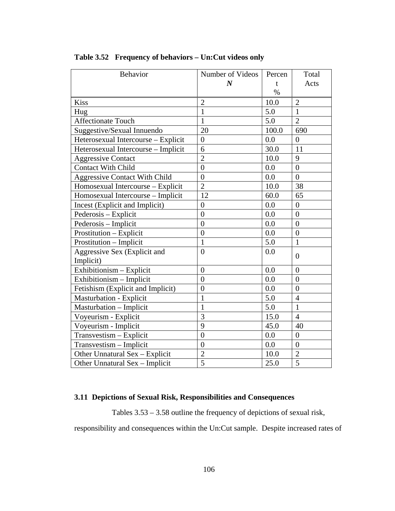| Behavior                                  | Number of Videos | Percen | Total          |
|-------------------------------------------|------------------|--------|----------------|
|                                           | $\boldsymbol{N}$ | t      | Acts           |
|                                           |                  | $\%$   |                |
| <b>Kiss</b>                               | $\overline{2}$   | 10.0   | $\overline{2}$ |
| Hug                                       | 1                | 5.0    | $\mathbf{1}$   |
| <b>Affectionate Touch</b>                 | $\mathbf{1}$     | 5.0    | $\overline{2}$ |
| Suggestive/Sexual Innuendo                | 20               | 100.0  | 690            |
| Heterosexual Intercourse - Explicit       | $\theta$         | 0.0    | $\overline{0}$ |
| Heterosexual Intercourse - Implicit       | 6                | 30.0   | 11             |
| <b>Aggressive Contact</b>                 | $\overline{2}$   | 10.0   | 9              |
| <b>Contact With Child</b>                 | $\overline{0}$   | 0.0    | $\overline{0}$ |
| <b>Aggressive Contact With Child</b>      | $\theta$         | 0.0    | $\overline{0}$ |
| Homosexual Intercourse - Explicit         | $\overline{2}$   | 10.0   | 38             |
| Homosexual Intercourse - Implicit         | 12               | 60.0   | 65             |
| Incest (Explicit and Implicit)            | $\theta$         | 0.0    | $\overline{0}$ |
| Pederosis - Explicit                      | $\overline{0}$   | 0.0    | $\theta$       |
| Pederosis - Implicit                      | $\overline{0}$   | 0.0    | $\overline{0}$ |
| Prostitution - Explicit                   | $\overline{0}$   | 0.0    | $\overline{0}$ |
| Prostitution - Implicit                   | $\mathbf{1}$     | 5.0    | $\mathbf{1}$   |
| Aggressive Sex (Explicit and<br>Implicit) | $\theta$         | 0.0    | $\overline{0}$ |
| Exhibitionism - Explicit                  | $\overline{0}$   | 0.0    | $\mathbf{0}$   |
| Exhibitionism - Implicit                  | $\overline{0}$   | 0.0    | $\overline{0}$ |
|                                           | $\overline{0}$   | 0.0    | $\overline{0}$ |
| Fetishism (Explicit and Implicit)         | 1                | 5.0    | $\overline{4}$ |
| Masturbation - Explicit                   | $\mathbf{1}$     |        | $\mathbf{1}$   |
| Masturbation - Implicit                   | 3                | 5.0    | $\overline{4}$ |
| Voyeurism - Explicit                      |                  | 15.0   |                |
| Voyeurism - Implicit                      | 9                | 45.0   | 40             |
| Transvestism - Explicit                   | $\overline{0}$   | 0.0    | $\overline{0}$ |
| Transvestism - Implicit                   | $\overline{0}$   | 0.0    | $\overline{0}$ |
| Other Unnatural Sex - Explicit            | $\overline{2}$   | 10.0   | $\overline{c}$ |
| Other Unnatural Sex - Implicit            | 5                | 25.0   | $\overline{5}$ |

**Table 3.52 Frequency of behaviors – Un:Cut videos only** 

# **3.11 Depictions of Sexual Risk, Responsibilities and Consequences**

Tables 3.53 – 3.58 outline the frequency of depictions of sexual risk,

responsibility and consequences within the Un:Cut sample. Despite increased rates of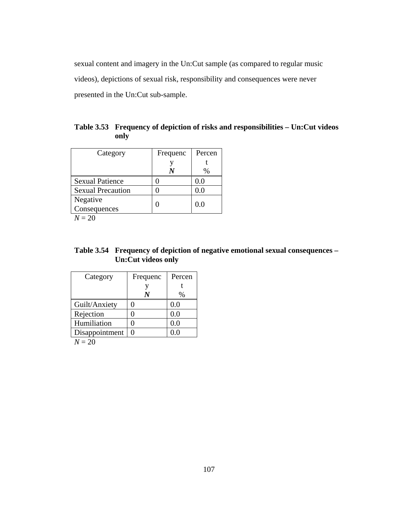sexual content and imagery in the Un:Cut sample (as compared to regular music videos), depictions of sexual risk, responsibility and consequences were never presented in the Un:Cut sub-sample.

**Table 3.53 Frequency of depiction of risks and responsibilities – Un:Cut videos only** 

| Category                 | Frequenc | Percen |
|--------------------------|----------|--------|
|                          |          |        |
|                          |          | $\%$   |
| <b>Sexual Patience</b>   |          | 0.0    |
| <b>Sexual Precaution</b> |          | 0.0    |
| Negative                 |          | 0.0    |
| Consequences             |          |        |

 $N = 20$ 

# **Table 3.54 Frequency of depiction of negative emotional sexual consequences – Un:Cut videos only**

| Category                  | Frequenc | Percen  |
|---------------------------|----------|---------|
|                           |          |         |
|                           |          | ℅       |
| Guilt/Anxiety             |          | 0.0     |
| Rejection                 |          | 0.0     |
| Humiliation               |          | 0.0     |
| Disappointment            |          | $0.0\,$ |
| $\sim$ $\sim$<br><b>T</b> |          |         |

 $N = 20$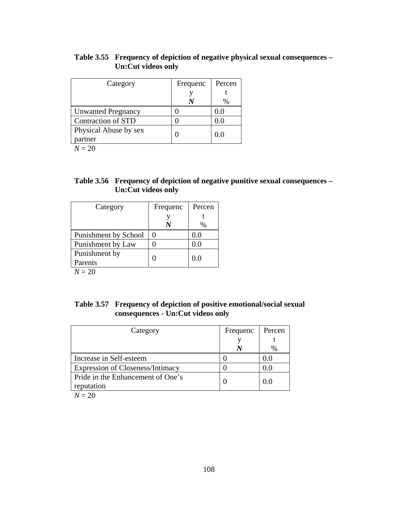| Table 3.55 Frequency of depiction of negative physical sexual consequences – |
|------------------------------------------------------------------------------|
| Un: Cut videos only                                                          |

| Category                  | Frequenc | Percen  |
|---------------------------|----------|---------|
|                           |          |         |
|                           |          | $\%$    |
| <b>Unwanted Pregnancy</b> |          | $0.0\,$ |
| Contraction of STD        |          | 0.0     |
| Physical Abuse by sex     |          | 0.0     |
| artner                    |          |         |

 $N = 20$ 

# **Table 3.56 Frequency of depiction of negative punitive sexual consequences – Un:Cut videos only**

| Category             | Frequenc | Percen  |
|----------------------|----------|---------|
|                      |          |         |
|                      |          | $\%$    |
| Punishment by School |          | $0.0\,$ |
| Punishment by Law    |          | 0.0     |
| Punishment by        |          |         |
| Parents              |          | 0.0     |
| $N = 20$             |          |         |

# **Table 3.57 Frequency of depiction of positive emotional/social sexual consequences - Un:Cut videos only**

| Category                                        | Frequenc | Percen  |
|-------------------------------------------------|----------|---------|
|                                                 |          |         |
|                                                 |          | %       |
| Increase in Self-esteem                         |          | $0.0\,$ |
| <b>Expression of Closeness/Intimacy</b>         |          | 0.0     |
| Pride in the Enhancement of One's<br>reputation |          |         |
| $\mathbf{r}$ $\mathbf{a}$                       |          |         |

 $N = 20$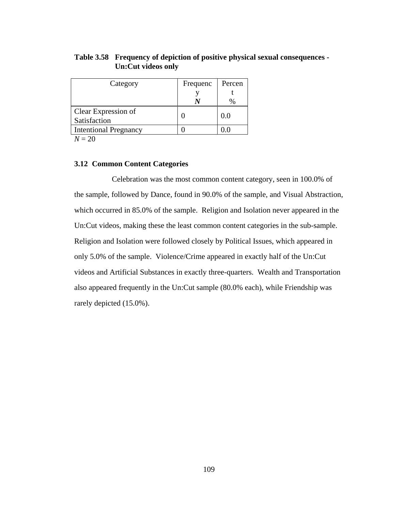| Category                            | Frequenc | Percen  |
|-------------------------------------|----------|---------|
|                                     |          |         |
|                                     |          |         |
| Clear Expression of<br>Satisfaction |          | $0.0\,$ |
| <b>Intentional Pregnancy</b>        |          |         |

### **Table 3.58 Frequency of depiction of positive physical sexual consequences - Un:Cut videos only**

 $N = 20$ 

### **3.12 Common Content Categories**

Celebration was the most common content category, seen in 100.0% of the sample, followed by Dance, found in 90.0% of the sample, and Visual Abstraction, which occurred in 85.0% of the sample. Religion and Isolation never appeared in the Un:Cut videos, making these the least common content categories in the sub-sample. Religion and Isolation were followed closely by Political Issues, which appeared in only 5.0% of the sample. Violence/Crime appeared in exactly half of the Un:Cut videos and Artificial Substances in exactly three-quarters. Wealth and Transportation also appeared frequently in the Un:Cut sample (80.0% each), while Friendship was rarely depicted (15.0%).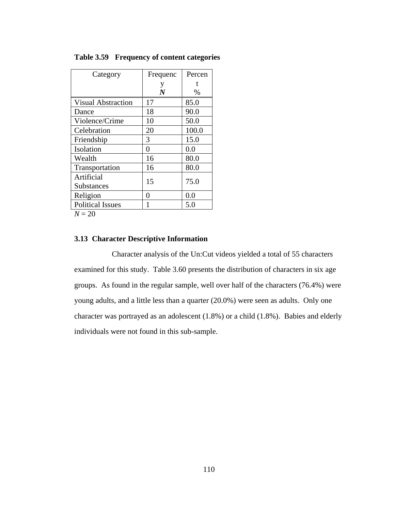| Category                  | Frequenc | Percen |
|---------------------------|----------|--------|
|                           | у        |        |
|                           | $\bm{N}$ | %      |
| <b>Visual Abstraction</b> | 17       | 85.0   |
| Dance                     | 18       | 90.0   |
| Violence/Crime            | 10       | 50.0   |
| Celebration               | 20       | 100.0  |
| Friendship                | 3        | 15.0   |
| Isolation                 | 0        | 0.0    |
| Wealth                    | 16       | 80.0   |
| Transportation            | 16       | 80.0   |
| Artificial                | 15       | 75.0   |
| Substances                |          |        |
| Religion                  | 0        | 0.0    |
| <b>Political Issues</b>   | 1        | 5.0    |
| $\mathbf{v}$ $\mathbf{v}$ |          |        |

**Table 3.59 Frequency of content categories** 

 $N = 20$ 

### **3.13 Character Descriptive Information**

Character analysis of the Un:Cut videos yielded a total of 55 characters examined for this study. Table 3.60 presents the distribution of characters in six age groups. As found in the regular sample, well over half of the characters (76.4%) were young adults, and a little less than a quarter (20.0%) were seen as adults. Only one character was portrayed as an adolescent (1.8%) or a child (1.8%). Babies and elderly individuals were not found in this sub-sample.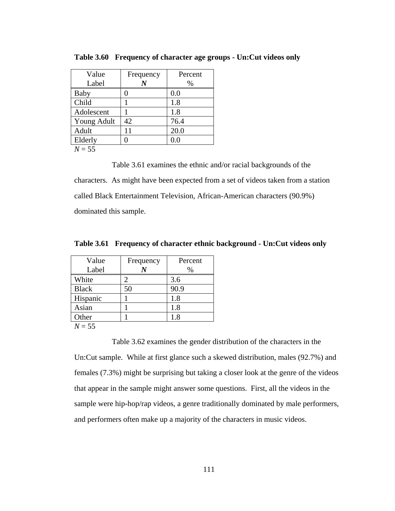| Value       | Frequency | Percent |
|-------------|-----------|---------|
| Label       |           | %       |
| Baby        |           | 0.0     |
| Child       |           | 1.8     |
| Adolescent  |           | 1.8     |
| Young Adult | 42        | 76.4    |
| Adult       | 11        | 20.0    |
| Elderly     |           | 0.0     |
|             |           |         |

**Table 3.60 Frequency of character age groups - Un:Cut videos only** 

 $N = 55$ 

Table 3.61 examines the ethnic and/or racial backgrounds of the characters. As might have been expected from a set of videos taken from a station called Black Entertainment Television, African-American characters (90.9%) dominated this sample.

| Value<br>Label         | Frequency | Percent<br>% |
|------------------------|-----------|--------------|
| White                  |           | 3.6          |
| <b>Black</b>           | 50        | 90.9         |
| Hispanic               |           | 1.8          |
| Asian                  |           | 1.8          |
| Other                  |           | 1.8          |
| $\lambda T$ $\epsilon$ |           |              |

**Table 3.61 Frequency of character ethnic background - Un:Cut videos only** 

 $N = 55$ 

Table 3.62 examines the gender distribution of the characters in the

Un:Cut sample. While at first glance such a skewed distribution, males (92.7%) and females (7.3%) might be surprising but taking a closer look at the genre of the videos that appear in the sample might answer some questions. First, all the videos in the sample were hip-hop/rap videos, a genre traditionally dominated by male performers, and performers often make up a majority of the characters in music videos.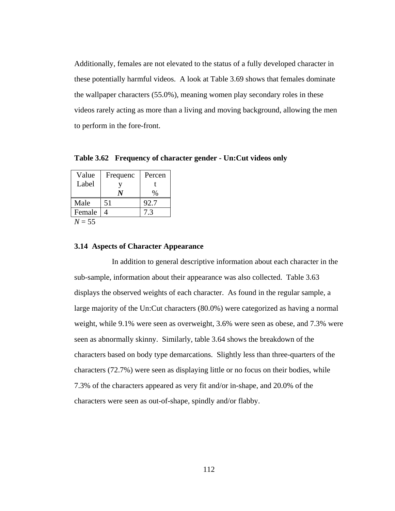Additionally, females are not elevated to the status of a fully developed character in these potentially harmful videos. A look at Table 3.69 shows that females dominate the wallpaper characters (55.0%), meaning women play secondary roles in these videos rarely acting as more than a living and moving background, allowing the men to perform in the fore-front.

| Value    | Frequenc | Percen |
|----------|----------|--------|
| Label    |          |        |
|          |          | %      |
| Male     | 51       | 92.7   |
| Female   |          | 73     |
| $N = 55$ |          |        |

**Table 3.62 Frequency of character gender - Un:Cut videos only** 

#### **3.14 Aspects of Character Appearance**

In addition to general descriptive information about each character in the sub-sample, information about their appearance was also collected. Table 3.63 displays the observed weights of each character. As found in the regular sample, a large majority of the Un:Cut characters (80.0%) were categorized as having a normal weight, while 9.1% were seen as overweight, 3.6% were seen as obese, and 7.3% were seen as abnormally skinny. Similarly, table 3.64 shows the breakdown of the characters based on body type demarcations. Slightly less than three-quarters of the characters (72.7%) were seen as displaying little or no focus on their bodies, while 7.3% of the characters appeared as very fit and/or in-shape, and 20.0% of the characters were seen as out-of-shape, spindly and/or flabby.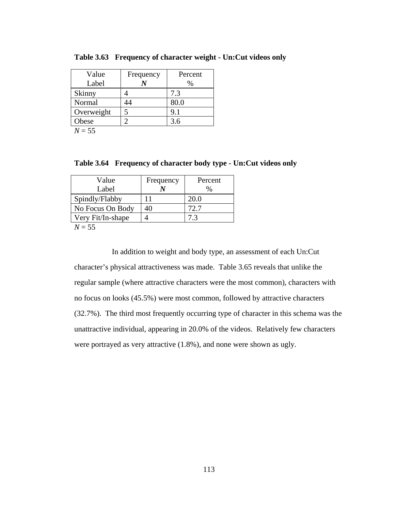| Value      | Frequency | Percent |
|------------|-----------|---------|
| Label      |           | $\%$    |
| Skinny     |           | 7.3     |
| Normal     |           | 80.0    |
| Overweight |           | 9.1     |
| Obese      |           | 3.6     |
| $N = 55$   |           |         |

**Table 3.63 Frequency of character weight - Un:Cut videos only** 

**Table 3.64 Frequency of character body type - Un:Cut videos only** 

| Value<br>Label    | Frequency | Percent |
|-------------------|-----------|---------|
| Spindly/Flabby    |           | 20.0    |
| No Focus On Body  | 40        | 72.7    |
| Very Fit/In-shape |           | 7.3     |
| <b>T</b>          |           |         |

 $N = 55$ 

In addition to weight and body type, an assessment of each Un:Cut character's physical attractiveness was made. Table 3.65 reveals that unlike the regular sample (where attractive characters were the most common), characters with no focus on looks (45.5%) were most common, followed by attractive characters (32.7%). The third most frequently occurring type of character in this schema was the unattractive individual, appearing in 20.0% of the videos. Relatively few characters were portrayed as very attractive (1.8%), and none were shown as ugly.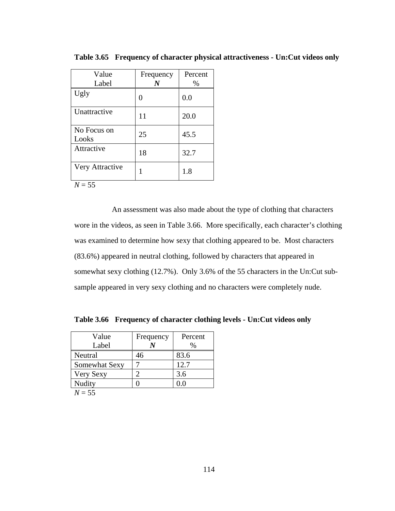| Value<br>Label       | Frequency<br>$\boldsymbol{N}$ | Percent<br>% |
|----------------------|-------------------------------|--------------|
| Ugly                 | 0                             | 0.0          |
| Unattractive         | 11                            | 20.0         |
| No Focus on<br>Looks | 25                            | 45.5         |
| Attractive           | 18                            | 32.7         |
| Very Attractive      | 1                             | 1.8          |

**Table 3.65 Frequency of character physical attractiveness - Un:Cut videos only** 

 $N = 55$ 

An assessment was also made about the type of clothing that characters wore in the videos, as seen in Table 3.66. More specifically, each character's clothing was examined to determine how sexy that clothing appeared to be. Most characters (83.6%) appeared in neutral clothing, followed by characters that appeared in somewhat sexy clothing (12.7%). Only 3.6% of the 55 characters in the Un:Cut subsample appeared in very sexy clothing and no characters were completely nude.

**Table 3.66 Frequency of character clothing levels - Un:Cut videos only** 

| Value<br>Label | Frequency | Percent<br>% |
|----------------|-----------|--------------|
| Neutral        | 46        | 83.6         |
| Somewhat Sexy  |           | 12.7         |
| Very Sexy      | 2         | 3.6          |
| Nudity         |           | $0.0\,$      |
| $N = 55$       |           |              |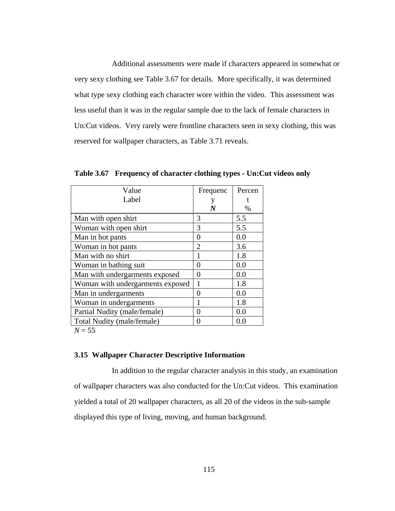Additional assessments were made if characters appeared in somewhat or very sexy clothing see Table 3.67 for details. More specifically, it was determined what type sexy clothing each character wore within the video. This assessment was less useful than it was in the regular sample due to the lack of female characters in Un:Cut videos. Very rarely were frontline characters seen in sexy clothing, this was reserved for wallpaper characters, as Table 3.71 reveals.

| Value                            | Frequenc          | Percen |
|----------------------------------|-------------------|--------|
| Label                            |                   |        |
|                                  |                   | %      |
| Man with open shirt              | 3                 | 5.5    |
| Woman with open shirt            | 3                 | 5.5    |
| Man in hot pants                 | 0                 | 0.0    |
| Woman in hot pants               | 2                 | 3.6    |
| Man with no shirt                |                   | 1.8    |
| Woman in bathing suit            | $\mathbf{\Omega}$ | 0.0    |
| Man with undergarments exposed   | 0                 | 0.0    |
| Woman with undergarments exposed | 1                 | 1.8    |
| Man in undergarments             | 0                 | 0.0    |
| Woman in undergarments           | 1                 | 1.8    |
| Partial Nudity (male/female)     | 0                 | 0.0    |
| Total Nudity (male/female)       |                   | 0.0    |

**Table 3.67 Frequency of character clothing types - Un:Cut videos only** 

 $N = 55$ 

# **3.15 Wallpaper Character Descriptive Information**

In addition to the regular character analysis in this study, an examination of wallpaper characters was also conducted for the Un:Cut videos. This examination yielded a total of 20 wallpaper characters, as all 20 of the videos in the sub-sample displayed this type of living, moving, and human background.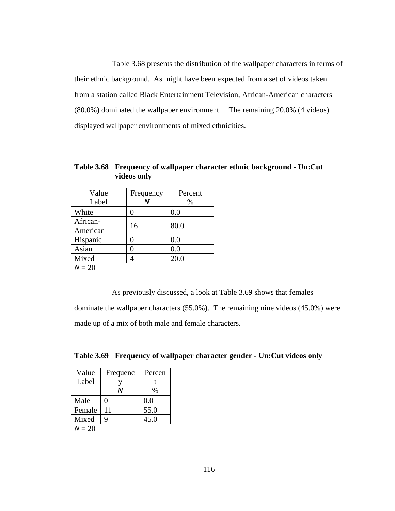Table 3.68 presents the distribution of the wallpaper characters in terms of their ethnic background. As might have been expected from a set of videos taken from a station called Black Entertainment Television, African-American characters (80.0%) dominated the wallpaper environment. The remaining 20.0% (4 videos) displayed wallpaper environments of mixed ethnicities.

| Value<br>Label                 | Frequency<br>$\boldsymbol{N}$ | Percent<br>% |
|--------------------------------|-------------------------------|--------------|
| White                          |                               | 0.0          |
| African-<br>American           | 16                            | 80.0         |
| Hispanic                       |                               | 0.0          |
| Asian                          |                               | 0.0          |
| Mixed                          |                               | 20.0         |
| $\overline{M} - 2\overline{D}$ |                               |              |

**Table 3.68 Frequency of wallpaper character ethnic background - Un:Cut videos only** 

 $N = 20$ 

As previously discussed, a look at Table 3.69 shows that females dominate the wallpaper characters (55.0%). The remaining nine videos (45.0%) were made up of a mix of both male and female characters.

**Table 3.69 Frequency of wallpaper character gender - Un:Cut videos only** 

| Value    | Frequenc | Percen |
|----------|----------|--------|
| Label    |          |        |
|          |          | %      |
| Male     | 0        | 0.0    |
| Female   | 11       | 55.0   |
| Mixed    | 9        | 45.0   |
| $N = 20$ |          |        |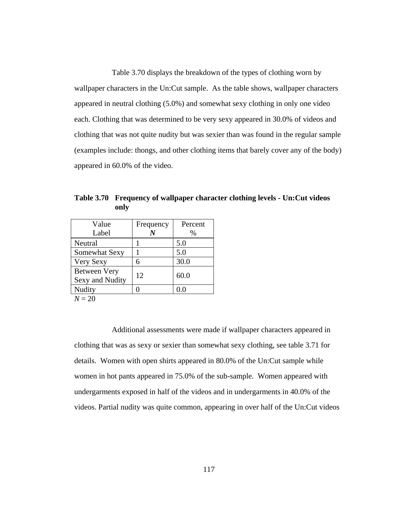Table 3.70 displays the breakdown of the types of clothing worn by wallpaper characters in the Un:Cut sample. As the table shows, wallpaper characters appeared in neutral clothing (5.0%) and somewhat sexy clothing in only one video each. Clothing that was determined to be very sexy appeared in 30.0% of videos and clothing that was not quite nudity but was sexier than was found in the regular sample (examples include: thongs, and other clothing items that barely cover any of the body) appeared in 60.0% of the video.

| Value<br>Label                         | Frequency | Percent<br>$\%$ |
|----------------------------------------|-----------|-----------------|
| Neutral                                |           | 5.0             |
| Somewhat Sexy                          |           | 5.0             |
| Very Sexy                              | 6         | 30.0            |
| <b>Between Very</b><br>Sexy and Nudity | 12        | 60.0            |
| Nudity                                 |           | $0.0\,$         |

**Table 3.70 Frequency of wallpaper character clothing levels - Un:Cut videos only** 

 $N = 20$ 

Additional assessments were made if wallpaper characters appeared in clothing that was as sexy or sexier than somewhat sexy clothing, see table 3.71 for details. Women with open shirts appeared in 80.0% of the Un:Cut sample while women in hot pants appeared in 75.0% of the sub-sample. Women appeared with undergarments exposed in half of the videos and in undergarments in 40.0% of the videos. Partial nudity was quite common, appearing in over half of the Un:Cut videos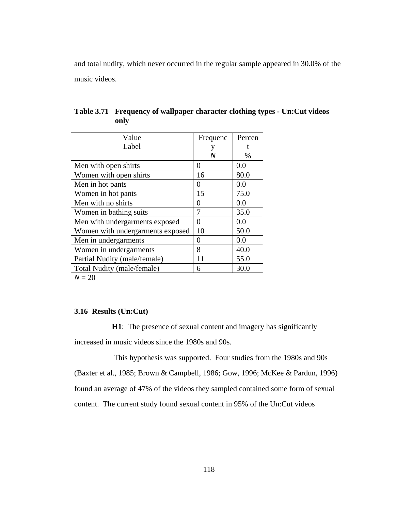and total nudity, which never occurred in the regular sample appeared in 30.0% of the music videos.

| Value                            | Frequenc         | Percen |
|----------------------------------|------------------|--------|
| Label                            |                  |        |
|                                  | $\boldsymbol{N}$ | %      |
| Men with open shirts             | 0                | 0.0    |
| Women with open shirts           | 16               | 80.0   |
| Men in hot pants                 | 0                | 0.0    |
| Women in hot pants               | 15               | 75.0   |
| Men with no shirts               | 0                | 0.0    |
| Women in bathing suits           | 7                | 35.0   |
| Men with undergarments exposed   | 0                | 0.0    |
| Women with undergarments exposed | 10               | 50.0   |
| Men in undergarments             | 0                | 0.0    |
| Women in undergarments           | 8                | 40.0   |
| Partial Nudity (male/female)     | 11               | 55.0   |
| Total Nudity (male/female)       | 6                | 30.0   |

**Table 3.71 Frequency of wallpaper character clothing types - Un:Cut videos only** 

 $N = 20$ 

## **3.16 Results (Un:Cut)**

**H1**: The presence of sexual content and imagery has significantly increased in music videos since the 1980s and 90s.

 This hypothesis was supported. Four studies from the 1980s and 90s (Baxter et al., 1985; Brown & Campbell, 1986; Gow, 1996; McKee & Pardun, 1996) found an average of 47% of the videos they sampled contained some form of sexual content. The current study found sexual content in 95% of the Un:Cut videos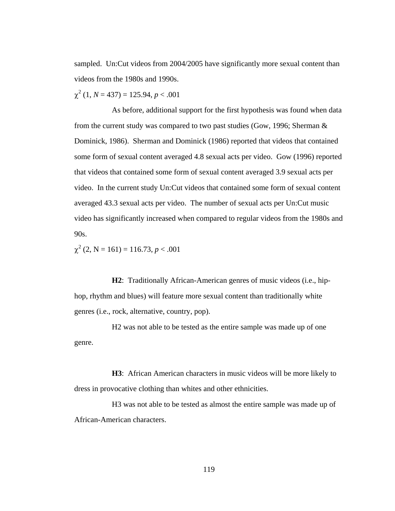sampled. Un:Cut videos from 2004/2005 have significantly more sexual content than videos from the 1980s and 1990s.

 $\chi^2$  (1, *N* = 437) = 125.94, *p* < .001

As before, additional support for the first hypothesis was found when data from the current study was compared to two past studies (Gow, 1996; Sherman & Dominick, 1986). Sherman and Dominick (1986) reported that videos that contained some form of sexual content averaged 4.8 sexual acts per video. Gow (1996) reported that videos that contained some form of sexual content averaged 3.9 sexual acts per video. In the current study Un:Cut videos that contained some form of sexual content averaged 43.3 sexual acts per video. The number of sexual acts per Un:Cut music video has significantly increased when compared to regular videos from the 1980s and 90s.

 $\chi^2$  (2, N = 161) = 116.73, *p* < .001

**H2**: Traditionally African-American genres of music videos (i.e., hiphop, rhythm and blues) will feature more sexual content than traditionally white genres (i.e., rock, alternative, country, pop).

H2 was not able to be tested as the entire sample was made up of one genre.

**H3**: African American characters in music videos will be more likely to dress in provocative clothing than whites and other ethnicities.

H3 was not able to be tested as almost the entire sample was made up of African-American characters.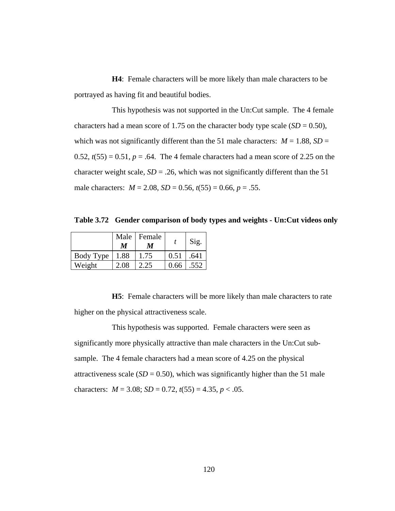**H4**: Female characters will be more likely than male characters to be portrayed as having fit and beautiful bodies.

This hypothesis was not supported in the Un:Cut sample. The 4 female characters had a mean score of 1.75 on the character body type scale  $(SD = 0.50)$ , which was not significantly different than the 51 male characters:  $M = 1.88$ ,  $SD =$  $0.52$ ,  $t(55) = 0.51$ ,  $p = .64$ . The 4 female characters had a mean score of 2.25 on the character weight scale,  $SD = .26$ , which was not significantly different than the 51 male characters:  $M = 2.08$ ,  $SD = 0.56$ ,  $t(55) = 0.66$ ,  $p = .55$ .

**Table 3.72 Gender comparison of body types and weights - Un:Cut videos only** 

|           | M    | Male Female<br>M |      | Sig. |
|-----------|------|------------------|------|------|
| Body Type | 1.88 | 1.75             | 0.51 | .641 |
| Weight    | 2.08 | 2.25             | 0.66 | .552 |

**H5**: Female characters will be more likely than male characters to rate higher on the physical attractiveness scale.

This hypothesis was supported. Female characters were seen as significantly more physically attractive than male characters in the Un:Cut subsample. The 4 female characters had a mean score of 4.25 on the physical attractiveness scale  $(SD = 0.50)$ , which was significantly higher than the 51 male characters:  $M = 3.08$ ;  $SD = 0.72$ ,  $t(55) = 4.35$ ,  $p < .05$ .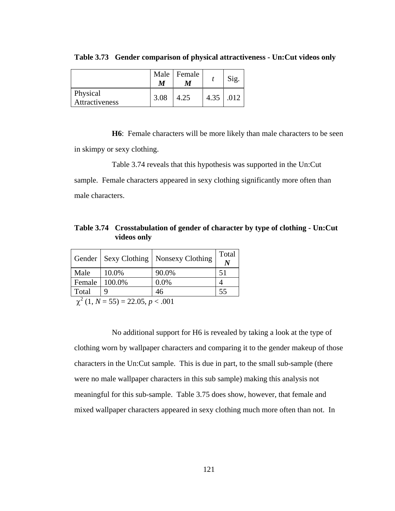|                            |      | Male   Female |      | Sig. |
|----------------------------|------|---------------|------|------|
| Physical<br>Attractiveness | 3.08 | 4.25          | 4.35 |      |

**Table 3.73 Gender comparison of physical attractiveness - Un:Cut videos only** 

**H6**: Female characters will be more likely than male characters to be seen in skimpy or sexy clothing.

Table 3.74 reveals that this hypothesis was supported in the Un:Cut sample. Female characters appeared in sexy clothing significantly more often than male characters.

**Table 3.74 Crosstabulation of gender of character by type of clothing - Un:Cut videos only** 

|        |                                                  | Gender   Sexy Clothing   Nonsexy Clothing | Total |
|--------|--------------------------------------------------|-------------------------------------------|-------|
| Male   | 10.0%                                            | 90.0%                                     |       |
| Female | 100.0%                                           | $0.0\%$                                   |       |
| Total  |                                                  | 46                                        | 55    |
|        | $\bigcap_{n=1}^{\infty}$<br>$\sim$ $\sim$ $\sim$ |                                           |       |

 $\chi^2$  (1, *N* = 55) = 22.05, *p* < .001

No additional support for H6 is revealed by taking a look at the type of clothing worn by wallpaper characters and comparing it to the gender makeup of those characters in the Un:Cut sample. This is due in part, to the small sub-sample (there were no male wallpaper characters in this sub sample) making this analysis not meaningful for this sub-sample. Table 3.75 does show, however, that female and mixed wallpaper characters appeared in sexy clothing much more often than not. In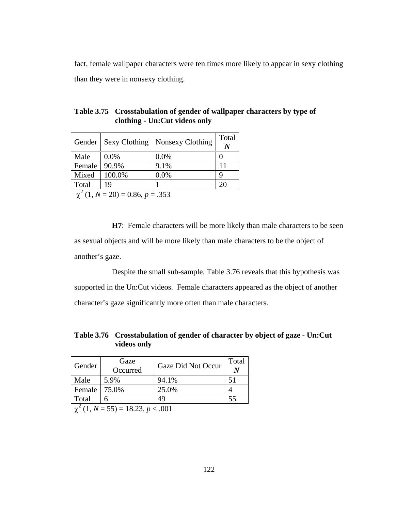fact, female wallpaper characters were ten times more likely to appear in sexy clothing than they were in nonsexy clothing.

| Table 3.75 Crosstabulation of gender of wallpaper characters by type of |
|-------------------------------------------------------------------------|
| clothing - Un: Cut videos only                                          |

|        |         | Gender   Sexy Clothing   Nonsexy Clothing | Total |
|--------|---------|-------------------------------------------|-------|
| Male   | $0.0\%$ | 0.0%                                      |       |
| Female | 90.9%   | 9.1%                                      |       |
| Mixed  | 100.0%  | 0.0%                                      |       |
| Total  | 19      |                                           |       |

 $\chi^2$  (1, *N* = 20) = 0.86, *p* = .353

**H7**: Female characters will be more likely than male characters to be seen as sexual objects and will be more likely than male characters to be the object of another's gaze.

Despite the small sub-sample, Table 3.76 reveals that this hypothesis was supported in the Un:Cut videos. Female characters appeared as the object of another character's gaze significantly more often than male characters.

**Table 3.76 Crosstabulation of gender of character by object of gaze - Un:Cut videos only** 

| Gender | Gaze<br>Occurred | <b>Gaze Did Not Occur</b> | Total |
|--------|------------------|---------------------------|-------|
| Male   | 5.9%             | 94.1%                     |       |
| Female | 75.0%            | 25.0%                     |       |
| Total  |                  | 49                        | 55    |

 $\chi^2$  (1, *N* = 55) = 18.23, *p* < .001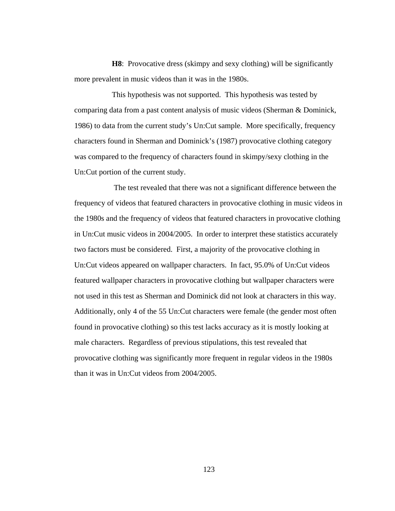**H8**: Provocative dress (skimpy and sexy clothing) will be significantly more prevalent in music videos than it was in the 1980s.

This hypothesis was not supported. This hypothesis was tested by comparing data from a past content analysis of music videos (Sherman & Dominick, 1986) to data from the current study's Un:Cut sample. More specifically, frequency characters found in Sherman and Dominick's (1987) provocative clothing category was compared to the frequency of characters found in skimpy/sexy clothing in the Un:Cut portion of the current study.

 The test revealed that there was not a significant difference between the frequency of videos that featured characters in provocative clothing in music videos in the 1980s and the frequency of videos that featured characters in provocative clothing in Un:Cut music videos in 2004/2005. In order to interpret these statistics accurately two factors must be considered. First, a majority of the provocative clothing in Un:Cut videos appeared on wallpaper characters. In fact, 95.0% of Un:Cut videos featured wallpaper characters in provocative clothing but wallpaper characters were not used in this test as Sherman and Dominick did not look at characters in this way. Additionally, only 4 of the 55 Un:Cut characters were female (the gender most often found in provocative clothing) so this test lacks accuracy as it is mostly looking at male characters. Regardless of previous stipulations, this test revealed that provocative clothing was significantly more frequent in regular videos in the 1980s than it was in Un:Cut videos from 2004/2005.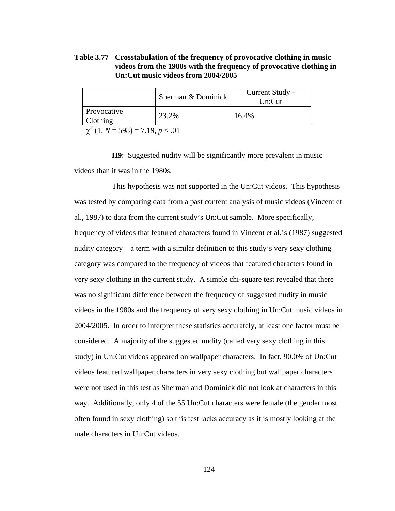## **Table 3.77 Crosstabulation of the frequency of provocative clothing in music videos from the 1980s with the frequency of provocative clothing in Un:Cut music videos from 2004/2005**

|                                       | Sherman & Dominick | Current Study -<br>Un:Cut |  |  |
|---------------------------------------|--------------------|---------------------------|--|--|
| Provocative<br>Clothing               | 23.2%              | 16.4%                     |  |  |
| $\chi^2$ (1, N = 598) = 7.19, p < .01 |                    |                           |  |  |

**H9**: Suggested nudity will be significantly more prevalent in music videos than it was in the 1980s.

This hypothesis was not supported in the Un:Cut videos. This hypothesis was tested by comparing data from a past content analysis of music videos (Vincent et al., 1987) to data from the current study's Un:Cut sample. More specifically, frequency of videos that featured characters found in Vincent et al.'s (1987) suggested nudity category – a term with a similar definition to this study's very sexy clothing category was compared to the frequency of videos that featured characters found in very sexy clothing in the current study. A simple chi-square test revealed that there was no significant difference between the frequency of suggested nudity in music videos in the 1980s and the frequency of very sexy clothing in Un:Cut music videos in 2004/2005. In order to interpret these statistics accurately, at least one factor must be considered. A majority of the suggested nudity (called very sexy clothing in this study) in Un:Cut videos appeared on wallpaper characters. In fact, 90.0% of Un:Cut videos featured wallpaper characters in very sexy clothing but wallpaper characters were not used in this test as Sherman and Dominick did not look at characters in this way. Additionally, only 4 of the 55 Un:Cut characters were female (the gender most often found in sexy clothing) so this test lacks accuracy as it is mostly looking at the male characters in Un:Cut videos.

124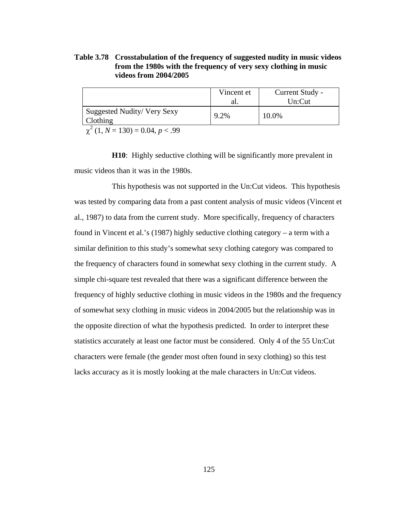### **Table 3.78 Crosstabulation of the frequency of suggested nudity in music videos from the 1980s with the frequency of very sexy clothing in music videos from 2004/2005**

|                                         | Vincent et<br>aı. | Current Study -<br>Un:Cut |
|-----------------------------------------|-------------------|---------------------------|
| Suggested Nudity/ Very Sexy<br>Clothing | 9.2%              | 10.0%                     |
| $\chi^2$ (1, N = 130) = 0.04, p < .99   |                   |                           |

**H10**: Highly seductive clothing will be significantly more prevalent in music videos than it was in the 1980s.

This hypothesis was not supported in the Un:Cut videos. This hypothesis was tested by comparing data from a past content analysis of music videos (Vincent et al., 1987) to data from the current study. More specifically, frequency of characters found in Vincent et al.'s (1987) highly seductive clothing category – a term with a similar definition to this study's somewhat sexy clothing category was compared to the frequency of characters found in somewhat sexy clothing in the current study. A simple chi-square test revealed that there was a significant difference between the frequency of highly seductive clothing in music videos in the 1980s and the frequency of somewhat sexy clothing in music videos in 2004/2005 but the relationship was in the opposite direction of what the hypothesis predicted. In order to interpret these statistics accurately at least one factor must be considered. Only 4 of the 55 Un:Cut characters were female (the gender most often found in sexy clothing) so this test lacks accuracy as it is mostly looking at the male characters in Un:Cut videos.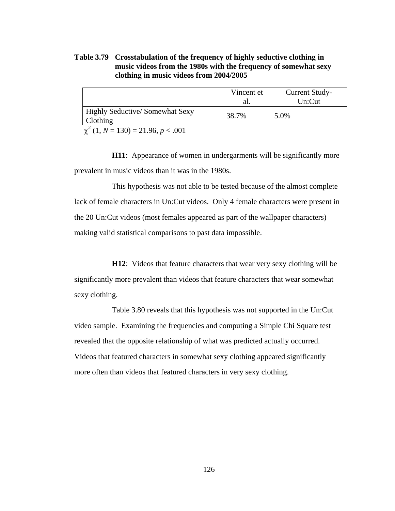## **Table 3.79 Crosstabulation of the frequency of highly seductive clothing in music videos from the 1980s with the frequency of somewhat sexy clothing in music videos from 2004/2005**

|                                                   | Vincent et<br>aı. | Current Study-<br>Un:Cut |
|---------------------------------------------------|-------------------|--------------------------|
| <b>Highly Seductive/Somewhat Sexy</b><br>Clothing | 38.7%             | 5.0%                     |
| $\chi^2$ (1, N = 130) = 21.96, p < .001           |                   |                          |

**H11**: Appearance of women in undergarments will be significantly more prevalent in music videos than it was in the 1980s.

This hypothesis was not able to be tested because of the almost complete lack of female characters in Un:Cut videos. Only 4 female characters were present in the 20 Un:Cut videos (most females appeared as part of the wallpaper characters) making valid statistical comparisons to past data impossible.

**H12**: Videos that feature characters that wear very sexy clothing will be significantly more prevalent than videos that feature characters that wear somewhat sexy clothing.

Table 3.80 reveals that this hypothesis was not supported in the Un:Cut video sample. Examining the frequencies and computing a Simple Chi Square test revealed that the opposite relationship of what was predicted actually occurred. Videos that featured characters in somewhat sexy clothing appeared significantly more often than videos that featured characters in very sexy clothing.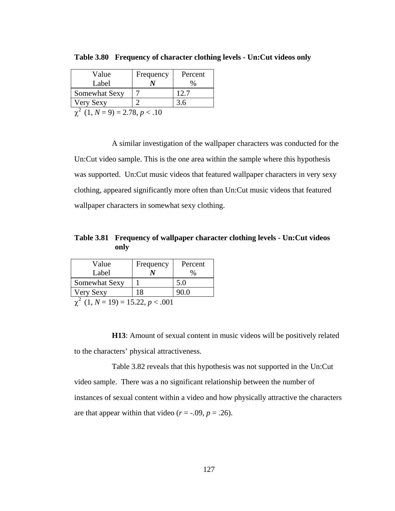| Value                               | Frequency | Percent |
|-------------------------------------|-----------|---------|
| Label                               |           |         |
| Somewhat Sexy                       |           | 12.7    |
| Very Sexy                           |           | 3.6     |
| $\chi^2$ (1, N = 9) = 2.78, p < .10 |           |         |

**Table 3.80 Frequency of character clothing levels - Un:Cut videos only** 

A similar investigation of the wallpaper characters was conducted for the Un:Cut video sample. This is the one area within the sample where this hypothesis was supported. Un:Cut music videos that featured wallpaper characters in very sexy clothing, appeared significantly more often than Un:Cut music videos that featured wallpaper characters in somewhat sexy clothing.

**Table 3.81 Frequency of wallpaper character clothing levels - Un:Cut videos only** 

| Value                           | Frequency | Percent |
|---------------------------------|-----------|---------|
| Label                           |           | $\%$    |
| Somewhat Sexy                   |           | 5.0     |
| Very Sexy                       | 18        | 90.0    |
| $(1, N = 19) = 15.22, p < .001$ |           |         |

**H13**: Amount of sexual content in music videos will be positively related to the characters' physical attractiveness.

Table 3.82 reveals that this hypothesis was not supported in the Un:Cut video sample. There was a no significant relationship between the number of instances of sexual content within a video and how physically attractive the characters are that appear within that video  $(r = -.09, p = .26)$ .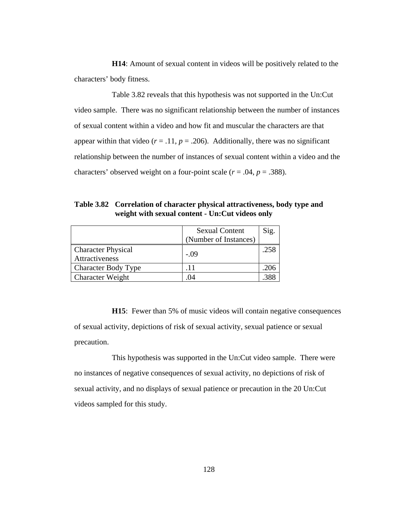**H14**: Amount of sexual content in videos will be positively related to the characters' body fitness.

Table 3.82 reveals that this hypothesis was not supported in the Un:Cut video sample. There was no significant relationship between the number of instances of sexual content within a video and how fit and muscular the characters are that appear within that video ( $r = .11$ ,  $p = .206$ ). Additionally, there was no significant relationship between the number of instances of sexual content within a video and the characters' observed weight on a four-point scale  $(r = .04, p = .388)$ .

| Table 3.82 Correlation of character physical attractiveness, body type and |
|----------------------------------------------------------------------------|
| weight with sexual content - Un: Cut videos only                           |

|                                             | <b>Sexual Content</b> | Sig. |
|---------------------------------------------|-----------------------|------|
|                                             | (Number of Instances) |      |
| <b>Character Physical</b><br>Attractiveness | $-.09$                |      |
| <b>Character Body Type</b>                  | -11                   | .206 |
| <b>Character Weight</b>                     | $^{(14)}$             |      |

**H15**: Fewer than 5% of music videos will contain negative consequences of sexual activity, depictions of risk of sexual activity, sexual patience or sexual precaution.

This hypothesis was supported in the Un:Cut video sample. There were no instances of negative consequences of sexual activity, no depictions of risk of sexual activity, and no displays of sexual patience or precaution in the 20 Un:Cut videos sampled for this study.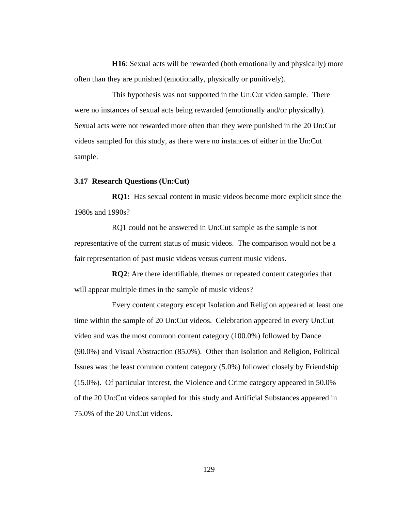**H16**: Sexual acts will be rewarded (both emotionally and physically) more often than they are punished (emotionally, physically or punitively).

This hypothesis was not supported in the Un:Cut video sample. There were no instances of sexual acts being rewarded (emotionally and/or physically). Sexual acts were not rewarded more often than they were punished in the 20 Un:Cut videos sampled for this study, as there were no instances of either in the Un:Cut sample.

#### **3.17 Research Questions (Un:Cut)**

**RQ1:** Has sexual content in music videos become more explicit since the 1980s and 1990s?

RQ1 could not be answered in Un:Cut sample as the sample is not representative of the current status of music videos. The comparison would not be a fair representation of past music videos versus current music videos.

**RQ2**: Are there identifiable, themes or repeated content categories that will appear multiple times in the sample of music videos?

Every content category except Isolation and Religion appeared at least one time within the sample of 20 Un:Cut videos. Celebration appeared in every Un:Cut video and was the most common content category (100.0%) followed by Dance (90.0%) and Visual Abstraction (85.0%). Other than Isolation and Religion, Political Issues was the least common content category (5.0%) followed closely by Friendship (15.0%). Of particular interest, the Violence and Crime category appeared in 50.0% of the 20 Un:Cut videos sampled for this study and Artificial Substances appeared in 75.0% of the 20 Un:Cut videos.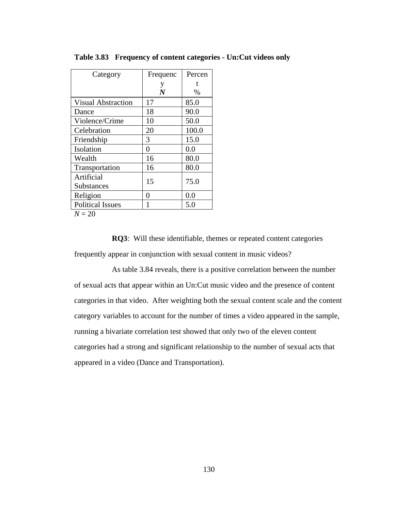| Category                  | Frequenc         | Percen |
|---------------------------|------------------|--------|
|                           | у                |        |
|                           | $\boldsymbol{N}$ | %      |
| <b>Visual Abstraction</b> | 17               | 85.0   |
| Dance                     | 18               | 90.0   |
| Violence/Crime            | 10               | 50.0   |
| Celebration               | 20               | 100.0  |
| Friendship                | 3                | 15.0   |
| Isolation                 | 0                | 0.0    |
| Wealth                    | 16               | 80.0   |
| Transportation            | 16               | 80.0   |
| Artificial                | 15               | 75.0   |
| <b>Substances</b>         |                  |        |
| Religion                  | 0                | 0.0    |
| <b>Political Issues</b>   |                  | 5.0    |

**Table 3.83 Frequency of content categories - Un:Cut videos only** 

 $N = 20$ 

**RQ3**: Will these identifiable, themes or repeated content categories frequently appear in conjunction with sexual content in music videos?

As table 3.84 reveals, there is a positive correlation between the number of sexual acts that appear within an Un:Cut music video and the presence of content categories in that video. After weighting both the sexual content scale and the content category variables to account for the number of times a video appeared in the sample, running a bivariate correlation test showed that only two of the eleven content categories had a strong and significant relationship to the number of sexual acts that appeared in a video (Dance and Transportation).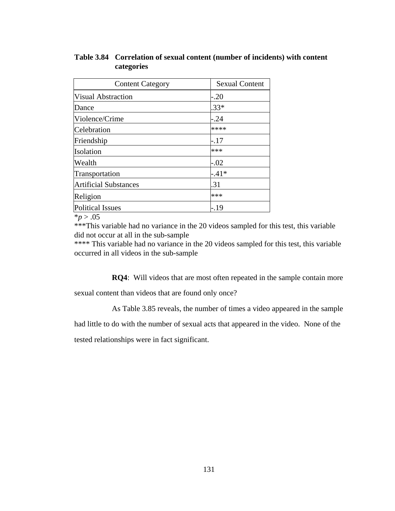| <b>Content Category</b>      | <b>Sexual Content</b> |
|------------------------------|-----------------------|
| <b>Visual Abstraction</b>    | -.20                  |
| Dance                        | $.33*$                |
| Violence/Crime               | -.24                  |
| Celebration                  | ****                  |
| Friendship                   | -.17                  |
| Isolation                    | ***                   |
| Wealth                       | $-.02$                |
| Transportation               | $-.41*$               |
| <b>Artificial Substances</b> | .31                   |
| Religion                     | ***                   |
| <b>Political Issues</b>      | -.19                  |

# **Table 3.84 Correlation of sexual content (number of incidents) with content categories**

 $*_{p} > .05$ 

\*\*\*This variable had no variance in the 20 videos sampled for this test, this variable did not occur at all in the sub-sample

\*\*\*\* This variable had no variance in the 20 videos sampled for this test, this variable occurred in all videos in the sub-sample

**RQ4**: Will videos that are most often repeated in the sample contain more

sexual content than videos that are found only once?

As Table 3.85 reveals, the number of times a video appeared in the sample

had little to do with the number of sexual acts that appeared in the video. None of the

tested relationships were in fact significant.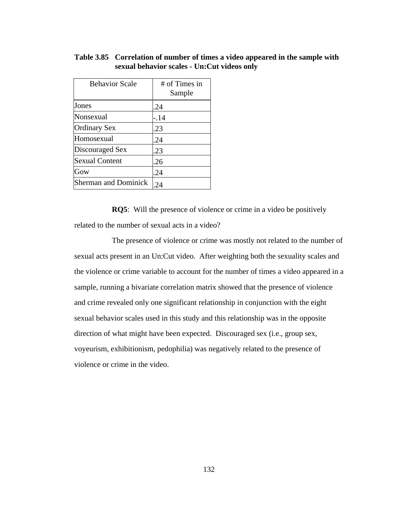| <b>Behavior Scale</b>       | $#$ of Times in<br>Sample |
|-----------------------------|---------------------------|
| Jones                       | .24                       |
| Nonsexual                   | $-14$                     |
| <b>Ordinary Sex</b>         | .23                       |
| Homosexual                  | .24                       |
| Discouraged Sex             | .23                       |
| <b>Sexual Content</b>       | .26                       |
| Gow                         | .24                       |
| <b>Sherman and Dominick</b> | .24                       |

### **Table 3.85 Correlation of number of times a video appeared in the sample with sexual behavior scales - Un:Cut videos only**

**RQ5**: Will the presence of violence or crime in a video be positively related to the number of sexual acts in a video?

The presence of violence or crime was mostly not related to the number of sexual acts present in an Un:Cut video. After weighting both the sexuality scales and the violence or crime variable to account for the number of times a video appeared in a sample, running a bivariate correlation matrix showed that the presence of violence and crime revealed only one significant relationship in conjunction with the eight sexual behavior scales used in this study and this relationship was in the opposite direction of what might have been expected. Discouraged sex (i.e., group sex, voyeurism, exhibitionism, pedophilia) was negatively related to the presence of violence or crime in the video.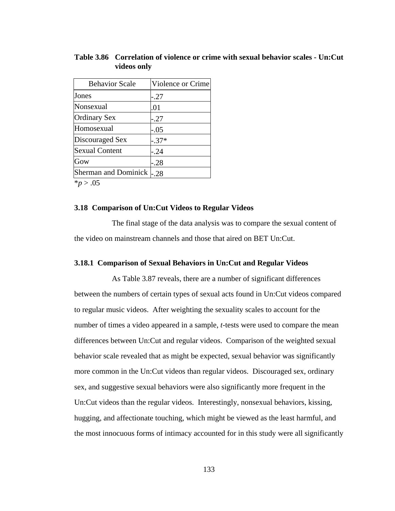| <b>Behavior Scale</b>       | Violence or Crime |
|-----------------------------|-------------------|
| Jones                       | -.27              |
| Nonsexual                   | .01               |
| <b>Ordinary Sex</b>         | -.27              |
| Homosexual                  | $-.05$            |
| Discouraged Sex             | $-.37*$           |
| <b>Sexual Content</b>       | -.24              |
| Gow                         | $-.28$            |
| <b>Sherman and Dominick</b> | - 28              |
|                             |                   |

### **Table 3.86 Correlation of violence or crime with sexual behavior scales - Un:Cut videos only**

 $*_{p} > .05$ 

#### **3.18 Comparison of Un:Cut Videos to Regular Videos**

The final stage of the data analysis was to compare the sexual content of the video on mainstream channels and those that aired on BET Un:Cut.

#### **3.18.1 Comparison of Sexual Behaviors in Un:Cut and Regular Videos**

As Table 3.87 reveals, there are a number of significant differences between the numbers of certain types of sexual acts found in Un:Cut videos compared to regular music videos. After weighting the sexuality scales to account for the number of times a video appeared in a sample, *t*-tests were used to compare the mean differences between Un:Cut and regular videos. Comparison of the weighted sexual behavior scale revealed that as might be expected, sexual behavior was significantly more common in the Un:Cut videos than regular videos. Discouraged sex, ordinary sex, and suggestive sexual behaviors were also significantly more frequent in the Un:Cut videos than the regular videos. Interestingly, nonsexual behaviors, kissing, hugging, and affectionate touching, which might be viewed as the least harmful, and the most innocuous forms of intimacy accounted for in this study were all significantly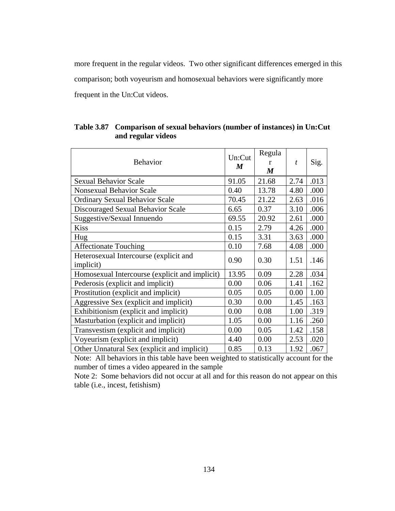more frequent in the regular videos. Two other significant differences emerged in this comparison; both voyeurism and homosexual behaviors were significantly more frequent in the Un:Cut videos.

| <b>Behavior</b>                                             | Un:Cut<br>$\boldsymbol{M}$ | Regula<br>r<br>$\boldsymbol{M}$ | $\boldsymbol{t}$ | Sig. |
|-------------------------------------------------------------|----------------------------|---------------------------------|------------------|------|
| <b>Sexual Behavior Scale</b>                                | 91.05                      | 21.68                           | 2.74             | .013 |
| <b>Nonsexual Behavior Scale</b>                             | 0.40                       | 13.78                           | 4.80             | .000 |
| <b>Ordinary Sexual Behavior Scale</b>                       | 70.45                      | 21.22                           | 2.63             | .016 |
| Discouraged Sexual Behavior Scale                           | 6.65                       | 0.37                            | 3.10             | .006 |
| Suggestive/Sexual Innuendo                                  | 69.55                      | 20.92                           | 2.61             | .000 |
| <b>Kiss</b>                                                 | 0.15                       | 2.79                            | 4.26             | .000 |
| Hug                                                         | 0.15                       | 3.31                            | 3.63             | .000 |
| <b>Affectionate Touching</b>                                | 0.10                       | 7.68                            | 4.08             | .000 |
| Heterosexual Intercourse (explicit and<br><i>implicit</i> ) | 0.90                       | 0.30                            | 1.51             | .146 |
| Homosexual Intercourse (explicit and implicit)              | 13.95                      | 0.09                            | 2.28             | .034 |
| Pederosis (explicit and implicit)                           | 0.00                       | 0.06                            | 1.41             | .162 |
| Prostitution (explicit and implicit)                        | 0.05                       | 0.05                            | 0.00             | 1.00 |
| Aggressive Sex (explicit and implicit)                      | 0.30                       | 0.00                            | 1.45             | .163 |
| Exhibitionism (explicit and implicit)                       | 0.00                       | 0.08                            | 1.00             | .319 |
| Masturbation (explicit and implicit)                        | 1.05                       | 0.00                            | 1.16             | .260 |
| Transvestism (explicit and implicit)                        | 0.00                       | 0.05                            | 1.42             | .158 |
| Voyeurism (explicit and implicit)                           | 4.40                       | 0.00                            | 2.53             | .020 |
| Other Unnatural Sex (explicit and implicit)                 | 0.85                       | 0.13                            | 1.92             | .067 |

**Table 3.87 Comparison of sexual behaviors (number of instances) in Un:Cut and regular videos** 

Note: All behaviors in this table have been weighted to statistically account for the number of times a video appeared in the sample

Note 2: Some behaviors did not occur at all and for this reason do not appear on this table (i.e., incest, fetishism)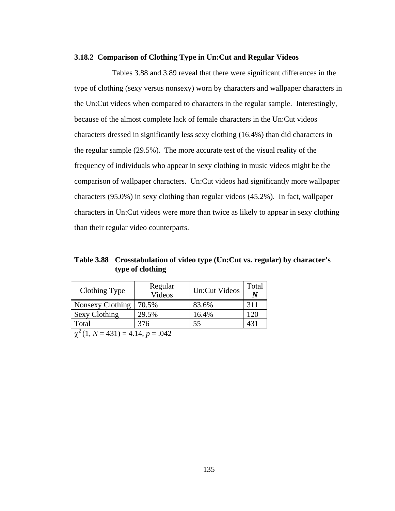#### **3.18.2 Comparison of Clothing Type in Un:Cut and Regular Videos**

Tables 3.88 and 3.89 reveal that there were significant differences in the type of clothing (sexy versus nonsexy) worn by characters and wallpaper characters in the Un:Cut videos when compared to characters in the regular sample. Interestingly, because of the almost complete lack of female characters in the Un:Cut videos characters dressed in significantly less sexy clothing (16.4%) than did characters in the regular sample (29.5%). The more accurate test of the visual reality of the frequency of individuals who appear in sexy clothing in music videos might be the comparison of wallpaper characters. Un:Cut videos had significantly more wallpaper characters (95.0%) in sexy clothing than regular videos (45.2%). In fact, wallpaper characters in Un:Cut videos were more than twice as likely to appear in sexy clothing than their regular video counterparts.

**Table 3.88 Crosstabulation of video type (Un:Cut vs. regular) by character's type of clothing** 

| Clothing Type    | Regular<br>Videos | Un:Cut Videos | Total<br>$\bm{N}$ |
|------------------|-------------------|---------------|-------------------|
| Nonsexy Clothing | 70.5%             | 83.6%         | 311               |
| Sexy Clothing    | 29.5%             | 16.4%         | 120               |
| Total            | 376               | 55            |                   |

 $\chi^2(1, N = 431) = 4.14, p = .042$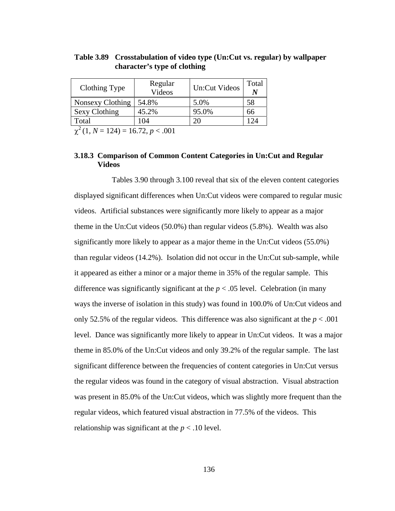| Clothing Type    | Regular<br>Videos | Un:Cut Videos | Total |
|------------------|-------------------|---------------|-------|
| Nonsexy Clothing | 54.8%             | 5.0%          | 58    |
| Sexy Clothing    | 45.2%             | 95.0%         | 66    |
| Total            | 104               | 20            | 124   |
|                  |                   |               |       |

**Table 3.89 Crosstabulation of video type (Un:Cut vs. regular) by wallpaper character's type of clothing** 

 $\chi^2$  (1, *N* = 124) = 16.72, *p* < .001

# **3.18.3 Comparison of Common Content Categories in Un:Cut and Regular Videos**

Tables 3.90 through 3.100 reveal that six of the eleven content categories displayed significant differences when Un:Cut videos were compared to regular music videos. Artificial substances were significantly more likely to appear as a major theme in the Un:Cut videos (50.0%) than regular videos (5.8%). Wealth was also significantly more likely to appear as a major theme in the Un:Cut videos (55.0%) than regular videos (14.2%). Isolation did not occur in the Un:Cut sub-sample, while it appeared as either a minor or a major theme in 35% of the regular sample. This difference was significantly significant at the  $p < .05$  level. Celebration (in many ways the inverse of isolation in this study) was found in 100.0% of Un:Cut videos and only 52.5% of the regular videos. This difference was also significant at the  $p < .001$ level. Dance was significantly more likely to appear in Un:Cut videos. It was a major theme in 85.0% of the Un:Cut videos and only 39.2% of the regular sample. The last significant difference between the frequencies of content categories in Un:Cut versus the regular videos was found in the category of visual abstraction. Visual abstraction was present in 85.0% of the Un:Cut videos, which was slightly more frequent than the regular videos, which featured visual abstraction in 77.5% of the videos. This relationship was significant at the  $p < 0.10$  level.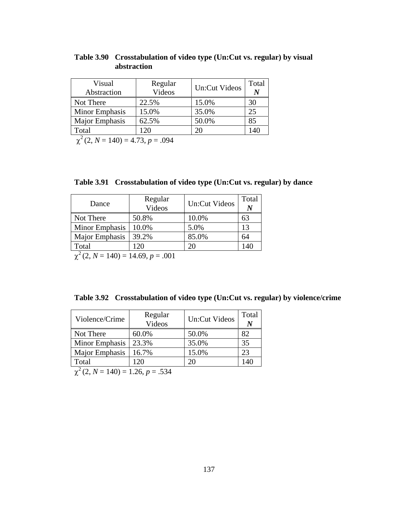| Visual<br>Abstraction | Regular<br>Videos | Un:Cut Videos | Total<br>N |
|-----------------------|-------------------|---------------|------------|
| Not There             | 22.5%             | 15.0%         | 30         |
| Minor Emphasis        | 15.0%             | 35.0%         | 25         |
| Major Emphasis        | 62.5%             | 50.0%         | 85         |
| Total                 | 120               | 20            | 140        |
| 2.1<br>.              | _ _               |               |            |

**Table 3.90 Crosstabulation of video type (Un:Cut vs. regular) by visual abstraction** 

 $\chi^2$  (2, *N* = 140) = 4.73, *p* = .094

**Table 3.91 Crosstabulation of video type (Un:Cut vs. regular) by dance** 

| Dance                                  | Regular<br>Videos                     | Un:Cut Videos | Total<br>N |
|----------------------------------------|---------------------------------------|---------------|------------|
| Not There                              | 50.8%                                 | 10.0%         | 63         |
| Minor Emphasis                         | 10.0%                                 | 5.0%          | 13         |
| Major Emphasis                         | 39.2%                                 | 85.0%         | 64         |
| Total                                  | 120                                   | 20            | 140        |
| $2.02 \times 10^{-7}$<br>$\sim$ $\sim$ | $\sim$ $\sim$ $\sim$<br>$\sim$ $\sim$ |               |            |

 $\chi^2$  (2, *N* = 140) = 14.69, *p* = .001

| Table 3.92 Crosstabulation of video type (Un:Cut vs. regular) by violence/crime |  |  |
|---------------------------------------------------------------------------------|--|--|
|                                                                                 |  |  |

| Violence/Crime | Regular<br>Videos | Un:Cut Videos | Total<br>N |
|----------------|-------------------|---------------|------------|
| Not There      | 60.0%             | 50.0%         | 82         |
| Minor Emphasis | 23.3%             | 35.0%         | 35         |
| Major Emphasis | 16.7%             | 15.0%         | 23         |
| Total          | 20                | 20            | 140        |

 $\chi^2$  (2, *N* = 140) = 1.26, *p* = .534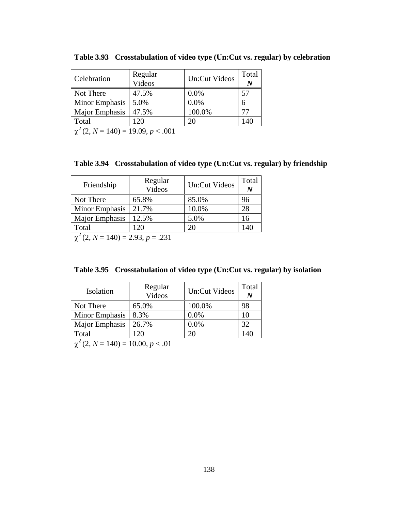| Celebration                            | Regular<br>Videos                 | Un:Cut Videos | Total<br>N |
|----------------------------------------|-----------------------------------|---------------|------------|
| Not There                              | 47.5%                             | 0.0%          | 57         |
| Minor Emphasis                         | 5.0%                              | $0.0\%$       | 6          |
| Major Emphasis                         | 47.5%                             | 100.0%        |            |
| Total                                  | 120                               | 20            | 140        |
| $2.02 \times 10^{-7}$<br>$\sim$ $\sim$ | $\sim$ 00<br>$\sim$ $\sim$ $\sim$ |               |            |

**Table 3.93 Crosstabulation of video type (Un:Cut vs. regular) by celebration** 

 $\chi^2$  (2, *N* = 140) = 19.09, *p* < .001

**Table 3.94 Crosstabulation of video type (Un:Cut vs. regular) by friendship** 

| Friendship     | Regular<br>Videos          | Un:Cut Videos | Total<br>N |
|----------------|----------------------------|---------------|------------|
| Not There      | 65.8%                      | 85.0%         | 96         |
| Minor Emphasis | 21.7%                      | 10.0%         | 28         |
| Major Emphasis | 12.5%                      | 5.0%          | 16         |
| Total          | 120                        | 20            | 140        |
|                | $N - 140$ ) – 2.93 n – 231 |               |            |

 $\chi^2$  (2, *N* = 140) = 2.93, *p* = .231

**Table 3.95 Crosstabulation of video type (Un:Cut vs. regular) by isolation** 

| Isolation       | Regular<br>Videos | Un:Cut Videos | Total<br>N |
|-----------------|-------------------|---------------|------------|
| Not There       | 65.0%             | 100.0%        | 98         |
| Minor Emphasis  | 8.3%              | 0.0%          |            |
| Major Emphasis  | 26.7%             | 0.0%          | 32         |
| Total<br>$\sim$ |                   |               |            |

 $\chi^2$  (2, *N* = 140) = 10.00, *p* < .01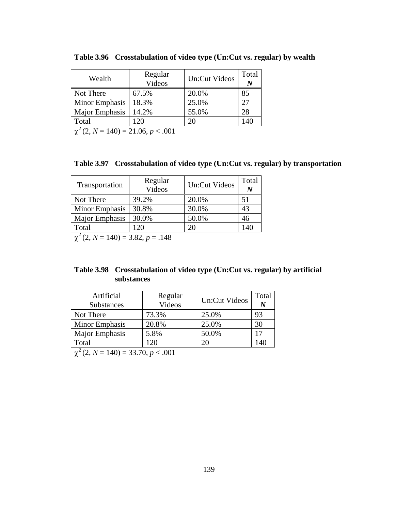| Wealth                              | Regular<br>Videos            | Un:Cut Videos | Total<br>$\boldsymbol{N}$ |
|-------------------------------------|------------------------------|---------------|---------------------------|
| Not There                           | 67.5%                        | 20.0%         | 85                        |
| Minor Emphasis                      | 18.3%                        | 25.0%         | 27                        |
| Major Emphasis                      | 14.2%                        | 55.0%         | 28                        |
| Total                               | 120                          | 20            | 140                       |
| $2\sqrt{2}$<br>$\sim$ $\sim$ $\sim$ | $\sim$ $\sim$ $\sim$<br>---- |               |                           |

**Table 3.96 Crosstabulation of video type (Un:Cut vs. regular) by wealth** 

 $\chi^2$  (2, *N* = 140) = 21.06, *p* < .001

**Table 3.97 Crosstabulation of video type (Un:Cut vs. regular) by transportation** 

| Transportation | Regular<br>Videos | Un:Cut Videos | Total<br>N |
|----------------|-------------------|---------------|------------|
| Not There      | 39.2%             | 20.0%         | 51         |
| Minor Emphasis | 30.8%             | 30.0%         | 43         |
| Major Emphasis | 30.0%             | 50.0%         | 46         |
| Total          | 120               | 20            | 140        |
| 2(2)<br>1.40   | 202<br>140        |               |            |

 $\chi^2$  (2, *N* = 140) = 3.82, *p* = .148

# **Table 3.98 Crosstabulation of video type (Un:Cut vs. regular) by artificial substances**

| Artificial<br><b>Substances</b> | Regular<br>Videos | Un:Cut Videos | Total<br>N |
|---------------------------------|-------------------|---------------|------------|
| Not There                       | 73.3%             | 25.0%         | 93         |
| Minor Emphasis                  | 20.8%             | 25.0%         | 30         |
| Major Emphasis                  | 5.8%              | 50.0%         |            |
| Total                           | 20                |               | 40         |

 $\chi^2$  (2, *N* = 140) = 33.70, *p* < .001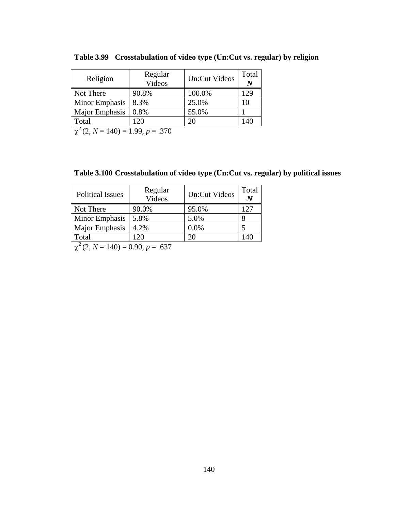| Religion                               | Regular<br>Videos | Un:Cut Videos | Total<br>$\boldsymbol{N}$ |  |
|----------------------------------------|-------------------|---------------|---------------------------|--|
| Not There                              | 90.8%             | 100.0%        | 129                       |  |
| Minor Emphasis                         | 8.3%              | 25.0%         | 10                        |  |
| Major Emphasis                         | 0.8%              | 55.0%         |                           |  |
| Total                                  | 120               | 20            | 140                       |  |
| $\chi^2$ (2, N = 140) = 1.99, p = .370 |                   |               |                           |  |

**Table 3.99 Crosstabulation of video type (Un:Cut vs. regular) by religion** 

**Table 3.100 Crosstabulation of video type (Un:Cut vs. regular) by political issues** 

| <b>Political Issues</b> | Regular<br>Videos | Un:Cut Videos | Total      |
|-------------------------|-------------------|---------------|------------|
| Not There               | 90.0%             | 95.0%         | 127        |
| Minor Emphasis          | 5.8%              | 5.0%          |            |
| Major Emphasis          | 4.2%              | 0.0%          |            |
| Total<br>$\sim$         | 120               | 20            | $\Delta$ f |

 $\chi^2$  (2, *N* = 140) = 0.90, *p* = .637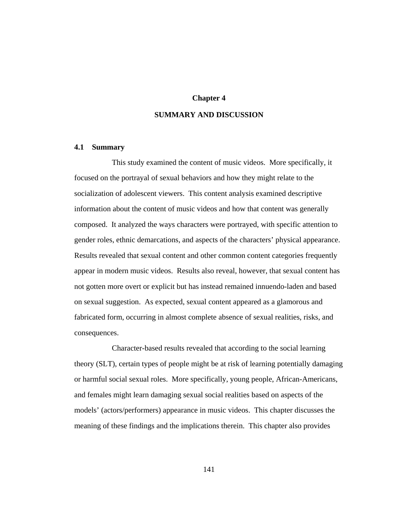## **Chapter 4**

#### **SUMMARY AND DISCUSSION**

#### **4.1 Summary**

This study examined the content of music videos. More specifically, it focused on the portrayal of sexual behaviors and how they might relate to the socialization of adolescent viewers. This content analysis examined descriptive information about the content of music videos and how that content was generally composed. It analyzed the ways characters were portrayed, with specific attention to gender roles, ethnic demarcations, and aspects of the characters' physical appearance. Results revealed that sexual content and other common content categories frequently appear in modern music videos. Results also reveal, however, that sexual content has not gotten more overt or explicit but has instead remained innuendo-laden and based on sexual suggestion. As expected, sexual content appeared as a glamorous and fabricated form, occurring in almost complete absence of sexual realities, risks, and consequences.

Character-based results revealed that according to the social learning theory (SLT), certain types of people might be at risk of learning potentially damaging or harmful social sexual roles. More specifically, young people, African-Americans, and females might learn damaging sexual social realities based on aspects of the models' (actors/performers) appearance in music videos. This chapter discusses the meaning of these findings and the implications therein. This chapter also provides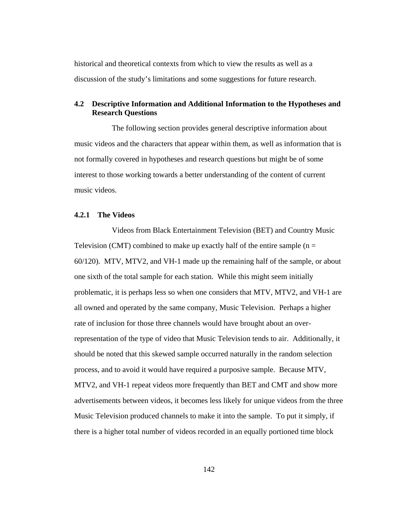historical and theoretical contexts from which to view the results as well as a discussion of the study's limitations and some suggestions for future research.

# **4.2 Descriptive Information and Additional Information to the Hypotheses and Research Questions**

The following section provides general descriptive information about music videos and the characters that appear within them, as well as information that is not formally covered in hypotheses and research questions but might be of some interest to those working towards a better understanding of the content of current music videos.

#### **4.2.1 The Videos**

Videos from Black Entertainment Television (BET) and Country Music Television (CMT) combined to make up exactly half of the entire sample ( $n =$ 60/120). MTV, MTV2, and VH-1 made up the remaining half of the sample, or about one sixth of the total sample for each station. While this might seem initially problematic, it is perhaps less so when one considers that MTV, MTV2, and VH-1 are all owned and operated by the same company, Music Television. Perhaps a higher rate of inclusion for those three channels would have brought about an overrepresentation of the type of video that Music Television tends to air. Additionally, it should be noted that this skewed sample occurred naturally in the random selection process, and to avoid it would have required a purposive sample. Because MTV, MTV2, and VH-1 repeat videos more frequently than BET and CMT and show more advertisements between videos, it becomes less likely for unique videos from the three Music Television produced channels to make it into the sample. To put it simply, if there is a higher total number of videos recorded in an equally portioned time block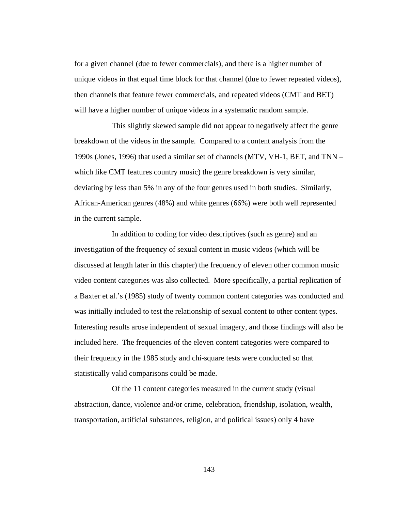for a given channel (due to fewer commercials), and there is a higher number of unique videos in that equal time block for that channel (due to fewer repeated videos), then channels that feature fewer commercials, and repeated videos (CMT and BET) will have a higher number of unique videos in a systematic random sample.

This slightly skewed sample did not appear to negatively affect the genre breakdown of the videos in the sample. Compared to a content analysis from the 1990s (Jones, 1996) that used a similar set of channels (MTV, VH-1, BET, and TNN – which like CMT features country music) the genre breakdown is very similar, deviating by less than 5% in any of the four genres used in both studies. Similarly, African-American genres (48%) and white genres (66%) were both well represented in the current sample.

In addition to coding for video descriptives (such as genre) and an investigation of the frequency of sexual content in music videos (which will be discussed at length later in this chapter) the frequency of eleven other common music video content categories was also collected. More specifically, a partial replication of a Baxter et al.'s (1985) study of twenty common content categories was conducted and was initially included to test the relationship of sexual content to other content types. Interesting results arose independent of sexual imagery, and those findings will also be included here. The frequencies of the eleven content categories were compared to their frequency in the 1985 study and chi-square tests were conducted so that statistically valid comparisons could be made.

Of the 11 content categories measured in the current study (visual abstraction, dance, violence and/or crime, celebration, friendship, isolation, wealth, transportation, artificial substances, religion, and political issues) only 4 have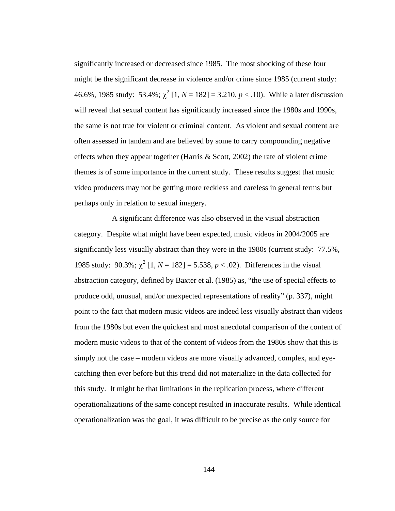significantly increased or decreased since 1985. The most shocking of these four might be the significant decrease in violence and/or crime since 1985 (current study: 46.6%, 1985 study: 53.4%;  $\chi^2$  [1,  $N = 182$ ] = 3.210,  $p < .10$ ). While a later discussion will reveal that sexual content has significantly increased since the 1980s and 1990s, the same is not true for violent or criminal content. As violent and sexual content are often assessed in tandem and are believed by some to carry compounding negative effects when they appear together (Harris  $\&$  Scott, 2002) the rate of violent crime themes is of some importance in the current study. These results suggest that music video producers may not be getting more reckless and careless in general terms but perhaps only in relation to sexual imagery.

A significant difference was also observed in the visual abstraction category. Despite what might have been expected, music videos in 2004/2005 are significantly less visually abstract than they were in the 1980s (current study: 77.5%, 1985 study:  $90.3\%$ ;  $\chi^2$  [1,  $N = 182$ ] = 5.538,  $p < .02$ ). Differences in the visual abstraction category, defined by Baxter et al. (1985) as, "the use of special effects to produce odd, unusual, and/or unexpected representations of reality" (p. 337), might point to the fact that modern music videos are indeed less visually abstract than videos from the 1980s but even the quickest and most anecdotal comparison of the content of modern music videos to that of the content of videos from the 1980s show that this is simply not the case – modern videos are more visually advanced, complex, and eyecatching then ever before but this trend did not materialize in the data collected for this study. It might be that limitations in the replication process, where different operationalizations of the same concept resulted in inaccurate results. While identical operationalization was the goal, it was difficult to be precise as the only source for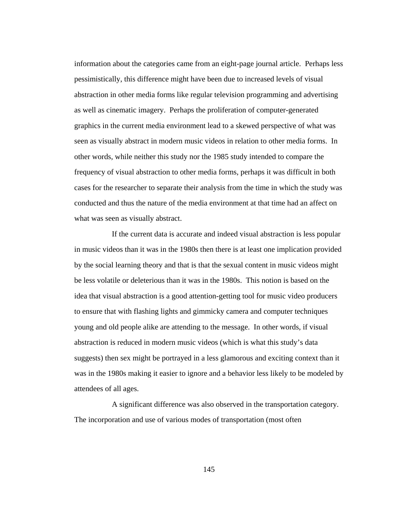information about the categories came from an eight-page journal article. Perhaps less pessimistically, this difference might have been due to increased levels of visual abstraction in other media forms like regular television programming and advertising as well as cinematic imagery. Perhaps the proliferation of computer-generated graphics in the current media environment lead to a skewed perspective of what was seen as visually abstract in modern music videos in relation to other media forms. In other words, while neither this study nor the 1985 study intended to compare the frequency of visual abstraction to other media forms, perhaps it was difficult in both cases for the researcher to separate their analysis from the time in which the study was conducted and thus the nature of the media environment at that time had an affect on what was seen as visually abstract.

If the current data is accurate and indeed visual abstraction is less popular in music videos than it was in the 1980s then there is at least one implication provided by the social learning theory and that is that the sexual content in music videos might be less volatile or deleterious than it was in the 1980s. This notion is based on the idea that visual abstraction is a good attention-getting tool for music video producers to ensure that with flashing lights and gimmicky camera and computer techniques young and old people alike are attending to the message. In other words, if visual abstraction is reduced in modern music videos (which is what this study's data suggests) then sex might be portrayed in a less glamorous and exciting context than it was in the 1980s making it easier to ignore and a behavior less likely to be modeled by attendees of all ages.

A significant difference was also observed in the transportation category. The incorporation and use of various modes of transportation (most often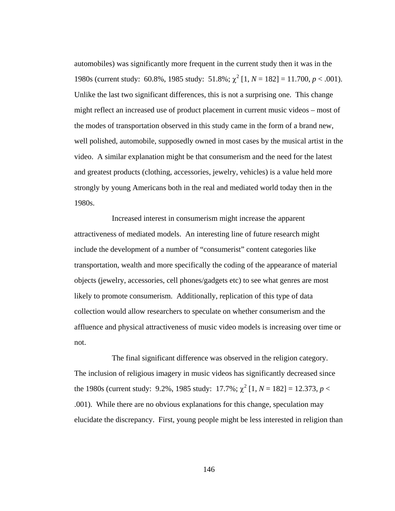automobiles) was significantly more frequent in the current study then it was in the 1980s (current study: 60.8%, 1985 study: 51.8%;  $\chi^2$  [1,  $N = 182$ ] = 11.700,  $p < .001$ ). Unlike the last two significant differences, this is not a surprising one. This change might reflect an increased use of product placement in current music videos – most of the modes of transportation observed in this study came in the form of a brand new, well polished, automobile, supposedly owned in most cases by the musical artist in the video. A similar explanation might be that consumerism and the need for the latest and greatest products (clothing, accessories, jewelry, vehicles) is a value held more strongly by young Americans both in the real and mediated world today then in the 1980s.

Increased interest in consumerism might increase the apparent attractiveness of mediated models. An interesting line of future research might include the development of a number of "consumerist" content categories like transportation, wealth and more specifically the coding of the appearance of material objects (jewelry, accessories, cell phones/gadgets etc) to see what genres are most likely to promote consumerism. Additionally, replication of this type of data collection would allow researchers to speculate on whether consumerism and the affluence and physical attractiveness of music video models is increasing over time or not.

The final significant difference was observed in the religion category. The inclusion of religious imagery in music videos has significantly decreased since the 1980s (current study: 9.2%, 1985 study: 17.7%;  $\chi^2$  [1,  $N = 182$ ] = 12.373,  $p <$ .001). While there are no obvious explanations for this change, speculation may elucidate the discrepancy. First, young people might be less interested in religion than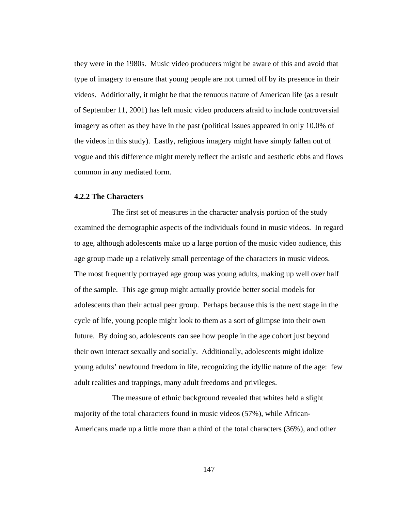they were in the 1980s. Music video producers might be aware of this and avoid that type of imagery to ensure that young people are not turned off by its presence in their videos. Additionally, it might be that the tenuous nature of American life (as a result of September 11, 2001) has left music video producers afraid to include controversial imagery as often as they have in the past (political issues appeared in only 10.0% of the videos in this study). Lastly, religious imagery might have simply fallen out of vogue and this difference might merely reflect the artistic and aesthetic ebbs and flows common in any mediated form.

#### **4.2.2 The Characters**

The first set of measures in the character analysis portion of the study examined the demographic aspects of the individuals found in music videos. In regard to age, although adolescents make up a large portion of the music video audience, this age group made up a relatively small percentage of the characters in music videos. The most frequently portrayed age group was young adults, making up well over half of the sample. This age group might actually provide better social models for adolescents than their actual peer group. Perhaps because this is the next stage in the cycle of life, young people might look to them as a sort of glimpse into their own future. By doing so, adolescents can see how people in the age cohort just beyond their own interact sexually and socially. Additionally, adolescents might idolize young adults' newfound freedom in life, recognizing the idyllic nature of the age: few adult realities and trappings, many adult freedoms and privileges.

The measure of ethnic background revealed that whites held a slight majority of the total characters found in music videos (57%), while African-Americans made up a little more than a third of the total characters (36%), and other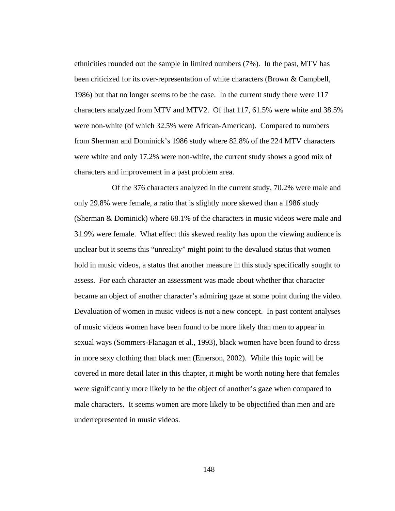ethnicities rounded out the sample in limited numbers (7%). In the past, MTV has been criticized for its over-representation of white characters (Brown & Campbell, 1986) but that no longer seems to be the case. In the current study there were 117 characters analyzed from MTV and MTV2. Of that 117, 61.5% were white and 38.5% were non-white (of which 32.5% were African-American). Compared to numbers from Sherman and Dominick's 1986 study where 82.8% of the 224 MTV characters were white and only 17.2% were non-white, the current study shows a good mix of characters and improvement in a past problem area.

Of the 376 characters analyzed in the current study, 70.2% were male and only 29.8% were female, a ratio that is slightly more skewed than a 1986 study (Sherman & Dominick) where 68.1% of the characters in music videos were male and 31.9% were female. What effect this skewed reality has upon the viewing audience is unclear but it seems this "unreality" might point to the devalued status that women hold in music videos, a status that another measure in this study specifically sought to assess. For each character an assessment was made about whether that character became an object of another character's admiring gaze at some point during the video. Devaluation of women in music videos is not a new concept. In past content analyses of music videos women have been found to be more likely than men to appear in sexual ways (Sommers-Flanagan et al., 1993), black women have been found to dress in more sexy clothing than black men (Emerson, 2002). While this topic will be covered in more detail later in this chapter, it might be worth noting here that females were significantly more likely to be the object of another's gaze when compared to male characters. It seems women are more likely to be objectified than men and are underrepresented in music videos.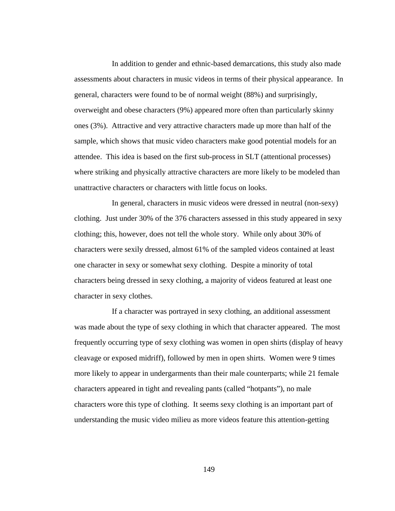In addition to gender and ethnic-based demarcations, this study also made assessments about characters in music videos in terms of their physical appearance. In general, characters were found to be of normal weight (88%) and surprisingly, overweight and obese characters (9%) appeared more often than particularly skinny ones (3%). Attractive and very attractive characters made up more than half of the sample, which shows that music video characters make good potential models for an attendee. This idea is based on the first sub-process in SLT (attentional processes) where striking and physically attractive characters are more likely to be modeled than unattractive characters or characters with little focus on looks.

In general, characters in music videos were dressed in neutral (non-sexy) clothing. Just under 30% of the 376 characters assessed in this study appeared in sexy clothing; this, however, does not tell the whole story. While only about 30% of characters were sexily dressed, almost 61% of the sampled videos contained at least one character in sexy or somewhat sexy clothing. Despite a minority of total characters being dressed in sexy clothing, a majority of videos featured at least one character in sexy clothes.

If a character was portrayed in sexy clothing, an additional assessment was made about the type of sexy clothing in which that character appeared. The most frequently occurring type of sexy clothing was women in open shirts (display of heavy cleavage or exposed midriff), followed by men in open shirts. Women were 9 times more likely to appear in undergarments than their male counterparts; while 21 female characters appeared in tight and revealing pants (called "hotpants"), no male characters wore this type of clothing. It seems sexy clothing is an important part of understanding the music video milieu as more videos feature this attention-getting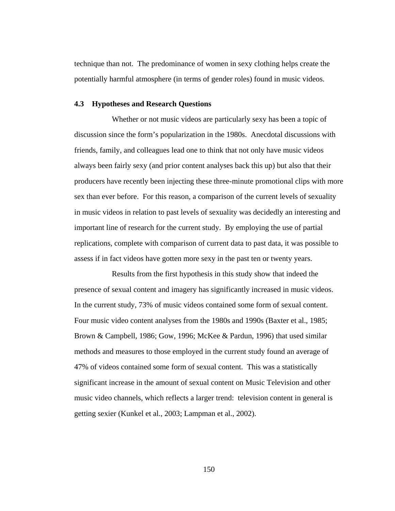technique than not. The predominance of women in sexy clothing helps create the potentially harmful atmosphere (in terms of gender roles) found in music videos.

#### **4.3 Hypotheses and Research Questions**

Whether or not music videos are particularly sexy has been a topic of discussion since the form's popularization in the 1980s. Anecdotal discussions with friends, family, and colleagues lead one to think that not only have music videos always been fairly sexy (and prior content analyses back this up) but also that their producers have recently been injecting these three-minute promotional clips with more sex than ever before. For this reason, a comparison of the current levels of sexuality in music videos in relation to past levels of sexuality was decidedly an interesting and important line of research for the current study. By employing the use of partial replications, complete with comparison of current data to past data, it was possible to assess if in fact videos have gotten more sexy in the past ten or twenty years.

Results from the first hypothesis in this study show that indeed the presence of sexual content and imagery has significantly increased in music videos. In the current study, 73% of music videos contained some form of sexual content. Four music video content analyses from the 1980s and 1990s (Baxter et al., 1985; Brown & Campbell, 1986; Gow, 1996; McKee & Pardun, 1996) that used similar methods and measures to those employed in the current study found an average of 47% of videos contained some form of sexual content. This was a statistically significant increase in the amount of sexual content on Music Television and other music video channels, which reflects a larger trend: television content in general is getting sexier (Kunkel et al., 2003; Lampman et al., 2002).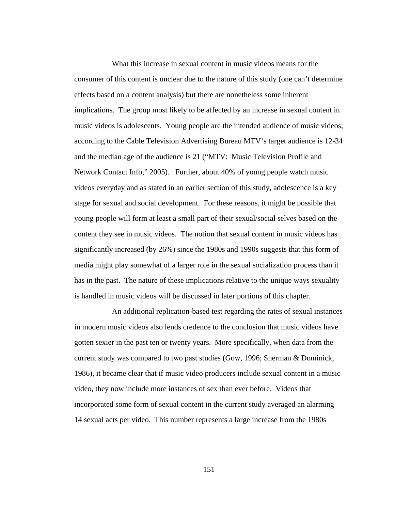What this increase in sexual content in music videos means for the consumer of this content is unclear due to the nature of this study (one can't determine effects based on a content analysis) but there are nonetheless some inherent implications. The group most likely to be affected by an increase in sexual content in music videos is adolescents. Young people are the intended audience of music videos; according to the Cable Television Advertising Bureau MTV's target audience is 12-34 and the median age of the audience is 21 ("MTV: Music Television Profile and Network Contact Info," 2005). Further, about 40% of young people watch music videos everyday and as stated in an earlier section of this study, adolescence is a key stage for sexual and social development. For these reasons, it might be possible that young people will form at least a small part of their sexual/social selves based on the content they see in music videos. The notion that sexual content in music videos has significantly increased (by 26%) since the 1980s and 1990s suggests that this form of media might play somewhat of a larger role in the sexual socialization process than it has in the past. The nature of these implications relative to the unique ways sexuality is handled in music videos will be discussed in later portions of this chapter.

An additional replication-based test regarding the rates of sexual instances in modern music videos also lends credence to the conclusion that music videos have gotten sexier in the past ten or twenty years. More specifically, when data from the current study was compared to two past studies (Gow, 1996; Sherman & Dominick, 1986), it became clear that if music video producers include sexual content in a music video, they now include more instances of sex than ever before. Videos that incorporated some form of sexual content in the current study averaged an alarming 14 sexual acts per video. This number represents a large increase from the 1980s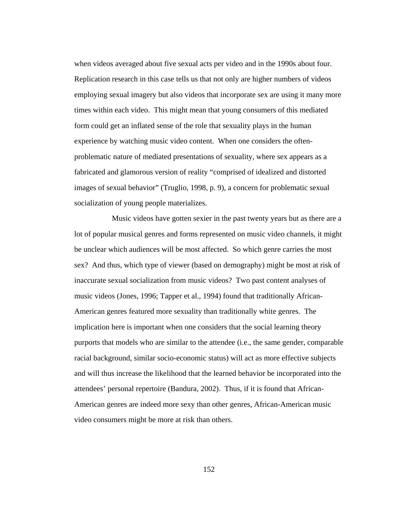when videos averaged about five sexual acts per video and in the 1990s about four. Replication research in this case tells us that not only are higher numbers of videos employing sexual imagery but also videos that incorporate sex are using it many more times within each video. This might mean that young consumers of this mediated form could get an inflated sense of the role that sexuality plays in the human experience by watching music video content. When one considers the oftenproblematic nature of mediated presentations of sexuality, where sex appears as a fabricated and glamorous version of reality "comprised of idealized and distorted images of sexual behavior" (Truglio, 1998, p. 9), a concern for problematic sexual socialization of young people materializes.

Music videos have gotten sexier in the past twenty years but as there are a lot of popular musical genres and forms represented on music video channels, it might be unclear which audiences will be most affected. So which genre carries the most sex? And thus, which type of viewer (based on demography) might be most at risk of inaccurate sexual socialization from music videos? Two past content analyses of music videos (Jones, 1996; Tapper et al., 1994) found that traditionally African-American genres featured more sexuality than traditionally white genres. The implication here is important when one considers that the social learning theory purports that models who are similar to the attendee (i.e., the same gender, comparable racial background, similar socio-economic status) will act as more effective subjects and will thus increase the likelihood that the learned behavior be incorporated into the attendees' personal repertoire (Bandura, 2002). Thus, if it is found that African-American genres are indeed more sexy than other genres, African-American music video consumers might be more at risk than others.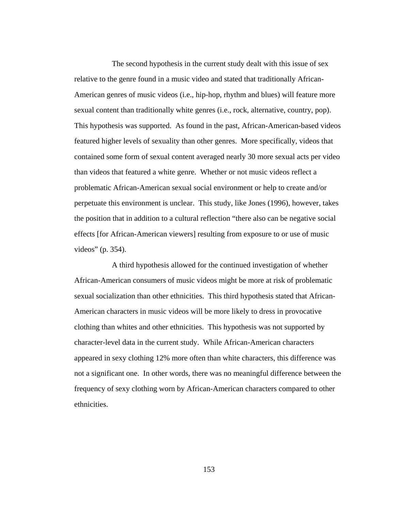The second hypothesis in the current study dealt with this issue of sex relative to the genre found in a music video and stated that traditionally African-American genres of music videos (i.e., hip-hop, rhythm and blues) will feature more sexual content than traditionally white genres (i.e., rock, alternative, country, pop). This hypothesis was supported. As found in the past, African-American-based videos featured higher levels of sexuality than other genres. More specifically, videos that contained some form of sexual content averaged nearly 30 more sexual acts per video than videos that featured a white genre. Whether or not music videos reflect a problematic African-American sexual social environment or help to create and/or perpetuate this environment is unclear. This study, like Jones (1996), however, takes the position that in addition to a cultural reflection "there also can be negative social effects [for African-American viewers] resulting from exposure to or use of music videos" (p. 354).

A third hypothesis allowed for the continued investigation of whether African-American consumers of music videos might be more at risk of problematic sexual socialization than other ethnicities. This third hypothesis stated that African-American characters in music videos will be more likely to dress in provocative clothing than whites and other ethnicities. This hypothesis was not supported by character-level data in the current study. While African-American characters appeared in sexy clothing 12% more often than white characters, this difference was not a significant one. In other words, there was no meaningful difference between the frequency of sexy clothing worn by African-American characters compared to other ethnicities.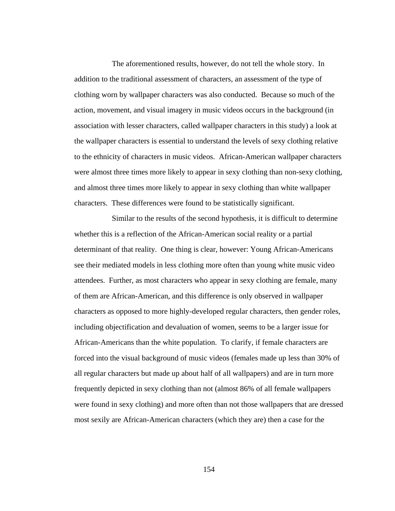The aforementioned results, however, do not tell the whole story. In addition to the traditional assessment of characters, an assessment of the type of clothing worn by wallpaper characters was also conducted. Because so much of the action, movement, and visual imagery in music videos occurs in the background (in association with lesser characters, called wallpaper characters in this study) a look at the wallpaper characters is essential to understand the levels of sexy clothing relative to the ethnicity of characters in music videos. African-American wallpaper characters were almost three times more likely to appear in sexy clothing than non-sexy clothing, and almost three times more likely to appear in sexy clothing than white wallpaper characters. These differences were found to be statistically significant.

Similar to the results of the second hypothesis, it is difficult to determine whether this is a reflection of the African-American social reality or a partial determinant of that reality. One thing is clear, however: Young African-Americans see their mediated models in less clothing more often than young white music video attendees. Further, as most characters who appear in sexy clothing are female, many of them are African-American, and this difference is only observed in wallpaper characters as opposed to more highly-developed regular characters, then gender roles, including objectification and devaluation of women, seems to be a larger issue for African-Americans than the white population. To clarify, if female characters are forced into the visual background of music videos (females made up less than 30% of all regular characters but made up about half of all wallpapers) and are in turn more frequently depicted in sexy clothing than not (almost 86% of all female wallpapers were found in sexy clothing) and more often than not those wallpapers that are dressed most sexily are African-American characters (which they are) then a case for the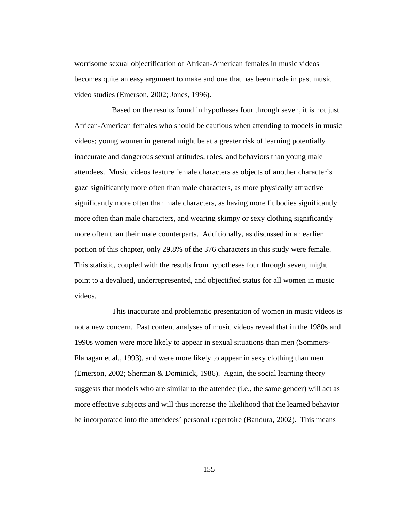worrisome sexual objectification of African-American females in music videos becomes quite an easy argument to make and one that has been made in past music video studies (Emerson, 2002; Jones, 1996).

Based on the results found in hypotheses four through seven, it is not just African-American females who should be cautious when attending to models in music videos; young women in general might be at a greater risk of learning potentially inaccurate and dangerous sexual attitudes, roles, and behaviors than young male attendees. Music videos feature female characters as objects of another character's gaze significantly more often than male characters, as more physically attractive significantly more often than male characters, as having more fit bodies significantly more often than male characters, and wearing skimpy or sexy clothing significantly more often than their male counterparts. Additionally, as discussed in an earlier portion of this chapter, only 29.8% of the 376 characters in this study were female. This statistic, coupled with the results from hypotheses four through seven, might point to a devalued, underrepresented, and objectified status for all women in music videos.

This inaccurate and problematic presentation of women in music videos is not a new concern. Past content analyses of music videos reveal that in the 1980s and 1990s women were more likely to appear in sexual situations than men (Sommers-Flanagan et al., 1993), and were more likely to appear in sexy clothing than men (Emerson, 2002; Sherman & Dominick, 1986). Again, the social learning theory suggests that models who are similar to the attendee (i.e., the same gender) will act as more effective subjects and will thus increase the likelihood that the learned behavior be incorporated into the attendees' personal repertoire (Bandura, 2002). This means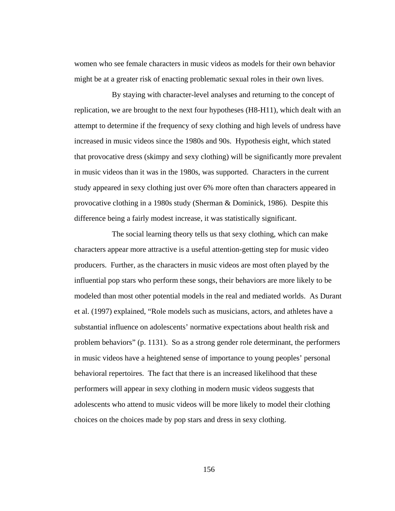women who see female characters in music videos as models for their own behavior might be at a greater risk of enacting problematic sexual roles in their own lives.

By staying with character-level analyses and returning to the concept of replication, we are brought to the next four hypotheses (H8-H11), which dealt with an attempt to determine if the frequency of sexy clothing and high levels of undress have increased in music videos since the 1980s and 90s. Hypothesis eight, which stated that provocative dress (skimpy and sexy clothing) will be significantly more prevalent in music videos than it was in the 1980s, was supported. Characters in the current study appeared in sexy clothing just over 6% more often than characters appeared in provocative clothing in a 1980s study (Sherman & Dominick, 1986). Despite this difference being a fairly modest increase, it was statistically significant.

The social learning theory tells us that sexy clothing, which can make characters appear more attractive is a useful attention-getting step for music video producers. Further, as the characters in music videos are most often played by the influential pop stars who perform these songs, their behaviors are more likely to be modeled than most other potential models in the real and mediated worlds. As Durant et al. (1997) explained, "Role models such as musicians, actors, and athletes have a substantial influence on adolescents' normative expectations about health risk and problem behaviors" (p. 1131). So as a strong gender role determinant, the performers in music videos have a heightened sense of importance to young peoples' personal behavioral repertoires. The fact that there is an increased likelihood that these performers will appear in sexy clothing in modern music videos suggests that adolescents who attend to music videos will be more likely to model their clothing choices on the choices made by pop stars and dress in sexy clothing.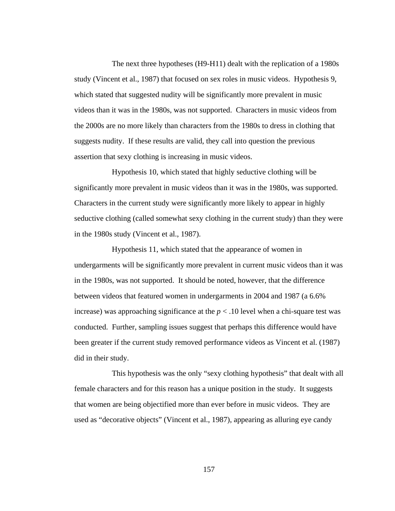The next three hypotheses (H9-H11) dealt with the replication of a 1980s study (Vincent et al., 1987) that focused on sex roles in music videos. Hypothesis 9, which stated that suggested nudity will be significantly more prevalent in music videos than it was in the 1980s, was not supported. Characters in music videos from the 2000s are no more likely than characters from the 1980s to dress in clothing that suggests nudity. If these results are valid, they call into question the previous assertion that sexy clothing is increasing in music videos.

Hypothesis 10, which stated that highly seductive clothing will be significantly more prevalent in music videos than it was in the 1980s, was supported. Characters in the current study were significantly more likely to appear in highly seductive clothing (called somewhat sexy clothing in the current study) than they were in the 1980s study (Vincent et al., 1987).

Hypothesis 11, which stated that the appearance of women in undergarments will be significantly more prevalent in current music videos than it was in the 1980s, was not supported. It should be noted, however, that the difference between videos that featured women in undergarments in 2004 and 1987 (a 6.6% increase) was approaching significance at the  $p < 0.10$  level when a chi-square test was conducted. Further, sampling issues suggest that perhaps this difference would have been greater if the current study removed performance videos as Vincent et al. (1987) did in their study.

This hypothesis was the only "sexy clothing hypothesis" that dealt with all female characters and for this reason has a unique position in the study. It suggests that women are being objectified more than ever before in music videos. They are used as "decorative objects" (Vincent et al., 1987), appearing as alluring eye candy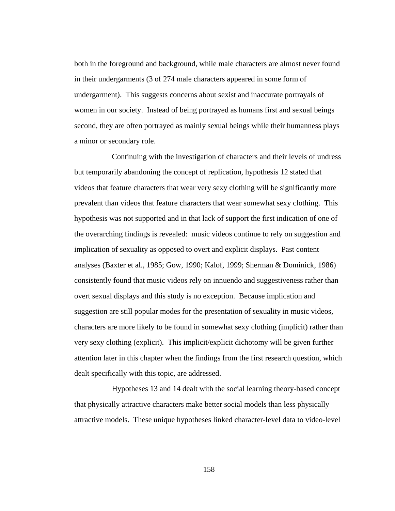both in the foreground and background, while male characters are almost never found in their undergarments (3 of 274 male characters appeared in some form of undergarment). This suggests concerns about sexist and inaccurate portrayals of women in our society. Instead of being portrayed as humans first and sexual beings second, they are often portrayed as mainly sexual beings while their humanness plays a minor or secondary role.

Continuing with the investigation of characters and their levels of undress but temporarily abandoning the concept of replication, hypothesis 12 stated that videos that feature characters that wear very sexy clothing will be significantly more prevalent than videos that feature characters that wear somewhat sexy clothing. This hypothesis was not supported and in that lack of support the first indication of one of the overarching findings is revealed: music videos continue to rely on suggestion and implication of sexuality as opposed to overt and explicit displays. Past content analyses (Baxter et al., 1985; Gow, 1990; Kalof, 1999; Sherman & Dominick, 1986) consistently found that music videos rely on innuendo and suggestiveness rather than overt sexual displays and this study is no exception. Because implication and suggestion are still popular modes for the presentation of sexuality in music videos, characters are more likely to be found in somewhat sexy clothing (implicit) rather than very sexy clothing (explicit). This implicit/explicit dichotomy will be given further attention later in this chapter when the findings from the first research question, which dealt specifically with this topic, are addressed.

Hypotheses 13 and 14 dealt with the social learning theory-based concept that physically attractive characters make better social models than less physically attractive models. These unique hypotheses linked character-level data to video-level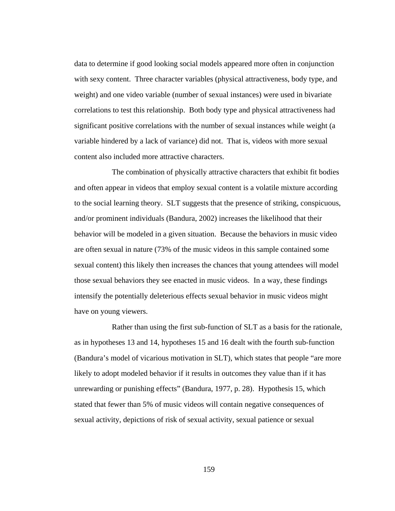data to determine if good looking social models appeared more often in conjunction with sexy content. Three character variables (physical attractiveness, body type, and weight) and one video variable (number of sexual instances) were used in bivariate correlations to test this relationship. Both body type and physical attractiveness had significant positive correlations with the number of sexual instances while weight (a variable hindered by a lack of variance) did not. That is, videos with more sexual content also included more attractive characters.

The combination of physically attractive characters that exhibit fit bodies and often appear in videos that employ sexual content is a volatile mixture according to the social learning theory. SLT suggests that the presence of striking, conspicuous, and/or prominent individuals (Bandura, 2002) increases the likelihood that their behavior will be modeled in a given situation. Because the behaviors in music video are often sexual in nature (73% of the music videos in this sample contained some sexual content) this likely then increases the chances that young attendees will model those sexual behaviors they see enacted in music videos. In a way, these findings intensify the potentially deleterious effects sexual behavior in music videos might have on young viewers.

Rather than using the first sub-function of SLT as a basis for the rationale, as in hypotheses 13 and 14, hypotheses 15 and 16 dealt with the fourth sub-function (Bandura's model of vicarious motivation in SLT), which states that people "are more likely to adopt modeled behavior if it results in outcomes they value than if it has unrewarding or punishing effects" (Bandura, 1977, p. 28). Hypothesis 15, which stated that fewer than 5% of music videos will contain negative consequences of sexual activity, depictions of risk of sexual activity, sexual patience or sexual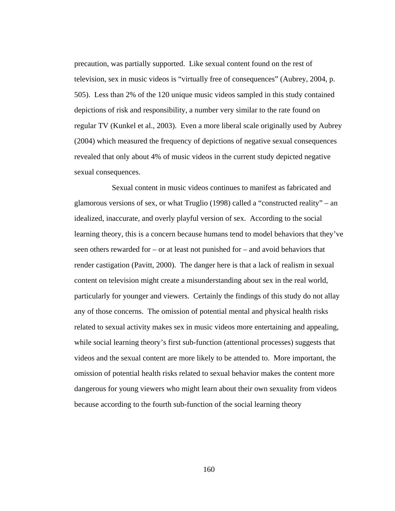precaution, was partially supported. Like sexual content found on the rest of television, sex in music videos is "virtually free of consequences" (Aubrey, 2004, p. 505). Less than 2% of the 120 unique music videos sampled in this study contained depictions of risk and responsibility, a number very similar to the rate found on regular TV (Kunkel et al., 2003). Even a more liberal scale originally used by Aubrey (2004) which measured the frequency of depictions of negative sexual consequences revealed that only about 4% of music videos in the current study depicted negative sexual consequences.

Sexual content in music videos continues to manifest as fabricated and glamorous versions of sex, or what Truglio (1998) called a "constructed reality" – an idealized, inaccurate, and overly playful version of sex. According to the social learning theory, this is a concern because humans tend to model behaviors that they've seen others rewarded for – or at least not punished for – and avoid behaviors that render castigation (Pavitt, 2000). The danger here is that a lack of realism in sexual content on television might create a misunderstanding about sex in the real world, particularly for younger and viewers. Certainly the findings of this study do not allay any of those concerns. The omission of potential mental and physical health risks related to sexual activity makes sex in music videos more entertaining and appealing, while social learning theory's first sub-function (attentional processes) suggests that videos and the sexual content are more likely to be attended to. More important, the omission of potential health risks related to sexual behavior makes the content more dangerous for young viewers who might learn about their own sexuality from videos because according to the fourth sub-function of the social learning theory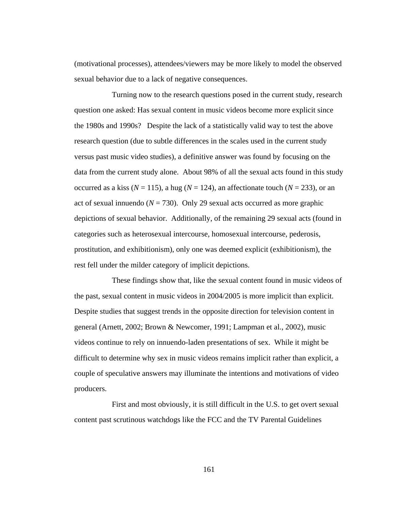(motivational processes), attendees/viewers may be more likely to model the observed sexual behavior due to a lack of negative consequences.

Turning now to the research questions posed in the current study, research question one asked: Has sexual content in music videos become more explicit since the 1980s and 1990s? Despite the lack of a statistically valid way to test the above research question (due to subtle differences in the scales used in the current study versus past music video studies), a definitive answer was found by focusing on the data from the current study alone. About 98% of all the sexual acts found in this study occurred as a kiss ( $N = 115$ ), a hug ( $N = 124$ ), an affectionate touch ( $N = 233$ ), or an act of sexual innuendo ( $N = 730$ ). Only 29 sexual acts occurred as more graphic depictions of sexual behavior. Additionally, of the remaining 29 sexual acts (found in categories such as heterosexual intercourse, homosexual intercourse, pederosis, prostitution, and exhibitionism), only one was deemed explicit (exhibitionism), the rest fell under the milder category of implicit depictions.

These findings show that, like the sexual content found in music videos of the past, sexual content in music videos in 2004/2005 is more implicit than explicit. Despite studies that suggest trends in the opposite direction for television content in general (Arnett, 2002; Brown & Newcomer, 1991; Lampman et al., 2002), music videos continue to rely on innuendo-laden presentations of sex. While it might be difficult to determine why sex in music videos remains implicit rather than explicit, a couple of speculative answers may illuminate the intentions and motivations of video producers.

First and most obviously, it is still difficult in the U.S. to get overt sexual content past scrutinous watchdogs like the FCC and the TV Parental Guidelines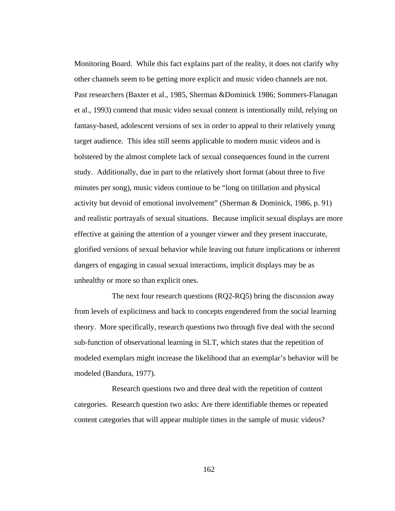Monitoring Board. While this fact explains part of the reality, it does not clarify why other channels seem to be getting more explicit and music video channels are not. Past researchers (Baxter et al., 1985, Sherman &Dominick 1986; Sommers-Flanagan et al., 1993) contend that music video sexual content is intentionally mild, relying on fantasy-based, adolescent versions of sex in order to appeal to their relatively young target audience. This idea still seems applicable to modern music videos and is bolstered by the almost complete lack of sexual consequences found in the current study. Additionally, due in part to the relatively short format (about three to five minutes per song), music videos continue to be "long on titillation and physical activity but devoid of emotional involvement" (Sherman & Dominick, 1986, p. 91) and realistic portrayals of sexual situations. Because implicit sexual displays are more effective at gaining the attention of a younger viewer and they present inaccurate, glorified versions of sexual behavior while leaving out future implications or inherent dangers of engaging in casual sexual interactions, implicit displays may be as unhealthy or more so than explicit ones.

The next four research questions (RQ2-RQ5) bring the discussion away from levels of explicitness and back to concepts engendered from the social learning theory. More specifically, research questions two through five deal with the second sub-function of observational learning in SLT, which states that the repetition of modeled exemplars might increase the likelihood that an exemplar's behavior will be modeled (Bandura, 1977).

Research questions two and three deal with the repetition of content categories. Research question two asks: Are there identifiable themes or repeated content categories that will appear multiple times in the sample of music videos?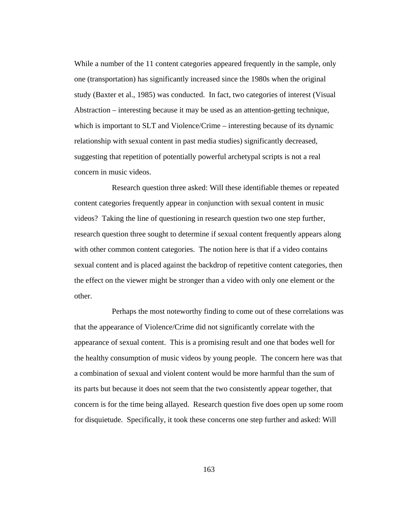While a number of the 11 content categories appeared frequently in the sample, only one (transportation) has significantly increased since the 1980s when the original study (Baxter et al., 1985) was conducted. In fact, two categories of interest (Visual Abstraction – interesting because it may be used as an attention-getting technique, which is important to SLT and Violence/Crime – interesting because of its dynamic relationship with sexual content in past media studies) significantly decreased, suggesting that repetition of potentially powerful archetypal scripts is not a real concern in music videos.

Research question three asked: Will these identifiable themes or repeated content categories frequently appear in conjunction with sexual content in music videos? Taking the line of questioning in research question two one step further, research question three sought to determine if sexual content frequently appears along with other common content categories. The notion here is that if a video contains sexual content and is placed against the backdrop of repetitive content categories, then the effect on the viewer might be stronger than a video with only one element or the other.

Perhaps the most noteworthy finding to come out of these correlations was that the appearance of Violence/Crime did not significantly correlate with the appearance of sexual content. This is a promising result and one that bodes well for the healthy consumption of music videos by young people. The concern here was that a combination of sexual and violent content would be more harmful than the sum of its parts but because it does not seem that the two consistently appear together, that concern is for the time being allayed. Research question five does open up some room for disquietude. Specifically, it took these concerns one step further and asked: Will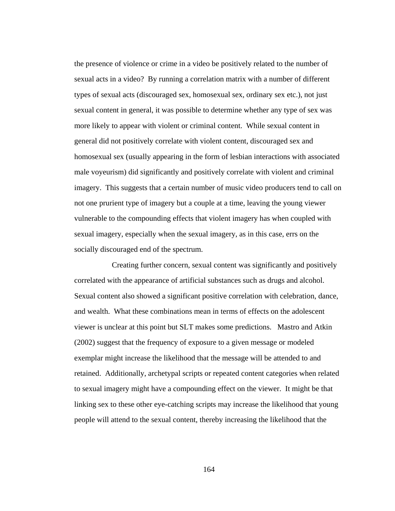the presence of violence or crime in a video be positively related to the number of sexual acts in a video? By running a correlation matrix with a number of different types of sexual acts (discouraged sex, homosexual sex, ordinary sex etc.), not just sexual content in general, it was possible to determine whether any type of sex was more likely to appear with violent or criminal content. While sexual content in general did not positively correlate with violent content, discouraged sex and homosexual sex (usually appearing in the form of lesbian interactions with associated male voyeurism) did significantly and positively correlate with violent and criminal imagery. This suggests that a certain number of music video producers tend to call on not one prurient type of imagery but a couple at a time, leaving the young viewer vulnerable to the compounding effects that violent imagery has when coupled with sexual imagery, especially when the sexual imagery, as in this case, errs on the socially discouraged end of the spectrum.

Creating further concern, sexual content was significantly and positively correlated with the appearance of artificial substances such as drugs and alcohol. Sexual content also showed a significant positive correlation with celebration, dance, and wealth. What these combinations mean in terms of effects on the adolescent viewer is unclear at this point but SLT makes some predictions. Mastro and Atkin (2002) suggest that the frequency of exposure to a given message or modeled exemplar might increase the likelihood that the message will be attended to and retained. Additionally, archetypal scripts or repeated content categories when related to sexual imagery might have a compounding effect on the viewer. It might be that linking sex to these other eye-catching scripts may increase the likelihood that young people will attend to the sexual content, thereby increasing the likelihood that the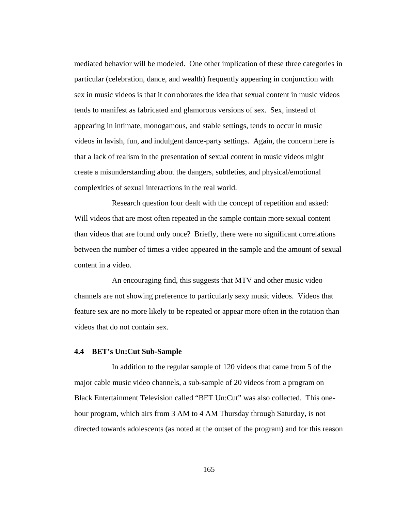mediated behavior will be modeled. One other implication of these three categories in particular (celebration, dance, and wealth) frequently appearing in conjunction with sex in music videos is that it corroborates the idea that sexual content in music videos tends to manifest as fabricated and glamorous versions of sex. Sex, instead of appearing in intimate, monogamous, and stable settings, tends to occur in music videos in lavish, fun, and indulgent dance-party settings. Again, the concern here is that a lack of realism in the presentation of sexual content in music videos might create a misunderstanding about the dangers, subtleties, and physical/emotional complexities of sexual interactions in the real world.

Research question four dealt with the concept of repetition and asked: Will videos that are most often repeated in the sample contain more sexual content than videos that are found only once? Briefly, there were no significant correlations between the number of times a video appeared in the sample and the amount of sexual content in a video.

An encouraging find, this suggests that MTV and other music video channels are not showing preference to particularly sexy music videos. Videos that feature sex are no more likely to be repeated or appear more often in the rotation than videos that do not contain sex.

### **4.4 BET's Un:Cut Sub-Sample**

In addition to the regular sample of 120 videos that came from 5 of the major cable music video channels, a sub-sample of 20 videos from a program on Black Entertainment Television called "BET Un:Cut" was also collected. This onehour program, which airs from 3 AM to 4 AM Thursday through Saturday, is not directed towards adolescents (as noted at the outset of the program) and for this reason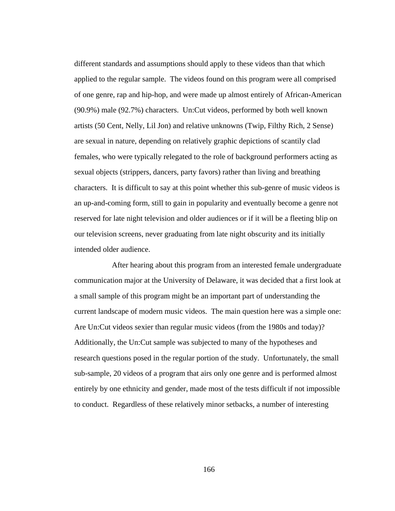different standards and assumptions should apply to these videos than that which applied to the regular sample. The videos found on this program were all comprised of one genre, rap and hip-hop, and were made up almost entirely of African-American (90.9%) male (92.7%) characters. Un:Cut videos, performed by both well known artists (50 Cent, Nelly, Lil Jon) and relative unknowns (Twip, Filthy Rich, 2 Sense) are sexual in nature, depending on relatively graphic depictions of scantily clad females, who were typically relegated to the role of background performers acting as sexual objects (strippers, dancers, party favors) rather than living and breathing characters. It is difficult to say at this point whether this sub-genre of music videos is an up-and-coming form, still to gain in popularity and eventually become a genre not reserved for late night television and older audiences or if it will be a fleeting blip on our television screens, never graduating from late night obscurity and its initially intended older audience.

After hearing about this program from an interested female undergraduate communication major at the University of Delaware, it was decided that a first look at a small sample of this program might be an important part of understanding the current landscape of modern music videos. The main question here was a simple one: Are Un:Cut videos sexier than regular music videos (from the 1980s and today)? Additionally, the Un:Cut sample was subjected to many of the hypotheses and research questions posed in the regular portion of the study. Unfortunately, the small sub-sample, 20 videos of a program that airs only one genre and is performed almost entirely by one ethnicity and gender, made most of the tests difficult if not impossible to conduct. Regardless of these relatively minor setbacks, a number of interesting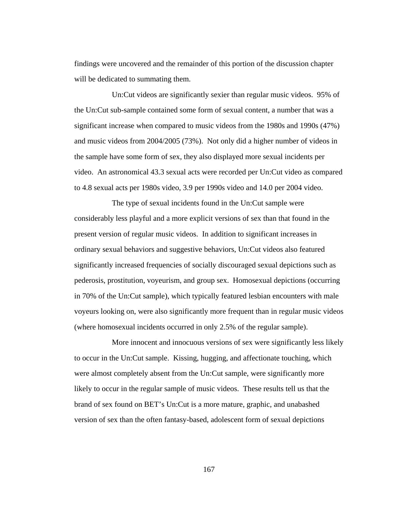findings were uncovered and the remainder of this portion of the discussion chapter will be dedicated to summating them.

Un:Cut videos are significantly sexier than regular music videos. 95% of the Un:Cut sub-sample contained some form of sexual content, a number that was a significant increase when compared to music videos from the 1980s and 1990s (47%) and music videos from 2004/2005 (73%). Not only did a higher number of videos in the sample have some form of sex, they also displayed more sexual incidents per video. An astronomical 43.3 sexual acts were recorded per Un:Cut video as compared to 4.8 sexual acts per 1980s video, 3.9 per 1990s video and 14.0 per 2004 video.

The type of sexual incidents found in the Un:Cut sample were considerably less playful and a more explicit versions of sex than that found in the present version of regular music videos. In addition to significant increases in ordinary sexual behaviors and suggestive behaviors, Un:Cut videos also featured significantly increased frequencies of socially discouraged sexual depictions such as pederosis, prostitution, voyeurism, and group sex. Homosexual depictions (occurring in 70% of the Un:Cut sample), which typically featured lesbian encounters with male voyeurs looking on, were also significantly more frequent than in regular music videos (where homosexual incidents occurred in only 2.5% of the regular sample).

More innocent and innocuous versions of sex were significantly less likely to occur in the Un:Cut sample. Kissing, hugging, and affectionate touching, which were almost completely absent from the Un:Cut sample, were significantly more likely to occur in the regular sample of music videos. These results tell us that the brand of sex found on BET's Un:Cut is a more mature, graphic, and unabashed version of sex than the often fantasy-based, adolescent form of sexual depictions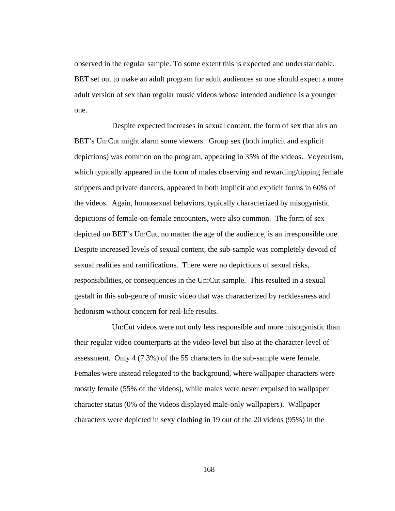observed in the regular sample. To some extent this is expected and understandable. BET set out to make an adult program for adult audiences so one should expect a more adult version of sex than regular music videos whose intended audience is a younger one.

Despite expected increases in sexual content, the form of sex that airs on BET's Un:Cut might alarm some viewers. Group sex (both implicit and explicit depictions) was common on the program, appearing in 35% of the videos. Voyeurism, which typically appeared in the form of males observing and rewarding/tipping female strippers and private dancers, appeared in both implicit and explicit forms in 60% of the videos. Again, homosexual behaviors, typically characterized by misogynistic depictions of female-on-female encounters, were also common. The form of sex depicted on BET's Un:Cut, no matter the age of the audience, is an irresponsible one. Despite increased levels of sexual content, the sub-sample was completely devoid of sexual realities and ramifications. There were no depictions of sexual risks, responsibilities, or consequences in the Un:Cut sample. This resulted in a sexual gestalt in this sub-genre of music video that was characterized by recklessness and hedonism without concern for real-life results.

Un:Cut videos were not only less responsible and more misogynistic than their regular video counterparts at the video-level but also at the character-level of assessment. Only 4 (7.3%) of the 55 characters in the sub-sample were female. Females were instead relegated to the background, where wallpaper characters were mostly female (55% of the videos), while males were never expulsed to wallpaper character status (0% of the videos displayed male-only wallpapers). Wallpaper characters were depicted in sexy clothing in 19 out of the 20 videos (95%) in the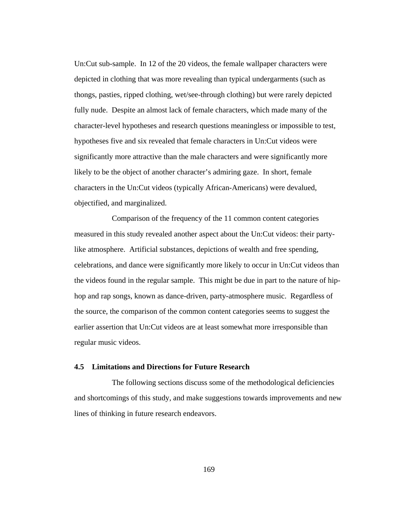Un:Cut sub-sample. In 12 of the 20 videos, the female wallpaper characters were depicted in clothing that was more revealing than typical undergarments (such as thongs, pasties, ripped clothing, wet/see-through clothing) but were rarely depicted fully nude. Despite an almost lack of female characters, which made many of the character-level hypotheses and research questions meaningless or impossible to test, hypotheses five and six revealed that female characters in Un:Cut videos were significantly more attractive than the male characters and were significantly more likely to be the object of another character's admiring gaze. In short, female characters in the Un:Cut videos (typically African-Americans) were devalued, objectified, and marginalized.

Comparison of the frequency of the 11 common content categories measured in this study revealed another aspect about the Un:Cut videos: their partylike atmosphere. Artificial substances, depictions of wealth and free spending, celebrations, and dance were significantly more likely to occur in Un:Cut videos than the videos found in the regular sample. This might be due in part to the nature of hiphop and rap songs, known as dance-driven, party-atmosphere music. Regardless of the source, the comparison of the common content categories seems to suggest the earlier assertion that Un:Cut videos are at least somewhat more irresponsible than regular music videos.

### **4.5 Limitations and Directions for Future Research**

The following sections discuss some of the methodological deficiencies and shortcomings of this study, and make suggestions towards improvements and new lines of thinking in future research endeavors.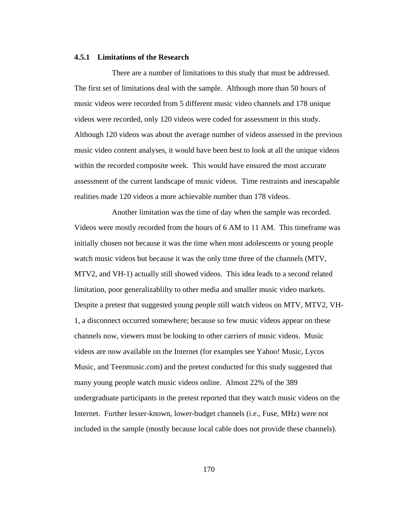### **4.5.1 Limitations of the Research**

There are a number of limitations to this study that must be addressed. The first set of limitations deal with the sample. Although more than 50 hours of music videos were recorded from 5 different music video channels and 178 unique videos were recorded, only 120 videos were coded for assessment in this study. Although 120 videos was about the average number of videos assessed in the previous music video content analyses, it would have been best to look at all the unique videos within the recorded composite week. This would have ensured the most accurate assessment of the current landscape of music videos. Time restraints and inescapable realities made 120 videos a more achievable number than 178 videos.

Another limitation was the time of day when the sample was recorded. Videos were mostly recorded from the hours of 6 AM to 11 AM. This timeframe was initially chosen not because it was the time when most adolescents or young people watch music videos but because it was the only time three of the channels (MTV, MTV2, and VH-1) actually still showed videos. This idea leads to a second related limitation, poor generalizablilty to other media and smaller music video markets. Despite a pretest that suggested young people still watch videos on MTV, MTV2, VH-1, a disconnect occurred somewhere; because so few music videos appear on these channels now, viewers must be looking to other carriers of music videos. Music videos are now available on the Internet (for examples see Yahoo! Music, Lycos Music, and Teenmusic.com) and the pretest conducted for this study suggested that many young people watch music videos online. Almost 22% of the 389 undergraduate participants in the pretest reported that they watch music videos on the Internet. Further lesser-known, lower-budget channels (i.e., Fuse, MHz) were not included in the sample (mostly because local cable does not provide these channels).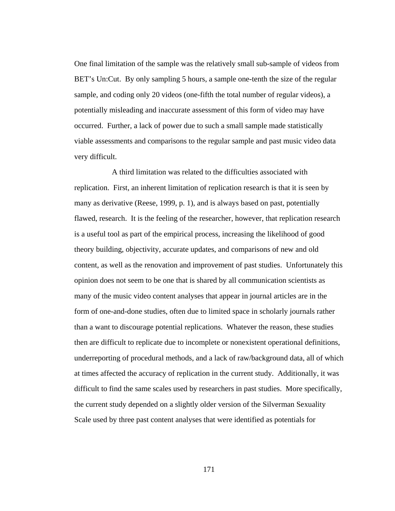One final limitation of the sample was the relatively small sub-sample of videos from BET's Un:Cut. By only sampling 5 hours, a sample one-tenth the size of the regular sample, and coding only 20 videos (one-fifth the total number of regular videos), a potentially misleading and inaccurate assessment of this form of video may have occurred. Further, a lack of power due to such a small sample made statistically viable assessments and comparisons to the regular sample and past music video data very difficult.

A third limitation was related to the difficulties associated with replication. First, an inherent limitation of replication research is that it is seen by many as derivative (Reese, 1999, p. 1), and is always based on past, potentially flawed, research. It is the feeling of the researcher, however, that replication research is a useful tool as part of the empirical process, increasing the likelihood of good theory building, objectivity, accurate updates, and comparisons of new and old content, as well as the renovation and improvement of past studies. Unfortunately this opinion does not seem to be one that is shared by all communication scientists as many of the music video content analyses that appear in journal articles are in the form of one-and-done studies, often due to limited space in scholarly journals rather than a want to discourage potential replications. Whatever the reason, these studies then are difficult to replicate due to incomplete or nonexistent operational definitions, underreporting of procedural methods, and a lack of raw/background data, all of which at times affected the accuracy of replication in the current study. Additionally, it was difficult to find the same scales used by researchers in past studies. More specifically, the current study depended on a slightly older version of the Silverman Sexuality Scale used by three past content analyses that were identified as potentials for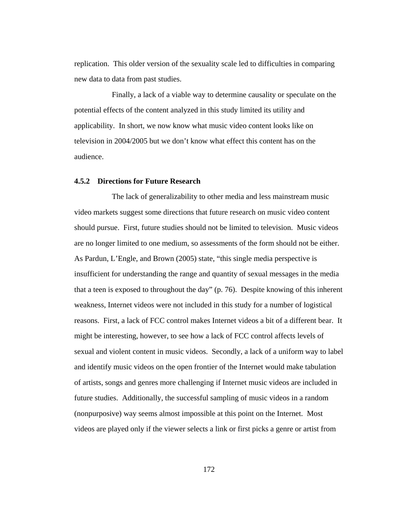replication. This older version of the sexuality scale led to difficulties in comparing new data to data from past studies.

Finally, a lack of a viable way to determine causality or speculate on the potential effects of the content analyzed in this study limited its utility and applicability. In short, we now know what music video content looks like on television in 2004/2005 but we don't know what effect this content has on the audience.

### **4.5.2 Directions for Future Research**

The lack of generalizability to other media and less mainstream music video markets suggest some directions that future research on music video content should pursue. First, future studies should not be limited to television. Music videos are no longer limited to one medium, so assessments of the form should not be either. As Pardun, L'Engle, and Brown (2005) state, "this single media perspective is insufficient for understanding the range and quantity of sexual messages in the media that a teen is exposed to throughout the day" (p. 76). Despite knowing of this inherent weakness, Internet videos were not included in this study for a number of logistical reasons. First, a lack of FCC control makes Internet videos a bit of a different bear. It might be interesting, however, to see how a lack of FCC control affects levels of sexual and violent content in music videos. Secondly, a lack of a uniform way to label and identify music videos on the open frontier of the Internet would make tabulation of artists, songs and genres more challenging if Internet music videos are included in future studies. Additionally, the successful sampling of music videos in a random (nonpurposive) way seems almost impossible at this point on the Internet. Most videos are played only if the viewer selects a link or first picks a genre or artist from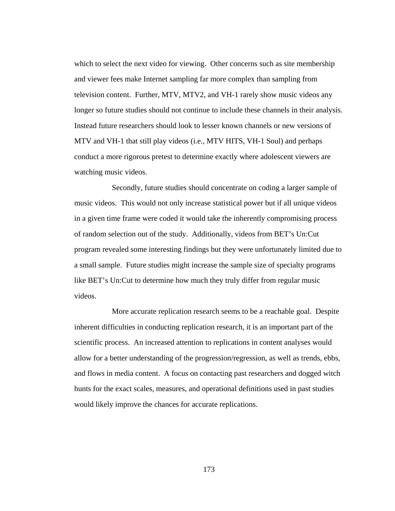which to select the next video for viewing. Other concerns such as site membership and viewer fees make Internet sampling far more complex than sampling from television content. Further, MTV, MTV2, and VH-1 rarely show music videos any longer so future studies should not continue to include these channels in their analysis. Instead future researchers should look to lesser known channels or new versions of MTV and VH-1 that still play videos (i.e., MTV HITS, VH-1 Soul) and perhaps conduct a more rigorous pretest to determine exactly where adolescent viewers are watching music videos.

Secondly, future studies should concentrate on coding a larger sample of music videos. This would not only increase statistical power but if all unique videos in a given time frame were coded it would take the inherently compromising process of random selection out of the study. Additionally, videos from BET's Un:Cut program revealed some interesting findings but they were unfortunately limited due to a small sample. Future studies might increase the sample size of specialty programs like BET's Un:Cut to determine how much they truly differ from regular music videos.

More accurate replication research seems to be a reachable goal. Despite inherent difficulties in conducting replication research, it is an important part of the scientific process. An increased attention to replications in content analyses would allow for a better understanding of the progression/regression, as well as trends, ebbs, and flows in media content. A focus on contacting past researchers and dogged witch hunts for the exact scales, measures, and operational definitions used in past studies would likely improve the chances for accurate replications.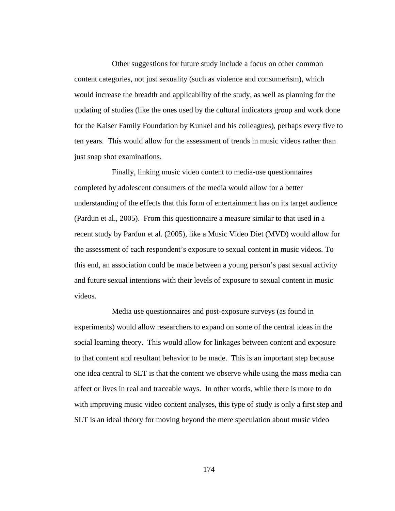Other suggestions for future study include a focus on other common content categories, not just sexuality (such as violence and consumerism), which would increase the breadth and applicability of the study, as well as planning for the updating of studies (like the ones used by the cultural indicators group and work done for the Kaiser Family Foundation by Kunkel and his colleagues), perhaps every five to ten years. This would allow for the assessment of trends in music videos rather than just snap shot examinations.

Finally, linking music video content to media-use questionnaires completed by adolescent consumers of the media would allow for a better understanding of the effects that this form of entertainment has on its target audience (Pardun et al., 2005). From this questionnaire a measure similar to that used in a recent study by Pardun et al. (2005), like a Music Video Diet (MVD) would allow for the assessment of each respondent's exposure to sexual content in music videos. To this end, an association could be made between a young person's past sexual activity and future sexual intentions with their levels of exposure to sexual content in music videos.

Media use questionnaires and post-exposure surveys (as found in experiments) would allow researchers to expand on some of the central ideas in the social learning theory. This would allow for linkages between content and exposure to that content and resultant behavior to be made. This is an important step because one idea central to SLT is that the content we observe while using the mass media can affect or lives in real and traceable ways. In other words, while there is more to do with improving music video content analyses, this type of study is only a first step and SLT is an ideal theory for moving beyond the mere speculation about music video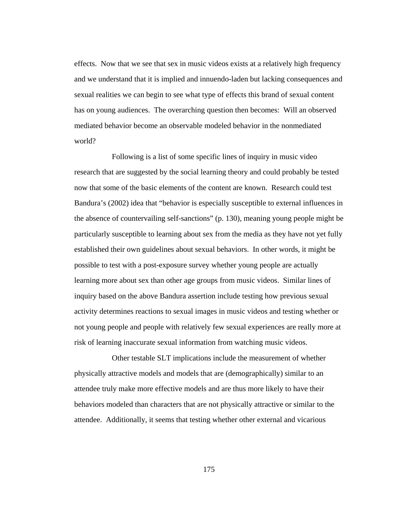effects. Now that we see that sex in music videos exists at a relatively high frequency and we understand that it is implied and innuendo-laden but lacking consequences and sexual realities we can begin to see what type of effects this brand of sexual content has on young audiences. The overarching question then becomes: Will an observed mediated behavior become an observable modeled behavior in the nonmediated world?

Following is a list of some specific lines of inquiry in music video research that are suggested by the social learning theory and could probably be tested now that some of the basic elements of the content are known. Research could test Bandura's (2002) idea that "behavior is especially susceptible to external influences in the absence of countervailing self-sanctions" (p. 130), meaning young people might be particularly susceptible to learning about sex from the media as they have not yet fully established their own guidelines about sexual behaviors. In other words, it might be possible to test with a post-exposure survey whether young people are actually learning more about sex than other age groups from music videos. Similar lines of inquiry based on the above Bandura assertion include testing how previous sexual activity determines reactions to sexual images in music videos and testing whether or not young people and people with relatively few sexual experiences are really more at risk of learning inaccurate sexual information from watching music videos.

Other testable SLT implications include the measurement of whether physically attractive models and models that are (demographically) similar to an attendee truly make more effective models and are thus more likely to have their behaviors modeled than characters that are not physically attractive or similar to the attendee. Additionally, it seems that testing whether other external and vicarious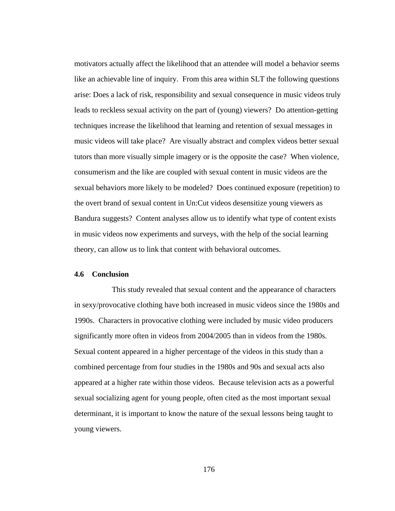motivators actually affect the likelihood that an attendee will model a behavior seems like an achievable line of inquiry. From this area within SLT the following questions arise: Does a lack of risk, responsibility and sexual consequence in music videos truly leads to reckless sexual activity on the part of (young) viewers? Do attention-getting techniques increase the likelihood that learning and retention of sexual messages in music videos will take place? Are visually abstract and complex videos better sexual tutors than more visually simple imagery or is the opposite the case? When violence, consumerism and the like are coupled with sexual content in music videos are the sexual behaviors more likely to be modeled? Does continued exposure (repetition) to the overt brand of sexual content in Un:Cut videos desensitize young viewers as Bandura suggests? Content analyses allow us to identify what type of content exists in music videos now experiments and surveys, with the help of the social learning theory, can allow us to link that content with behavioral outcomes.

#### **4.6 Conclusion**

This study revealed that sexual content and the appearance of characters in sexy/provocative clothing have both increased in music videos since the 1980s and 1990s. Characters in provocative clothing were included by music video producers significantly more often in videos from 2004/2005 than in videos from the 1980s. Sexual content appeared in a higher percentage of the videos in this study than a combined percentage from four studies in the 1980s and 90s and sexual acts also appeared at a higher rate within those videos. Because television acts as a powerful sexual socializing agent for young people, often cited as the most important sexual determinant, it is important to know the nature of the sexual lessons being taught to young viewers.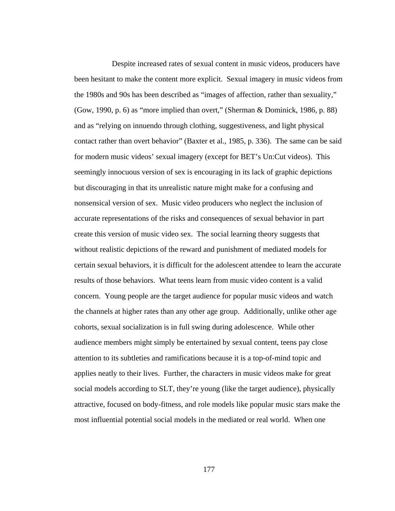Despite increased rates of sexual content in music videos, producers have been hesitant to make the content more explicit. Sexual imagery in music videos from the 1980s and 90s has been described as "images of affection, rather than sexuality," (Gow, 1990, p. 6) as "more implied than overt," (Sherman & Dominick, 1986, p. 88) and as "relying on innuendo through clothing, suggestiveness, and light physical contact rather than overt behavior" (Baxter et al., 1985, p. 336). The same can be said for modern music videos' sexual imagery (except for BET's Un:Cut videos). This seemingly innocuous version of sex is encouraging in its lack of graphic depictions but discouraging in that its unrealistic nature might make for a confusing and nonsensical version of sex. Music video producers who neglect the inclusion of accurate representations of the risks and consequences of sexual behavior in part create this version of music video sex. The social learning theory suggests that without realistic depictions of the reward and punishment of mediated models for certain sexual behaviors, it is difficult for the adolescent attendee to learn the accurate results of those behaviors. What teens learn from music video content is a valid concern. Young people are the target audience for popular music videos and watch the channels at higher rates than any other age group. Additionally, unlike other age cohorts, sexual socialization is in full swing during adolescence. While other audience members might simply be entertained by sexual content, teens pay close attention to its subtleties and ramifications because it is a top-of-mind topic and applies neatly to their lives. Further, the characters in music videos make for great social models according to SLT, they're young (like the target audience), physically attractive, focused on body-fitness, and role models like popular music stars make the most influential potential social models in the mediated or real world. When one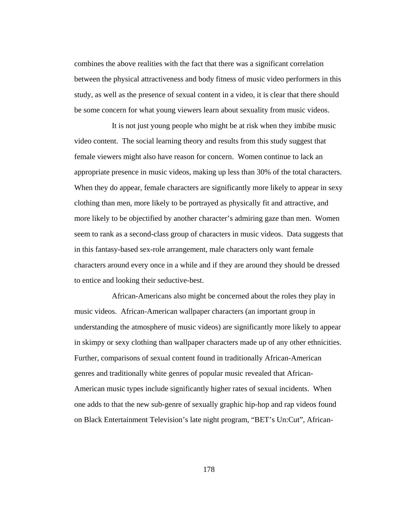combines the above realities with the fact that there was a significant correlation between the physical attractiveness and body fitness of music video performers in this study, as well as the presence of sexual content in a video, it is clear that there should be some concern for what young viewers learn about sexuality from music videos.

It is not just young people who might be at risk when they imbibe music video content. The social learning theory and results from this study suggest that female viewers might also have reason for concern. Women continue to lack an appropriate presence in music videos, making up less than 30% of the total characters. When they do appear, female characters are significantly more likely to appear in sexy clothing than men, more likely to be portrayed as physically fit and attractive, and more likely to be objectified by another character's admiring gaze than men. Women seem to rank as a second-class group of characters in music videos. Data suggests that in this fantasy-based sex-role arrangement, male characters only want female characters around every once in a while and if they are around they should be dressed to entice and looking their seductive-best.

African-Americans also might be concerned about the roles they play in music videos. African-American wallpaper characters (an important group in understanding the atmosphere of music videos) are significantly more likely to appear in skimpy or sexy clothing than wallpaper characters made up of any other ethnicities. Further, comparisons of sexual content found in traditionally African-American genres and traditionally white genres of popular music revealed that African-American music types include significantly higher rates of sexual incidents. When one adds to that the new sub-genre of sexually graphic hip-hop and rap videos found on Black Entertainment Television's late night program, "BET's Un:Cut", African-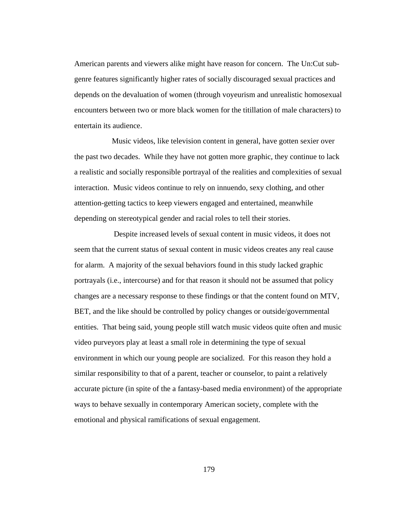American parents and viewers alike might have reason for concern. The Un:Cut subgenre features significantly higher rates of socially discouraged sexual practices and depends on the devaluation of women (through voyeurism and unrealistic homosexual encounters between two or more black women for the titillation of male characters) to entertain its audience.

Music videos, like television content in general, have gotten sexier over the past two decades. While they have not gotten more graphic, they continue to lack a realistic and socially responsible portrayal of the realities and complexities of sexual interaction. Music videos continue to rely on innuendo, sexy clothing, and other attention-getting tactics to keep viewers engaged and entertained, meanwhile depending on stereotypical gender and racial roles to tell their stories.

 Despite increased levels of sexual content in music videos, it does not seem that the current status of sexual content in music videos creates any real cause for alarm. A majority of the sexual behaviors found in this study lacked graphic portrayals (i.e., intercourse) and for that reason it should not be assumed that policy changes are a necessary response to these findings or that the content found on MTV, BET, and the like should be controlled by policy changes or outside/governmental entities. That being said, young people still watch music videos quite often and music video purveyors play at least a small role in determining the type of sexual environment in which our young people are socialized. For this reason they hold a similar responsibility to that of a parent, teacher or counselor, to paint a relatively accurate picture (in spite of the a fantasy-based media environment) of the appropriate ways to behave sexually in contemporary American society, complete with the emotional and physical ramifications of sexual engagement.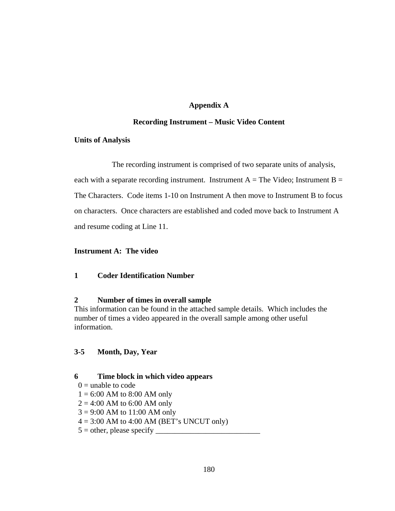## **Appendix A**

### **Recording Instrument – Music Video Content**

### **Units of Analysis**

The recording instrument is comprised of two separate units of analysis, each with a separate recording instrument. Instrument  $A = The Video; Instrument B =$ The Characters. Code items 1-10 on Instrument A then move to Instrument B to focus on characters. Once characters are established and coded move back to Instrument A and resume coding at Line 11.

### **Instrument A: The video**

## **1 Coder Identification Number**

## **2 Number of times in overall sample**

This information can be found in the attached sample details. Which includes the number of times a video appeared in the overall sample among other useful information.

## **3-5 Month, Day, Year**

## **6 Time block in which video appears**

- $0 =$  unable to code
- $1 = 6:00$  AM to 8:00 AM only
- $2 = 4:00$  AM to 6:00 AM only
- $3 = 9:00$  AM to 11:00 AM only
- $4 = 3:00$  AM to 4:00 AM (BET's UNCUT only)
- 5 = other, please specify \_\_\_\_\_\_\_\_\_\_\_\_\_\_\_\_\_\_\_\_\_\_\_\_\_\_\_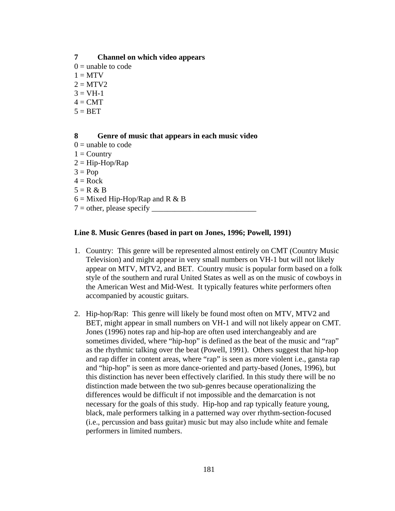## **7 Channel on which video appears**

- $0 =$  unable to code
- $1 = MTV$
- $2 = MTV2$
- $3 = VH-1$
- $4 = CMT$
- $5 = BET$

### **8 Genre of music that appears in each music video**

- $0 =$  unable to code
- $1 =$  Country
- $2 = Hip-Hop/Rap$
- $3 = Pop$
- $4 = \text{Rock}$
- $5 = R & B$
- $6 =$  Mixed Hip-Hop/Rap and R & B
- $7 =$  other, please specify

## **Line 8. Music Genres (based in part on Jones, 1996; Powell, 1991)**

- 1. Country: This genre will be represented almost entirely on CMT (Country Music Television) and might appear in very small numbers on VH-1 but will not likely appear on MTV, MTV2, and BET. Country music is popular form based on a folk style of the southern and rural United States as well as on the music of cowboys in the American West and Mid-West. It typically features white performers often accompanied by acoustic guitars.
- 2. Hip-hop/Rap: This genre will likely be found most often on MTV, MTV2 and BET, might appear in small numbers on VH-1 and will not likely appear on CMT. Jones (1996) notes rap and hip-hop are often used interchangeably and are sometimes divided, where "hip-hop" is defined as the beat of the music and "rap" as the rhythmic talking over the beat (Powell, 1991). Others suggest that hip-hop and rap differ in content areas, where "rap" is seen as more violent i.e., gansta rap and "hip-hop" is seen as more dance-oriented and party-based (Jones, 1996), but this distinction has never been effectively clarified. In this study there will be no distinction made between the two sub-genres because operationalizing the differences would be difficult if not impossible and the demarcation is not necessary for the goals of this study. Hip-hop and rap typically feature young, black, male performers talking in a patterned way over rhythm-section-focused (i.e., percussion and bass guitar) music but may also include white and female performers in limited numbers.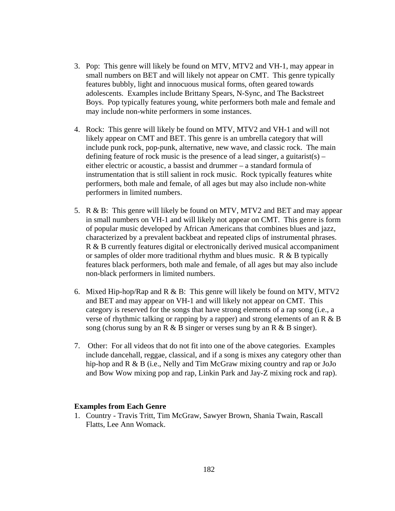- 3. Pop: This genre will likely be found on MTV, MTV2 and VH-1, may appear in small numbers on BET and will likely not appear on CMT. This genre typically features bubbly, light and innocuous musical forms, often geared towards adolescents. Examples include Brittany Spears, N-Sync, and The Backstreet Boys. Pop typically features young, white performers both male and female and may include non-white performers in some instances.
- 4. Rock: This genre will likely be found on MTV, MTV2 and VH-1 and will not likely appear on CMT and BET. This genre is an umbrella category that will include punk rock, pop-punk, alternative, new wave, and classic rock. The main defining feature of rock music is the presence of a lead singer, a guitarist(s) – either electric or acoustic, a bassist and drummer – a standard formula of instrumentation that is still salient in rock music. Rock typically features white performers, both male and female, of all ages but may also include non-white performers in limited numbers.
- 5. R & B: This genre will likely be found on MTV, MTV2 and BET and may appear in small numbers on VH-1 and will likely not appear on CMT. This genre is form of popular music developed by African Americans that combines blues and jazz, characterized by a prevalent backbeat and repeated clips of instrumental phrases. R & B currently features digital or electronically derived musical accompaniment or samples of older more traditional rhythm and blues music.  $R \& B$  typically features black performers, both male and female, of all ages but may also include non-black performers in limited numbers.
- 6. Mixed Hip-hop/Rap and R & B: This genre will likely be found on MTV, MTV2 and BET and may appear on VH-1 and will likely not appear on CMT. This category is reserved for the songs that have strong elements of a rap song (i.e., a verse of rhythmic talking or rapping by a rapper) and strong elements of an R & B song (chorus sung by an R & B singer or verses sung by an R & B singer).
- 7. Other: For all videos that do not fit into one of the above categories. Examples include dancehall, reggae, classical, and if a song is mixes any category other than hip-hop and R & B (i.e., Nelly and Tim McGraw mixing country and rap or JoJo and Bow Wow mixing pop and rap, Linkin Park and Jay-Z mixing rock and rap).

## **Examples from Each Genre**

1. Country - Travis Tritt, Tim McGraw, Sawyer Brown, Shania Twain, Rascall Flatts, Lee Ann Womack.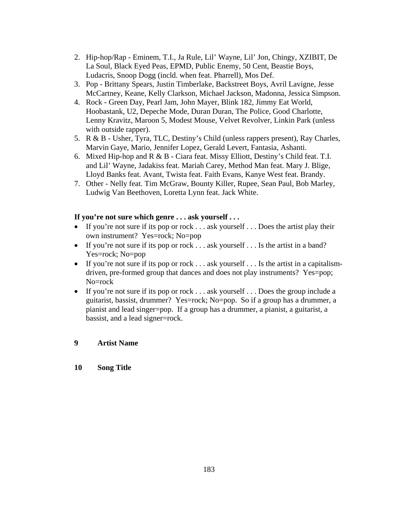- 2. Hip-hop/Rap Eminem, T.I., Ja Rule, Lil' Wayne, Lil' Jon, Chingy, XZIBIT, De La Soul, Black Eyed Peas, EPMD, Public Enemy, 50 Cent, Beastie Boys, Ludacris, Snoop Dogg (incld. when feat. Pharrell), Mos Def.
- 3. Pop Brittany Spears, Justin Timberlake, Backstreet Boys, Avril Lavigne, Jesse McCartney, Keane, Kelly Clarkson, Michael Jackson, Madonna, Jessica Simpson.
- 4. Rock Green Day, Pearl Jam, John Mayer, Blink 182, Jimmy Eat World, Hoobastank, U2, Depeche Mode, Duran Duran, The Police, Good Charlotte, Lenny Kravitz, Maroon 5, Modest Mouse, Velvet Revolver, Linkin Park (unless with outside rapper).
- 5. R & B Usher, Tyra, TLC, Destiny's Child (unless rappers present), Ray Charles, Marvin Gaye, Mario, Jennifer Lopez, Gerald Levert, Fantasia, Ashanti.
- 6. Mixed Hip-hop and R & B Ciara feat. Missy Elliott, Destiny's Child feat. T.I. and Lil' Wayne, Jadakiss feat. Mariah Carey, Method Man feat. Mary J. Blige, Lloyd Banks feat. Avant, Twista feat. Faith Evans, Kanye West feat. Brandy.
- 7. Other Nelly feat. Tim McGraw, Bounty Killer, Rupee, Sean Paul, Bob Marley, Ludwig Van Beethoven, Loretta Lynn feat. Jack White.

## **If you're not sure which genre . . . ask yourself . . .**

- If you're not sure if its pop or rock . . . ask yourself . . . Does the artist play their own instrument? Yes=rock; No=pop
- If you're not sure if its pop or rock . . . ask yourself . . . Is the artist in a band? Yes=rock; No=pop
- If you're not sure if its pop or rock  $\dots$  ask yourself  $\dots$  Is the artist in a capitalismdriven, pre-formed group that dances and does not play instruments? Yes=pop; No=rock
- If you're not sure if its pop or rock  $\dots$  ask yourself  $\dots$  Does the group include a guitarist, bassist, drummer? Yes=rock; No=pop. So if a group has a drummer, a pianist and lead singer=pop. If a group has a drummer, a pianist, a guitarist, a bassist, and a lead signer=rock.

## **9 Artist Name**

**10 Song Title**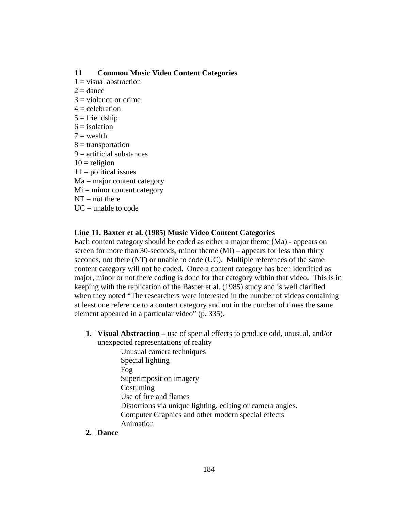## **11 Common Music Video Content Categories**

- $1 =$  visual abstraction
- $2 =$  dance
- $3$  = violence or crime
- $4 =$  celebration
- $5 =$ friendship
- $6 =$  isolation
- $7 =$  wealth
- $8 =$  transportation
- $9 =$ artificial substances
- $10$  = religion
- $11$  = political issues
- $Ma =$  major content category
- $Mi = minor content category$
- $NT = not$  there
- $UC =$  unable to code

### **Line 11. Baxter et al. (1985) Music Video Content Categories**

Each content category should be coded as either a major theme (Ma) - appears on screen for more than 30-seconds, minor theme (Mi) – appears for less than thirty seconds, not there (NT) or unable to code (UC). Multiple references of the same content category will not be coded. Once a content category has been identified as major, minor or not there coding is done for that category within that video. This is in keeping with the replication of the Baxter et al. (1985) study and is well clarified when they noted "The researchers were interested in the number of videos containing at least one reference to a content category and not in the number of times the same element appeared in a particular video" (p. 335).

**1. Visual Abstraction** – use of special effects to produce odd, unusual, and/or unexpected representations of reality

> Unusual camera techniques Special lighting Fog Superimposition imagery Costuming Use of fire and flames Distortions via unique lighting, editing or camera angles. Computer Graphics and other modern special effects Animation

**2. Dance**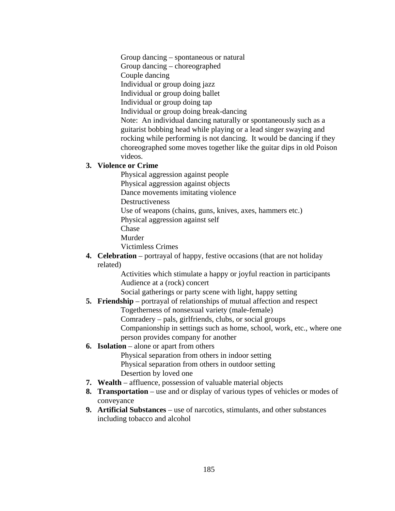Group dancing – spontaneous or natural Group dancing – choreographed Couple dancing Individual or group doing jazz Individual or group doing ballet Individual or group doing tap Individual or group doing break-dancing Note: An individual dancing naturally or spontaneously such as a guitarist bobbing head while playing or a lead singer swaying and rocking while performing is not dancing. It would be dancing if they choreographed some moves together like the guitar dips in old Poison videos.

## **3. Violence or Crime**

Physical aggression against people Physical aggression against objects Dance movements imitating violence Destructiveness Use of weapons (chains, guns, knives, axes, hammers etc.) Physical aggression against self Chase Murder Victimless Crimes

**4. Celebration** – portrayal of happy, festive occasions (that are not holiday related)

Activities which stimulate a happy or joyful reaction in participants Audience at a (rock) concert

Social gatherings or party scene with light, happy setting

**5. Friendship** – portrayal of relationships of mutual affection and respect

Togetherness of nonsexual variety (male-female) Comradery – pals, girlfriends, clubs, or social groups Companionship in settings such as home, school, work, etc., where one person provides company for another

**6. Isolation** – alone or apart from others

Physical separation from others in indoor setting Physical separation from others in outdoor setting Desertion by loved one

- **7. Wealth** affluence, possession of valuable material objects
- **8. Transportation** use and or display of various types of vehicles or modes of conveyance
- **9. Artificial Substances** use of narcotics, stimulants, and other substances including tobacco and alcohol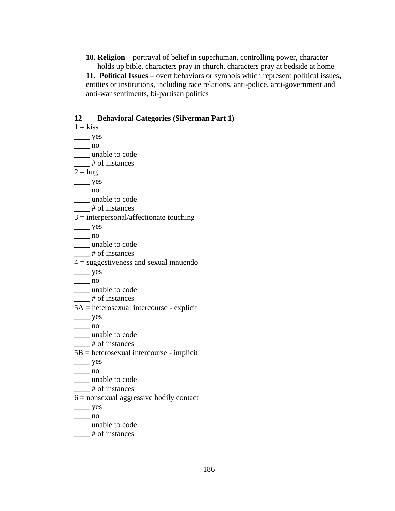**10. Religion** – portrayal of belief in superhuman, controlling power, character holds up bible, characters pray in church, characters pray at bedside at home

**11. Political Issues** – overt behaviors or symbols which represent political issues, entities or institutions, including race relations, anti-police, anti-government and anti-war sentiments, bi-partisan politics

#### **12 Behavioral Categories (Silverman Part 1)**

 $1 =$ kiss \_\_\_\_ yes  $\frac{1}{\sqrt{1-\frac{1}{2}}}\log \frac{1}{2}$ \_\_\_\_ unable to code \_\_\_\_ # of instances  $2 = hug$  $\rule{1em}{0.15mm}$  yes  $\frac{1}{\sqrt{1-\frac{1}{2}}}\ln 0$ \_\_\_\_ unable to code  $\overline{\phantom{a}}$  # of instances  $3 =$  interpersonal/affectionate touching  $\rule{1em}{0.15mm}$  yes  $\_\_$  no \_\_\_\_ unable to code \_\_\_\_ # of instances 4 = suggestiveness and sexual innuendo  $\rule{1em}{0.15mm}$  yes  $\frac{1}{\sqrt{1-\frac{1}{2}}}\log \frac{1}{2}$ \_\_\_\_ unable to code \_\_\_\_ # of instances 5A = heterosexual intercourse - explicit  $\rule{1em}{0.15mm}$  yes  $\_\_$  no \_\_\_\_ unable to code  $#$  of instances  $5B =$  heterosexual intercourse - implicit  $\rule{1em}{0.15mm}$  yes  $\frac{1}{\sqrt{1-\frac{1}{2}}}\ln 0$ \_\_\_\_ unable to code \_\_\_\_ # of instances  $6$  = nonsexual aggressive bodily contact  $\rule{1em}{0.15mm}$  yes  $\_\_$  no \_\_\_\_ unable to code \_\_\_\_ # of instances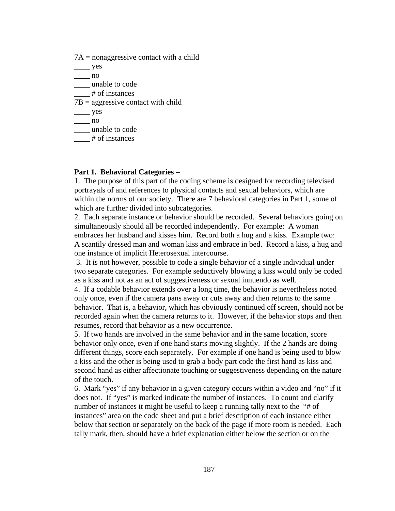- $7A = nonaggregate context with a child$
- $\rule{1em}{0.15mm}$  yes
- $\frac{1}{\sqrt{1-\frac{1}{2}}}\log \frac{1}{2}$
- \_\_\_\_ unable to code
- \_\_\_\_ # of instances
- $7B = \text{aggressive contact with child}$
- $\rule{1em}{0.15mm}$  yes
- \_\_\_\_ no
- \_\_\_\_ unable to code
- \_\_\_\_ # of instances

## **Part 1. Behavioral Categories –**

1. The purpose of this part of the coding scheme is designed for recording televised portrayals of and references to physical contacts and sexual behaviors, which are within the norms of our society. There are 7 behavioral categories in Part 1, some of which are further divided into subcategories.

2. Each separate instance or behavior should be recorded. Several behaviors going on simultaneously should all be recorded independently. For example: A woman embraces her husband and kisses him. Record both a hug and a kiss. Example two: A scantily dressed man and woman kiss and embrace in bed. Record a kiss, a hug and one instance of implicit Heterosexual intercourse.

 3. It is not however, possible to code a single behavior of a single individual under two separate categories. For example seductively blowing a kiss would only be coded as a kiss and not as an act of suggestiveness or sexual innuendo as well.

4. If a codable behavior extends over a long time, the behavior is nevertheless noted only once, even if the camera pans away or cuts away and then returns to the same behavior. That is, a behavior, which has obviously continued off screen, should not be recorded again when the camera returns to it. However, if the behavior stops and then resumes, record that behavior as a new occurrence.

5. If two hands are involved in the same behavior and in the same location, score behavior only once, even if one hand starts moving slightly. If the 2 hands are doing different things, score each separately. For example if one hand is being used to blow a kiss and the other is being used to grab a body part code the first hand as kiss and second hand as either affectionate touching or suggestiveness depending on the nature of the touch.

6. Mark "yes" if any behavior in a given category occurs within a video and "no" if it does not. If "yes" is marked indicate the number of instances. To count and clarify number of instances it might be useful to keep a running tally next to the "# of instances" area on the code sheet and put a brief description of each instance either below that section or separately on the back of the page if more room is needed. Each tally mark, then, should have a brief explanation either below the section or on the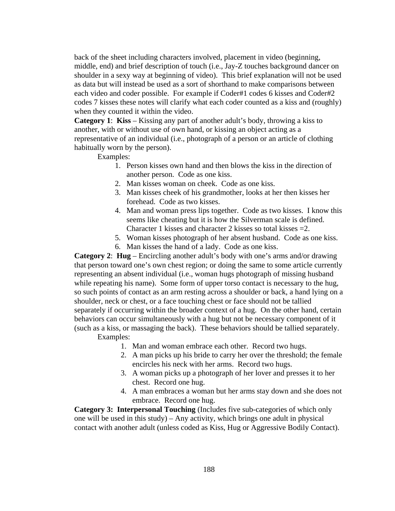back of the sheet including characters involved, placement in video (beginning, middle, end) and brief description of touch (i.e., Jay-Z touches background dancer on shoulder in a sexy way at beginning of video). This brief explanation will not be used as data but will instead be used as a sort of shorthand to make comparisons between each video and coder possible. For example if Coder#1 codes 6 kisses and Coder#2 codes 7 kisses these notes will clarify what each coder counted as a kiss and (roughly) when they counted it within the video.

**Category 1**: **Kiss** – Kissing any part of another adult's body, throwing a kiss to another, with or without use of own hand, or kissing an object acting as a representative of an individual (i.e., photograph of a person or an article of clothing habitually worn by the person).

Examples:

- 1. Person kisses own hand and then blows the kiss in the direction of another person. Code as one kiss.
- 2. Man kisses woman on cheek. Code as one kiss.
- 3. Man kisses cheek of his grandmother, looks at her then kisses her forehead. Code as two kisses.
- 4. Man and woman press lips together. Code as two kisses. I know this seems like cheating but it is how the Silverman scale is defined. Character 1 kisses and character 2 kisses so total kisses  $=2$ .
- 5. Woman kisses photograph of her absent husband. Code as one kiss.
- 6. Man kisses the hand of a lady. Code as one kiss.

**Category 2**: **Hug** – Encircling another adult's body with one's arms and/or drawing that person toward one's own chest region; or doing the same to some article currently representing an absent individual (i.e., woman hugs photograph of missing husband while repeating his name). Some form of upper torso contact is necessary to the hug, so such points of contact as an arm resting across a shoulder or back, a hand lying on a shoulder, neck or chest, or a face touching chest or face should not be tallied separately if occurring within the broader context of a hug. On the other hand, certain behaviors can occur simultaneously with a hug but not be necessary component of it (such as a kiss, or massaging the back). These behaviors should be tallied separately.

Examples:

- 1. Man and woman embrace each other. Record two hugs.
- 2. A man picks up his bride to carry her over the threshold; the female encircles his neck with her arms. Record two hugs.
- 3. A woman picks up a photograph of her lover and presses it to her chest. Record one hug.
- 4. A man embraces a woman but her arms stay down and she does not embrace. Record one hug.

**Category 3: Interpersonal Touching** (Includes five sub-categories of which only one will be used in this study) – Any activity, which brings one adult in physical contact with another adult (unless coded as Kiss, Hug or Aggressive Bodily Contact).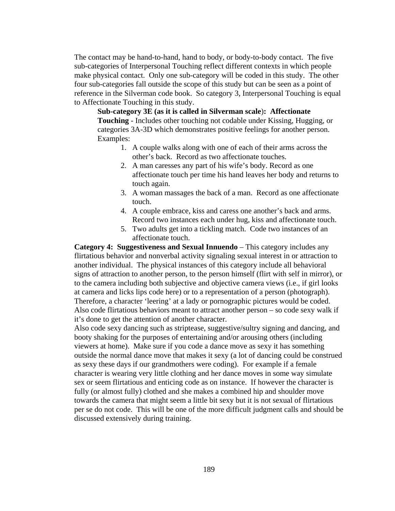The contact may be hand-to-hand, hand to body, or body-to-body contact. The five sub-categories of Interpersonal Touching reflect different contexts in which people make physical contact. Only one sub-category will be coded in this study. The other four sub-categories fall outside the scope of this study but can be seen as a point of reference in the Silverman code book. So category 3, Interpersonal Touching is equal to Affectionate Touching in this study.

**Sub-category 3E (as it is called in Silverman scale**)**: Affectionate Touching** - Includes other touching not codable under Kissing, Hugging, or categories 3A-3D which demonstrates positive feelings for another person. Examples:

- 1. A couple walks along with one of each of their arms across the other's back. Record as two affectionate touches.
- 2. A man caresses any part of his wife's body. Record as one affectionate touch per time his hand leaves her body and returns to touch again.
- 3. A woman massages the back of a man. Record as one affectionate touch.
- 4. A couple embrace, kiss and caress one another's back and arms. Record two instances each under hug, kiss and affectionate touch.
- 5. Two adults get into a tickling match. Code two instances of an affectionate touch.

**Category 4: Suggestiveness and Sexual Innuendo** – This category includes any flirtatious behavior and nonverbal activity signaling sexual interest in or attraction to another individual. The physical instances of this category include all behavioral signs of attraction to another person, to the person himself (flirt with self in mirror), or to the camera including both subjective and objective camera views (i.e., if girl looks at camera and licks lips code here) or to a representation of a person (photograph). Therefore, a character 'leering' at a lady or pornographic pictures would be coded. Also code flirtatious behaviors meant to attract another person – so code sexy walk if it's done to get the attention of another character.

Also code sexy dancing such as striptease, suggestive/sultry signing and dancing, and booty shaking for the purposes of entertaining and/or arousing others (including viewers at home). Make sure if you code a dance move as sexy it has something outside the normal dance move that makes it sexy (a lot of dancing could be construed as sexy these days if our grandmothers were coding). For example if a female character is wearing very little clothing and her dance moves in some way simulate sex or seem flirtatious and enticing code as on instance. If however the character is fully (or almost fully) clothed and she makes a combined hip and shoulder move towards the camera that might seem a little bit sexy but it is not sexual of flirtatious per se do not code. This will be one of the more difficult judgment calls and should be discussed extensively during training.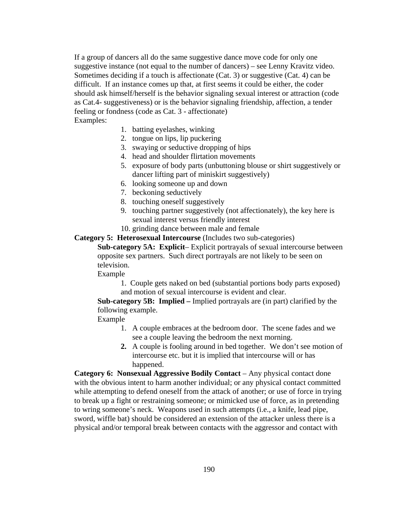If a group of dancers all do the same suggestive dance move code for only one suggestive instance (not equal to the number of dancers) – see Lenny Kravitz video. Sometimes deciding if a touch is affectionate (Cat. 3) or suggestive (Cat. 4) can be difficult. If an instance comes up that, at first seems it could be either, the coder should ask himself/herself is the behavior signaling sexual interest or attraction (code as Cat.4- suggestiveness) or is the behavior signaling friendship, affection, a tender feeling or fondness (code as Cat. 3 - affectionate) Examples:

- 1. batting eyelashes, winking
- 2. tongue on lips, lip puckering
- 3. swaying or seductive dropping of hips
- 4. head and shoulder flirtation movements
- 5. exposure of body parts (unbuttoning blouse or shirt suggestively or dancer lifting part of miniskirt suggestively)
- 6. looking someone up and down
- 7. beckoning seductively
- 8. touching oneself suggestively
- 9. touching partner suggestively (not affectionately), the key here is sexual interest versus friendly interest
- 10. grinding dance between male and female

**Category 5: Heterosexual Intercourse** (Includes two sub-categories) **Sub-category 5A: Explicit**– Explicit portrayals of sexual intercourse between opposite sex partners. Such direct portrayals are not likely to be seen on television.

#### Example

1. Couple gets naked on bed (substantial portions body parts exposed) and motion of sexual intercourse is evident and clear.

**Sub-category 5B: Implied –** Implied portrayals are (in part) clarified by the following example.

## Example

- 1. A couple embraces at the bedroom door. The scene fades and we see a couple leaving the bedroom the next morning.
- **2.** A couple is fooling around in bed together. We don't see motion of intercourse etc. but it is implied that intercourse will or has happened.

**Category 6: Nonsexual Aggressive Bodily Contact** – Any physical contact done with the obvious intent to harm another individual; or any physical contact committed while attempting to defend oneself from the attack of another; or use of force in trying to break up a fight or restraining someone; or mimicked use of force, as in pretending to wring someone's neck. Weapons used in such attempts (i.e., a knife, lead pipe, sword, wiffle bat) should be considered an extension of the attacker unless there is a physical and/or temporal break between contacts with the aggressor and contact with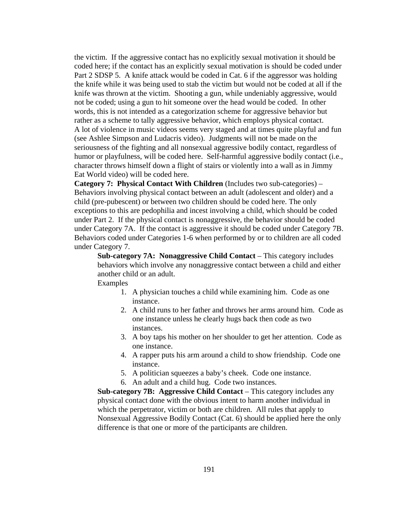the victim. If the aggressive contact has no explicitly sexual motivation it should be coded here; if the contact has an explicitly sexual motivation is should be coded under Part 2 SDSP 5. A knife attack would be coded in Cat. 6 if the aggressor was holding the knife while it was being used to stab the victim but would not be coded at all if the knife was thrown at the victim. Shooting a gun, while undeniably aggressive, would not be coded; using a gun to hit someone over the head would be coded. In other words, this is not intended as a categorization scheme for aggressive behavior but rather as a scheme to tally aggressive behavior, which employs physical contact. A lot of violence in music videos seems very staged and at times quite playful and fun (see Ashlee Simpson and Ludacris video). Judgments will not be made on the seriousness of the fighting and all nonsexual aggressive bodily contact, regardless of humor or playfulness, will be coded here. Self-harmful aggressive bodily contact (i.e., character throws himself down a flight of stairs or violently into a wall as in Jimmy Eat World video) will be coded here.

**Category 7: Physical Contact With Children** (Includes two sub-categories) – Behaviors involving physical contact between an adult (adolescent and older) and a child (pre-pubescent) or between two children should be coded here. The only exceptions to this are pedophilia and incest involving a child, which should be coded under Part 2. If the physical contact is nonaggressive, the behavior should be coded under Category 7A. If the contact is aggressive it should be coded under Category 7B. Behaviors coded under Categories 1-6 when performed by or to children are all coded under Category 7.

**Sub-category 7A: Nonaggressive Child Contact** – This category includes behaviors which involve any nonaggressive contact between a child and either another child or an adult.

Examples

- 1. A physician touches a child while examining him. Code as one instance.
- 2. A child runs to her father and throws her arms around him. Code as one instance unless he clearly hugs back then code as two instances.
- 3. A boy taps his mother on her shoulder to get her attention. Code as one instance.
- 4. A rapper puts his arm around a child to show friendship. Code one instance.
- 5. A politician squeezes a baby's cheek. Code one instance.
- 6. An adult and a child hug. Code two instances.

**Sub-category 7B: Aggressive Child Contact** – This category includes any physical contact done with the obvious intent to harm another individual in which the perpetrator, victim or both are children. All rules that apply to Nonsexual Aggressive Bodily Contact (Cat. 6) should be applied here the only difference is that one or more of the participants are children.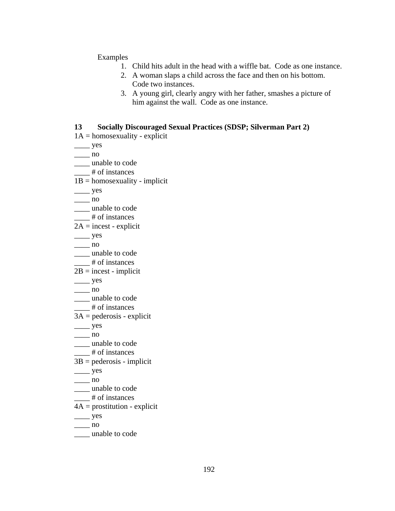#### Examples

- 1. Child hits adult in the head with a wiffle bat. Code as one instance.
- 2. A woman slaps a child across the face and then on his bottom. Code two instances.
- 3. A young girl, clearly angry with her father, smashes a picture of him against the wall. Code as one instance.

#### **13 Socially Discouraged Sexual Practices (SDSP; Silverman Part 2)**

- $1A = \text{homosexuality}$  explicit
- $\rule{1em}{0.15mm}$  yes
- $\frac{1}{\sqrt{1-\frac{1}{2}}}\ln 0$
- \_\_\_\_ unable to code
- $\#$  of instances
- $1B =$  homosexuality implicit
- $\rule{1em}{0.15mm}$  yes
- $\_\_$  no
- \_\_\_\_ unable to code
- \_\_\_\_ # of instances
- $2A =$ incest explicit
- $\rule{1em}{0.15mm}$  yes
- $\frac{1}{\sqrt{1-\frac{1}{2}}}\log \frac{1}{2}$
- \_\_\_\_ unable to code
- \_\_\_\_ # of instances
- $2B =$  incest implicit
- $\rightharpoonup$  yes
- $\frac{1}{\sqrt{1-\frac{1}{n}}}\$ no
- \_\_\_\_ unable to code
- \_\_\_\_ # of instances
- $3A =$  pederosis explicit
- $\rule{1em}{0.15mm}$  yes
- $\frac{1}{\sqrt{1-\frac{1}{2}}}\ln 0$
- \_\_\_\_ unable to code
- \_\_\_\_ # of instances
- $3B =$  pederosis implicit
- \_\_\_\_ yes
- $\frac{1}{\sqrt{1-\frac{1}{2}}}\$
- \_\_\_\_ unable to code
- \_\_\_\_ # of instances
- $4A =$  prostitution explicit
- \_\_\_\_ yes
- $\_\_$  no
- \_\_\_\_ unable to code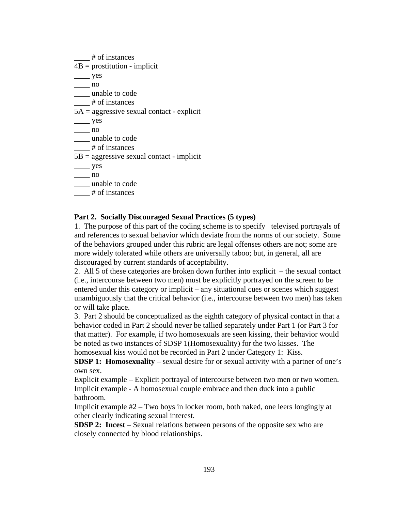- \_\_\_\_ # of instances
- $4B =$  prostitution implicit
- $\frac{\ }{2}$  yes
- $\frac{1}{\sqrt{1-\frac{1}{2}}}\ln 0$
- \_\_\_\_ unable to code
- \_\_\_\_ # of instances
- $5A = \text{aggressive sexual contact}$  explicit
- $\rightharpoonup$  yes
- $\_\_$ no
- \_\_\_\_ unable to code
- \_\_\_\_ # of instances
- $5B = \text{aggressive sexual contact implicit}$
- $\rule{1em}{0.15mm}$  yes
- \_\_\_\_ no
- \_\_\_\_ unable to code
- \_\_\_\_ # of instances

#### **Part 2. Socially Discouraged Sexual Practices (5 types)**

1. The purpose of this part of the coding scheme is to specify televised portrayals of and references to sexual behavior which deviate from the norms of our society. Some of the behaviors grouped under this rubric are legal offenses others are not; some are more widely tolerated while others are universally taboo; but, in general, all are discouraged by current standards of acceptability.

2. All 5 of these categories are broken down further into explicit – the sexual contact (i.e., intercourse between two men) must be explicitly portrayed on the screen to be entered under this category or implicit – any situational cues or scenes which suggest unambiguously that the critical behavior (i.e., intercourse between two men) has taken or will take place.

3. Part 2 should be conceptualized as the eighth category of physical contact in that a behavior coded in Part 2 should never be tallied separately under Part 1 (or Part 3 for that matter). For example, if two homosexuals are seen kissing, their behavior would be noted as two instances of SDSP 1(Homosexuality) for the two kisses. The homosexual kiss would not be recorded in Part 2 under Category 1: Kiss.

**SDSP 1: Homosexuality** – sexual desire for or sexual activity with a partner of one's own sex.

Explicit example – Explicit portrayal of intercourse between two men or two women. Implicit example - A homosexual couple embrace and then duck into a public bathroom.

Implicit example #2 – Two boys in locker room, both naked, one leers longingly at other clearly indicating sexual interest.

**SDSP 2: Incest** – Sexual relations between persons of the opposite sex who are closely connected by blood relationships.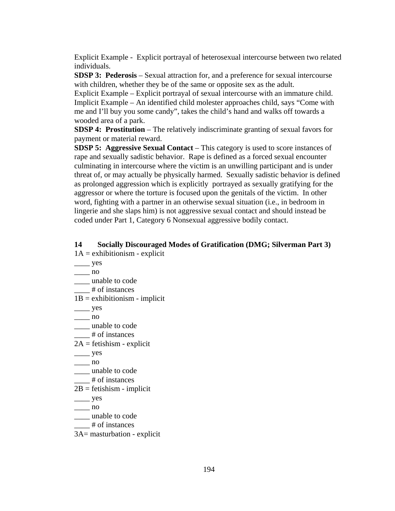Explicit Example - Explicit portrayal of heterosexual intercourse between two related individuals.

**SDSP 3: Pederosis** – Sexual attraction for, and a preference for sexual intercourse with children, whether they be of the same or opposite sex as the adult.

Explicit Example – Explicit portrayal of sexual intercourse with an immature child. Implicit Example – An identified child molester approaches child, says "Come with me and I'll buy you some candy", takes the child's hand and walks off towards a wooded area of a park.

**SDSP 4: Prostitution** – The relatively indiscriminate granting of sexual favors for payment or material reward.

**SDSP 5: Aggressive Sexual Contact** – This category is used to score instances of rape and sexually sadistic behavior. Rape is defined as a forced sexual encounter culminating in intercourse where the victim is an unwilling participant and is under threat of, or may actually be physically harmed. Sexually sadistic behavior is defined as prolonged aggression which is explicitly portrayed as sexually gratifying for the aggressor or where the torture is focused upon the genitals of the victim. In other word, fighting with a partner in an otherwise sexual situation (i.e., in bedroom in lingerie and she slaps him) is not aggressive sexual contact and should instead be coded under Part 1, Category 6 Nonsexual aggressive bodily contact.

# **14 Socially Discouraged Modes of Gratification (DMG; Silverman Part 3)**

- $1A =$  exhibitionism explicit
- $\rule{1em}{0.15mm}$  yes
- $\frac{1}{\sqrt{1-\frac{1}{2}}}\log n$
- \_\_\_\_ unable to code

\_\_\_\_ # of instances

- $1B =$  exhibitionism implicit
- $\frac{\ }{2}$  yes
- $\_\_$ no
- \_\_\_\_ unable to code
- \_\_\_\_ # of instances
- $2A = fetishism explicit$
- $\rule{1em}{0.15mm}$  yes
- $\frac{1}{\sqrt{1-\frac{1}{2}}}\log \frac{1}{2}$
- \_\_\_\_ unable to code
- \_\_\_\_ # of instances
- $2B = fetishism implicit$
- $\rule{1em}{0.15mm}$  yes
- $\frac{1}{\sqrt{1-\frac{1}{2}}}\ln 0$
- \_\_\_\_ unable to code
- \_\_\_\_ # of instances
- 3A= masturbation explicit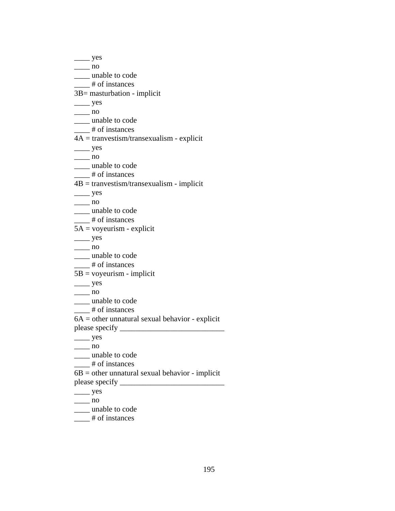$\rule{1em}{0.15mm}$  yes  $\_\_$  no \_\_\_\_ unable to code \_\_\_\_ # of instances 3B= masturbation - implicit  $\rule{1em}{0.15mm}$  yes  $\frac{1}{\sqrt{1-\frac{1}{2}}}\ln 0$ \_\_\_\_ unable to code \_\_\_\_ # of instances  $4A =$ tranvestism/transexualism - explicit \_\_\_\_ yes  $\_\_$  no \_\_\_\_ unable to code \_\_\_\_ # of instances 4B = tranvestism/transexualism - implicit  $\rule{1em}{0.15mm}$  yes  $\frac{1}{\sqrt{1-\frac{1}{2}}}\ln 0$ \_\_\_\_ unable to code \_\_\_\_ # of instances  $5A = voyeurism - explicit$  $\rule{1em}{0.15mm}$  yes  $\_\_$  no \_\_\_\_ unable to code \_\_\_\_ # of instances  $5B = voyeurism - implicit$  $\rule{1em}{0.15mm}$  yes  $\frac{1}{\sqrt{1-\frac{1}{2}}}\log \frac{1}{2}$ \_\_\_\_ unable to code \_\_\_\_ # of instances  $6A =$  other unnatural sexual behavior - explicit please specify \_\_\_\_\_\_\_\_\_\_\_\_\_\_\_\_\_\_\_\_\_\_\_\_\_\_\_  $\rightharpoonup$  yes  $\frac{1}{\sqrt{1-\frac{1}{2}}}\ln 0$ \_\_\_\_ unable to code \_\_\_\_ # of instances  $6B =$  other unnatural sexual behavior - implicit please specify \_\_\_\_\_\_\_\_\_\_\_\_\_\_\_\_\_\_\_\_\_\_\_\_\_\_\_  $\rightharpoonup$  yes  $\_\_$  no \_\_\_\_ unable to code \_\_\_\_ # of instances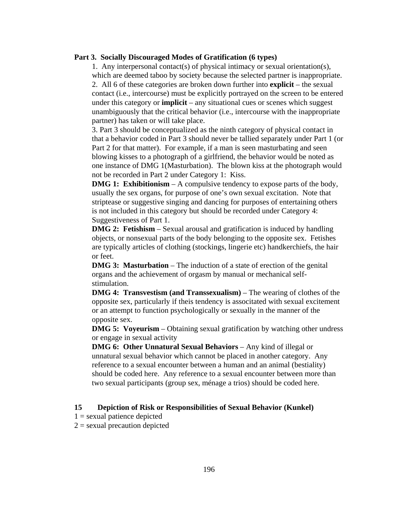#### **Part 3. Socially Discouraged Modes of Gratification (6 types)**

1. Any interpersonal contact(s) of physical intimacy or sexual orientation(s), which are deemed taboo by society because the selected partner is inappropriate. 2. All 6 of these categories are broken down further into **explicit** – the sexual contact (i.e., intercourse) must be explicitly portrayed on the screen to be entered under this category or **implicit** – any situational cues or scenes which suggest unambiguously that the critical behavior (i.e., intercourse with the inappropriate partner) has taken or will take place.

3. Part 3 should be conceptualized as the ninth category of physical contact in that a behavior coded in Part 3 should never be tallied separately under Part 1 (or Part 2 for that matter). For example, if a man is seen masturbating and seen blowing kisses to a photograph of a girlfriend, the behavior would be noted as one instance of DMG 1(Masturbation). The blown kiss at the photograph would not be recorded in Part 2 under Category 1: Kiss.

**DMG 1: Exhibitionism** – A compulsive tendency to expose parts of the body, usually the sex organs, for purpose of one's own sexual excitation. Note that striptease or suggestive singing and dancing for purposes of entertaining others is not included in this category but should be recorded under Category 4: Suggestiveness of Part 1.

**DMG 2: Fetishism** – Sexual arousal and gratification is induced by handling objects, or nonsexual parts of the body belonging to the opposite sex. Fetishes are typically articles of clothing (stockings, lingerie etc) handkerchiefs, the hair or feet.

**DMG 3: Masturbation** – The induction of a state of erection of the genital organs and the achievement of orgasm by manual or mechanical selfstimulation.

**DMG 4: Transvestism (and Transsexualism)** – The wearing of clothes of the opposite sex, particularly if theis tendency is associtated with sexual excitement or an attempt to function psychologically or sexually in the manner of the opposite sex.

**DMG 5: Voyeurism** – Obtaining sexual gratification by watching other undress or engage in sexual activity

**DMG 6: Other Unnatural Sexual Behaviors** – Any kind of illegal or unnatural sexual behavior which cannot be placed in another category. Any reference to a sexual encounter between a human and an animal (bestiality) should be coded here. Any reference to a sexual encounter between more than two sexual participants (group sex, ménage a trios) should be coded here.

## **15 Depiction of Risk or Responsibilities of Sexual Behavior (Kunkel)**

 $1 =$  sexual patience depicted

 $2$  = sexual precaution depicted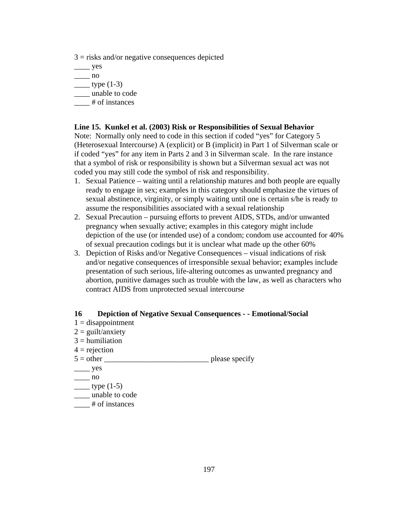- $3 =$  risks and/or negative consequences depicted
- \_\_\_\_ yes
- $\_\_$  no
- $\frac{1}{\sqrt{1-3}}$
- \_\_\_\_ unable to code
- \_\_\_\_ # of instances

#### **Line 15. Kunkel et al. (2003) Risk or Responsibilities of Sexual Behavior**

Note: Normally only need to code in this section if coded "yes" for Category 5 (Heterosexual Intercourse) A (explicit) or B (implicit) in Part 1 of Silverman scale or if coded "yes" for any item in Parts 2 and 3 in Silverman scale. In the rare instance that a symbol of risk or responsibility is shown but a Silverman sexual act was not coded you may still code the symbol of risk and responsibility.

- 1. Sexual Patience waiting until a relationship matures and both people are equally ready to engage in sex; examples in this category should emphasize the virtues of sexual abstinence, virginity, or simply waiting until one is certain s/he is ready to assume the responsibilities associated with a sexual relationship
- 2. Sexual Precaution pursuing efforts to prevent AIDS, STDs, and/or unwanted pregnancy when sexually active; examples in this category might include depiction of the use (or intended use) of a condom; condom use accounted for 40% of sexual precaution codings but it is unclear what made up the other 60%
- 3. Depiction of Risks and/or Negative Consequences visual indications of risk and/or negative consequences of irresponsible sexual behavior; examples include presentation of such serious, life-altering outcomes as unwanted pregnancy and abortion, punitive damages such as trouble with the law, as well as characters who contract AIDS from unprotected sexual intercourse

#### **16 Depiction of Negative Sexual Consequences - - Emotional/Social**

- $1 =$  disappointment
- $2 =$  guilt/anxiety
- $3 =$ humiliation
- $4 =$  rejection
- 5 = other \_\_\_\_\_\_\_\_\_\_\_\_\_\_\_\_\_\_\_\_\_\_\_\_\_\_\_ please specify
- $\rule{1em}{0.15mm}$  yes
- $\frac{1}{\sqrt{1-\frac{1}{2}}}\log \frac{1}{2}$
- type  $(1-5)$
- \_\_\_\_ unable to code
- \_\_\_\_ # of instances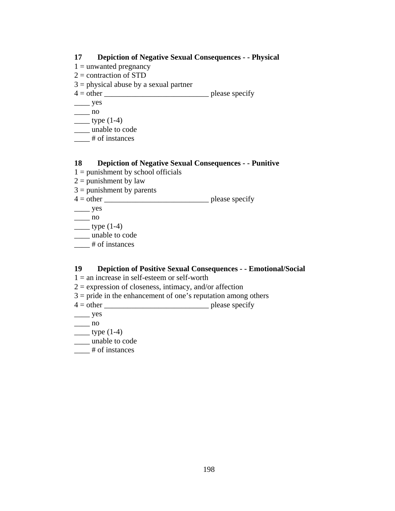#### **17 Depiction of Negative Sexual Consequences - - Physical**

- $1 =$  unwanted pregnancy
- 2 = contraction of STD
- $3$  = physical abuse by a sexual partner
- 4 = other \_\_\_\_\_\_\_\_\_\_\_\_\_\_\_\_\_\_\_\_\_\_\_\_\_\_\_ please specify
- $\frac{\ }{2}$  yes
- $\frac{1}{\sqrt{1-\frac{1}{2}}}\ln 0$
- $\frac{1}{2}$  type (1-4)
- \_\_\_\_ unable to code
- \_\_\_\_ # of instances

#### **18 Depiction of Negative Sexual Consequences - - Punitive**

- $1 =$  punishment by school officials
- $2 =$  punishment by law
- $3 =$  punishment by parents
- 4 = other \_\_\_\_\_\_\_\_\_\_\_\_\_\_\_\_\_\_\_\_\_\_\_\_\_\_\_ please specify
- $\rule{1em}{0.15mm}$  yes
- $\frac{1}{\sqrt{1-\frac{1}{2}}}\log n$
- $\frac{1}{2}$  type (1-4)
- \_\_\_\_ unable to code
- \_\_\_\_ # of instances

#### **19 Depiction of Positive Sexual Consequences - - Emotional/Social**

- $1 =$  an increase in self-esteem or self-worth
- $2 =$  expression of closeness, intimacy, and/or affection
- $3$  = pride in the enhancement of one's reputation among others
- 4 = other \_\_\_\_\_\_\_\_\_\_\_\_\_\_\_\_\_\_\_\_\_\_\_\_\_\_\_ please specify
- $\rule{1em}{0.15mm}$  yes
- $\frac{1}{\sqrt{1-\frac{1}{2}}}\ln 0$
- $\frac{1}{\sqrt{1-4}}$
- \_\_\_\_ unable to code
- \_\_\_\_ # of instances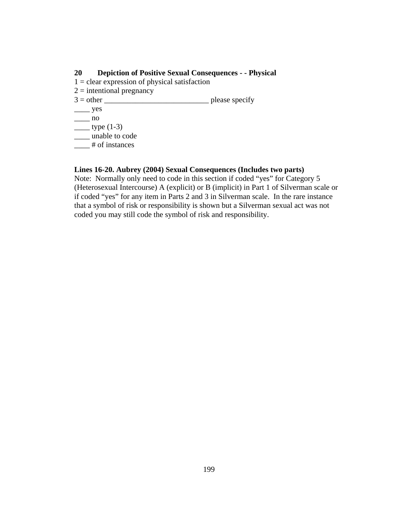### **20 Depiction of Positive Sexual Consequences - - Physical**

- $1 =$  clear expression of physical satisfaction
- $2 =$  intentional pregnancy
- 3 = other \_\_\_\_\_\_\_\_\_\_\_\_\_\_\_\_\_\_\_\_\_\_\_\_\_\_\_ please specify

 $\rule{1em}{0.15mm}$  yes

 $\frac{1}{\sqrt{1-\frac{1}{2}}}\ln 0$ 

 $\frac{1}{\sqrt{1-3}}$ 

\_\_\_\_ unable to code

\_\_\_\_ # of instances

#### **Lines 16-20. Aubrey (2004) Sexual Consequences (Includes two parts)**

Note: Normally only need to code in this section if coded "yes" for Category 5 (Heterosexual Intercourse) A (explicit) or B (implicit) in Part 1 of Silverman scale or if coded "yes" for any item in Parts 2 and 3 in Silverman scale. In the rare instance that a symbol of risk or responsibility is shown but a Silverman sexual act was not coded you may still code the symbol of risk and responsibility.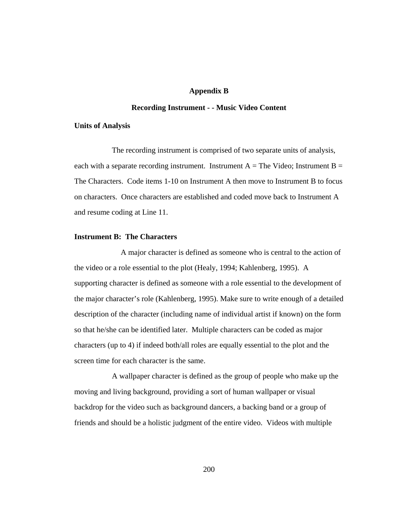#### **Appendix B**

#### **Recording Instrument - - Music Video Content**

#### **Units of Analysis**

The recording instrument is comprised of two separate units of analysis, each with a separate recording instrument. Instrument  $A = The Video; Instrument B =$ The Characters. Code items 1-10 on Instrument A then move to Instrument B to focus on characters. Once characters are established and coded move back to Instrument A and resume coding at Line 11.

#### **Instrument B: The Characters**

 A major character is defined as someone who is central to the action of the video or a role essential to the plot (Healy, 1994; Kahlenberg, 1995). A supporting character is defined as someone with a role essential to the development of the major character's role (Kahlenberg, 1995). Make sure to write enough of a detailed description of the character (including name of individual artist if known) on the form so that he/she can be identified later. Multiple characters can be coded as major characters (up to 4) if indeed both/all roles are equally essential to the plot and the screen time for each character is the same.

A wallpaper character is defined as the group of people who make up the moving and living background, providing a sort of human wallpaper or visual backdrop for the video such as background dancers, a backing band or a group of friends and should be a holistic judgment of the entire video. Videos with multiple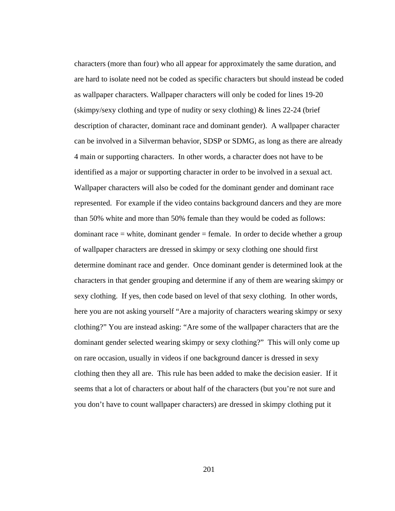characters (more than four) who all appear for approximately the same duration, and are hard to isolate need not be coded as specific characters but should instead be coded as wallpaper characters. Wallpaper characters will only be coded for lines 19-20 (skimpy/sexy clothing and type of nudity or sexy clothing) & lines 22-24 (brief description of character, dominant race and dominant gender). A wallpaper character can be involved in a Silverman behavior, SDSP or SDMG, as long as there are already 4 main or supporting characters. In other words, a character does not have to be identified as a major or supporting character in order to be involved in a sexual act. Wallpaper characters will also be coded for the dominant gender and dominant race represented. For example if the video contains background dancers and they are more than 50% white and more than 50% female than they would be coded as follows: dominant race = white, dominant gender = female. In order to decide whether a group of wallpaper characters are dressed in skimpy or sexy clothing one should first determine dominant race and gender. Once dominant gender is determined look at the characters in that gender grouping and determine if any of them are wearing skimpy or sexy clothing. If yes, then code based on level of that sexy clothing. In other words, here you are not asking yourself "Are a majority of characters wearing skimpy or sexy clothing?" You are instead asking: "Are some of the wallpaper characters that are the dominant gender selected wearing skimpy or sexy clothing?" This will only come up on rare occasion, usually in videos if one background dancer is dressed in sexy clothing then they all are. This rule has been added to make the decision easier. If it seems that a lot of characters or about half of the characters (but you're not sure and you don't have to count wallpaper characters) are dressed in skimpy clothing put it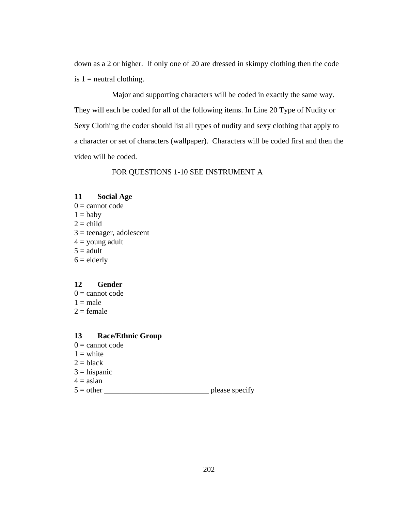down as a 2 or higher. If only one of 20 are dressed in skimpy clothing then the code is  $1$  = neutral clothing.

Major and supporting characters will be coded in exactly the same way. They will each be coded for all of the following items. In Line 20 Type of Nudity or Sexy Clothing the coder should list all types of nudity and sexy clothing that apply to a character or set of characters (wallpaper). Characters will be coded first and then the video will be coded.

FOR QUESTIONS 1-10 SEE INSTRUMENT A

#### **11 Social Age**

- $0 =$  cannot code
- $1 =$ baby
- $2 = child$
- $3 = \text{teenager}, \text{adolescent}$
- $4 =$ young adult
- $5 =$ adult
- $6 =$  elderly

#### **12 Gender**

- $0 =$  cannot code
- $1 = male$
- $2 =$  female

#### **13 Race/Ethnic Group**

- $0 =$  cannot code
- $1 =$  white
- $2 =$ black
- $3 =$ hispanic
- $4 = a$ sian
- 5 = other \_\_\_\_\_\_\_\_\_\_\_\_\_\_\_\_\_\_\_\_\_\_\_\_\_\_\_ please specify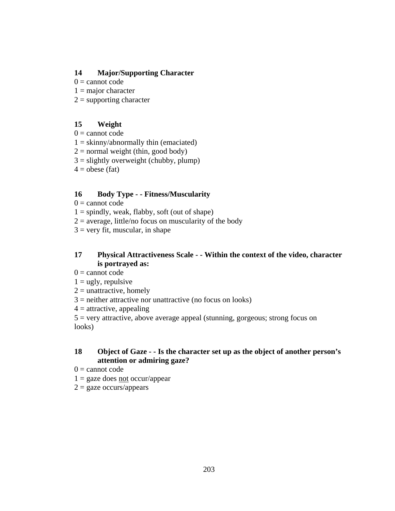## **14 Major/Supporting Character**

- $0 =$  cannot code
- $1 =$  major character
- $2 =$  supporting character

## **15 Weight**

- $0 =$  cannot code
- $1 =$  skinny/abnormally thin (emaciated)
- $2 =$  normal weight (thin, good body)
- $3 =$  slightly overweight (chubby, plump)
- $4 =$  obese (fat)

## **16 Body Type - - Fitness/Muscularity**

- $0 =$  cannot code
- $1 =$  spindly, weak, flabby, soft (out of shape)
- $2 =$  average, little/no focus on muscularity of the body
- $3 = \text{very fit},$  muscular, in shape

## **17 Physical Attractiveness Scale - - Within the context of the video, character is portrayed as:**

- $0 =$  cannot code
- $1 =$ ugly, repulsive
- $2 =$  unattractive, homely
- $3$  = neither attractive nor unattractive (no focus on looks)
- $4 =$  attractive, appealing
- $5 = \text{very attractive}, \text{above average appeal}$  (stunning, gorgeous; strong focus on looks)

## **18 Object of Gaze - - Is the character set up as the object of another person's attention or admiring gaze?**

- $0 =$  cannot code
- $1 =$  gaze does not occur/appear
- $2 =$  gaze occurs/appears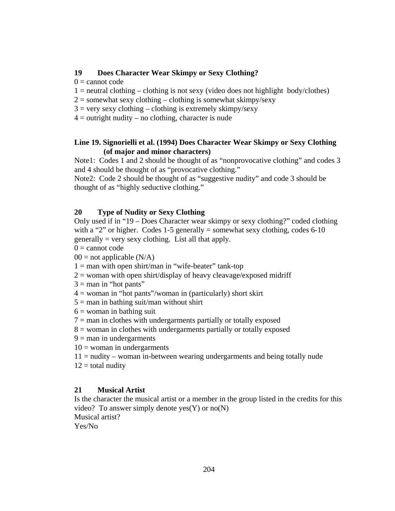## **19 Does Character Wear Skimpy or Sexy Clothing?**

- $0 =$  cannot code
- $1$  = neutral clothing clothing is not sexy (video does not highlight body/clothes)
- $2 =$  somewhat sexy clothing clothing is somewhat skimpy/sexy
- $3 = \text{very}$  sexy clothing clothing is extremely skimpy/sexy
- $4 =$  outright nudity no clothing, character is nude

## **Line 19. Signorielli et al. (1994) Does Character Wear Skimpy or Sexy Clothing (of major and minor characters)**

Note1: Codes 1 and 2 should be thought of as "nonprovocative clothing" and codes 3 and 4 should be thought of as "provocative clothing."

Note2: Code 2 should be thought of as "suggestive nudity" and code 3 should be thought of as "highly seductive clothing."

## **20 Type of Nudity or Sexy Clothing**

Only used if in "19 – Does Character wear skimpy or sexy clothing?" coded clothing with a "2" or higher. Codes 1-5 generally = somewhat sexy clothing, codes  $6-10$  $generally = very$  sexy clothing. List all that apply.

 $0 =$  cannot code

 $00 =$  not applicable (N/A)

- $1 =$  man with open shirt/man in "wife-beater" tank-top
- $2 =$  woman with open shirt/display of heavy cleavage/exposed midriff
- $3 =$ man in "hot pants"
- $4 =$  woman in "hot pants"/woman in (particularly) short skirt
- $5 =$ man in bathing suit/man without shirt
- $6 =$  woman in bathing suit
- $7 =$  man in clothes with undergarments partially or totally exposed
- 8 = woman in clothes with undergarments partially or totally exposed
- $9 =$ man in undergarments
- $10 =$  woman in undergarments
- $11 =$  nudity woman in-between wearing undergarments and being totally nude
- $12$  = total nudity

## **21 Musical Artist**

Is the character the musical artist or a member in the group listed in the credits for this video? To answer simply denote  $yes(Y)$  or no(N)

Musical artist?

Yes/No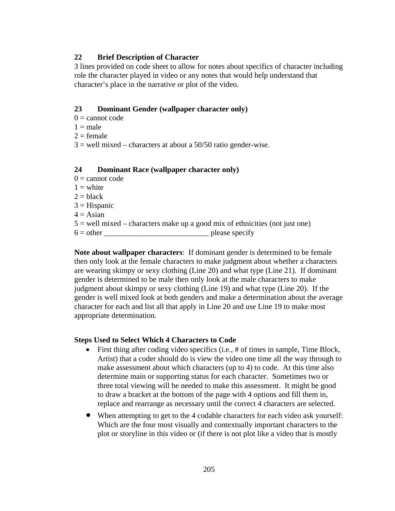## **22 Brief Description of Character**

3 lines provided on code sheet to allow for notes about specifics of character including role the character played in video or any notes that would help understand that character's place in the narrative or plot of the video.

## **23 Dominant Gender (wallpaper character only)**

- $0 =$  cannot code
- $1 = male$
- $2 =$  female
- $3$  = well mixed characters at about a 50/50 ratio gender-wise.

## **24 Dominant Race (wallpaper character only)**

- $0 =$  cannot code
- $1 =$  white
- $2 =$ black
- $3$  = Hispanic
- $4 = \text{Asian}$
- $5 =$  well mixed characters make up a good mix of ethnicities (not just one)

6 = other \_\_\_\_\_\_\_\_\_\_\_\_\_\_\_\_\_\_\_\_\_\_\_\_\_\_\_ please specify

**Note about wallpaper characters**: If dominant gender is determined to be female then only look at the female characters to make judgment about whether a characters are wearing skimpy or sexy clothing (Line 20) and what type (Line 21). If dominant gender is determined to be male then only look at the male characters to make judgment about skimpy or sexy clothing (Line 19) and what type (Line 20). If the gender is well mixed look at both genders and make a determination about the average character for each and list all that apply in Line 20 and use Line 19 to make most appropriate determination.

## **Steps Used to Select Which 4 Characters to Code**

- First thing after coding video specifics (i.e., # of times in sample, Time Block, Artist) that a coder should do is view the video one time all the way through to make assessment about which characters (up to 4) to code. At this time also determine main or supporting status for each character. Sometimes two or three total viewing will be needed to make this assessment. It might be good to draw a bracket at the bottom of the page with 4 options and fill them in, replace and rearrange as necessary until the correct 4 characters are selected.
- When attempting to get to the 4 codable characters for each video ask yourself: Which are the four most visually and contextually important characters to the plot or storyline in this video or (if there is not plot like a video that is mostly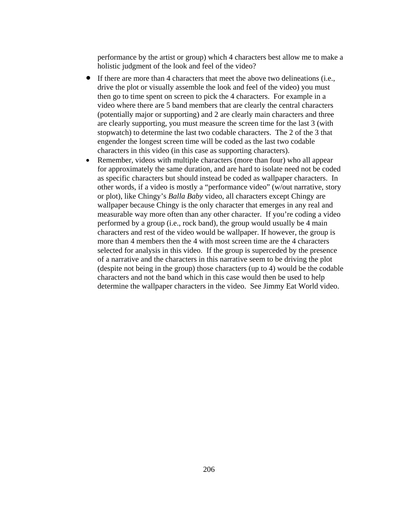performance by the artist or group) which 4 characters best allow me to make a holistic judgment of the look and feel of the video?

- If there are more than 4 characters that meet the above two delineations (i.e., drive the plot or visually assemble the look and feel of the video) you must then go to time spent on screen to pick the 4 characters. For example in a video where there are 5 band members that are clearly the central characters (potentially major or supporting) and 2 are clearly main characters and three are clearly supporting, you must measure the screen time for the last 3 (with stopwatch) to determine the last two codable characters. The 2 of the 3 that engender the longest screen time will be coded as the last two codable characters in this video (in this case as supporting characters).
- Remember, videos with multiple characters (more than four) who all appear for approximately the same duration, and are hard to isolate need not be coded as specific characters but should instead be coded as wallpaper characters. In other words, if a video is mostly a "performance video" (w/out narrative, story or plot), like Chingy's *Balla Baby* video, all characters except Chingy are wallpaper because Chingy is the only character that emerges in any real and measurable way more often than any other character. If you're coding a video performed by a group (i.e., rock band), the group would usually be 4 main characters and rest of the video would be wallpaper. If however, the group is more than 4 members then the 4 with most screen time are the 4 characters selected for analysis in this video. If the group is superceded by the presence of a narrative and the characters in this narrative seem to be driving the plot (despite not being in the group) those characters (up to 4) would be the codable characters and not the band which in this case would then be used to help determine the wallpaper characters in the video. See Jimmy Eat World video.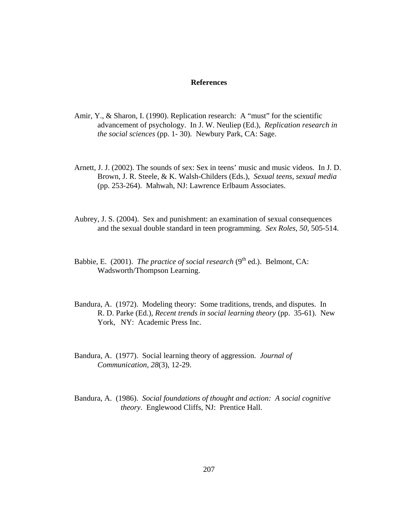## **References**

- Amir, Y., & Sharon, I. (1990). Replication research: A "must" for the scientific advancement of psychology. In J. W. Neuliep (Ed.), *Replication research in the social sciences* (pp. 1- 30). Newbury Park, CA: Sage.
- Arnett, J. J. (2002). The sounds of sex: Sex in teens' music and music videos. In J. D. Brown, J. R. Steele, & K. Walsh-Childers (Eds.), *Sexual teens, sexual media* (pp. 253-264). Mahwah, NJ: Lawrence Erlbaum Associates.
- Aubrey, J. S. (2004). Sex and punishment: an examination of sexual consequences and the sexual double standard in teen programming. *Sex Roles, 50*, 505-514.
- Babbie, E. (2001). *The practice of social research* (9<sup>th</sup> ed.). Belmont, CA: Wadsworth/Thompson Learning.
- Bandura, A. (1972). Modeling theory: Some traditions, trends, and disputes. In R. D. Parke (Ed.), *Recent trends in social learning theory* (pp. 35-61). New York, NY: Academic Press Inc.
- Bandura, A. (1977). Social learning theory of aggression. *Journal of Communication, 28*(3), 12-29.
- Bandura, A. (1986). *Social foundations of thought and action: A social cognitive theory*. Englewood Cliffs, NJ: Prentice Hall.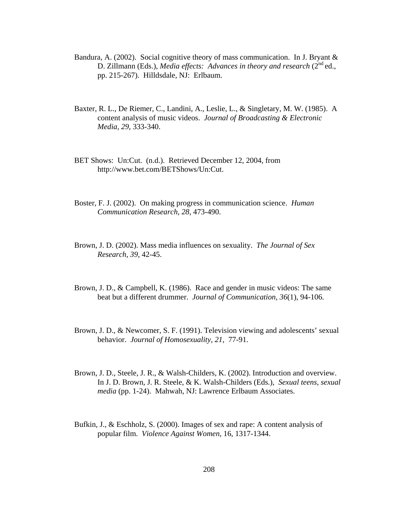- Bandura, A. (2002). Social cognitive theory of mass communication. In J. Bryant & D. Zillmann (Eds.), *Media effects: Advances in theory and research* (2<sup>nd</sup> ed., pp. 215-267). Hilldsdale, NJ: Erlbaum.
- Baxter, R. L., De Riemer, C., Landini, A., Leslie, L., & Singletary, M. W. (1985). A content analysis of music videos. *Journal of Broadcasting & Electronic Media, 29*, 333-340.
- BET Shows: Un:Cut. (n.d.). Retrieved December 12, 2004, from http://www.bet.com/BETShows/Un:Cut.
- Boster, F. J. (2002). On making progress in communication science. *Human Communication Research, 28*, 473-490.
- Brown, J. D. (2002). Mass media influences on sexuality. *The Journal of Sex Research, 39*, 42-45.
- Brown, J. D., & Campbell, K. (1986). Race and gender in music videos: The same beat but a different drummer. *Journal of Communication, 36*(1), 94-106.
- Brown, J. D., & Newcomer, S. F. (1991). Television viewing and adolescents' sexual behavior. *Journal of Homosexuality, 21*, 77-91.
- Brown, J. D., Steele, J. R., & Walsh-Childers, K. (2002). Introduction and overview. In J. D. Brown, J. R. Steele, & K. Walsh-Childers (Eds.), *Sexual teens, sexual media* (pp. 1-24). Mahwah, NJ: Lawrence Erlbaum Associates.
- Bufkin, J., & Eschholz, S. (2000). Images of sex and rape: A content analysis of popular film. *Violence Against Women*, 16, 1317-1344.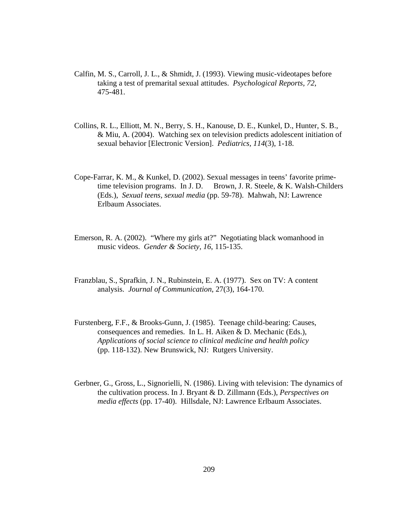- Calfin, M. S., Carroll, J. L., & Shmidt, J. (1993). Viewing music-videotapes before taking a test of premarital sexual attitudes. *Psychological Reports, 72*, 475-481.
- Collins, R. L., Elliott, M. N., Berry, S. H., Kanouse, D. E., Kunkel, D., Hunter, S. B., & Miu, A. (2004). Watching sex on television predicts adolescent initiation of sexual behavior [Electronic Version]. *Pediatrics, 114*(3), 1-18.
- Cope-Farrar, K. M., & Kunkel, D. (2002). Sexual messages in teens' favorite primetime television programs. In J. D. Brown, J. R. Steele, & K. Walsh-Childers (Eds.), *Sexual teens, sexual media* (pp. 59-78). Mahwah, NJ: Lawrence Erlbaum Associates.
- Emerson, R. A. (2002). "Where my girls at?" Negotiating black womanhood in music videos. *Gender & Society, 16*, 115-135.
- Franzblau, S., Sprafkin, J. N., Rubinstein, E. A. (1977). Sex on TV: A content analysis. *Journal of Communication*, 27(3), 164-170.
- Furstenberg, F.F., & Brooks-Gunn, J. (1985). Teenage child-bearing: Causes, consequences and remedies. In L. H. Aiken & D. Mechanic (Eds.), *Applications of social science to clinical medicine and health policy*  (pp. 118-132). New Brunswick, NJ: Rutgers University.
- Gerbner, G., Gross, L., Signorielli, N. (1986). Living with television: The dynamics of the cultivation process. In J. Bryant & D. Zillmann (Eds.), *Perspectives on media effects* (pp. 17-40). Hillsdale, NJ: Lawrence Erlbaum Associates.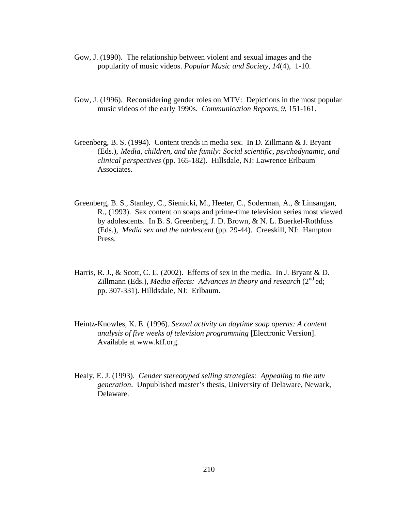- Gow, J. (1990). The relationship between violent and sexual images and the popularity of music videos. *Popular Music and Society, 14*(4), 1-10.
- Gow, J. (1996). Reconsidering gender roles on MTV: Depictions in the most popular music videos of the early 1990s. *Communication Reports, 9*, 151-161.
- Greenberg, B. S. (1994). Content trends in media sex. In D. Zillmann & J. Bryant (Eds.), *Media, children, and the family: Social scientific, psychodynamic, and clinical perspectives* (pp. 165-182). Hillsdale, NJ: Lawrence Erlbaum Associates.
- Greenberg, B. S., Stanley, C., Siemicki, M., Heeter, C., Soderman, A., & Linsangan, R., (1993). Sex content on soaps and prime-time television series most viewed by adolescents. In B. S. Greenberg, J. D. Brown, & N. L. Buerkel-Rothfuss (Eds.), *Media sex and the adolescent* (pp. 29-44). Creeskill, NJ: Hampton Press.
- Harris, R. J., & Scott, C. L. (2002). Effects of sex in the media. In J. Bryant & D. Zillmann (Eds.), *Media effects: Advances in theory and research* (2<sup>nd</sup> ed: pp. 307-331). Hilldsdale, NJ: Erlbaum.
- Heintz-Knowles, K. E. (1996). *Sexual activity on daytime soap operas: A content analysis of five weeks of television programming* [Electronic Version]. Available at www.kff.org.
- Healy, E. J. (1993). *Gender stereotyped selling strategies: Appealing to the mtv generation*. Unpublished master's thesis, University of Delaware, Newark, Delaware.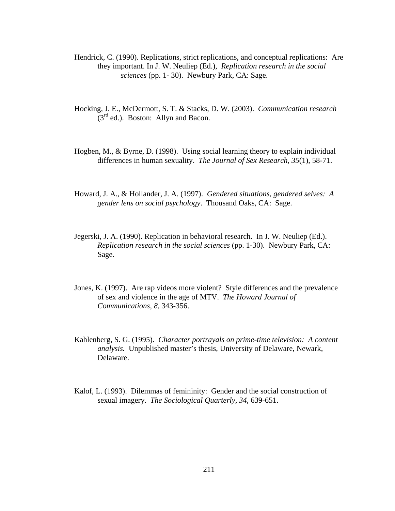- Hendrick, C. (1990). Replications, strict replications, and conceptual replications: Are they important. In J. W. Neuliep (Ed.), *Replication research in the social sciences* (pp. 1- 30). Newbury Park, CA: Sage.
- Hocking, J. E., McDermott, S. T. & Stacks, D. W. (2003). *Communication research*   $(3<sup>rd</sup>$  ed.). Boston: Allyn and Bacon.
- Hogben, M., & Byrne, D. (1998). Using social learning theory to explain individual differences in human sexuality. *The Journal of Sex Research, 35*(1), 58-71.
- Howard, J. A., & Hollander, J. A. (1997). *Gendered situations, gendered selves: A gender lens on social psychology*. Thousand Oaks, CA: Sage.
- Jegerski, J. A. (1990). Replication in behavioral research. In J. W. Neuliep (Ed.). *Replication research in the social sciences* (pp. 1-30). Newbury Park, CA: Sage.
- Jones, K. (1997). Are rap videos more violent? Style differences and the prevalence of sex and violence in the age of MTV. *The Howard Journal of Communications, 8*, 343-356.
- Kahlenberg, S. G. (1995). *Character portrayals on prime-time television: A content analysis.* Unpublished master's thesis, University of Delaware, Newark, Delaware.
- Kalof, L. (1993). Dilemmas of femininity: Gender and the social construction of sexual imagery. *The Sociological Quarterly, 34*, 639-651.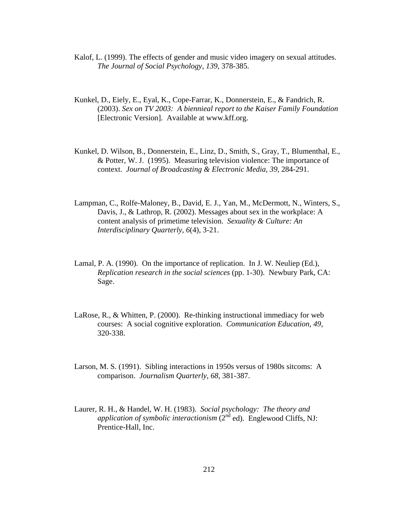- Kalof, L. (1999). The effects of gender and music video imagery on sexual attitudes. *The Journal of Social Psychology, 139*, 378-385.
- Kunkel, D., Eiely, E., Eyal, K., Cope-Farrar, K., Donnerstein, E., & Fandrich, R. (2003). *Sex on TV 2003: A biennieal report to the Kaiser Family Foundation* [Electronic Version]. Available at www.kff.org.
- Kunkel, D. Wilson, B., Donnerstein, E., Linz, D., Smith, S., Gray, T., Blumenthal, E., & Potter, W. J. (1995). Measuring television violence: The importance of context. *Journal of Broadcasting & Electronic Media, 39*, 284-291.
- Lampman, C., Rolfe-Maloney, B., David, E. J., Yan, M., McDermott, N., Winters, S., Davis, J., & Lathrop, R. (2002). Messages about sex in the workplace: A content analysis of primetime television. *Sexuality & Culture: An Interdisciplinary Quarterly, 6*(4), 3-21.
- Lamal, P. A. (1990). On the importance of replication. In J. W. Neuliep (Ed.), *Replication research in the social sciences* (pp. 1-30). Newbury Park, CA: Sage.
- LaRose, R., & Whitten, P. (2000). Re-thinking instructional immediacy for web courses: A social cognitive exploration. *Communication Education, 49*, 320-338.
- Larson, M. S. (1991). Sibling interactions in 1950s versus of 1980s sitcoms: A comparison. *Journalism Quarterly, 68*, 381-387.
- Laurer, R. H., & Handel, W. H. (1983). *Social psychology: The theory and application of symbolic interactionism* (2<sup>nd</sup> ed). Englewood Cliffs, NJ: Prentice-Hall, Inc.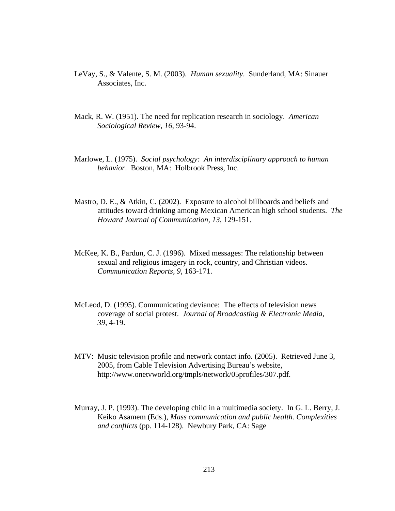- LeVay, S., & Valente, S. M. (2003). *Human sexuality*. Sunderland, MA: Sinauer Associates, Inc.
- Mack, R. W. (1951). The need for replication research in sociology. *American Sociological Review, 16*, 93-94.
- Marlowe, L. (1975). *Social psychology: An interdisciplinary approach to human behavior*. Boston, MA: Holbrook Press, Inc.
- Mastro, D. E., & Atkin, C. (2002). Exposure to alcohol billboards and beliefs and attitudes toward drinking among Mexican American high school students. *The Howard Journal of Communication, 13*, 129-151.
- McKee, K. B., Pardun, C. J. (1996). Mixed messages: The relationship between sexual and religious imagery in rock, country, and Christian videos. *Communication Reports, 9*, 163-171.
- McLeod, D. (1995). Communicating deviance: The effects of television news coverage of social protest. *Journal of Broadcasting & Electronic Media, 39*, 4-19.
- MTV: Music television profile and network contact info. (2005). Retrieved June 3, 2005, from Cable Television Advertising Bureau's website, http://www.onetvworld.org/tmpls/network/05profiles/307.pdf.
- Murray, J. P. (1993). The developing child in a multimedia society. In G. L. Berry, J. Keiko Asamem (Eds.), *Mass communication and public health. Complexities and conflicts* (pp. 114-128). Newbury Park, CA: Sage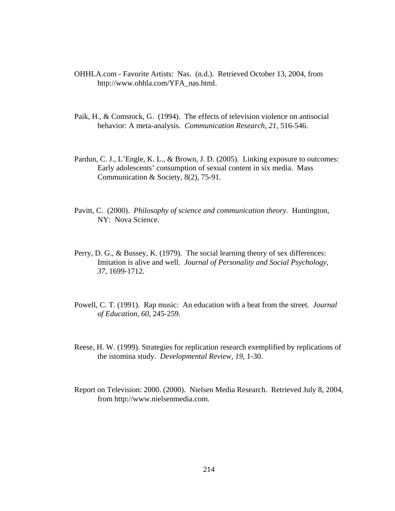- OHHLA.com Favorite Artists: Nas. (n.d.). Retrieved October 13, 2004, from http://www.ohhla.com/YFA\_nas.html.
- Paik, H., & Comstock, G. (1994). The effects of television violence on antisocial behavior: A meta-analysis. *Communication Research, 21*, 516-546.
- Pardun, C. J., L'Engle, K. L., & Brown, J. D. (2005). Linking exposure to outcomes: Early adolescents' consumption of sexual content in six media. Mass Communication & Society, 8(2), 75-91.
- Pavitt, C. (2000). *Philosophy of science and communication theory.* Huntington, NY: Nova Science.
- Perry, D. G., & Bussey, K. (1979). The social learning theory of sex differences: Imitation is alive and well. *Journal of Personality and Social Psychology, 37*, 1699-1712.
- Powell, C. T. (1991). Rap music: An education with a beat from the street. *Journal of Education, 60*, 245-259.
- Reese, H. W. (1999). Strategies for replication research exemplified by replications of the istomina study. *Developmental Review, 19*, 1-30.
- Report on Television: 2000. (2000). Nielsen Media Research. Retrieved July 8, 2004, from http://www.nielsenmedia.com.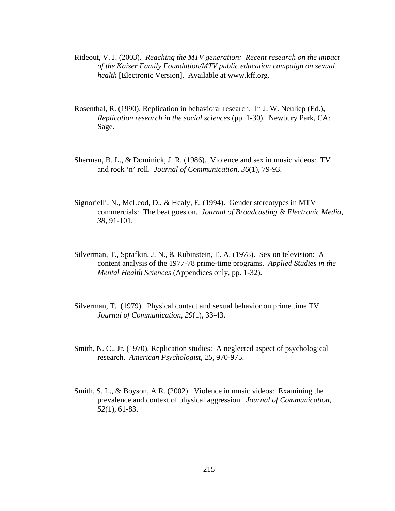Rideout, V. J. (2003). *Reaching the MTV generation: Recent research on the impact of the Kaiser Family Foundation/MTV public education campaign on sexual health* [Electronic Version]. Available at www.kff.org.

- Rosenthal, R. (1990). Replication in behavioral research. In J. W. Neuliep (Ed.), *Replication research in the social sciences* (pp. 1-30). Newbury Park, CA: Sage.
- Sherman, B. L., & Dominick, J. R. (1986). Violence and sex in music videos: TV and rock 'n' roll. *Journal of Communication, 36*(1), 79-93.
- Signorielli, N., McLeod, D., & Healy, E. (1994). Gender stereotypes in MTV commercials: The beat goes on. *Journal of Broadcasting & Electronic Media, 38*, 91-101.
- Silverman, T., Sprafkin, J. N., & Rubinstein, E. A. (1978). Sex on television: A content analysis of the 1977-78 prime-time programs. *Applied Studies in the Mental Health Sciences* (Appendices only, pp. 1-32).
- Silverman, T. (1979). Physical contact and sexual behavior on prime time TV. *Journal of Communication, 29*(1), 33-43.
- Smith, N. C., Jr. (1970). Replication studies: A neglected aspect of psychological research. *American Psychologist, 25*, 970-975.
- Smith, S. L., & Boyson, A R. (2002). Violence in music videos: Examining the prevalence and context of physical aggression. *Journal of Communication, 52*(1), 61-83.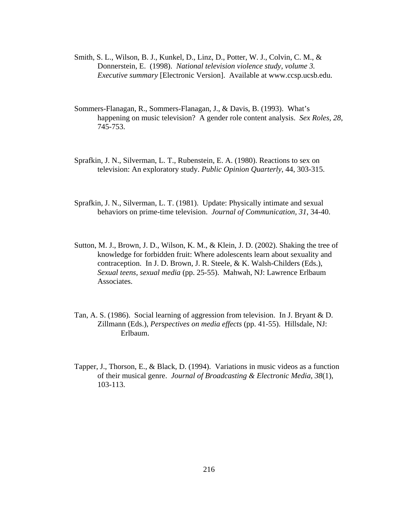- Smith, S. L., Wilson, B. J., Kunkel, D., Linz, D., Potter, W. J., Colvin, C. M., & Donnerstein, E. (1998). *National television violence study, volume 3. Executive summary* [Electronic Version]. Available at www.ccsp.ucsb.edu.
- Sommers-Flanagan, R., Sommers-Flanagan, J., & Davis, B. (1993). What's happening on music television? A gender role content analysis. *Sex Roles, 28*, 745-753.
- Sprafkin, J. N., Silverman, L. T., Rubenstein, E. A. (1980). Reactions to sex on television: An exploratory study. *Public Opinion Quarterly*, 44, 303-315.
- Sprafkin, J. N., Silverman, L. T. (1981). Update: Physically intimate and sexual behaviors on prime-time television. *Journal of Communication, 31*, 34-40.
- Sutton, M. J., Brown, J. D., Wilson, K. M., & Klein, J. D. (2002). Shaking the tree of knowledge for forbidden fruit: Where adolescents learn about sexuality and contraception. In J. D. Brown, J. R. Steele, & K. Walsh-Childers (Eds.), *Sexual teens, sexual media* (pp. 25-55). Mahwah, NJ: Lawrence Erlbaum Associates.
- Tan, A. S. (1986). Social learning of aggression from television. In J. Bryant & D. Zillmann (Eds.), *Perspectives on media effects* (pp. 41-55). Hillsdale, NJ: Erlbaum.
- Tapper, J., Thorson, E., & Black, D. (1994). Variations in music videos as a function of their musical genre. *Journal of Broadcasting & Electronic Media, 38*(1), 103-113.